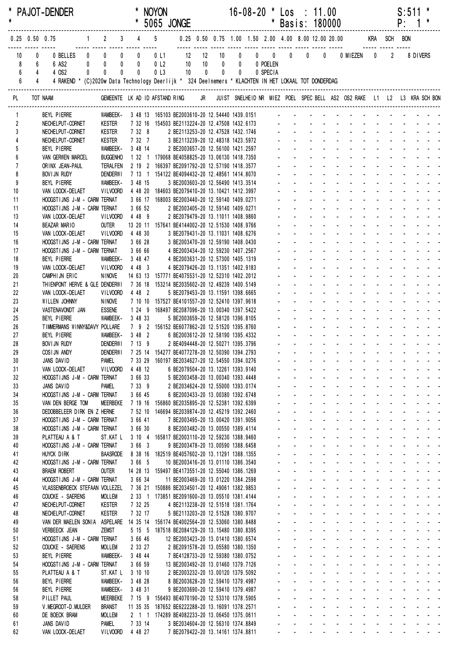| $\star$  |                         |                  | <b>PAJOT-DENDER</b>                                                                                  |   |                                         |           |                    | * NOYON<br>* 5065 JONGE                                                                         |                                                                             |             |                                                     |             |                | $16-08-20$ * Los : 11.00 | * Basis: 180000                                              |                                                |                                                                                                 |                                                                                 |                                                                            |                                           |                            | S:511<br>P:                          | $\mathbf{1}$                                                     |                                                                                                                  |  |
|----------|-------------------------|------------------|------------------------------------------------------------------------------------------------------|---|-----------------------------------------|-----------|--------------------|-------------------------------------------------------------------------------------------------|-----------------------------------------------------------------------------|-------------|-----------------------------------------------------|-------------|----------------|--------------------------|--------------------------------------------------------------|------------------------------------------------|-------------------------------------------------------------------------------------------------|---------------------------------------------------------------------------------|----------------------------------------------------------------------------|-------------------------------------------|----------------------------|--------------------------------------|------------------------------------------------------------------|------------------------------------------------------------------------------------------------------------------|--|
|          |                         | $0.25$ 0.50 0.75 |                                                                                                      |   | $1 \qquad 2 \qquad 3 \qquad 4 \qquad 5$ |           |                    |                                                                                                 |                                                                             |             | 0.25 0.50 0.75 1.00 1.50 2.00 4.00 8.00 12.00 20.00 |             |                |                          |                                                              |                                                |                                                                                                 |                                                                                 | KRA SCH BON                                                                |                                           |                            |                                      |                                                                  |                                                                                                                  |  |
|          | 10                      | 0                | 0 BELLES                                                                                             |   | $\begin{matrix} 0 & 0 & 0 \end{matrix}$ |           | $\mathbf{0}$       |                                                                                                 |                                                                             |             | 10                                                  |             | $\overline{0}$ | $0 \qquad 0 \qquad 0$    |                                                              | $\mathbf{0}$                                   | $\overline{\mathbf{0}}$                                                                         |                                                                                 | 0 MIEZEN 0                                                                 |                                           | $\overline{2}$             |                                      | 8 DIVERS                                                         |                                                                                                                  |  |
|          | 8                       | 6                | 6 AS2                                                                                                |   | $0$ 0                                   | $\pmb{0}$ | $\mathbf{0}$       | 0 <sub>l</sub>                                                                                  | 0 L1 12 12<br>0 L2 10 10                                                    |             | $\overline{0}$                                      | $\pmb{0}$   |                | 0 POELEN                 |                                                              |                                                |                                                                                                 |                                                                                 |                                                                            |                                           |                            |                                      |                                                                  |                                                                                                                  |  |
|          | 6<br>$6\phantom{a}$     | $\overline{4}$   | 4 OS2                                                                                                | 0 | $\mathbf{0}$                            | $\pmb{0}$ | 0                  | 0 <sub>l</sub>                                                                                  | 10                                                                          | $\mathbf 0$ | $\overline{\mathbf{0}}$                             | $\mathbf 0$ |                | 0 SPECIA                 |                                                              |                                                |                                                                                                 |                                                                                 |                                                                            |                                           |                            |                                      |                                                                  |                                                                                                                  |  |
|          |                         | $\overline{4}$   | 4 RAKEND * (C)2020w Data Technology Deerlijk * 324 Deelnemers * KLACHTEN IN HET LOKAAL TOT DONDERDAG |   |                                         |           |                    |                                                                                                 |                                                                             |             |                                                     |             |                |                          |                                                              |                                                |                                                                                                 |                                                                                 |                                                                            |                                           |                            |                                      |                                                                  |                                                                                                                  |  |
|          | PL                      |                  | TOT NAAM                                                                                             |   |                                         |           |                    | GEMEENTE LK AD ID AFSTAND RING                                                                  |                                                                             |             |                                                     |             |                |                          |                                                              |                                                |                                                                                                 |                                                                                 | JR JUIST SNELHEID NR MIEZ POEL SPEC BELL AS2 OS2 RAKE L1 L2 L3 KRA SCH BON |                                           |                            |                                      |                                                                  |                                                                                                                  |  |
|          | 1                       |                  | BEYL PIERRE                                                                                          |   |                                         |           |                    | WAMBEEK- 3 48 13 165103 BE2003610-20 12.54440 1439.0151 -                                       |                                                                             |             |                                                     |             |                |                          |                                                              |                                                |                                                                                                 |                                                                                 |                                                                            |                                           |                            |                                      |                                                                  |                                                                                                                  |  |
|          | $\overline{\mathbf{2}}$ |                  | NECHELPUT-CORNET                                                                                     |   | Kester                                  |           |                    | 7 32 16 154503 BE2113224-20 12.47508 1432.6173                                                  |                                                                             |             |                                                     |             |                |                          |                                                              |                                                |                                                                                                 |                                                                                 |                                                                            |                                           |                            |                                      |                                                                  |                                                                                                                  |  |
|          | 3<br>$\overline{4}$     |                  | NECHELPUT-CORNET                                                                                     |   | Kester                                  |           | 7 32 8<br>7 32 7   |                                                                                                 | 2 BE2113253-20 12.47528 1432.1746                                           |             |                                                     |             |                |                          |                                                              |                                                |                                                                                                 |                                                                                 |                                                                            |                                           |                            |                                      |                                                                  |                                                                                                                  |  |
|          | 5                       |                  | NECHELPUT-CORNET<br>BEYL PIERRE                                                                      |   | Kester<br>WAMBEEK-                      |           | 3 48 14            |                                                                                                 | 3 BE2113239-20 12.48318 1423.5972<br>2 BE2003657-20 12.56100 1421.2597      |             |                                                     |             |                |                          |                                                              |                                                |                                                                                                 |                                                                                 |                                                                            |                                           |                            |                                      |                                                                  |                                                                                                                  |  |
|          | 6                       |                  | <b>VAN GERWEN MARCEL</b>                                                                             |   | <b>BUGGENHO</b>                         |           |                    | 1 32 1 179068 BE4058825-20 13.06130 1418.7350                                                   |                                                                             |             |                                                     |             |                |                          |                                                              |                                                |                                                                                                 |                                                                                 |                                                                            |                                           |                            |                                      |                                                                  |                                                                                                                  |  |
|          | $\overline{1}$          |                  | ORINX JEAN-PAUL                                                                                      |   | <b>TERALFEN</b>                         |           |                    | 2 19 2 166397 BE2091792-20 12.57190 1418.3577                                                   |                                                                             |             |                                                     |             |                |                          |                                                              |                                                |                                                                                                 |                                                                                 |                                                                            |                                           |                            |                                      |                                                                  |                                                                                                                  |  |
|          | 8                       |                  | BOVI JN RUDY                                                                                         |   | <b>DENDERWI</b>                         |           |                    | 7 13 1 154122 BE4094432-20 12.48561 1414.8070                                                   |                                                                             |             |                                                     |             |                |                          |                                                              |                                                |                                                                                                 |                                                                                 |                                                                            |                                           |                            |                                      |                                                                  |                                                                                                                  |  |
| 10       | 9                       |                  | BEYL PIERRE<br>VAN LOOCK-DELAET                                                                      |   | WAMBEEK-<br><b>VILVOORD</b>             |           | 3 48 15            | 4 48 20 184603 BE2079410-20 13.10421 1412.3997                                                  | 3 BE2003603-20 12.56490 1413.3514                                           |             |                                                     |             |                |                          |                                                              |                                                |                                                                                                 |                                                                                 |                                                                            |                                           |                            |                                      |                                                                  |                                                                                                                  |  |
| 11       |                         |                  | HOOGSTIJNS J-M - CARM TERNAT                                                                         |   |                                         |           |                    | 3 66 17 168003 BE2003440-20 12.59140 1409.0271                                                  |                                                                             |             |                                                     |             |                |                          |                                                              |                                                |                                                                                                 |                                                                                 |                                                                            |                                           |                            |                                      |                                                                  |                                                                                                                  |  |
| 11       |                         |                  | HOOGSTIJNS J-M - CARM TERNAT                                                                         |   |                                         |           | 3 66 52            |                                                                                                 | 2 BE2003405-20 12.59140 1409.0271                                           |             |                                                     |             |                |                          |                                                              |                                                |                                                                                                 |                                                                                 |                                                                            |                                           |                            |                                      |                                                                  |                                                                                                                  |  |
| 13       |                         |                  | VAN LOOCK-DELAET                                                                                     |   | VILVOORD 4 48 9                         |           |                    |                                                                                                 | 2 BE2079479-20 13.11011 1408.9860                                           |             |                                                     |             |                |                          |                                                              |                                                |                                                                                                 |                                                                                 |                                                                            |                                           |                            |                                      |                                                                  |                                                                                                                  |  |
| 14       |                         |                  | BEAZAR MARIO                                                                                         |   | <b>OUTER</b>                            |           |                    | 13 20 11 157641 BE4144002-20 12.51530 1408.9766                                                 |                                                                             |             |                                                     |             |                |                          |                                                              |                                                |                                                                                                 |                                                                                 |                                                                            |                                           |                            |                                      |                                                                  |                                                                                                                  |  |
| 15<br>16 |                         |                  | VAN LOOCK-DELAET<br>HOOGSTIJNS J-M - CARM TERNAT                                                     |   | VILVOORD 4 48 30                        |           | 3 66 28            |                                                                                                 | 3 BE2079431-20 13.11031 1408.6276<br>3 BE2003470-20 12.59190 1408.0430      |             |                                                     |             |                |                          |                                                              |                                                |                                                                                                 |                                                                                 |                                                                            |                                           |                            |                                      |                                                                  |                                                                                                                  |  |
| 17       |                         |                  | HOOGSTIJNS J-M - CARM TERNAT                                                                         |   |                                         |           | 3 66 66            |                                                                                                 | 4 BE2003434-20 12.59230 1407.2567                                           |             |                                                     |             |                |                          |                                                              |                                                |                                                                                                 |                                                                                 |                                                                            |                                           |                            |                                      |                                                                  |                                                                                                                  |  |
| 18       |                         |                  | BEYL PIERRE                                                                                          |   | WAMBEEK-                                |           | 3 48 47            |                                                                                                 | 4 BE2003631-20 12.57300 1405.1319                                           |             |                                                     |             |                |                          |                                                              |                                                |                                                                                                 |                                                                                 |                                                                            |                                           |                            |                                      |                                                                  |                                                                                                                  |  |
| 19       |                         |                  | VAN LOOCK-DELAET                                                                                     |   | VILVOORD                                |           | 4 48 3             |                                                                                                 | 4 BE2079426-20 13.11351 1402.9183                                           |             |                                                     |             |                |                          |                                                              |                                                |                                                                                                 |                                                                                 |                                                                            |                                           |                            |                                      |                                                                  |                                                                                                                  |  |
| 20       |                         |                  | CAMPHIJN ERIC                                                                                        |   | NINOVE                                  |           |                    | 14 63 13 157771 BE4075531-20 12.52310 1402.2012                                                 |                                                                             |             |                                                     |             |                |                          |                                                              |                                                |                                                                                                 |                                                                                 |                                                                            |                                           |                            |                                      |                                                                  |                                                                                                                  |  |
| 21<br>22 |                         |                  | THIENPONT HERVE & GLE DENDERWI<br>VAN LOOCK-DELAET                                                   |   | <b>VILVOORD</b>                         |           | 4 48 2             | 7 36 18 153214 BE2035602-20 12.49239 1400.5149                                                  | 5 BE2079453-20 13.11591 1398.6665                                           |             |                                                     |             |                |                          |                                                              |                                                |                                                                                                 |                                                                                 |                                                                            |                                           |                            |                                      |                                                                  |                                                                                                                  |  |
| 23       |                         |                  | WILLEN JOHNNY                                                                                        |   | <b>NINOVE</b>                           |           |                    | 7 10 10 157527 BE4101557-20 12.52410 1397.9618                                                  |                                                                             |             |                                                     |             |                |                          |                                                              |                                                |                                                                                                 |                                                                                 |                                                                            |                                           |                            |                                      |                                                                  |                                                                                                                  |  |
| 24       |                         |                  | VASTENAVONDT JAN                                                                                     |   | <b>ESSENE</b>                           |           |                    | 1 24 9 168497 BE2087096-20 13.00340 1397.5422                                                   |                                                                             |             |                                                     |             |                |                          |                                                              |                                                |                                                                                                 |                                                                                 |                                                                            |                                           |                            | $\mathbf{L} = \mathbf{L} \mathbf{L}$ |                                                                  |                                                                                                                  |  |
| 25       |                         |                  | BEYL PIERRE                                                                                          |   | WAMBEEK-                                |           | 3 48 33            |                                                                                                 | 5 BE2003659-20 12.58120 1396.8105                                           |             |                                                     |             |                |                          |                                                              |                                                |                                                                                                 |                                                                                 |                                                                            |                                           |                            |                                      |                                                                  |                                                                                                                  |  |
| 26       |                         |                  | TIMMERMANS WINNY&DAVY POLLARE                                                                        |   |                                         |           |                    | 7 9 2 156152 BE6077862-20 12.51520 1395.8760                                                    |                                                                             |             |                                                     |             |                |                          |                                                              |                                                |                                                                                                 |                                                                                 | $\mathcal{L}^{\text{max}}$                                                 | $\Delta \sim 100$                         | $\mathcal{L}^{\text{max}}$ |                                      |                                                                  |                                                                                                                  |  |
| 27<br>28 |                         |                  | BEYL PIERRE<br>BOVI JN RUDY                                                                          |   | <b>WAMBEEK-</b><br><b>DENDERWI</b>      |           | 3 48 2<br>7 13 9   |                                                                                                 | 6 BE2003612-20 12.58190 1395.4332<br>2 BE4094448-20 12.50271 1395.3796      |             |                                                     |             |                |                          |                                                              |                                                |                                                                                                 |                                                                                 |                                                                            |                                           |                            |                                      |                                                                  |                                                                                                                  |  |
| 29       |                         |                  | COSIJN ANDY                                                                                          |   | <b>DENDERWI</b>                         |           |                    | 7 25 14 154277 BE4077278-20 12.50390 1394.2793                                                  |                                                                             |             |                                                     |             |                |                          |                                                              |                                                |                                                                                                 |                                                                                 | and the company of the company                                             |                                           |                            |                                      |                                                                  |                                                                                                                  |  |
| 30       |                         |                  | JANS DAVID                                                                                           |   | <b>PAMEL</b>                            |           |                    | 7 33 29 160197 BE2034627-20 12.54550 1394.0276                                                  |                                                                             |             |                                                     |             |                |                          |                                                              |                                                |                                                                                                 |                                                                                 | and the state of the state                                                 |                                           |                            |                                      |                                                                  |                                                                                                                  |  |
| 31       |                         |                  | VAN LOOCK-DELAET                                                                                     |   | <b>VILVOORD</b>                         |           | 4 48 12            |                                                                                                 | 6 BE2079504-20 13.12261 1393.9140                                           |             |                                                     |             |                |                          | $\mathbf{r}$<br>$\mathcal{L}^{\pm}$                          |                                                |                                                                                                 |                                                                                 | and a straight of                                                          | and a state                               |                            |                                      | $\mathbf{r}$ , and $\mathbf{r}$ , and $\mathbf{r}$               |                                                                                                                  |  |
| 32       |                         |                  | HOOGSTIJNS J-M - CARM TERNAT                                                                         |   |                                         |           | 3 66 33            |                                                                                                 | 5 BE2003458-20 13.00340 1393.4448                                           |             |                                                     |             |                |                          | $\omega_{\rm{max}}$                                          | $\omega_{\rm{max}}$                            | $\Delta \sim 100$                                                                               |                                                                                 | and a straight                                                             | $\Delta \sim 100$<br>$\sim 100$           | $\Delta \sim 100$          |                                      |                                                                  |                                                                                                                  |  |
| 33<br>34 |                         |                  | JANS DAVID<br>HOOGSTIJNS J-M - CARM TERNAT                                                           |   | PAMEL                                   |           | 7 33 9<br>3 66 45  |                                                                                                 | 2 BE2034624-20 12.55000 1393.0174<br>6 BE2003433-20 13.00380 1392.6748      |             |                                                     |             |                |                          | $\mathcal{L}_{\mathcal{A}}$<br>$\blacksquare$                | $\sim$<br>$\sim$                               | $\sim 100$                                                                                      | $\omega_{\rm{max}}$<br>$\Delta \sim 100$<br>$\omega_{\rm{max}}$<br>$\mathbf{r}$ | $\sim$ $-$<br>$\blacksquare$<br>$\sim$                                     |                                           |                            |                                      |                                                                  |                                                                                                                  |  |
| 35       |                         |                  | VAN DEN BERGE TOM                                                                                    |   | <b>MEERBEKE</b>                         |           |                    | 7 19 16 156860 BE2035895-20 12.52381 1392.6399                                                  |                                                                             |             |                                                     |             |                |                          |                                                              |                                                | $\sim 100$                                                                                      | $\mathcal{L}^{\mathcal{A}}$                                                     | $\sim$                                                                     | $\sim 100$                                |                            |                                      |                                                                  |                                                                                                                  |  |
| 36       |                         |                  | DEDOBBELEER DIRK EN Z HERNE                                                                          |   |                                         |           | 7 52 10            |                                                                                                 | 146694 BE2039874-20 12.45219 1392.2460                                      |             |                                                     |             |                |                          | $\mathcal{L}^{\mathcal{A}}$                                  |                                                | $\Delta \sim 100$                                                                               | $\Delta \sim 100$<br>$\sim$                                                     | $\sim$                                                                     | $\omega_{\rm{max}}$ , $\omega_{\rm{max}}$ |                            |                                      | $\mathbf{r} = \mathbf{r} + \mathbf{r} + \mathbf{r} + \mathbf{r}$ |                                                                                                                  |  |
| 37       |                         |                  | HOOGSTIJNS J-M - CARM TERNAT                                                                         |   |                                         |           | 3 66 41            |                                                                                                 | 7 BE2003495-20 13.00420 1391.9056                                           |             |                                                     |             |                |                          | $\mathbf{r}$<br>$\mathbf{r}$                                 |                                                | $\Delta \sim 100$                                                                               | $\omega_{\rm{max}}$<br>$\sim$                                                   | $\Delta \sim 100$                                                          | and a state                               |                            |                                      | and a strain and a                                               |                                                                                                                  |  |
| 38       |                         |                  | HOOGSTIJNS J-M - CARM TERNAT                                                                         |   |                                         |           | 3 66 30            |                                                                                                 | 8 BE2003482-20 13.00550 1389.4114                                           |             |                                                     |             |                |                          | $\mathbb{Z}^2$<br>a.                                         |                                                | $\Delta \sim 100$                                                                               | $\Delta \sim 10^4$<br>$\omega_{\rm{max}}$                                       | $\Delta \sim 10^4$                                                         | and a state                               | $\Delta \sim 100$          | $\Delta \sim 100$                    |                                                                  | $\omega_{\rm{eff}}$ , $\omega_{\rm{eff}}$ , $\omega_{\rm{eff}}$<br>$\mathbf{u} = \mathbf{u} + \mathbf{u}$ . Then |  |
| 39<br>40 |                         |                  | PLATTEAU A & T<br>HOOGSTIJNS J-M - CARM TERNAT                                                       |   | ST.KAT L                                |           | 3 10 4<br>3663     |                                                                                                 | 165817 BE2003110-20 12.59230 1388.9460<br>9 BE2003478-20 13.00590 1388.6458 |             |                                                     |             |                |                          | $\mathbf{r}$<br>$\blacksquare$<br>ä,<br>$\blacksquare$       | $\sim$<br>$\blacksquare$                       | $\sim$<br>$\blacksquare$                                                                        | $\mathbf{r}$<br>$\blacksquare$                                                  | $\mathcal{L}^{\mathcal{L}}$<br>$\blacksquare$<br>$\blacksquare$            | $\omega_{\rm{max}}$<br>$\sim$             |                            |                                      | <b>Contract Contract</b>                                         |                                                                                                                  |  |
| 41       |                         |                  | HUYCK DIRK                                                                                           |   | <b>BAASRODE</b>                         |           |                    | 8 38 16 182519 BE4057602-20 13.11291 1388.1355                                                  |                                                                             |             |                                                     |             |                |                          | ä,                                                           |                                                | $\mathbf{r}$                                                                                    | ÷.                                                                              | $\mathbf{r}$                                                               |                                           |                            |                                      | <b>Contract Contract</b>                                         |                                                                                                                  |  |
| 42       |                         |                  | HOOGSTIJNS J-M - CARM TERNAT                                                                         |   |                                         |           | 3 66 5             |                                                                                                 | 10 BE2003416-20 13.01110 1386.3540                                          |             |                                                     |             |                |                          | $\mathbf{r}$<br>$\mathbf{r}$                                 | $\sim$                                         | $\sim 100$                                                                                      |                                                                                 |                                                                            | $\sim 100$                                |                            |                                      |                                                                  |                                                                                                                  |  |
| 43       |                         |                  | <b>BRAEM ROBERT</b>                                                                                  |   | <b>OUTER</b>                            |           |                    | 14 28 13 159497 BE4173551-20 12.55040 1386.1269                                                 |                                                                             |             |                                                     |             |                |                          | ä,<br>$\mathbf{r}$                                           | $\sim$                                         |                                                                                                 | $\omega_{\rm{max}}$<br>$\mathcal{L}^{\mathcal{A}}$                              | $\sim$<br>$\mathbf{r}$                                                     | $\sim 100$                                | $\mathbf{r}$               |                                      |                                                                  | $\omega_{\rm{max}}$ , and $\omega_{\rm{max}}$                                                                    |  |
| 44       |                         |                  | HOOGSTIJNS J-M - CARM TERNAT                                                                         |   |                                         |           | 3 66 34            |                                                                                                 | 11 BE2003469-20 13.01220 1384.2598                                          |             |                                                     |             |                |                          | ä.<br>$\mathcal{L}^{\pm}$                                    |                                                | $\Delta \sim 100$                                                                               | $\mathcal{L}^{\text{max}}$                                                      | $\Delta \sim 100$<br>$\Delta \sim 100$                                     | $\Delta \sim 100$<br>$\sim$               | $\sim$                     |                                      |                                                                  | $\omega_{\rm{max}}$ , and $\omega_{\rm{max}}$                                                                    |  |
| 45<br>46 |                         |                  | VLASSENBROECK STEFAAN VOLLEZEL<br>COUCKE - SAERENS                                                   |   | <b>MOLLEM</b>                           |           |                    | 7 36 21 150886 BE2034501-20 12.49061 1382.9853<br>2 33 1 173851 BE2091600-20 13.05510 1381.4144 |                                                                             |             |                                                     |             |                |                          | $\omega_{\rm{max}}$<br>$\mathbf{r}$<br>$\blacksquare$        | $\mathbf{L}^{\text{max}}$                      | $\sim 100$<br>$\Delta \sim 100$                                                                 | $\omega_{\rm{max}}$<br><b>Service</b> State                                     | $\Delta \sim 100$<br>$\Delta \sim 100$<br>$\Delta \sim 100$                | $\sim 100$<br>$\Delta \sim 100$           |                            |                                      | <b>Contract Contract</b>                                         |                                                                                                                  |  |
| 47       |                         |                  | NECHELPUT-CORNET                                                                                     |   | <b>KESTER</b>                           |           | 7 32 25            |                                                                                                 | 4 BE2113238-20 12.51518 1381.1764                                           |             |                                                     |             |                |                          |                                                              | $\Delta \sim 100$                              | and a straight                                                                                  |                                                                                 | $\sim$                                                                     | $\sim 100$                                |                            |                                      | $\omega_{\rm{max}}$ , and $\omega_{\rm{max}}$                    |                                                                                                                  |  |
| 48       |                         |                  | NECHELPUT-CORNET                                                                                     |   | <b>KESTER</b>                           |           | 7 32 17            |                                                                                                 | 5 BE2113203-20 12.51528 1380.9707                                           |             |                                                     |             |                |                          | $\sim$                                                       | $\Delta \sim 100$                              | and a straight                                                                                  |                                                                                 | and a straight                                                             |                                           |                            |                                      | and a strain and a                                               |                                                                                                                  |  |
| 49       |                         |                  | VAN DER MAELEN SONIA ASPELARE 14 35 14 156174 BE4002564-20 12.53060 1380.8488                        |   |                                         |           |                    |                                                                                                 |                                                                             |             |                                                     |             |                |                          | $\mathcal{L}^{\mathcal{A}}$<br>$\mathbf{r}$                  |                                                | $\Delta \sim 100$                                                                               | $\omega_{\rm{max}}=0.1$                                                         | $\Delta \sim 100$                                                          | and a state                               |                            |                                      | and a strain and a                                               |                                                                                                                  |  |
| 50       |                         |                  | <b>VERBEECK JEAN</b>                                                                                 |   | ZEMST                                   |           |                    | 5 15 5 187518 BE2084129-20 13.15480 1380.8395                                                   |                                                                             |             |                                                     |             |                |                          | $\mathbf{L}^{\text{max}}$                                    | $\mathbf{L}^{\text{max}}$                      | $\Delta \sim 100$                                                                               |                                                                                 | and a straight and a straight                                              |                                           |                            |                                      | and a strain and a                                               |                                                                                                                  |  |
| 51<br>52 |                         |                  | HOOGSTIJNS J-M - CARM TERNAT<br>COUCKE - SAERENS                                                     |   | <b>MOLLEM</b>                           |           | 3 66 46<br>2 33 27 |                                                                                                 | 12 BE2003423-20 13.01410 1380.6574<br>2 BE2091578-20 13.05580 1380.1350     |             |                                                     |             |                |                          | $\mathcal{L}^{\text{max}}$<br>$\mathbf{r}$<br>$\blacksquare$ | $\mathbf{L}^{\text{max}}$                      | $\sim 100$<br>$\sim 100$                                                                        | <b>All Service</b><br>$\Delta \sim 100$<br>$\sim$                               | $\sim 100$<br>$\sim$<br>$\mathbf{r}$                                       | $\sim 100$                                |                            |                                      | and a strain and a<br><b>Contract Contract</b>                   |                                                                                                                  |  |
| 53       |                         |                  | BEYL PIERRE                                                                                          |   | WAMBEEK-                                |           | 3 48 44            |                                                                                                 | 7 BE4128733-20 12.59380 1380.0752                                           |             |                                                     |             |                |                          |                                                              | $\Delta \sim 100$                              |                                                                                                 |                                                                                 | and a straight and                                                         | $\sim$ 10 $\pm$                           |                            |                                      | and a state of                                                   |                                                                                                                  |  |
| 54       |                         |                  | HOOGSTIJNS J-M - CARM TERNAT                                                                         |   |                                         |           | 3 66 59            |                                                                                                 | 13 BE2003492-20 13.01460 1379.7126                                          |             |                                                     |             |                |                          | $\sim$                                                       | $\Delta \sim 100$                              |                                                                                                 |                                                                                 | and a straight and                                                         | $\Delta\phi^2$ and $\Delta\phi^2$         |                            |                                      |                                                                  |                                                                                                                  |  |
| 55       |                         |                  | PLATTEAU A & T                                                                                       |   | ST.KATL                                 |           | 3 10 10            |                                                                                                 | 2 BE2003232-20 13.00120 1379.5092                                           |             |                                                     |             |                |                          | $\mathcal{L}^{\pm}$<br>$\mathbf{r}$                          |                                                | $\Delta \sim 100$                                                                               |                                                                                 | and a straight                                                             | $\Delta\phi^2$ and $\Delta\phi^2$         | $\sim$                     | $\sim$                               | and the state of the state                                       |                                                                                                                  |  |
| 56       |                         |                  | BEYL PIERRE                                                                                          |   | WAMBEEK-                                |           | 3 48 28            |                                                                                                 | 8 BE2003628-20 12.59410 1379.4987                                           |             |                                                     |             |                |                          | $\mathbf{L}^{\text{max}}$<br>$\omega_{\rm{max}}$             | $\Delta \sim 100$<br>$\mathbf{L}^{\text{max}}$ | and a straight                                                                                  |                                                                                 | and a straight and a straight                                              |                                           | $\Delta \sim 100$          |                                      |                                                                  |                                                                                                                  |  |
| 56<br>58 |                         |                  | BEYL PIERRE<br>PILLET PAUL                                                                           |   | WAMBEEK-<br><b>MEERBEKE</b>             |           | 3 48 31            | 7 15 9 156493 BE4070190-20 12.53310 1378.5905                                                   | 9 BE2003690-20 12.59410 1379.4987                                           |             |                                                     |             |                |                          |                                                              | $\omega_{\rm{max}}$                            | $\mathbf{a}^{\prime}$ , $\mathbf{a}^{\prime}$ , $\mathbf{a}^{\prime}$ , $\mathbf{a}^{\prime}$ , |                                                                                 | $\sim 100$<br>$\Delta \sim 100$<br>$\mathbf{r}$                            | $\sim 100$                                |                            |                                      | المنابذ المنابذ والمنابذ                                         |                                                                                                                  |  |
| 59       |                         |                  | V. MEGROOT-D. MULDER                                                                                 |   | <b>BRANST</b>                           |           |                    | 11 35 35 187652 BE6222288-20 13.16091 1378.2571                                                 |                                                                             |             |                                                     |             |                |                          |                                                              | $\Delta \sim 100$                              |                                                                                                 |                                                                                 | and a straightful and a straight                                           |                                           |                            |                                      | and the second control of the second                             |                                                                                                                  |  |
| 60       |                         |                  | DE BOECK BRAM                                                                                        |   | <b>MOLLEM</b>                           |           |                    | 2 1 1 174289 BE4082233-20 13.06450 1375.0611                                                    |                                                                             |             |                                                     |             |                |                          | $\omega_{\rm{max}}$                                          | $\Delta \sim 100$                              |                                                                                                 |                                                                                 | and a series and a series and                                              |                                           |                            |                                      |                                                                  |                                                                                                                  |  |
| 61       |                         |                  | JANS DAVID                                                                                           |   | Pamel                                   |           | 7 33 14            |                                                                                                 | 3 BE2034604-20 12.56310 1374.8849                                           |             |                                                     |             |                |                          | $\omega_{\rm{max}}$                                          | $\Delta \sim 100$                              | $\Delta \sim 100$                                                                               |                                                                                 | and a state of the state of the state of                                   |                                           |                            |                                      |                                                                  |                                                                                                                  |  |
|          | 62                      |                  | VAN LOOCK-DELAET                                                                                     |   | <b>VILVOORD</b>                         |           | 4 48 27            |                                                                                                 | 7 BE2079422-20 13.14161 1374.8811                                           |             |                                                     |             |                |                          |                                                              |                                                |                                                                                                 |                                                                                 | and a series of the series of the series of the                            |                                           |                            |                                      |                                                                  |                                                                                                                  |  |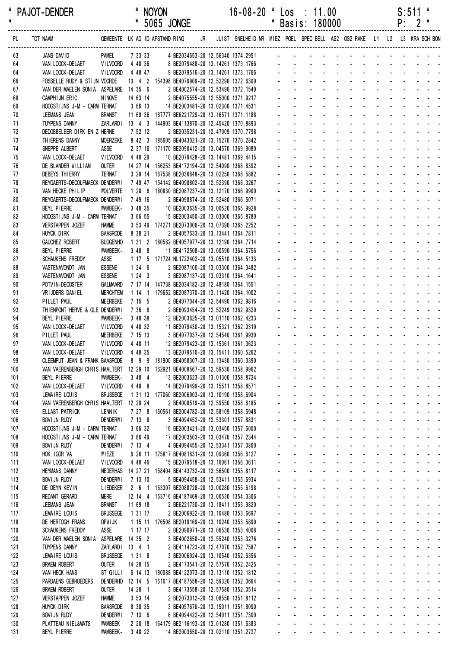\* PAJOT-DENDER \* NOYON 16-08-20 \* Los : 11.00 S:511 \* \* \* 5065 JONGE \* Basis: 180000 P: 2 \* ------------------------------------------------------------------------------------------------------------------------------------------------------------------ PL TOT NAAM GEMEENTE LK AD ID AFSTAND RING JR JUIST SNELHEID NR MIEZ POEL SPEC BELL AS2 OS2 RAKE L1 L2 L3 KRA SCH BON

131 BEYL PIERRE WAMBEEK- 3 48 22 14 BE2003650-20 13.02110 1351.2727

| 63         | JANS DAVID                                                                     | Pamel                          | 7 33 33           | 4 BE2034653-20 12.56340 1374.2951                                                   |  |        |        |  |                                   |  |                               |            |  |
|------------|--------------------------------------------------------------------------------|--------------------------------|-------------------|-------------------------------------------------------------------------------------|--|--------|--------|--|-----------------------------------|--|-------------------------------|------------|--|
| 64         | VAN LOOCK-DELAET                                                               | <b>VILVOORD</b>                | 4 48 36           | 8 BE2079488-20 13.14261 1373.1766                                                   |  |        |        |  |                                   |  |                               |            |  |
| 64         | VAN LOOCK-DELAET                                                               | VILVOORD                       | 4 48 47           | 9 BE2079516-20 13.14261 1373.1766                                                   |  |        |        |  |                                   |  |                               |            |  |
| 66         | FOSSELLE RUDY & STIJN VOORDE                                                   |                                |                   | 13 4 2 154398 BE4079909-20 12.52290 1372.6300                                       |  |        |        |  |                                   |  |                               |            |  |
| 67         | VAN DER MAELEN SONIA ASPELARE 14 35 6                                          |                                |                   | 2 BE4002574-20 12.53490 1372.1540                                                   |  |        |        |  |                                   |  |                               |            |  |
| 68         | CAMPHIJN ERIC                                                                  | <b>NINOVE</b>                  | 14 63 14          | 2 BE4075555-20 12.55000 1371.9217                                                   |  |        |        |  |                                   |  |                               |            |  |
| 69         | HOOGSTIJNS J-M - CARM TERNAT                                                   |                                | 3 66 13           | 14 BE2003481-20 13.02300 1371.4531                                                  |  |        |        |  |                                   |  |                               |            |  |
| 70         | LEEMANS JEAN                                                                   | <b>BRANST</b>                  |                   | 11 69 36 187777 BE6221729-20 13.16571 1371.1188                                     |  |        |        |  |                                   |  |                               |            |  |
| 71         | TUYPENS DANNY                                                                  |                                |                   | ZARLARDI 13 4 3 144903 BE4113870-20 12.45420 1370.8893                              |  |        |        |  |                                   |  |                               |            |  |
| 72<br>73   | DEDOBBELEER DIRK EN Z HERNE<br>THIERENS DANNY                                  | <b>MOERZEKE</b>                | 7 52 12           | 2 BE2035231-20 12.47009 1370.7798<br>8 42 3 185605 BE4043021-20 13.15270 1370.2842  |  |        |        |  |                                   |  |                               |            |  |
| 74         | SNEPPE ALBERT                                                                  | ASSE                           |                   | 2 37 16 171170 BE2090412-20 13.04570 1369.9080                                      |  |        |        |  |                                   |  |                               |            |  |
| 75         | VAN LOOCK-DELAET                                                               | VILVOORD                       | 4 48 29           | 10 BE2079428-20 13.14481 1369.4415                                                  |  |        |        |  |                                   |  |                               |            |  |
| 76         | DE BLANDER WILLIAM                                                             | <b>OUTER</b>                   |                   | 14 27 14 156253 BE4172194-20 12.54090 1368.8392                                     |  |        |        |  |                                   |  |                               |            |  |
| 77         | DEBEYS THIERRY                                                                 | <b>TERNAT</b>                  |                   | 3 29 14 167538 BE2036648-20 13.02250 1368.5882                                      |  |        |        |  |                                   |  |                               |            |  |
| 78         | REYGAERTS-DECOLFMAECK DENDERWI                                                 |                                |                   | 7 49 47 154142 BE4098802-20 12.52390 1368.3267                                      |  |        |        |  |                                   |  |                               |            |  |
| 79         | VAN HECKE PHILIP                                                               | <b>WOLVERTE</b>                |                   | 1 28 6 180830 BE2087237-20 13.12170 1366.9900                                       |  |        |        |  |                                   |  |                               |            |  |
| 80         | REYGAERTS-DECOLFMAECK DENDERWI                                                 |                                | 7 49 16           | 2 BE4098874-20 12.52480 1366.5071                                                   |  |        |        |  |                                   |  |                               |            |  |
| 81         | BEYL PIERRE                                                                    | WAMBEEK-                       | 3 48 35           | 10 BE2003635-20 13.00520 1365.9928                                                  |  |        |        |  |                                   |  |                               |            |  |
| 82         | HOOGSTIJNS J-M - CARM TERNAT                                                   |                                | 3 66 55           | 15 BE2003450-20 13.03000 1365.8780                                                  |  |        |        |  |                                   |  |                               |            |  |
| 83         | <b>VERSTAPPEN JOZEF</b>                                                        | <b>HAMME</b>                   |                   | 3 53 49 174271 BE2073006-20 13.07390 1365.2252                                      |  |        |        |  |                                   |  |                               |            |  |
| 84         | HUYCK DIRK                                                                     | <b>BAASRODE</b>                | 8 38 21           | 2 BE4057633-20 13.13441 1364.7811                                                   |  |        |        |  |                                   |  |                               |            |  |
| 85         | GAUCHEZ ROBERT                                                                 | <b>BUGGENHO</b>                |                   | 1 31 2 180582 BE4057977-20 13.12190 1364.7714                                       |  |        |        |  |                                   |  |                               |            |  |
| 86         | BEYL PIERRE                                                                    | WAMBEEK-                       | 3488              | 11 BE4172508-20 13.00590 1364.6756                                                  |  |        |        |  |                                   |  |                               |            |  |
| 87         | SCHAUKENS FREDDY                                                               | ASSE                           |                   | 1 17 5 171724 NL1722402-20 13.05510 1364.5133                                       |  |        |        |  |                                   |  |                               |            |  |
| 88<br>89   | VASTENAVONDT JAN<br>VASTENAVONDT JAN                                           | <b>ESSENE</b><br><b>ESSENE</b> | 1246<br>1243      | 2 BE2087100-20 13.03300 1364.3482<br>3 BE2087137-20 13.03310 1364.1641              |  |        |        |  |                                   |  |                               |            |  |
| 90         | POTVIN-DECOSTER                                                                | GALMAARD                       |                   | 7 17 14 147738 BE2034182-20 12.48180 1364.1551                                      |  |        |        |  |                                   |  |                               |            |  |
| 91         | VRIJDERS DANIEL                                                                | <b>MERCHTEM</b>                |                   | 1 14 1 179652 BE2087370-20 13.11420 1364.1002                                       |  |        |        |  |                                   |  |                               |            |  |
| 92         | PILLET PAUL                                                                    | MEERBEKE                       | 7 15 5            | 2 BE4077044-20 12.54490 1362.9816                                                   |  |        |        |  |                                   |  |                               |            |  |
| 93         | THIENPONT HERVE & GLE DENDERWI                                                 |                                | 7 36 6            | 2 BE6093454-20 12.52249 1362.9320                                                   |  |        |        |  |                                   |  |                               |            |  |
| 94         | BEYL PIERRE                                                                    | WAMBEEK-                       | 3 48 38           | 12 BE2003625-20 13.01110 1362.4233                                                  |  |        |        |  |                                   |  |                               |            |  |
| 95         | VAN LOOCK-DELAET                                                               | VILVOORD                       | 4 48 32           | 11 BE2079430-20 13.15321 1362.0319                                                  |  |        |        |  |                                   |  |                               |            |  |
| 96         | PILLET PAUL                                                                    | MEERBEKE                       | 7 15 13           | 3 BE4077037-20 12.54540 1361.9930                                                   |  |        |        |  |                                   |  |                               |            |  |
| 97         | VAN LOOCK-DELAET                                                               | VILVOORD                       | 4 48 11           | 12 BE2079423-20 13.15361 1361.3623                                                  |  |        |        |  |                                   |  |                               |            |  |
| 98         | VAN LOOCK-DELAET                                                               | <b>VILVOORD</b>                | 4 48 35           | 13 BE2079510-20 13.15411 1360.5262                                                  |  |        |        |  |                                   |  |                               |            |  |
| 99         | CLEEMPUT JEAN & FRANK BAASRODE                                                 |                                |                   | 8 9 9 181900 BE4058307-20 13.13430 1360.3390                                        |  |        |        |  |                                   |  |                               |            |  |
| 100        | VAN VAERENBERGH CHRIS HAALTERT 12 29 10 162921 BE4008567-20 12.59530 1358.9962 |                                |                   |                                                                                     |  |        |        |  |                                   |  |                               |            |  |
| 101        | BEYL PIERRE                                                                    | WAMBEEK-                       | 3 48 4            | 13 BE2003623-20 13.01300 1358.8724                                                  |  |        |        |  |                                   |  |                               |            |  |
| 102        | VAN LOOCK-DELAET                                                               | VILVOORD                       | 4 4 8 8           | 14 BE2079499-20 13.15511 1358.8571                                                  |  |        |        |  |                                   |  |                               |            |  |
| 103<br>104 | LEMAIRE LOUIS<br>VAN VAERENBERGH CHRIS HAALTERT                                | <b>BRUSSEGE</b>                | 12 29 24          | 1 31 13 177060 BE2006903-20 13.10190 1358.6904<br>2 BE4008519-20 12.59550 1358.6185 |  |        |        |  |                                   |  |                               |            |  |
| 105        | ELLAST PATRICK                                                                 | <b>LENNIK</b>                  |                   | 7 27 8 160561 BE2004782-20 12.58109 1358.5948                                       |  |        |        |  |                                   |  |                               |            |  |
| 106        | <b>BOVI JN RUDY</b>                                                            | <b>DENDERWI</b>                | 7 13 8            | 3 BE4094452-20 12.53301 1357.8831                                                   |  |        |        |  |                                   |  |                               |            |  |
| 107        | HOOGSTIJNS J-M - CARM TERNAT                                                   |                                | 3 66 32           | 16 BE2003421-20 13.03450 1357.6000                                                  |  |        |        |  |                                   |  |                               |            |  |
| 108        | HOOGSTIJNS J-M - CARM TERNAT                                                   |                                | 3 66 49           | 17 BE2003503-20 13.03470 1357.2344                                                  |  |        |        |  |                                   |  |                               |            |  |
| 109        | <b>BOVIJN RUDY</b>                                                             | <b>DENDERWI</b>                | 7 13 4            | 4 BE4094455-20 12.53341 1357.0860                                                   |  |        |        |  |                                   |  |                               |            |  |
| 110        | HOK IGOR VA                                                                    | WIEZE                          |                   | 6 26 11 175817 BE4081631-20 13.09360 1356.6127                                      |  |        |        |  |                                   |  |                               |            |  |
| 111        | VAN LOOCK-DELAET                                                               | <b>VILVOORD</b>                | 4 48 46           | 15 BE2079518-20 13.16061 1356.3611                                                  |  |        |        |  |                                   |  |                               |            |  |
| 112        | <b>HEYMANS DANNY</b>                                                           |                                |                   | NEDERHAS  14  27  21  158404  BE4143732-20  12.56500  1355.8117                     |  |        |        |  |                                   |  |                               |            |  |
| 113        | BOVI JN RUDY                                                                   | <b>DENDERWI</b>                | 7 13 10           | 5 BE4094458-20 12.53411 1355.6934                                                   |  |        |        |  |                                   |  |                               | $\sim 10$  |  |
| 114        | DE DEYN KEVIN                                                                  | <b>LIEDEKER</b>                | $2\quad 6\quad 1$ | 163307 BE2088728-20 13.00280 1355.6198                                              |  |        |        |  |                                   |  |                               | $\sim 100$ |  |
| 115        | REDANT GERARD                                                                  | Mere                           | 12 14 4           | 163716 BE4187469-20 13.00530 1354.3306                                              |  |        |        |  |                                   |  |                               |            |  |
| 116        | LEEMANS JEAN                                                                   | <b>BRANST</b>                  | 11 69 18          | 2 BE6221730-20 13.18411 1353.9820                                                   |  |        |        |  |                                   |  |                               |            |  |
| 117        | LEMAIRE LOUIS                                                                  | <b>BRUSSEGE</b>                | 1 31 17           | 2 BE2006922-20 13.10480 1353.6697                                                   |  |        |        |  |                                   |  |                               |            |  |
| 118<br>119 | DE HERTOGH FRANS<br><b>SCHAUKENS FREDDY</b>                                    | OPW I JK<br>ASSE               | 1 17 17           | 1 15 11 176508 BE2019169-20 13.10240 1353.5890<br>2 BE2090971-20 13.06530 1353.4008 |  |        |        |  |                                   |  |                               |            |  |
| 120        | VAN DER MAELEN SONIA                                                           | ASPELARE 14 35 2               |                   | 3 BE4002658-20 12.55240 1353.3276                                                   |  |        |        |  |                                   |  |                               |            |  |
| 121        | <b>TUYPENS DANNY</b>                                                           | ZARLARDI 13 4 1                |                   | 2 BE4114723-20 12.47070 1352.7587                                                   |  |        |        |  |                                   |  |                               |            |  |
| 122        | LEMAIRE LOUIS                                                                  | <b>BRUSSEGE</b>                | 1318              | 3 BE2006924-20 13.10540 1352.6356                                                   |  |        |        |  |                                   |  |                               |            |  |
| 123        | <b>BRAEM ROBERT</b>                                                            | <b>OUTER</b>                   | 14 28 15          | 2 BE4173541-20 12.57570 1352.2425                                                   |  |        |        |  |                                   |  |                               |            |  |
| 124        | VAN HECK HANS                                                                  | ST GILLI                       | 6 14 13           | 180088 BE4122073-20 13.13110 1352.1812                                              |  |        |        |  |                                   |  |                               |            |  |
| 125        | PARDAENS GEBROEDERS                                                            | DENDERHO                       | 12 14 5           | 161617 BE4187558-20 12.59320 1352.0664                                              |  |        |        |  |                                   |  |                               | $\sim 100$ |  |
| 126        | <b>BRAEM ROBERT</b>                                                            | <b>OUTER</b>                   | 14 28 1           | 3 BE4173558-20 12.57580 1352.0514                                                   |  |        |        |  |                                   |  |                               | $\sim 100$ |  |
| 127        | <b>VERSTAPPEN JOZEF</b>                                                        | <b>HAMME</b>                   | 3 53 14           | 2 BE2073012-20 13.08550 1351.8112                                                   |  |        |        |  |                                   |  |                               |            |  |
| 128        | HUYCK DIRK                                                                     | <b>BAASRODE</b>                | 8 38 35           | 3 BE4057676-20 13.15011 1351.8090                                                   |  |        |        |  |                                   |  |                               |            |  |
| 129        | BOVI JN RUDY                                                                   | <b>DENDERWI</b>                | 7 13 6            | 6 BE4094422-20 12.54011 1351.7300                                                   |  |        |        |  |                                   |  |                               |            |  |
| 130        | PLATTEAU NIEL&MATS                                                             | WAMBEEK                        |                   | 2 20 18 164179 BE2116193-20 13.01280 1351.6383                                      |  | $\sim$ | $\sim$ |  | the company of the company of the |  | and the company of the second |            |  |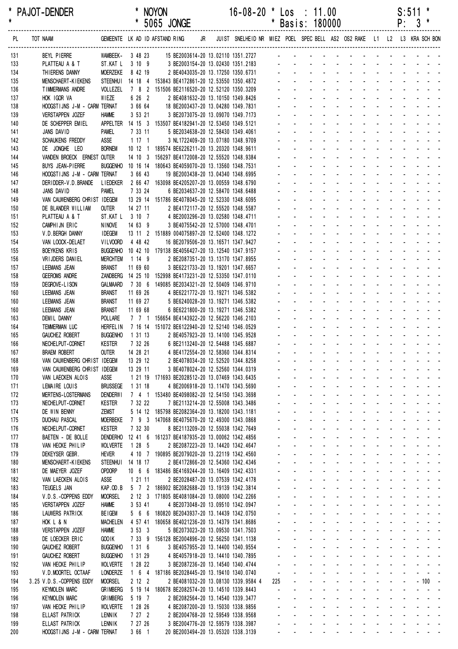| $\star$    | <b>PAJOI-DENDER</b>                                   |                                  |                           | <b>NUYUN</b><br>* 5065 JONGE                                                                                     | $16 - 08 - 20$ | * Los         |                             | . 11.00<br>* Basis: 180000                                                                                                                                                                                                    |                                                            |                                                         |                                     |                                                               |                                                                                 | S:511<br>$P: 3*$                                                 |                                                       |  |
|------------|-------------------------------------------------------|----------------------------------|---------------------------|------------------------------------------------------------------------------------------------------------------|----------------|---------------|-----------------------------|-------------------------------------------------------------------------------------------------------------------------------------------------------------------------------------------------------------------------------|------------------------------------------------------------|---------------------------------------------------------|-------------------------------------|---------------------------------------------------------------|---------------------------------------------------------------------------------|------------------------------------------------------------------|-------------------------------------------------------|--|
|            |                                                       |                                  |                           |                                                                                                                  |                |               |                             |                                                                                                                                                                                                                               |                                                            |                                                         |                                     |                                                               |                                                                                 |                                                                  |                                                       |  |
| 131        | BEYL PIERRE                                           |                                  |                           | WAMBEEK- 3 48 23 15 BE2003614-20 13.02110 1351.2727 - - - - - - - - - - - - - - - - -                            |                |               |                             |                                                                                                                                                                                                                               |                                                            |                                                         |                                     |                                                               |                                                                                 |                                                                  |                                                       |  |
| 133        | PLATTEAU A & T                                        | ST.KAT L 3 10 9                  |                           |                                                                                                                  |                |               |                             |                                                                                                                                                                                                                               |                                                            |                                                         |                                     |                                                               |                                                                                 |                                                                  |                                                       |  |
| 134        | THIERENS DANNY                                        | <b>MOERZEKE</b>                  | 8 42 19                   | 2 BE4043035-20 13.17250 1350.6731                                                                                |                |               |                             |                                                                                                                                                                                                                               |                                                            |                                                         |                                     |                                                               |                                                                                 |                                                                  |                                                       |  |
| 135        | MENSCHAERT-KIEKENS                                    |                                  |                           | STEENHUI 14 18 4 153843 BE4172861-20 12.53550 1350.4872                                                          |                |               |                             | والمتعاط المتعاط المتعاط المتعاط المتاريخ                                                                                                                                                                                     |                                                            |                                                         |                                     |                                                               |                                                                                 |                                                                  |                                                       |  |
| 136        | TIMMERMANS ANDRE                                      | VOLLEZEL                         |                           | 7 8 2 151506 BE2116520-20 12.52120 1350.3209                                                                     |                |               |                             | والمتعاط والمتعاط والمتعاط والمتعاط المتاري                                                                                                                                                                                   |                                                            |                                                         |                                     |                                                               |                                                                                 |                                                                  |                                                       |  |
| 137<br>138 | HOK IGOR VA<br>HOOGSTIJNS J-M - CARM TERNAT           | WIEZE                            | 6 26 2<br>3 66 64         | 2 BE4081632-20 13.10150 1349.8426<br>18 BE2003437-20 13.04280 1349.7831                                          |                |               |                             | and the contract of the contract of the<br>and a straightful and a straight and a                                                                                                                                             |                                                            |                                                         |                                     |                                                               |                                                                                 |                                                                  |                                                       |  |
| 139        | VERSTAPPEN JOZEF                                      | <b>HAMME</b>                     | 3 53 21                   | 3 BE2073075-20 13.09070 1349.7173                                                                                |                |               |                             | <u>.</u>                                                                                                                                                                                                                      |                                                            |                                                         |                                     |                                                               |                                                                                 |                                                                  |                                                       |  |
| 140        | DE SCHEPPER EMIEL                                     |                                  |                           | APPELTER 14 15 3 153507 BE4182941-20 12.53450 1349.5121                                                          |                |               |                             | and a straightful and a straight and                                                                                                                                                                                          |                                                            |                                                         |                                     |                                                               |                                                                                 |                                                                  |                                                       |  |
| 141        | JANS DAVID                                            | PAMEL                            | 7 33 11                   | 5 BE2034638-20 12.58430 1349.4061                                                                                |                |               |                             | and a series of the contract of the series of                                                                                                                                                                                 |                                                            |                                                         |                                     |                                                               |                                                                                 |                                                                  |                                                       |  |
| 142        | <b>SCHAUKENS FREDDY</b>                               | ASSE                             | 1171                      | 3 NL1722409-20 13.07180 1348.9709                                                                                |                |               |                             | والمتعاون والمتعاون والمتعاون والمتعاون والمتعاون                                                                                                                                                                             |                                                            |                                                         |                                     |                                                               |                                                                                 |                                                                  |                                                       |  |
| 143        | DE JONGHE LEO                                         | <b>BORNEM</b>                    |                           | 10 12 1 189574 BE6226211-20 13.20320 1348.9611                                                                   |                |               |                             | and a series and a series and a series<br>design and the state of the state of the state of                                                                                                                                   |                                                            |                                                         |                                     |                                                               |                                                                                 |                                                                  |                                                       |  |
| 144<br>145 | VANDEN BROECK ERNEST OUTER<br><b>BUYS JEAN-PIERRE</b> |                                  |                           | 14 10 3 156297 BE4172008-20 12.55520 1348.9384<br>BUGGENHO 10 16 14 180643 BE4059070-20 13.13560 1348.7531       |                |               |                             | and the state of the state of the state of the state of the state of the state of the state of the state of the                                                                                                               |                                                            |                                                         |                                     |                                                               |                                                                                 |                                                                  |                                                       |  |
| 146        | HOOGSTIJNS J-M - CARM TERNAT                          |                                  | 3 66 43                   | 19 BE2003438-20 13.04340 1348.6995                                                                               |                |               |                             | and a series of the contract of the series of                                                                                                                                                                                 |                                                            |                                                         |                                     |                                                               |                                                                                 |                                                                  |                                                       |  |
| 147        | DERIDDER-V.D.BRANDE                                   |                                  |                           | LIEDEKER 2 66 47 163098 BE4205207-20 13.00559 1348.6790                                                          |                |               |                             | and a series of the contract of the series of                                                                                                                                                                                 |                                                            |                                                         |                                     |                                                               |                                                                                 |                                                                  |                                                       |  |
| 148        | JANS DAVID                                            | PAMEL                            | 7 33 24                   | 6 BE2034637-20 12.58470 1348.6488                                                                                |                |               |                             | and a straightful and a straight and                                                                                                                                                                                          |                                                            |                                                         |                                     |                                                               |                                                                                 |                                                                  |                                                       |  |
| 149        | VAN CAUWENBERG CHRIST IDEGEM                          |                                  |                           | 13 29 14 151786 BE4078045-20 12.52330 1348.6095                                                                  |                |               |                             | and a construction of the construction of the construction of the construction of the construction of the construction of the construction of the construction of the construction of the construction of the construction of |                                                            |                                                         |                                     |                                                               |                                                                                 |                                                                  |                                                       |  |
| 150        | DE BLANDER WILLIAM                                    | <b>OUTER</b><br>ST.KAT L 3 10 7  | 14 27 11                  | 2 BE4172117-20 12.55520 1348.5587<br>4 BE2003296-20 13.02580 1348.4711                                           |                |               |                             | de la provincia de la provincia de la provincia de<br>design and a state of the state of the                                                                                                                                  |                                                            |                                                         |                                     |                                                               |                                                                                 |                                                                  |                                                       |  |
| 151<br>152 | PLATTEAU A & T<br>CAMPHIJN ERIC                       | <b>NINOVE</b>                    | 14 63 9                   | 3 BE4075542-20 12.57000 1348.4701                                                                                |                |               |                             | and a series of the series of the series of                                                                                                                                                                                   |                                                            |                                                         |                                     |                                                               |                                                                                 |                                                                  |                                                       |  |
| 153        | V.D. BERGH DANNY                                      | <b>IDEGEM</b>                    |                           | 13 11 2 151889 004075897-20 12.52400 1348.1272                                                                   |                |               |                             | والمناور والمناور والمناور والمناور والمناور                                                                                                                                                                                  |                                                            |                                                         |                                     |                                                               |                                                                                 |                                                                  |                                                       |  |
| 154        | VAN LOOCK-DELAET                                      | VILVOORD                         | 4 48 42                   | 16 BE2079506-20 13.16571 1347.9427                                                                               |                |               |                             | والمتعاط والمتابع المتابع المتابع المتابع المتابع                                                                                                                                                                             |                                                            |                                                         |                                     |                                                               |                                                                                 |                                                                  |                                                       |  |
| 155        | <b>BOEYKENS KRIS</b>                                  |                                  |                           | BUGGENHO 10 42 10 179138 BE4056427-20 13.12540 1347.9157                                                         |                |               |                             | and a series of the contract of the series of                                                                                                                                                                                 |                                                            |                                                         |                                     |                                                               |                                                                                 |                                                                  |                                                       |  |
| 156        | VRIJDERS DANIEL                                       | <b>MERCHTEM</b>                  | 1149                      | 2 BE2087351-20 13.13170 1347.8955                                                                                |                |               |                             | de la provincia de la provincia de la provincia de                                                                                                                                                                            |                                                            |                                                         |                                     |                                                               |                                                                                 |                                                                  |                                                       |  |
| 157        | LEEMANS JEAN                                          | <b>BRANST</b>                    | 11 69 60                  | 3 BE6221733-20 13.19201 1347.6657                                                                                |                |               |                             | design and the state of the state of the state of<br>and a series of the contract of the series of                                                                                                                            |                                                            |                                                         |                                     |                                                               |                                                                                 |                                                                  |                                                       |  |
| 158<br>159 | <b>GEEROMS ANDRE</b><br>DEGROVE-LISON                 | GALMAARD                         |                           | ZANDBERG  14  25  10  152998  BE4173231-20  12.53350  1347.0110<br>7 30 6 149085 BE2034321-20 12.50409 1346.9710 |                |               |                             | والمتعاون والمتعاون والمتعاون والمتعاون والمتعاونة                                                                                                                                                                            |                                                            |                                                         |                                     |                                                               |                                                                                 |                                                                  |                                                       |  |
| 160        | LEEMANS JEAN                                          | <b>BRANST</b>                    | 11 69 26                  | 4 BE6221772-20 13.19271 1346.5382                                                                                |                |               |                             | a construction of the construction of the construction of the construction of the construction of the construction of the construction of the construction of the construction of the construction of the construction of the |                                                            |                                                         |                                     |                                                               |                                                                                 |                                                                  |                                                       |  |
| 160        | LEEMANS JEAN                                          | <b>BRANST</b>                    | 11 69 27                  | 5 BE6240028-20 13.19271 1346.5382                                                                                |                |               |                             | a construction of the construction of the construction of the construction of the construction of the construction of the construction of the construction of the construction of the construction of the construction of the |                                                            |                                                         |                                     |                                                               |                                                                                 |                                                                  |                                                       |  |
| 160        | LEEMANS JEAN                                          | BRANST                           | 11 69 68                  | 6 BE6221800-20 13.19271 1346.5382                                                                                |                |               |                             | de la provincia de la provincia de la provincia de                                                                                                                                                                            |                                                            |                                                         |                                     |                                                               |                                                                                 |                                                                  |                                                       |  |
| 163        | DEMIL DANNY                                           | POLLARE                          |                           | 7 7 1 156654 BE4143922-20 12.56220 1346.2103                                                                     |                |               |                             | de la provincia de la provincia de la provincia de                                                                                                                                                                            |                                                            |                                                         |                                     |                                                               |                                                                                 |                                                                  |                                                       |  |
| 164        | TEMMERMAN LUC                                         | <b>HERFEL IN</b>                 |                           | 7 16 14 151072 BE6122940-20 12.52140 1346.0529                                                                   |                |               |                             | and a series of the contract of the series of<br>والمناور والمناور والمناور والمناور والمناور                                                                                                                                 |                                                            |                                                         |                                     |                                                               |                                                                                 |                                                                  |                                                       |  |
| 165<br>166 | <b>GAUCHEZ ROBERT</b><br>NECHELPUT-CORNET             | <b>BUGGENHO</b><br><b>KESTER</b> | 1 31 13<br>7 32 26        | 2 BE4057923-20 13.14100 1345.9528<br>6 BE2113240-20 12.54488 1345.6887                                           |                |               |                             | a construction of the construction of the construction of the construction of the construction of the construction of the construction of the construction of the construction of the construction of the construction of the |                                                            |                                                         |                                     |                                                               |                                                                                 |                                                                  |                                                       |  |
| 167        | <b>BRAEM ROBERT</b>                                   | <b>OUTER</b>                     | 14 28 21                  | 4 BE4172554-20 12.58360 1344.8314                                                                                |                |               |                             |                                                                                                                                                                                                                               |                                                            | and a straight and a straight                           |                                     |                                                               |                                                                                 |                                                                  |                                                       |  |
| 168        | VAN CAUWENBERG CHRIST IDEGEM                          |                                  | 13 29 12                  | 2 BE4078034-20 12.52520 1344.8258                                                                                |                |               |                             |                                                                                                                                                                                                                               | $\sim$                                                     | <b>Contract Contract</b>                                | <b>Contractor</b>                   | $\Delta \sim 100$<br>$\sim$                                   | <b>Contract Contract</b>                                                        |                                                                  |                                                       |  |
| 169        | VAN CAUWENBERG CHRIST IDEGEM                          |                                  | 13 29 11                  | 3 BE4078024-20 12.52560 1344.0319                                                                                |                |               |                             |                                                                                                                                                                                                                               | <b>Contractor</b>                                          | ÷.                                                      | $\Delta \sim 100$                   | $\Delta \sim 10^{-1}$                                         |                                                                                 |                                                                  |                                                       |  |
| 170        | VAN LAECKEN ALOIS                                     | <b>ASSE</b>                      |                           | 1 21 19 171693 BE2028512-20 13.07469 1343.6435                                                                   |                |               | $\mathbf{L}^{\text{max}}$   | $\omega_{\rm{max}}$<br>$\omega_{\rm{max}}$                                                                                                                                                                                    | and a state                                                | $\Delta \sim 100$                                       | $\Delta \sim 100$                   | $\mathcal{L}^{\text{max}}$                                    |                                                                                 | and a strain and a                                               |                                                       |  |
| 171        | LEMAIRE LOUIS                                         | <b>BRUSSEGE</b>                  | 1 31 18                   | 4 BE2006918-20 13.11470 1343.5690                                                                                |                |               | $\sim$                      | $\sim 100$                                                                                                                                                                                                                    | $\mathbf{r}$<br>$\sim$                                     | $\mathbf{r}$                                            | $\sim$                              |                                                               |                                                                                 | بالمستحدث والمستنبذ                                              |                                                       |  |
| 172<br>173 | <b>MERTENS-LOSTERMANS</b><br>NECHELPUT-CORNET         | <b>DENDERWI</b><br><b>KESTER</b> | 7 32 22                   | 7 4 1 153480 BE4098082-20 12.54150 1343.3698<br>7 BE2113214-20 12.55008 1343.3486                                |                |               |                             | $\mathcal{L}^{\text{max}}$                                                                                                                                                                                                    | $\mathbf{r}$<br>$\omega_{\rm{max}}$ , $\omega_{\rm{max}}$  | <b>Contract Contract</b><br>$\sim$                      |                                     | $\sim$                                                        |                                                                                 | <b>Contract</b>                                                  | $\omega_{\rm{max}}$                                   |  |
| 174        | DE WIN BENNY                                          | <b>ZEMST</b>                     |                           | 5 14 12 185798 BE2082364-20 13.18200 1343.1181                                                                   |                | $\mathbf{r}$  | $\sim$                      | $\Delta \sim 100$                                                                                                                                                                                                             | $\mathbf{r}$                                               | <b>Contract Contract</b>                                | $\sim 100$                          | <b>Contract Contract</b><br>$\mathcal{L}$                     |                                                                                 | and the contract of                                              |                                                       |  |
| 175        | <b>DUCHAU PASCAL</b>                                  | <b>MOERBEKE</b>                  |                           | 7 9 3 147068 BE4075670-20 12.49300 1343.0868                                                                     |                |               |                             | $\Delta \sim 10^{-1}$                                                                                                                                                                                                         |                                                            | and a straight and a straight                           |                                     | ÷.                                                            |                                                                                 |                                                                  |                                                       |  |
| 176        | NECHELPUT-CORNET                                      | <b>KESTER</b>                    | 7 32 30                   | 8 BE2113209-20 12.55038 1342.7649                                                                                |                |               | $\omega_{\rm{max}}$         | $\Delta \sim 100$<br>$\omega_{\rm{max}}$                                                                                                                                                                                      |                                                            | and a straight and a straight                           |                                     | $\mathcal{L}$                                                 |                                                                                 | $\sim 100$                                                       | $\omega_{\rm{max}}$ , and $\omega_{\rm{max}}$         |  |
| 177        | BAETEN - DE BOLLE                                     | DENDERHO                         |                           | 12 41 6 161237 BE4187935-20 13.00062 1342.4856                                                                   |                |               |                             | $\mathcal{L}^{(1)}$                                                                                                                                                                                                           |                                                            | and a straightful and state                             |                                     | $\sim$                                                        |                                                                                 |                                                                  | $\mathbf{z} = \mathbf{z} + \mathbf{z}$                |  |
| 178        | VAN HECKE PHILIP                                      | <b>WOLVERTE</b>                  | 1285                      | 2 BE2087223-20 13.14420 1342.4647                                                                                |                |               |                             | $\omega_{\rm{max}}$                                                                                                                                                                                                           | and a strategic and<br>$\Delta \phi = 0.01$                |                                                         | $\Delta\phi$ and $\Delta\phi$       |                                                               |                                                                                 | and the state of                                                 |                                                       |  |
| 179<br>180 | DEKEYSER GEBR.<br>MENSCHAERT-KIEKENS                  | <b>HEVER</b><br><b>STEENHUI</b>  | 14 18 17                  | 4 10 7 190895 BE2079020-20 13.22119 1342.4560<br>2 BE4172866-20 12.54360 1342.4346                               |                |               |                             | $\mathbf{L}$<br>$\Delta \sim 100$                                                                                                                                                                                             |                                                            | $\sim$<br>and a straightful contract and a straight and |                                     |                                                               |                                                                                 |                                                                  |                                                       |  |
| 181        | DE MAEYER JOZEF                                       | <b>OPDORP</b>                    |                           | 10 6 6 183486 BE4169244-20 13.16409 1342.4331                                                                    |                |               |                             |                                                                                                                                                                                                                               |                                                            | <b>Contract Contract</b>                                | <b>Contract Contract Contract</b>   |                                                               |                                                                                 | <b>Contract Contract Contract</b>                                |                                                       |  |
| 182        | VAN LAECKEN ALOIS                                     | ASSE                             | 1 21 11                   | 2 BE2028487-20 13.07539 1342.4178                                                                                |                |               | $\mathbf{r} = \mathbf{r}$   | $\mathbf{L}^{\text{max}}$<br>$\omega_{\rm{max}}$                                                                                                                                                                              | All Carolina                                               |                                                         | <b>Service Control</b>              | $\mathcal{L}^{\text{max}}$                                    |                                                                                 | and a straight and                                               |                                                       |  |
| 183        | TEUGELS JAN                                           | KAP.OD.B                         |                           | 5 7 2 186902 BE2082688-20 13.19139 1342.3814                                                                     |                |               |                             | $\Delta \sim 100$<br>$\mathbf{z}$ and $\mathbf{z}$                                                                                                                                                                            | $\Delta \phi = 0.01$                                       | $\blacksquare$                                          | $\Delta \sim 10^4$                  | $\mathcal{L}^{\pm}$                                           |                                                                                 | $\mathbf{a} = \mathbf{a} + \mathbf{a} + \mathbf{a} + \mathbf{a}$ |                                                       |  |
| 184        | V.D.S.-COPPENS EDDY                                   | <b>MOORSEL</b>                   | $2 \t12 \t3$              | 171805 BE4081084-20 13.08000 1342.2266                                                                           |                |               |                             |                                                                                                                                                                                                                               | $\mathbf{r}$<br>$\sim 100$                                 | $\omega$                                                |                                     |                                                               |                                                                                 | كالمستنقذ المستنقذ                                               |                                                       |  |
| 185        | VERSTAPPEN JOZEF                                      | <b>HAMME</b>                     | 3 53 41                   | 4 BE2073048-20 13.09510 1342.0947                                                                                |                |               |                             | $\omega_{\rm{max}}$<br>$\mathcal{L}^{\text{max}}$                                                                                                                                                                             | $\omega_{\rm{max}}$ and $\omega_{\rm{max}}$<br>and a state | $\mathcal{L}$                                           |                                     | $\sim$                                                        |                                                                                 |                                                                  | $\omega_{\rm{max}}$                                   |  |
| 186<br>187 | LAUWERS PATRICK<br>HOK L & N                          | <b>BEIGEM</b><br><b>MACHELEN</b> | 5 6 6<br>4 57 41          | 180820 BE2043937-20 13.14439 1342.0750<br>180658 BE4021236-20 13.14379 1341.8686                                 |                |               | $\mathbf{r}$ .<br>ä.        |                                                                                                                                                                                                                               | $\mathcal{L}^{\mathcal{A}}$                                | $\Delta \phi = 0.01$<br><b>Contract Contract</b>        | <b>Contract Contract</b>            | $\Delta \sim 100$<br>$\mathcal{L}$<br>$\Delta \sim 10^4$      |                                                                                 |                                                                  | $\omega_{\rm{max}}$                                   |  |
| 188        | VERSTAPPEN JOZEF                                      | <b>HAMME</b>                     | 3533                      | 5 BE2073023-20 13.09530 1341.7503                                                                                |                |               | $\mathbf{L}^{\text{max}}$   | $\mathcal{L}^{\text{max}}$<br>$\omega_{\rm{max}}$                                                                                                                                                                             | <b>All States</b>                                          | <b>All States</b>                                       |                                     | $\mathcal{L}^{\text{max}}$<br>$\blacksquare$                  |                                                                                 |                                                                  | $\omega_{\rm{max}}$                                   |  |
| 189        | DE LOECKER ERIC                                       | GOO IK                           | 7 33 9                    | 156128 BE2004896-20 12.56250 1341.1138                                                                           |                |               | $\mathcal{L}_{\mathcal{A}}$ | $\mathbf{L}^{\text{max}}$                                                                                                                                                                                                     | $\Delta\phi$ and $\Delta\phi$ and $\Delta\phi$             |                                                         | <b>All Cards</b>                    | $\sim$                                                        |                                                                                 |                                                                  | $\sim$ $ \sim$                                        |  |
| 190        | <b>GAUCHEZ ROBERT</b>                                 | <b>BUGGENHO</b>                  | 1316                      | 3 BE4057955-20 13.14400 1340.9554                                                                                |                |               |                             |                                                                                                                                                                                                                               | $\mathbf{r}$<br>$\sim 100$                                 | $\omega$                                                |                                     |                                                               |                                                                                 |                                                                  | $\omega_{\rm{eff}}=0.01$ and $\omega_{\rm{eff}}=0.01$ |  |
| 191        | <b>GAUCHEZ ROBERT</b>                                 | <b>BUGGENHO</b>                  | 1 31 29                   | 4 BE4057918-20 13.14410 1340.7895                                                                                |                |               |                             | $\mathbf{L}^{\text{max}}$                                                                                                                                                                                                     | $\sim$                                                     | $\omega$                                                |                                     | $\sim$                                                        |                                                                                 | $\sim 100$                                                       | $\omega_{\rm{max}}$                                   |  |
| 192        | VAN HECKE PHILIP                                      | <b>WOLVERTE</b>                  | 1 28 22                   | 3 BE2087236-20 13.14540 1340.4744                                                                                |                |               | $\sim$                      | $\omega_{\rm{max}}$                                                                                                                                                                                                           | and a state                                                | $\sim$                                                  | $\sim$                              | $\Delta \sim 100$                                             | and a state                                                                     |                                                                  | $\omega_{\rm{max}}$ and $\omega_{\rm{max}}$           |  |
| 193<br>194 | V.D.MOORTEL OCTAAF<br>3.25 V.D.S.-COPPENS EDDY        | LONDERZE<br><b>MOORSEL</b>       | $1\quad 6\quad 4$<br>2122 | 187186 BE2028445-20 13.19410 1340.0740<br>2 BE4081032-20 13.08130 1339.9584 4                                    |                | $\Box$<br>225 | ¥.<br>ä.                    | $\mathbf{L}^{\text{max}}$<br>$\omega_{\rm{max}}$                                                                                                                                                                              | ÷.<br><b>Contract</b><br>and a state                       | $\mathcal{L}$<br>$\Delta \sim 10^4$                     | $\sim$<br>$\mathbf{L}^{\text{max}}$ | $\Delta \sim 10^{-1}$<br>$\mathcal{L}$<br>$\omega_{\rm{max}}$ | $\sim$<br>$\mathbf{a}^{\prime}$ , $\mathbf{a}^{\prime}$ , $\mathbf{a}^{\prime}$ |                                                                  | $\omega_{\rm{max}}$<br>$-100 -$                       |  |
| 195        | <b>KEYMOLEN MARC</b>                                  | <b>GRIMBERG</b>                  | 5 19 14                   | 180678 BE2082574-20 13.14510 1339.8443                                                                           |                | $\omega$      | $\blacksquare$              | $\sim$                                                                                                                                                                                                                        | $\blacksquare$<br>$\sim$                                   | $\mathbf{r}$                                            | $\blacksquare$                      | $\mathcal{L}^{\pm}$<br>$\mathbf{r}$                           | $\sim$                                                                          |                                                                  | $\mathcal{L}^{\text{max}}$                            |  |
| 196        | <b>KEYMOLEN MARC</b>                                  | <b>GRIMBERG</b>                  | 5 19 7                    | 2 BE2082564-20 13.14540 1339.3477                                                                                |                |               |                             |                                                                                                                                                                                                                               | $\omega$<br>$\sim$                                         | $\omega$                                                |                                     |                                                               |                                                                                 |                                                                  | $\omega_{\rm{eff}}=0.01$ and $\omega_{\rm{eff}}=0.01$ |  |
| 197        | VAN HECKE PHILIP                                      | <b>WOLVERTE</b>                  | 1 28 26                   | 4 BE2087200-20 13.15030 1338.9856                                                                                |                |               |                             | $\mathcal{L}^{\text{max}}$                                                                                                                                                                                                    | $\sim 100$                                                 | $\omega$                                                |                                     | $\mathcal{L}^{\pm}$                                           |                                                                                 | $\Delta \sim 10^4$                                               | $\omega_{\rm{max}}$                                   |  |
| 198        | ELLAST PATRICK                                        | LENNIK                           | $7272$                    | 2 BE2004768-20 12.59549 1338.9568                                                                                |                | $\sim$        | $\sim$                      | $\mathbf{L}$                                                                                                                                                                                                                  | $\sim$<br>$\mathcal{L}^{\mathcal{A}}$                      | $\mathcal{L}$                                           | $\sim$                              | $\Delta \sim 10^{-1}$<br>$\mathcal{L}^{\mathcal{A}}$          |                                                                                 | $\Delta \sim 100$                                                | $\omega_{\rm{max}}$ and $\omega_{\rm{max}}$           |  |
| 199        | ELLAST PATRICK                                        | LENNIK                           | 7 27 26                   | 3 BE2004776-20 12.59579 1338.3987                                                                                |                |               |                             |                                                                                                                                                                                                                               | $\mathcal{L}^{\mathcal{A}}$                                | $\Delta \sim 100$<br>$\sim$                             | <b>Contract Contract</b>            | $\Delta \sim 10^{-1}$<br>÷.                                   |                                                                                 |                                                                  | $\omega_{\rm{max}}$ and $\omega_{\rm{max}}$           |  |
| 200        | HOOGSTIJNS J-M - CARM TERNAT                          |                                  | 3 66 1                    | 20 BE2003494-20 13.05320 1338.3139                                                                               |                |               | $\Delta \sim 100$           | $\omega_{\rm{max}}$                                                                                                                                                                                                           |                                                            | and a series of the contract of the                     |                                     |                                                               |                                                                                 |                                                                  |                                                       |  |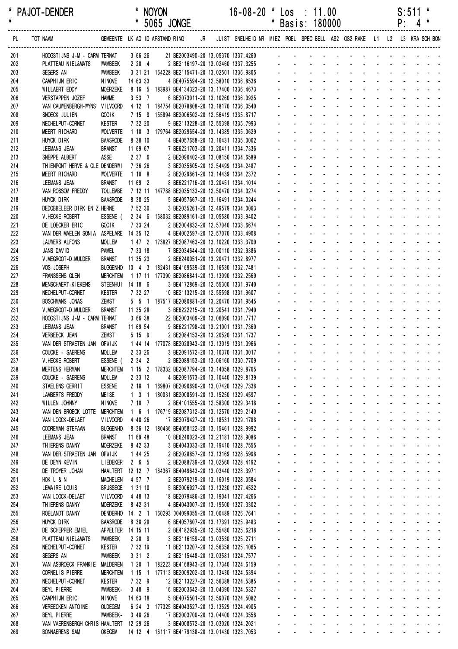| *<br>$\star$ | <b>PAJOT-DENDER</b>                             |                                    |          |                      | * NOYON | * 5065 JONGE                                                                                            | 16-08-20 * Los : 11.00 | * Basis: 180000                                                                                                                                                                                                                |                                                                 |                                             |             |                                                                                                                                                                                                                                |                                                           |                            |                      |                    | $S:511$ *<br>$P: 4$ *         |                               |  |
|--------------|-------------------------------------------------|------------------------------------|----------|----------------------|---------|---------------------------------------------------------------------------------------------------------|------------------------|--------------------------------------------------------------------------------------------------------------------------------------------------------------------------------------------------------------------------------|-----------------------------------------------------------------|---------------------------------------------|-------------|--------------------------------------------------------------------------------------------------------------------------------------------------------------------------------------------------------------------------------|-----------------------------------------------------------|----------------------------|----------------------|--------------------|-------------------------------|-------------------------------|--|
| PL           | TOT NAAM                                        |                                    |          |                      |         | GEMEENTE LK AD ID AFSTAND RING JR JUIST SNELHEID NR MIEZ POEL SPECBELL AS2 OS2 RAKE L1 L2 L3 KRA SCHBON |                        |                                                                                                                                                                                                                                |                                                                 |                                             |             |                                                                                                                                                                                                                                |                                                           |                            |                      |                    |                               |                               |  |
| 201          | HOOGSTIJNS J-M - CARM TERNAT                    |                                    |          |                      |         |                                                                                                         |                        |                                                                                                                                                                                                                                |                                                                 |                                             |             |                                                                                                                                                                                                                                |                                                           |                            |                      |                    |                               |                               |  |
| 202          | PLATTEAU NIEL&MATS                              | WAMBEEK                            |          |                      |         | 2 20 4 2 BE2116197-20 13.02460 1337.3255                                                                |                        |                                                                                                                                                                                                                                |                                                                 |                                             |             |                                                                                                                                                                                                                                |                                                           |                            |                      |                    |                               |                               |  |
| 203          | SEGERS AN                                       | WAMBEEK<br><b>NINOVE</b>           | 14 63 33 |                      |         | 3 31 21 164228 BE2115471-20 13.02501 1336.9805<br>4 BE4075594-20 12.58010 1336.8536                     |                        |                                                                                                                                                                                                                                |                                                                 |                                             |             |                                                                                                                                                                                                                                |                                                           |                            |                      |                    |                               |                               |  |
| 204<br>205   | CAMPHIJN ERIC<br>WILLAERT EDDY                  | <b>MOERZEKE</b>                    |          |                      |         | 8 16 5 183987 BE4134323-20 13.17400 1336.4673                                                           |                        |                                                                                                                                                                                                                                |                                                                 |                                             |             | and a straight and a straight and                                                                                                                                                                                              |                                                           |                            |                      |                    |                               |                               |  |
| 206          | <b>VERSTAPPEN JOZEF</b>                         | <b>HAMME</b>                       |          | $3\;53\;7$           |         | 6 BE2073011-20 13.10260 1336.0925                                                                       |                        |                                                                                                                                                                                                                                |                                                                 |                                             |             |                                                                                                                                                                                                                                |                                                           |                            |                      |                    |                               |                               |  |
| 207          | VAN CAUWENBERGH-WYNS                            | <b>VILVOORD</b>                    |          |                      |         | 4 12 1 184754 BE2078808-20 13.18170 1336.0540                                                           |                        |                                                                                                                                                                                                                                |                                                                 |                                             |             |                                                                                                                                                                                                                                |                                                           |                            |                      | $\Delta \sim 10^4$ |                               |                               |  |
| 208          | SNOECK JULIEN                                   | GOO IK                             |          |                      |         | 7 15 9 155894 BE2006502-20 12.56419 1335.8717                                                           |                        |                                                                                                                                                                                                                                |                                                                 |                                             |             |                                                                                                                                                                                                                                |                                                           |                            |                      |                    |                               |                               |  |
| 209          | NECHELPUT-CORNET                                | <b>KESTER</b>                      |          | 7 32 20              |         | 9 BE2113228-20 12.55398 1335.7993                                                                       |                        |                                                                                                                                                                                                                                |                                                                 |                                             |             |                                                                                                                                                                                                                                |                                                           |                            |                      |                    |                               |                               |  |
| 210          | MEERT RICHARD                                   | <b>WOLVERTE</b>                    | 8 38 10  |                      |         | 1 10 3 179764 BE2029654-20 13.14389 1335.0629                                                           |                        |                                                                                                                                                                                                                                |                                                                 |                                             |             | design and a state of the state of the state of the state of the state of the state of the state of the state of the state of the state of the state of the state of the state of the state of the state of the state of the s |                                                           |                            |                      |                    |                               |                               |  |
| 211<br>212   | HUYCK DIRK<br>LEEMANS JEAN                      | <b>BAASRODE</b><br><b>BRANST</b>   | 11 69 67 |                      |         | 4 BE4057658-20 13.16431 1335.0002<br>7 BE6221703-20 13.20411 1334.7336                                  |                        |                                                                                                                                                                                                                                |                                                                 |                                             |             |                                                                                                                                                                                                                                |                                                           |                            | and a strategies and |                    |                               |                               |  |
| 213          | SNEPPE ALBERT                                   | ASSE                               |          | 2376                 |         | 2 BE2090402-20 13.08150 1334.6589                                                                       |                        |                                                                                                                                                                                                                                |                                                                 |                                             |             |                                                                                                                                                                                                                                |                                                           |                            |                      |                    | an an ann an                  |                               |  |
| 214          | THIENPONT HERVE & GLE DENDERWI                  |                                    | 7 36 26  |                      |         | 3 BE2035605-20 12.54499 1334.2487                                                                       |                        |                                                                                                                                                                                                                                |                                                                 |                                             |             |                                                                                                                                                                                                                                |                                                           |                            |                      |                    |                               |                               |  |
| 215          | MEERT RICHARD                                   | <b>WOLVERTE</b>                    | 1 10 8   |                      |         | 2 BE2029661-20 13.14439 1334.2372                                                                       |                        |                                                                                                                                                                                                                                |                                                                 |                                             |             |                                                                                                                                                                                                                                |                                                           |                            |                      |                    |                               |                               |  |
| 216          | LEEMANS JEAN                                    | <b>BRANST</b>                      | 11 69 2  |                      |         | 8 BE6221716-20 13.20451 1334.1014                                                                       |                        |                                                                                                                                                                                                                                |                                                                 |                                             |             |                                                                                                                                                                                                                                |                                                           |                            |                      |                    |                               |                               |  |
| 217          | VAN ROSSOM FREDDY                               | <b>TOLLEMBE</b>                    |          |                      |         | 7 12 11 147788 BE2035133-20 12.50470 1334.0274                                                          |                        |                                                                                                                                                                                                                                |                                                                 |                                             |             |                                                                                                                                                                                                                                |                                                           |                            |                      |                    |                               |                               |  |
| 218          | HUYCK DIRK                                      | BAASRODE 8 38 25                   |          | 7 52 30              |         | 5 BE4057667-20 13.16491 1334.0244<br>3 BE2035261-20 12.49579 1334.0063                                  |                        |                                                                                                                                                                                                                                |                                                                 |                                             |             |                                                                                                                                                                                                                                |                                                           |                            |                      |                    |                               |                               |  |
| 219<br>220   | DEDOBBELEER DIRK EN Z HERNE<br>V. HECKE ROBERT  |                                    |          |                      |         | ESSENE (234 6 168032 BE2089161-20 13.05580 1333.9402                                                    |                        |                                                                                                                                                                                                                                |                                                                 |                                             |             |                                                                                                                                                                                                                                |                                                           | $\mathcal{L}^{\text{max}}$ |                      |                    |                               |                               |  |
| 221          | DE LOECKER ERIC                                 | <b>GOOIK</b>                       |          | 7 33 24              |         | 2 BE2004832-20 12.57040 1333.6674                                                                       |                        |                                                                                                                                                                                                                                |                                                                 |                                             |             |                                                                                                                                                                                                                                |                                                           |                            |                      |                    |                               |                               |  |
| 222          | VAN DER MAELEN SONIA                            | ASPELARE 14 35 12                  |          |                      |         | 4 BE4002597-20 12.57070 1333.4908                                                                       |                        |                                                                                                                                                                                                                                |                                                                 |                                             |             |                                                                                                                                                                                                                                |                                                           |                            |                      |                    |                               |                               |  |
| 223          | <b>LAUWERS ALFONS</b>                           | <b>MOLLEM</b>                      |          |                      |         | 1 47 2 173827 BE2087463-20 13.10220 1333.3700                                                           |                        |                                                                                                                                                                                                                                |                                                                 |                                             |             | design and a state of the state of the state of the state of the state of the state of the state of the state of the state of the state of the state of the state of the state of the state of the state of the state of the s |                                                           |                            |                      |                    |                               |                               |  |
| 224          | JANS DAVID                                      | Pamel                              |          | 7 33 18              |         | 7 BE2034644-20 13.00110 1332.9386                                                                       |                        |                                                                                                                                                                                                                                |                                                                 |                                             |             |                                                                                                                                                                                                                                |                                                           |                            |                      |                    |                               |                               |  |
| 225          | V. MEGROOT-D. MULDER                            | <b>BRANST</b>                      | 11 35 23 |                      |         | 2 BE6240051-20 13.20471 1332.8977                                                                       |                        |                                                                                                                                                                                                                                |                                                                 |                                             |             |                                                                                                                                                                                                                                |                                                           |                            |                      |                    |                               | and a straight and a          |  |
| 226          | VOS JOSEPH                                      | <b>BUGGENHO</b>                    |          |                      |         | 10 4 3 182431 BE4169539-20 13.16530 1332.7481                                                           |                        |                                                                                                                                                                                                                                |                                                                 |                                             |             |                                                                                                                                                                                                                                |                                                           |                            |                      |                    | and a straight and            |                               |  |
| 227<br>228   | <b>FRANSSENS GLEN</b><br>MENSCHAERT-KIEKENS     | <b>MERCHTEM</b><br><b>STEENHUI</b> | 14 18 6  |                      |         | 1 17 11 177390 BE2086841-20 13.13090 1332.2569<br>3 BE4172869-20 12.55300 1331.9740                     |                        |                                                                                                                                                                                                                                |                                                                 |                                             |             | and the contract of the contract of                                                                                                                                                                                            |                                                           |                            |                      |                    |                               |                               |  |
| 229          | NECHELPUT-CORNET                                | <b>KESTER</b>                      |          | 7 32 27              |         | 10 BE2113215-20 12.55598 1331.9607                                                                      |                        |                                                                                                                                                                                                                                |                                                                 |                                             |             |                                                                                                                                                                                                                                |                                                           |                            |                      |                    |                               | and a strain and a strain and |  |
| 230          | BOSCHMANS JONAS                                 | <b>ZEMST</b>                       |          |                      |         | 5 5 1 187517 BE2080881-20 13.20470 1331.9545                                                            |                        |                                                                                                                                                                                                                                |                                                                 |                                             |             |                                                                                                                                                                                                                                | $\sim 100$                                                |                            |                      |                    |                               |                               |  |
| 231          | V. MEGROOT-D. MULDER                            | <b>BRANST</b>                      | 11 35 28 |                      |         | 3 BE6222215-20 13.20541 1331.7940                                                                       |                        |                                                                                                                                                                                                                                |                                                                 |                                             | and a state |                                                                                                                                                                                                                                | $\mathbf{L}^{\text{max}}$ , and $\mathbf{L}^{\text{max}}$ |                            |                      |                    | and a straight and a straight |                               |  |
| 232          | HOOGSTIJNS J-M - CARM TERNAT                    |                                    |          | 3 66 38              |         | 22 BE2003409-20 13.06090 1331.7717                                                                      |                        |                                                                                                                                                                                                                                |                                                                 | and the company                             |             |                                                                                                                                                                                                                                | <b>All States</b>                                         | $\sim 100$                 |                      |                    |                               | and the company of the second |  |
| 233          | LEEMANS JEAN                                    | <b>BRANST</b>                      | 11 69 54 |                      |         | 9 BE6221798-20 13.21001 1331.7360                                                                       |                        |                                                                                                                                                                                                                                | and the contract of the contract of the contract of             |                                             |             |                                                                                                                                                                                                                                |                                                           |                            |                      |                    |                               |                               |  |
| 234          | <b>VERBEECK JEAN</b>                            | ZEMST                              |          | 5159                 |         | 2 BE2084153-20 13.20520 1331.1737                                                                       |                        |                                                                                                                                                                                                                                |                                                                 |                                             |             |                                                                                                                                                                                                                                |                                                           |                            |                      |                    |                               |                               |  |
| 235<br>236   | VAN DER STRAETEN JAN OPWIJK<br>COUCKE - SAERENS | <b>MOLLEM</b>                      |          |                      |         | 1 44 14 177078 BE2028943-20 13.13019 1331.0966<br>2 33 26 3 BE2091572-20 13.10370 1331.0017             |                        |                                                                                                                                                                                                                                |                                                                 |                                             |             |                                                                                                                                                                                                                                |                                                           |                            |                      |                    |                               |                               |  |
| 237          | V. HECKE ROBERT                                 | ESSENE (                           |          | $2 \quad 34 \quad 2$ |         | 2 BE2089153-20 13.06160 1330.7709                                                                       |                        | المناصر والمستنقل والمستنقل والمستنقل والمستنقل والمستنقل                                                                                                                                                                      |                                                                 |                                             |             |                                                                                                                                                                                                                                |                                                           |                            |                      |                    |                               |                               |  |
| 238          | <b>MERTENS HERMAN</b>                           | <b>MERCHTEM</b>                    |          |                      |         | 1 15 2 178332 BE2087794-20 13.14058 1329.8765                                                           |                        | the second contract of the second contract of the second contract of the second contract of the second contract of the second contract of the second contract of the second contract of the second contract of the second cont |                                                                 |                                             |             |                                                                                                                                                                                                                                |                                                           |                            |                      |                    |                               |                               |  |
| 239          | COUCKE - SAERENS                                | <b>MOLLEM</b>                      |          | 2 33 12              |         | 4 BE2091573-20 13.10440 1329.8139                                                                       |                        | والمناور والمناور والوالد المناور والمناور والمناور                                                                                                                                                                            |                                                                 |                                             |             |                                                                                                                                                                                                                                |                                                           |                            |                      |                    |                               |                               |  |
| 240          | STAELENS GERRIT                                 | <b>ESSENE</b>                      |          |                      |         | 2 18 1 169807 BE2090690-20 13.07420 1329.7338                                                           |                        | المنافذ والمنافر والمنافر والمنافر والمنافر والمنافر                                                                                                                                                                           |                                                                 |                                             |             |                                                                                                                                                                                                                                |                                                           |                            |                      |                    |                               |                               |  |
| 241          | <b>LAMBERTS FREDDY</b>                          | <b>MEISE</b>                       |          | 1 3 1                |         | 180031 BE2008591-20 13.15250 1329.4597                                                                  |                        | and a series of the contract of the series of                                                                                                                                                                                  |                                                                 |                                             |             |                                                                                                                                                                                                                                |                                                           |                            |                      |                    |                               |                               |  |
| 242<br>243   | WILLEN JOHNNY<br>VAN DEN BROECK LOTTE           | NINOVE<br><b>MERCHTEM</b>          |          | 7107                 |         | 2 BE4101555-20 12.58300 1329.3418<br>1 6 1 176719 BE2087312-20 13.12570 1329.2140                       |                        | and a series and a series and a series<br>and a series and a series and a series of                                                                                                                                            |                                                                 |                                             |             |                                                                                                                                                                                                                                |                                                           |                            |                      |                    |                               |                               |  |
| 244          | VAN LOOCK-DELAET                                | VILVOORD                           |          | 4 48 26              |         | 17 BE2079427-20 13.18531 1329.1788                                                                      |                        | and a series of the series of the series of the                                                                                                                                                                                |                                                                 |                                             |             |                                                                                                                                                                                                                                |                                                           |                            |                      |                    |                               |                               |  |
| 245          | <b>COOREMAN STEFAAN</b>                         | <b>BUGGENHO</b>                    |          |                      |         | 8 36 12 180436 BE4058122-20 13.15461 1328.9992                                                          |                        | and a state                                                                                                                                                                                                                    |                                                                 |                                             |             | and a series of the contract of the series                                                                                                                                                                                     |                                                           |                            |                      |                    |                               |                               |  |
| 246          | LEEMANS JEAN                                    | <b>BRANST</b>                      | 11 69 48 |                      |         | 10 BE6240023-20 13.21181 1328.9086                                                                      |                        | and a series and a series and a series                                                                                                                                                                                         |                                                                 |                                             |             |                                                                                                                                                                                                                                |                                                           |                            |                      |                    |                               |                               |  |
| 247          | THIERENS DANNY                                  | <b>MOERZEKE</b>                    |          | 8 42 33              |         | 3 BE4043033-20 13.19410 1328.7555                                                                       |                        | and a series of the contract of the series of                                                                                                                                                                                  |                                                                 |                                             |             |                                                                                                                                                                                                                                |                                                           |                            |                      |                    |                               |                               |  |
| 248          | VAN DER STRAETEN JAN OPWIJK                     |                                    |          | 1 44 25              |         | 2 BE2028857-20 13.13169 1328.5998                                                                       |                        | and a series of the contract of the series of                                                                                                                                                                                  |                                                                 |                                             |             |                                                                                                                                                                                                                                |                                                           |                            |                      |                    |                               |                               |  |
| 249          | DE DEYN KEVIN                                   | <b>LIEDEKER</b>                    | 2 6 5    |                      |         | 2 BE2088739-20 13.02560 1328.4192                                                                       |                        | and a series and a series and a series of                                                                                                                                                                                      |                                                                 |                                             |             |                                                                                                                                                                                                                                |                                                           |                            |                      |                    |                               |                               |  |
| 250<br>251   | DE TROYER JOHAN<br>HOK L & N                    | <b>MACHELEN</b>                    |          | 4 57 7               |         | HAALTERT 12 12 7 164367 BE4049643-20 13.03440 1328.3971<br>2 BE2079219-20 13.16019 1328.0584            |                        | and a series of the contract of the series of<br>فالقاط القارف القارف القارف القارف القاربة                                                                                                                                    |                                                                 |                                             |             |                                                                                                                                                                                                                                |                                                           |                            |                      |                    |                               |                               |  |
| 252          | LEMAIRE LOUIS                                   | <b>BRUSSEGE</b>                    | 1 31 10  |                      |         | 5 BE2006927-20 13.13230 1327.4522                                                                       |                        | المناطق والمتناط المناطق والمناطق والمناطق والمناطق                                                                                                                                                                            |                                                                 |                                             |             |                                                                                                                                                                                                                                |                                                           |                            |                      |                    |                               |                               |  |
| 253          | VAN LOOCK-DELAET                                | <b>VILVOORD</b>                    |          | 4 48 13              |         | 18 BE2079486-20 13.19041 1327.4266                                                                      |                        | and a series of the contract of the series of                                                                                                                                                                                  |                                                                 |                                             |             |                                                                                                                                                                                                                                |                                                           |                            |                      |                    |                               |                               |  |
| 254          | THIERENS DANNY                                  | <b>MOERZEKE</b>                    |          | 8 42 31              |         | 4 BE4043007-20 13.19500 1327.3302                                                                       |                        | and a series and a series and a series                                                                                                                                                                                         |                                                                 |                                             |             |                                                                                                                                                                                                                                |                                                           |                            |                      |                    |                               |                               |  |
| 255          | ROELANDT DANNY                                  |                                    |          |                      |         | DENDERHO 14 2 1 160293 004099055-20 13.00489 1326.7641                                                  |                        | and a series and a series and a series                                                                                                                                                                                         |                                                                 |                                             |             |                                                                                                                                                                                                                                |                                                           |                            |                      |                    |                               |                               |  |
| 256          | HUYCK DIRK                                      | <b>BAASRODE</b>                    |          | 8 38 28              |         | 6 BE4057607-20 13.17391 1325.9483                                                                       |                        | and a series of the series of the series of the                                                                                                                                                                                |                                                                 |                                             |             |                                                                                                                                                                                                                                |                                                           |                            |                      |                    |                               |                               |  |
| 257          | DE SCHEPPER EMIEL                               | APPELTER 14 15 11                  |          |                      |         | 2 BE4182935-20 12.55480 1325.6218                                                                       |                        | $\Delta \sim 100$                                                                                                                                                                                                              | $\Delta \sim 100$<br>and a series of the contract of the series |                                             |             | and a series of the contract of the                                                                                                                                                                                            |                                                           |                            |                      |                    |                               |                               |  |
| 258<br>259   | PLATTEAU NIEL&MATS<br>NECHELPUT-CORNET          | <b>WAMBEEK</b><br><b>KESTER</b>    |          | 2209<br>7 32 19      |         | 3 BE2116159-20 13.03530 1325.2711<br>11 BE2113207-20 12.56358 1325.1065                                 |                        | $\Delta \sim 100$                                                                                                                                                                                                              | $\Delta \sim 100$                                               |                                             |             | design and a state of the state of the                                                                                                                                                                                         |                                                           |                            |                      |                    |                               |                               |  |
| 260          | SEGERS AN                                       | WAMBEEK                            |          | 3312                 |         | 2 BE2115448-20 13.03581 1324.7577                                                                       |                        | a construction of the construction of the construction of the construction of the construction of the construction of the construction of the construction of the construction of the construction of the construction of the  |                                                                 |                                             |             |                                                                                                                                                                                                                                |                                                           |                            |                      |                    |                               |                               |  |
| 261          | VAN ASBROECK FRANKIE MALDEREN                   |                                    |          |                      |         | 1 20 1 182223 BE4168943-20 13.17340 1324.6159                                                           |                        | <b>Service</b> State                                                                                                                                                                                                           |                                                                 |                                             |             | and a state of the state of the state                                                                                                                                                                                          |                                                           |                            |                      |                    |                               |                               |  |
| 262          | CORNEL IS PIERRE                                | <b>MERCHTEM</b>                    |          |                      |         | 1 15 1 177113 BE2009202-20 13.13430 1324.5394                                                           |                        | and a series of the series of the series of the                                                                                                                                                                                |                                                                 |                                             |             |                                                                                                                                                                                                                                |                                                           |                            |                      |                    |                               |                               |  |
| 263          | NECHELPUT-CORNET                                | <b>KESTER</b>                      |          | 7 32 9               |         | 12 BE2113227-20 12.56388 1324.5385                                                                      |                        | $\omega_{\rm{eff}}=0.25\pm0.01$                                                                                                                                                                                                |                                                                 |                                             |             | and a series of the contract of the series                                                                                                                                                                                     |                                                           |                            |                      |                    |                               |                               |  |
| 264          | BEYL PIERRE                                     | WAMBEEK-                           |          | 3 48 9               |         | 16 BE2003642-20 13.04390 1324.5327                                                                      |                        | $\omega_{\rm{max}}$                                                                                                                                                                                                            | and a series of the contract of the series                      |                                             |             | design and a state of the state of the                                                                                                                                                                                         |                                                           |                            |                      |                    |                               |                               |  |
| 265<br>266   | CAMPHIJN ERIC<br>VEREECKEN ANTOINE              | <b>NINOVE</b><br><b>OUDEGEM</b>    | 14 63 18 |                      |         | 5 BE4075501-20 12.59070 1324.5082<br>6 24 3 177325 BE4043527-20 13.13529 1324.4905                      |                        | $\Delta \sim 100$<br>$\omega_{\rm{max}}$                                                                                                                                                                                       | $\Delta \sim 100$<br><b>Service</b>                             |                                             |             | design and a state of the state of                                                                                                                                                                                             |                                                           |                            |                      |                    |                               |                               |  |
| 267          | BEYL PIERRE                                     | WAMBEEK-                           |          | 3 48 26              |         | 17 BE2003700-20 13.04400 1324.3556                                                                      |                        | $\omega_{\rm{max}}$ , $\omega_{\rm{max}}$                                                                                                                                                                                      |                                                                 |                                             |             | and a straightful and a straight and                                                                                                                                                                                           |                                                           |                            |                      |                    |                               |                               |  |
| 268          | VAN VAERENBERGH CHRIS HAALTERT 12 29 26         |                                    |          |                      |         | 3 BE4008572-20 13.03020 1324.2021                                                                       |                        | $\Delta \sim 100$                                                                                                                                                                                                              | $\Delta \sim 100$                                               |                                             |             | and a state of the state of the state of                                                                                                                                                                                       |                                                           |                            |                      |                    |                               |                               |  |
| 269          | <b>BONNAERENS SAM</b>                           | <b>OKEGEM</b>                      |          |                      |         | 14 12 4 161117 BE4179138-20 13.01430 1323.7053                                                          |                        | $\mathcal{L}_{\rm{max}}$                                                                                                                                                                                                       | $\Delta \sim 100$                                               | $\omega_{\rm{max}}$ and $\omega_{\rm{max}}$ |             | $\omega_{\rm{max}}$                                                                                                                                                                                                            | $\mathbf{z} = \mathbf{z} + \mathbf{z}$ .                  |                            |                      |                    |                               | and a state of the state      |  |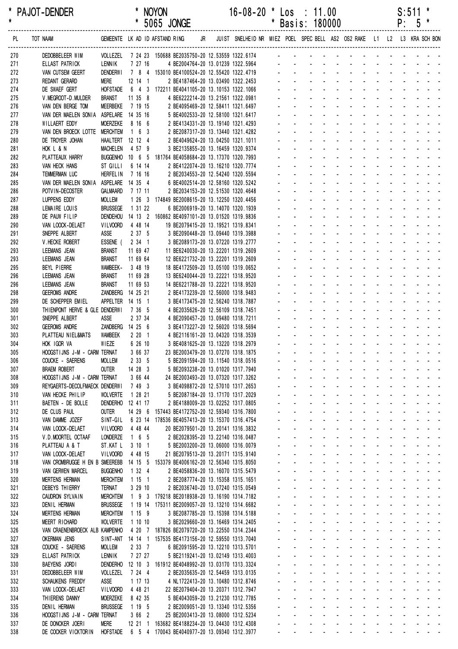| *<br>$\pmb{\star}$ | <b>PAJOT-DENDER</b>                                                           |                                    |                     | <b>NOYON</b><br>* 5065 JONGE |                                                                                             |  | $16 - 08 - 20$                                                             | $\ast$ | Los : 11.00<br>* Basis: 180000 |                   |  |  |  | S:511<br>$P: 5*$ | *                                                                                                                                                                                                                              |
|--------------------|-------------------------------------------------------------------------------|------------------------------------|---------------------|------------------------------|---------------------------------------------------------------------------------------------|--|----------------------------------------------------------------------------|--------|--------------------------------|-------------------|--|--|--|------------------|--------------------------------------------------------------------------------------------------------------------------------------------------------------------------------------------------------------------------------|
| PL                 | GEMEENTE LK AD ID AFSTAND RING<br>TOT NAAM                                    |                                    |                     |                              |                                                                                             |  | JR JUIST SNELHEID NR MIEZ POEL SPEC BELL AS2 OS2 RAKE L1 L2 L3 KRA SCH BON |        |                                |                   |  |  |  |                  |                                                                                                                                                                                                                                |
| 270                | DEDOBBELEER WIM                                                               |                                    |                     |                              |                                                                                             |  |                                                                            |        |                                |                   |  |  |  |                  |                                                                                                                                                                                                                                |
| 271                | ELLAST PATRICK                                                                |                                    |                     |                              |                                                                                             |  |                                                                            |        |                                |                   |  |  |  |                  |                                                                                                                                                                                                                                |
| 272                | VAN CUTSEM GEERT<br>REDANT GERARD                                             |                                    |                     |                              |                                                                                             |  |                                                                            |        |                                |                   |  |  |  |                  |                                                                                                                                                                                                                                |
| 273<br>274         | DE SWAEF GERT                                                                 |                                    |                     |                              | HOFSTADE  6  4  3  172211 BE4041105-20  13.10153  1322.1066                                 |  |                                                                            |        |                                |                   |  |  |  |                  | and the contract of the contract of the contract of the contract of the contract of the contract of the contract of the contract of the contract of the contract of the contract of the contract of the contract of the contra |
| 275                | V. MEGROOT-D. MULDER                                                          | <b>BRANST</b>                      | 11 35 8             |                              | 4 BE6222214-20 13.21561 1322.0981                                                           |  |                                                                            |        |                                |                   |  |  |  |                  | and a state of the state of the state of                                                                                                                                                                                       |
| 276                | VAN DEN BERGE TOM                                                             | MEERBEKE                           | 7 19 15             |                              | 2 BE4095469-20 12.58411 1321.6497                                                           |  |                                                                            |        |                                |                   |  |  |  |                  | and a state of the state of the state                                                                                                                                                                                          |
| 277                | VAN DER MAELEN SONIA ASPELARE 14 35 16                                        |                                    |                     |                              | 5 BE4002533-20 12.58100 1321.6417                                                           |  |                                                                            |        |                                |                   |  |  |  |                  | and a straightful and a straight and                                                                                                                                                                                           |
| 278                | WILLAERT EDDY                                                                 | <b>MOERZEKE</b>                    | 8 16 6              |                              | 2 BE4134331-20 13.19140 1321.4293                                                           |  |                                                                            |        |                                |                   |  |  |  |                  | and a straightful and a straight and a                                                                                                                                                                                         |
| 279                | VAN DEN BROECK LOTTE MERCHTEM                                                 |                                    | $1\quad 6\quad 3$   |                              | 2 BE2087317-20 13.13440 1321.4282                                                           |  |                                                                            |        |                                |                   |  |  |  |                  | and a straightful and a straight and                                                                                                                                                                                           |
| 280                | DE TROYER JOHAN                                                               | HAALTERT 12 12 4                   |                     |                              | 2 BE4049624-20 13.04250 1321.1011                                                           |  |                                                                            |        |                                |                   |  |  |  |                  | and a series of the contract of the series of                                                                                                                                                                                  |
| 281                | HOK L & N                                                                     | <b>MACHELEN</b>                    | 4 57 9              |                              | 3 BE2135855-20 13.16459 1320.9374                                                           |  |                                                                            |        |                                |                   |  |  |  |                  | design and a state of the state of the                                                                                                                                                                                         |
| 282                | PLATTEAUX HARRY                                                               |                                    |                     |                              | BUGGENHO 10 6 5 181764 BE4058684-20 13.17370 1320.7993<br>2 BE4122074-20 13.16210 1320.7774 |  |                                                                            |        |                                |                   |  |  |  |                  | and a series of the contract of the series<br>and a straightful and a straight and                                                                                                                                             |
| 283<br>284         | VAN HECK HANS<br>TEMMERMAN LUC                                                | ST GILLI<br><b>HERFEL IN</b>       | 6 14 14<br>7 16 16  |                              | 2 BE2034553-20 12.54240 1320.5594                                                           |  |                                                                            |        |                                |                   |  |  |  |                  | and a straightful and a straight and                                                                                                                                                                                           |
| 285                | VAN DER MAELEN SONIA ASPELARE 14 35 4                                         |                                    |                     |                              | 6 BE4002514-20 12.58160 1320.5242                                                           |  |                                                                            |        |                                |                   |  |  |  |                  | and a straightful and a straight and a                                                                                                                                                                                         |
| 286                | POTVIN-DECOSTER                                                               | GALMAARD                           | 7 17 11             |                              | 2 BE2034153-20 12.51530 1320.4648                                                           |  |                                                                            |        |                                |                   |  |  |  |                  | design and a state of the state of the                                                                                                                                                                                         |
| 287                | LUPPENS EDDY                                                                  | <b>MOLLEM</b>                      |                     |                              | 1 26 3 174849 BE2008615-20 13.12250 1320.4456                                               |  |                                                                            |        |                                |                   |  |  |  |                  | and a series of the contract of the series of                                                                                                                                                                                  |
| 288                | LEMAIRE LOUIS                                                                 | <b>BRUSSEGE</b>                    | 1 31 22             |                              | 6 BE2006919-20 13.14070 1320.1939                                                           |  |                                                                            |        |                                |                   |  |  |  |                  | and a series of the contract of the                                                                                                                                                                                            |
| 289                | DE PAUW FILIP                                                                 | DENDEHOU                           |                     |                              | 14 13 2 160862 BE4097101-20 13.01520 1319.9836                                              |  |                                                                            |        |                                |                   |  |  |  |                  |                                                                                                                                                                                                                                |
| 290                | VAN LOOCK-DELAET                                                              | VILVOORD                           | 4 48 14             |                              | 19 BE2079415-20 13.19521 1319.8341                                                          |  |                                                                            |        |                                |                   |  |  |  |                  | design and the state of the state of the                                                                                                                                                                                       |
| 291                | SNEPPE ALBERT                                                                 | ASSE                               | 2375                |                              | 3 BE2090448-20 13.09440 1319.3988                                                           |  |                                                                            |        |                                |                   |  |  |  |                  | and a straightful and a straight and a                                                                                                                                                                                         |
| 292                | V.HECKE ROBERT                                                                | ESSENE ( 2 34 1                    |                     |                              | 3 BE2089173-20 13.07220 1319.2777                                                           |  |                                                                            |        |                                |                   |  |  |  |                  | and a straightful and a straight and                                                                                                                                                                                           |
| 293                | LEEMANS JEAN                                                                  | <b>BRANST</b>                      | 11 69 47            |                              | 11 BE6240030-20 13.22201 1319.2609                                                          |  |                                                                            |        |                                |                   |  |  |  |                  | and a state of the state of the state of                                                                                                                                                                                       |
| 293                | LEEMANS JEAN                                                                  | <b>BRANST</b>                      | 11 69 64            |                              | 12 BE6221732-20 13.22201 1319.2609                                                          |  |                                                                            |        |                                |                   |  |  |  |                  | and a series of the contract of the<br>and a straightful and a straight and                                                                                                                                                    |
| 295                | BEYL PIERRE<br>LEEMANS JEAN                                                   | WAMBEEK-<br><b>BRANST</b>          | 3 48 19<br>11 69 28 |                              | 18 BE4172509-20 13.05100 1319.0652                                                          |  |                                                                            |        |                                |                   |  |  |  |                  | design and a state of the state of the state of the state of the state of the state of the state of the state of the state of the state of the state of the state of the state of the state of the state of the state of the s |
| 296<br>296         | LEEMANS JEAN                                                                  | <b>BRANST</b>                      | 11 69 53            |                              | 13 BE6240044-20 13.22221 1318.9520<br>14 BE6221788-20 13.22221 1318.9520                    |  |                                                                            |        |                                |                   |  |  |  |                  | and a state of the state of the state                                                                                                                                                                                          |
| 298                | <b>GEEROMS ANDRE</b>                                                          | ZANDBERG 14 25 21                  |                     |                              | 2 BE4173239-20 12.56000 1318.9483                                                           |  |                                                                            |        |                                |                   |  |  |  |                  | and a state of the state of the state                                                                                                                                                                                          |
| 299                | DE SCHEPPER EMIEL                                                             | APPELTER 14 15 1                   |                     |                              | 3 BE4173475-20 12.56240 1318.7887                                                           |  |                                                                            |        |                                |                   |  |  |  |                  | and a series of the series of the series of                                                                                                                                                                                    |
| 300                | THIENPONT HERVE & GLE DENDERWI                                                |                                    | 7 36 5              |                              | 4 BE2035626-20 12.56109 1318.7451                                                           |  |                                                                            |        |                                |                   |  |  |  |                  | and a series of the contract of the                                                                                                                                                                                            |
| 301                | SNEPPE ALBERT                                                                 | ASSE                               | 2 37 34             |                              | 4 BE2090457-20 13.09480 1318.7211                                                           |  |                                                                            |        |                                |                   |  |  |  |                  | والمتعاون والمتعاون والمتعاون والمتعاون والمناور                                                                                                                                                                               |
| 302                | <b>GEEROMS ANDRE</b>                                                          | ZANDBERG 14 25 6                   |                     |                              | 3 BE4173227-20 12.56020 1318.5694                                                           |  |                                                                            |        |                                |                   |  |  |  |                  | de la provincia de la provincia de la provincia de                                                                                                                                                                             |
| 303                | PLATTEAU NIEL&MATS                                                            | <b>WAMBEEK</b>                     | 2201                |                              | 4 BE2116161-20 13.04320 1318.3539                                                           |  |                                                                            |        | $\Delta \sim 10^{-11}$         |                   |  |  |  |                  | de la participat de la participat de                                                                                                                                                                                           |
| 304                | HOK IGOR VA                                                                   | WIEZE                              | 6 26 10             |                              | 3 BE4081625-20 13.13220 1318.2979                                                           |  |                                                                            |        | $\mathbf{L}^{\text{max}}$      |                   |  |  |  |                  | and a straightful and a straight and                                                                                                                                                                                           |
| 305                | HOOGSTIJNS J-M - CARM TERNAT                                                  |                                    | 3 66 37             |                              | 23 BE2003479-20 13.07270 1318.1875                                                          |  |                                                                            |        |                                |                   |  |  |  |                  | .                                                                                                                                                                                                                              |
| 306                | COUCKE - SAERENS                                                              | MOLLEM                             | 2 3 3 5             |                              | 5 BE2091594-20 13.11540 1318.0516                                                           |  |                                                                            |        |                                |                   |  |  |  |                  | والمناول والمتناول والمتناول والمتناول والمتناول والمناول<br>and a series of the contract of the series of                                                                                                                     |
| 307<br>308         | <b>BRAEM ROBERT</b><br>HOOGSTIJNS J-M - CARM TERNAT                           | OUTER                              | 14 28 3<br>3 66 44  |                              | 5 BE2093238-20 13.01020 1317.7940<br>24 BE2003493-20 13.07320 1317.3262                     |  |                                                                            |        |                                |                   |  |  |  |                  | and a series and a series and a series                                                                                                                                                                                         |
| 309                | REYGAERTS-DECOLFMAECK DENDERWI                                                |                                    | 7 49 3              |                              | 3 BE4098872-20 12.57010 1317.2653                                                           |  |                                                                            |        |                                |                   |  |  |  |                  | a construction of the construction of the construction of the construction of the construction of the construction of the construction of the construction of the construction of the construction of the construction of the  |
| 310                | VAN HECKE PHILIP                                                              | WOLVERTE                           | 1 28 21             |                              | 5 BE2087184-20 13.17170 1317.2029                                                           |  |                                                                            |        |                                |                   |  |  |  |                  | and a series and a series and a series of                                                                                                                                                                                      |
| 311                | BAETEN - DE BOLLE                                                             | DENDERHO 12 41 17                  |                     |                              | 2 BE4188009-20 13.02252 1317.0805                                                           |  |                                                                            |        | $\omega_{\rm{max}}$            | $\Delta \sim 100$ |  |  |  |                  | and a state of the state of the state of                                                                                                                                                                                       |
| 312                | DE CLUS PAUL                                                                  | OUTER                              |                     |                              | 14 29 6 157443 BE4172752-20 12.59340 1316.7800                                              |  |                                                                            |        | $\omega_{\rm{max}}$            |                   |  |  |  |                  | and a series of the contract of the series of                                                                                                                                                                                  |
| 313                | VAN DAMME JOZEF                                                               | SINT-GIL                           |                     |                              | 6 23 14 178536 BE4057413-20 13.15370 1316.4754                                              |  |                                                                            |        |                                |                   |  |  |  |                  | and a series of the contract of the series of                                                                                                                                                                                  |
| 314                | VAN LOOCK-DELAET                                                              | <b>VILVOORD</b>                    | 4 48 44             |                              | 20 BE2079501-20 13.20141 1316.3832                                                          |  |                                                                            |        |                                |                   |  |  |  |                  | فالمستحيل والمستحدث والمستحدث والمستحدث والمستحدث                                                                                                                                                                              |
| 315                | V.D.MOORTEL OCTAAF                                                            | LONDERZE                           | $1\quad 6\quad 5$   |                              | 2 BE2028395-20 13.22140 1316.0487                                                           |  |                                                                            |        |                                |                   |  |  |  |                  | and a series of the contract of the series of                                                                                                                                                                                  |
| 316                | PLATTEAU A & T                                                                | ST.KAT L                           | 3101                |                              | 5 BE2003200-20 13.06000 1316.0079                                                           |  |                                                                            |        |                                |                   |  |  |  |                  | and a series of the series of the series of                                                                                                                                                                                    |
| 317                | VAN LOOCK-DELAET                                                              | VILVOORD                           | 4 48 15             |                              | 21 BE2079513-20 13.20171 1315.9140                                                          |  |                                                                            |        |                                |                   |  |  |  |                  | and a series of the contract of the series of                                                                                                                                                                                  |
| 318                | VAN CROMBRUGGE H EN B SMEEREBB 14 15 5 153379 BE4006162-20 12.56340 1315.8050 |                                    |                     |                              |                                                                                             |  |                                                                            |        |                                |                   |  |  |  |                  | والمتعاون والمتعاون والمتعاون والمتعاونات<br>والمتعاط المتابع المتابع المتابع المتابع المتابع                                                                                                                                  |
| 319<br>320         | <b>VAN GERWEN MARCEL</b><br><b>MERTENS HERMAN</b>                             | <b>BUGGENHO</b><br><b>MERCHTEM</b> | 1324<br>$115$ 1     |                              | 2 BE4058836-20 13.16070 1315.5479<br>2 BE2087774-20 13.15358 1315.1651                      |  |                                                                            |        |                                |                   |  |  |  |                  | and a straightful and a straight and                                                                                                                                                                                           |
| 321                | DEBEYS THIERRY                                                                | Ternat                             | 3 29 10             |                              | 2 BE2036740-20 13.07240 1315.0549                                                           |  |                                                                            |        |                                |                   |  |  |  |                  | and a straightful and a straight and                                                                                                                                                                                           |
| 322                | CAUDRON SYLVAIN                                                               | <b>MERCHTEM</b>                    |                     |                              | 1 9 3 179218 BE2018938-20 13.16190 1314.7182                                                |  |                                                                            |        |                                |                   |  |  |  |                  | and a series and a series and a series of                                                                                                                                                                                      |
| 323                | <b>DENIL HERMAN</b>                                                           | <b>BRUSSEGE</b>                    |                     |                              | 1 19 14 175311 BE2009057-20 13.13210 1314.6682                                              |  |                                                                            |        |                                |                   |  |  |  |                  | and a series of the contract of the contract of                                                                                                                                                                                |
| 324                | <b>MERTENS HERMAN</b>                                                         | <b>MERCHTEM</b>                    | 1 15 9              |                              | 3 BE2087785-20 13.15398 1314.5188                                                           |  |                                                                            |        |                                |                   |  |  |  |                  | and a series of the contract of the series of                                                                                                                                                                                  |
| 325                | MEERT RICHARD                                                                 | <b>WOLVERTE</b>                    | 1 10 10             |                              | 3 BE2029660-20 13.16469 1314.2405                                                           |  |                                                                            |        |                                |                   |  |  |  |                  | والمتعاون والمتاوين والمتاوين والمتاوين والمتاوين                                                                                                                                                                              |
| 326                | VAN CRAENENBROECK ALB KAMPENHO                                                |                                    |                     |                              | 4 20 7 187826 BE2079720-20 13.22550 1314.2344                                               |  |                                                                            |        |                                |                   |  |  |  |                  | and a series of the contract of the series of                                                                                                                                                                                  |
| 327                | <b>OKERMAN JENS</b>                                                           |                                    |                     |                              | SINT-ANT 14 14 1 157535 BE4173156-20 12.59550 1313.7040                                     |  |                                                                            |        |                                |                   |  |  |  |                  | and a series of the contract of the series of                                                                                                                                                                                  |
| 328                | COUCKE - SAERENS                                                              | <b>MOLLEM</b>                      | 2 3 3 7             |                              | 6 BE2091595-20 13.12210 1313.5701                                                           |  |                                                                            |        |                                |                   |  |  |  |                  | and the contract of the contract of the contract of                                                                                                                                                                            |
| 329                | ELLAST PATRICK                                                                | LENNIK                             | 7 27 27             |                              | 5 BE2119241-20 13.02149 1313.4003                                                           |  |                                                                            |        |                                |                   |  |  |  |                  | and a series of the contract of the contract of                                                                                                                                                                                |
| 330                | BAEYENS JORDI                                                                 |                                    |                     |                              | DENDERHO 12 10 3 161912 BE4048992-20 13.03170 1313.3324                                     |  |                                                                            |        |                                |                   |  |  |  |                  | فالمنافذ والمنافر والمنافر والمنافر والمنافر                                                                                                                                                                                   |
| 331                | DEDOBBELEER WIM                                                               | VOLLEZEL                           | 7 24 4              |                              | 2 BE2035635-20 12.54459 1313.0135                                                           |  |                                                                            |        |                                |                   |  |  |  |                  | and a series of the contract of the series of<br>and a series and a series and a series of                                                                                                                                     |
| 332<br>333         | <b>SCHAUKENS FREDDY</b><br>VAN LOOCK-DELAET                                   | ASSE<br><b>VILVOORD</b>            | 11713<br>4 48 21    |                              | 4 NL1722413-20 13.10480 1312.8746<br>22 BE2079404-20 13.20371 1312.7947                     |  |                                                                            |        |                                |                   |  |  |  |                  | and a series of the contract of the series of                                                                                                                                                                                  |
| 334                | THIERENS DANNY                                                                | <b>MOERZEKE</b>                    | 8 42 35             |                              | 5 BE4043059-20 13.21230 1312.7785                                                           |  |                                                                            |        |                                |                   |  |  |  |                  | and a series and a series and a series                                                                                                                                                                                         |
| 335                | <b>DENIL HERMAN</b>                                                           | <b>BRUSSEGE</b>                    | 1 19 5              |                              | 2 BE2009051-20 13.13340 1312.5356                                                           |  |                                                                            |        |                                |                   |  |  |  |                  | and a series of the contract of the series of                                                                                                                                                                                  |
| 336                | HOOGSTIJNS J-M - CARM TERNAT                                                  |                                    | 3 66 2              |                              | 25 BE2003413-20 13.08000 1312.5234                                                          |  |                                                                            |        |                                |                   |  |  |  |                  | and a series of the contract of the series of                                                                                                                                                                                  |
| 337                | DE DONCKER JOERI                                                              | MERE                               |                     |                              | 12 21 1 163682 BE4188234-20 13.04430 1312.4308                                              |  |                                                                            |        |                                |                   |  |  |  |                  | فالقائم والمتابع والمتابع والمارية والمتابع والمتابع                                                                                                                                                                           |
| 338                | DE COCKER VICKTORIN HOFSTADE 6 5 4 170043 BE4040977-20 13.09340 1312.3977     |                                    |                     |                              |                                                                                             |  |                                                                            |        |                                |                   |  |  |  |                  | and a series of the contract of the series                                                                                                                                                                                     |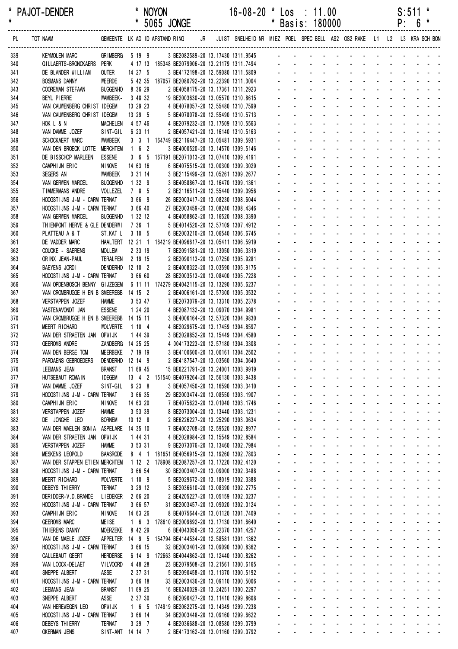|     | <b>PAJOT-DENDER</b>     |                                |         | <b>NOYON</b><br>5065 JONGE |     | $16 - 08 - 20$ *                                  | Los<br>* Basis: 180000 | $\therefore$ 11.00 |  |    |               | p٠              | $S:511$ *<br>6 * |  |
|-----|-------------------------|--------------------------------|---------|----------------------------|-----|---------------------------------------------------|------------------------|--------------------|--|----|---------------|-----------------|------------------|--|
| PL  | TOT NAAM                | GEMEENTE LK AD ID AFSTAND RING |         |                            | JR. | JUIST SNELHEID NR MIEZ POEL SPECBELL AS2 OS2 RAKE |                        |                    |  | L1 | $\frac{1}{2}$ | $\overline{13}$ | KRA SCH BON      |  |
| 339 | <b>KEYMOLEN MARC</b>    | <b>GRIMBERG</b>                | 5 19 9  |                            |     | 3 BE2082589-20 13.17430 1311.9545                 |                        |                    |  |    |               |                 |                  |  |
| 340 | GILLAERTS-BRONCKAERS    | Perk                           | 4 17 13 |                            |     | 185348 BE2079906-20 13.21179 1311.7494            |                        |                    |  |    |               |                 |                  |  |
| 341 | DE BLANDER WILLIAM      | <b>OUTER</b>                   | 14 27 5 |                            |     | 3 BE4172198-20 12.59080 1311.5809                 |                        |                    |  |    |               |                 |                  |  |
| 342 | <b>BOSMANS DANNY</b>    | WEERDE                         | 5 42 35 |                            |     | 187057 BE2080792-20 13.22390 1311.3004            |                        |                    |  |    |               |                 |                  |  |
| 343 | <b>COOREMAN STEFAAN</b> | <b>BUGGENHO</b>                | 8 36 29 |                            |     | 2 BE4058175-20 13.17361 1311.2923                 |                        |                    |  |    |               |                 |                  |  |

| 339 | <b>KEYMOLEN MARC</b>                   | <b>GRIMBERG</b>   |                     | 5 19 9   | 3 BE2082589-20 13.17430 1311.9545                            |  |                     |                           |                           |                   |                 |                             |                                                                                                               |                                                              |                                   |  |  |
|-----|----------------------------------------|-------------------|---------------------|----------|--------------------------------------------------------------|--|---------------------|---------------------------|---------------------------|-------------------|-----------------|-----------------------------|---------------------------------------------------------------------------------------------------------------|--------------------------------------------------------------|-----------------------------------|--|--|
|     |                                        |                   |                     |          |                                                              |  |                     |                           |                           |                   |                 |                             |                                                                                                               |                                                              |                                   |  |  |
| 340 | GILLAERTS-BRONCKAERS                   | <b>PERK</b>       |                     |          | 4 17 13 185348 BE2079906-20 13.21179 1311.7494               |  |                     |                           |                           |                   |                 |                             |                                                                                                               |                                                              |                                   |  |  |
| 341 | DE BLANDER WILLIAM                     | OUTER             | 14 27 5             |          | 3 BE4172198-20 12.59080 1311.5809                            |  |                     |                           |                           |                   |                 |                             |                                                                                                               |                                                              |                                   |  |  |
| 342 | <b>BOSMANS DANNY</b>                   | <b>WEERDE</b>     |                     |          | 5 42 35 187057 BE2080792-20 13.22390 1311.3004               |  |                     |                           |                           |                   |                 |                             | $\sim$                                                                                                        | $\sim$                                                       |                                   |  |  |
| 343 | <b>COOREMAN STEFAAN</b>                | <b>BUGGENHO</b>   |                     | 8 36 29  | 2 BE4058175-20 13.17361 1311.2923                            |  |                     |                           |                           |                   |                 |                             |                                                                                                               | $\blacksquare$                                               |                                   |  |  |
| 344 | BEYL PIERRE                            | WAMBEEK-          |                     | 3 48 32  | 19 BE2003630-20 13.05570 1310.8615                           |  |                     |                           |                           |                   |                 |                             |                                                                                                               |                                                              |                                   |  |  |
|     | VAN CAUWENBERG CHRIST IDEGEM           |                   |                     |          |                                                              |  |                     |                           |                           |                   |                 |                             |                                                                                                               |                                                              |                                   |  |  |
| 345 |                                        |                   |                     | 13 29 23 | 4 BE4078057-20 12.55480 1310.7599                            |  |                     |                           |                           |                   |                 |                             |                                                                                                               |                                                              |                                   |  |  |
| 346 | VAN CAUWENBERG CHRIST IDEGEM           |                   | 13 29 5             |          | 5 BE4078078-20 12.55490 1310.5713                            |  |                     |                           |                           |                   |                 |                             |                                                                                                               |                                                              |                                   |  |  |
| 347 | HOK L & N                              | <b>MACHELEN</b>   | 4 57 46             |          | 4 BE2079232-20 13.17509 1310.5563                            |  |                     |                           |                           |                   | $\mathbf{r}$    |                             |                                                                                                               |                                                              |                                   |  |  |
| 348 | VAN DAMME JOZEF                        | SINT-GIL          |                     | 6 23 11  | 2 BE4057421-20 13.16140 1310.5163                            |  |                     |                           |                           |                   |                 |                             |                                                                                                               |                                                              |                                   |  |  |
| 349 | SCHOCKAERT MARC                        | <b>WAMBEEK</b>    |                     |          | 3 3 1 164749 BE2116447-20 13.05481 1309.5931                 |  |                     |                           |                           |                   | $\mathbf{r}$    |                             |                                                                                                               |                                                              |                                   |  |  |
|     |                                        |                   |                     |          |                                                              |  |                     |                           |                           |                   |                 |                             |                                                                                                               |                                                              |                                   |  |  |
| 350 | VAN DEN BROECK LOTTE                   | <b>MERCHTEM</b>   | $1 \quad 6 \quad 2$ |          | 3 BE4000520-20 13.14570 1309.5146                            |  |                     |                           |                           |                   |                 |                             |                                                                                                               |                                                              |                                   |  |  |
| 351 | DE BISSCHOP MARLEEN                    | <b>ESSENE</b>     |                     |          | 3 6 5 167191 BE2071013-20 13.07410 1309.4191                 |  |                     |                           |                           |                   |                 |                             |                                                                                                               |                                                              |                                   |  |  |
| 352 | CAMPHIJN ERIC                          | <b>NINOVE</b>     | 14 63 16            |          | 6 BE4075515-20 13.00300 1309.3029                            |  |                     |                           |                           |                   |                 |                             |                                                                                                               |                                                              |                                   |  |  |
| 353 | SEGERS AN                              | <b>WAMBEEK</b>    |                     | 3 31 14  | 3 BE2115499-20 13.05261 1309.2677                            |  |                     |                           |                           |                   |                 |                             |                                                                                                               |                                                              |                                   |  |  |
| 354 | VAN GERWEN MARCEL                      | <b>BUGGENHO</b>   |                     | 1 32 9   | 3 BE4058867-20 13.16470 1309.1361                            |  |                     |                           |                           |                   |                 |                             |                                                                                                               |                                                              |                                   |  |  |
|     |                                        |                   |                     |          |                                                              |  |                     |                           |                           |                   |                 |                             |                                                                                                               |                                                              |                                   |  |  |
| 355 | TIMMERMANS ANDRE                       | VOLLEZEL          |                     | 7 8 5    | 2 BE2116511-20 12.55440 1309.0956                            |  |                     |                           |                           |                   |                 |                             |                                                                                                               |                                                              |                                   |  |  |
| 356 | HOOGSTIJNS J-M - CARM TERNAT           |                   |                     | 3669     | 26 BE2003417-20 13.08230 1308.6044                           |  |                     |                           |                           |                   |                 |                             |                                                                                                               |                                                              |                                   |  |  |
| 357 | HOOGSTIJNS J-M - CARM TERNAT           |                   |                     | 3 66 40  | 27 BE2003459-20 13.08240 1308.4346                           |  |                     |                           |                           |                   |                 |                             |                                                                                                               |                                                              |                                   |  |  |
| 358 | <b>VAN GERWEN MARCEL</b>               | <b>BUGGENHO</b>   |                     | 1 32 12  | 4 BE4058862-20 13.16520 1308.3390                            |  |                     |                           |                           |                   |                 |                             |                                                                                                               |                                                              |                                   |  |  |
| 359 | THIENPONT HERVE & GLE DENDERWI         |                   |                     | 7 36 1   | 5 BE4014520-20 12.57109 1307.4912                            |  |                     |                           |                           |                   |                 |                             |                                                                                                               |                                                              |                                   |  |  |
|     |                                        |                   |                     |          |                                                              |  |                     |                           |                           |                   |                 |                             |                                                                                                               |                                                              |                                   |  |  |
| 360 | PLATTEAU A & T                         | ST.KAT L          |                     | 3 10 5   | 6 BE2003210-20 13.06540 1306.6745                            |  |                     |                           |                           |                   |                 |                             |                                                                                                               |                                                              |                                   |  |  |
| 361 | DE VADDER MARC                         |                   |                     |          | HAALTERT 12 21 1 164219 BE4096617-20 13.05411 1306.5919      |  |                     |                           |                           |                   |                 |                             |                                                                                                               |                                                              |                                   |  |  |
| 362 | COUCKE - SAERENS                       | <b>MOLLEM</b>     |                     | 2 33 19  | 7 BE2091581-20 13.13050 1306.3319                            |  |                     |                           |                           |                   |                 |                             |                                                                                                               |                                                              |                                   |  |  |
| 363 | ORINX JEAN-PAUL                        | TERALFEN          |                     | 2 19 15  | 2 BE2090113-20 13.07250 1305.9281                            |  |                     |                           |                           |                   |                 |                             |                                                                                                               |                                                              |                                   |  |  |
| 364 | BAEYENS JORDI                          | DENDERHO 12 10 2  |                     |          | 2 BE4008322-20 13.03590 1305.9175                            |  |                     |                           |                           |                   |                 |                             |                                                                                                               |                                                              |                                   |  |  |
|     |                                        |                   |                     |          |                                                              |  |                     |                           |                           |                   |                 |                             |                                                                                                               |                                                              |                                   |  |  |
| 365 | HOOGSTIJNS J-M - CARM TERNAT           |                   |                     | 3 66 60  | 28 BE2003513-20 13.08400 1305.7228                           |  |                     |                           |                           |                   |                 |                             |                                                                                                               |                                                              |                                   |  |  |
| 366 | VAN OPDENBOSCH BENNY GIJZEGEM          |                   |                     |          | 6 11 11 174279 BE4042115-20 13.13290 1305.6237               |  |                     |                           |                           |                   |                 |                             |                                                                                                               |                                                              |                                   |  |  |
| 367 | VAN CROMBRUGGE H EN B SMEEREBB         |                   | 14 15 2             |          | 2 BE4006161-20 12.57300 1305.3532                            |  |                     |                           |                           |                   |                 |                             |                                                                                                               |                                                              |                                   |  |  |
| 368 | VERSTAPPEN JOZEF                       | <b>HAMME</b>      |                     | 3 53 47  | 7 BE2073079-20 13.13310 1305.2378                            |  |                     |                           |                           |                   |                 |                             |                                                                                                               |                                                              |                                   |  |  |
| 369 | VASTENAVONDT JAN                       | <b>ESSENE</b>     |                     | 1 24 20  | 4 BE2087132-20 13.09070 1304.9981                            |  |                     |                           |                           |                   |                 |                             |                                                                                                               |                                                              |                                   |  |  |
|     |                                        |                   |                     |          |                                                              |  |                     |                           |                           |                   |                 |                             |                                                                                                               |                                                              |                                   |  |  |
| 370 | VAN CROMBRUGGE H EN B SMEEREBB         |                   | 14 15 11            |          | 3 BE4006164-20 12.57320 1304.9830                            |  |                     |                           |                           |                   |                 |                             |                                                                                                               |                                                              |                                   |  |  |
| 371 | MEERT RICHARD                          | <b>WOLVERTE</b>   | 1104                |          | 4 BE2029675-20 13.17459 1304.8597                            |  |                     |                           |                           |                   |                 |                             |                                                                                                               |                                                              |                                   |  |  |
| 372 | VAN DER STRAETEN JAN OPWIJK            |                   |                     | 1 44 39  | 3 BE2028852-20 13.15449 1304.4580                            |  |                     |                           |                           |                   |                 |                             |                                                                                                               |                                                              |                                   |  |  |
| 373 | <b>GEEROMS ANDRE</b>                   | ZANDBERG 14 25 25 |                     |          | 4 004173223-20 12.57180 1304.3308                            |  |                     |                           |                           |                   |                 |                             |                                                                                                               |                                                              |                                   |  |  |
| 374 | VAN DEN BERGE TOM                      | <b>MEERBEKE</b>   | 7 19 19             |          | 3 BE4100600-20 13.00161 1304.2502                            |  |                     |                           |                           |                   |                 |                             |                                                                                                               |                                                              |                                   |  |  |
|     |                                        |                   |                     |          |                                                              |  |                     |                           |                           |                   |                 |                             |                                                                                                               |                                                              |                                   |  |  |
| 375 | PARDAENS GEBROEDERS                    | DENDERHO 12 14 9  |                     |          | 2 BE4187547-20 13.03560 1304.0640                            |  |                     |                           |                           |                   |                 |                             |                                                                                                               |                                                              |                                   |  |  |
| 376 | LEEMANS JEAN                           | <b>BRANST</b>     | 11 69 45            |          | 15 BE6221791-20 13.24001 1303.9919                           |  |                     |                           |                           |                   |                 |                             |                                                                                                               |                                                              |                                   |  |  |
| 377 | HUTSEBAUT ROMAIN                       | <b>IDEGEM</b>     |                     |          | 13 4 2 151540 BE4079264-20 12.56130 1303.9438                |  |                     |                           |                           |                   |                 |                             |                                                                                                               | $\mathbf{L} = \mathbf{L} \mathbf{L} + \mathbf{L} \mathbf{L}$ |                                   |  |  |
| 378 | VAN DAMME JOZEF                        | SINT-GIL 6 23 8   |                     |          | 3 BE4057450-20 13.16590 1303.3410                            |  |                     |                           |                           |                   |                 |                             |                                                                                                               |                                                              |                                   |  |  |
| 379 | HOOGSTIJNS J-M - CARM TERNAT           |                   |                     | 3 66 35  | 29 BE2003474-20 13.08550 1303.1907                           |  |                     |                           |                           |                   |                 |                             |                                                                                                               | $\sim$ $\sim$ $\sim$ $\sim$                                  |                                   |  |  |
|     |                                        |                   |                     |          |                                                              |  |                     |                           |                           |                   |                 |                             |                                                                                                               |                                                              |                                   |  |  |
| 380 | CAMPHIJN ERIC                          | <b>NINOVE</b>     | 14 63 20            |          | 7 BE4075623-20 13.01040 1303.1746                            |  |                     |                           |                           |                   |                 |                             |                                                                                                               |                                                              | and a state of the state of the   |  |  |
| 381 | VERSTAPPEN JOZEF                       | <b>HAMME</b>      |                     | 3 53 39  | 8 BE2073004-20 13.13440 1303.1231                            |  |                     |                           |                           |                   |                 |                             |                                                                                                               |                                                              |                                   |  |  |
| 382 | DE JONGHE LEO                          | <b>BORNEM</b>     | 10 12 8             |          | 2 BE6226227-20 13.25290 1303.0634                            |  |                     |                           |                           |                   |                 |                             | and a state of the state of the state                                                                         |                                                              |                                   |  |  |
| 383 | VAN DER MAELEN SONIA ASPELARE 14 35 10 |                   |                     |          | 7 BE4002708-20 12.59520 1302.8977                            |  |                     | $\Delta \sim 100$         |                           |                   |                 |                             | and a strain and a strain and a                                                                               |                                                              |                                   |  |  |
| 384 | VAN DER STRAETEN JAN OPWIJK            |                   |                     | 1 44 31  | 4 BE2028984-20 13.15549 1302.8584                            |  |                     |                           |                           |                   |                 |                             | and a state of the state of the state of                                                                      |                                                              |                                   |  |  |
|     |                                        |                   |                     |          |                                                              |  |                     |                           |                           |                   |                 |                             |                                                                                                               |                                                              |                                   |  |  |
| 385 | VERSTAPPEN JOZEF                       | <b>HAMME</b>      |                     | 3 53 31  | 9 BE2073076-20 13.13460 1302.7984                            |  |                     | $\Delta \sim 100$         | $\Delta \sim 10^{-1}$     |                   |                 |                             | and a straight and a straight                                                                                 |                                                              | and a strain and a                |  |  |
| 386 | MESKENS LEOPOLD                        | <b>BAASRODE</b>   |                     |          | 8 4 1 181651 BE4056915-20 13.19260 1302.7803                 |  |                     | $\omega_{\rm{max}}$       | $\mathbf{z} = \mathbf{z}$ | $\Delta \sim 100$ |                 | <b>All Carl Carl Co</b>     |                                                                                                               |                                                              | and a straight and                |  |  |
| 387 | VAN DER STAPPEN ETIEN MERCHTEM         |                   |                     |          | 1 12 2 178908 BE2087257-20 13.17220 1302.4120                |  |                     |                           |                           |                   |                 |                             | المنافذ والمستنقذ والمستنقذ والمستنقذ والمستنقذ والمستنقذ                                                     |                                                              |                                   |  |  |
| 388 | HOOGSTIJNS J-M - CARM TERNAT           |                   |                     | 3 66 54  | 30 BE2003407-20 13.09000 1302.3488                           |  |                     |                           |                           |                   | and the company |                             |                                                                                                               |                                                              |                                   |  |  |
| 389 | MEERT RICHARD                          | <b>WOLVERTE</b>   |                     | 1109     | 5 BE2029672-20 13.18019 1302.3388                            |  |                     | ÷.                        | $\Delta \sim 100$         |                   |                 |                             | and a series of the series of the series of                                                                   |                                                              |                                   |  |  |
|     |                                        |                   |                     |          |                                                              |  |                     |                           |                           |                   |                 |                             | and a straight and a straight                                                                                 |                                                              |                                   |  |  |
| 390 | DEBEYS THIERRY                         | TERNAT            |                     | 3 29 12  | 3 BE2036610-20 13.08390 1302.2775                            |  |                     | ÷.                        | $\omega_{\rm{max}}$       |                   |                 |                             |                                                                                                               | $\mathcal{L}$                                                | and the state of the state of     |  |  |
| 391 | DERIDDER-V.D. BRANDE                   | <b>LIEDEKER</b>   |                     | 2 66 20  | 2 BE4205227-20 13.05159 1302.0237                            |  | $\omega_{\rm{max}}$ | $\mathbf{L}^{\text{max}}$ | $\Delta \sim 10^{-1}$     |                   | and a straight  |                             | and a state                                                                                                   | ÷.                                                           |                                   |  |  |
| 392 | HOOGSTIJNS J-M - CARM TERNAT           |                   |                     | 3 66 57  | 31 BE2003457-20 13.09020 1302.0124                           |  |                     | $\Delta \sim 100$         | $\omega_{\rm{max}}$       |                   |                 | and a straight and state    |                                                                                                               |                                                              |                                   |  |  |
| 393 | CAMPHIJN ERIC                          | <b>NINOVE</b>     |                     | 14 63 26 | 8 BE4075644-20 13.01120 1301.7409                            |  |                     | $\omega_{\rm{max}}$       |                           |                   |                 |                             | المتواصل والمتواطن والمتواطن                                                                                  |                                                              | and a state of the state          |  |  |
| 394 | <b>GEEROMS MARC</b>                    | <b>MEISE</b>      |                     |          | 1 6 3 178610 BE2009692-20 13.17130 1301.6640                 |  |                     |                           |                           |                   |                 |                             | and a series of the series of the series of                                                                   |                                                              |                                   |  |  |
|     |                                        |                   |                     |          |                                                              |  |                     |                           |                           |                   |                 |                             |                                                                                                               |                                                              |                                   |  |  |
| 395 | THIERENS DANNY                         | <b>MOERZEKE</b>   |                     | 8 42 29  | 6 BE4043056-20 13.22370 1301.4257                            |  |                     | $\sim$                    | $\Delta \sim 100$         |                   |                 |                             | and a strain and a strain and a                                                                               |                                                              |                                   |  |  |
| 396 | VAN DE MAELE JOZEF                     |                   |                     |          | APPELTER  14  9  5  154794 BE4144534-20  12.58581  1301.1362 |  |                     | ÷.                        | $\Delta \sim 10^4$        |                   |                 |                             | and a state of the state of the state of                                                                      |                                                              |                                   |  |  |
| 397 | HOOGSTIJNS J-M - CARM TERNAT           |                   |                     | 3 66 15  | 32 BE2003401-20 13.09090 1300.8362                           |  | $\Delta \sim 100$   | $\Delta \sim 100$         | $\Delta \sim 10^4$        |                   |                 |                             | and a state of the state of the state of the state of the state of the state of the state of the state of the |                                                              |                                   |  |  |
| 398 | CALLEBAUT GEERT                        | <b>HERDERSE</b>   |                     |          | 6 14 9 172663 BE4044862-20 13.12440 1300.8262                |  |                     |                           |                           |                   |                 | and a straightful and state |                                                                                                               |                                                              | and a straight and                |  |  |
| 399 | VAN LOOCK-DELAET                       | <b>VILVOORD</b>   |                     | 4 48 28  | 23 BE2079508-20 13.21561 1300.6165                           |  |                     |                           |                           |                   |                 |                             | and a straightful and a straight and                                                                          |                                                              |                                   |  |  |
|     |                                        |                   |                     |          |                                                              |  |                     |                           |                           |                   |                 |                             |                                                                                                               |                                                              |                                   |  |  |
| 400 | SNEPPE ALBERT                          | ASSE              |                     | 2 37 31  | 5 BE2090458-20 13.11370 1300.5192                            |  |                     |                           |                           |                   |                 | الموارد والمتواطن والمتواطن |                                                                                                               |                                                              |                                   |  |  |
| 401 | HOOGSTIJNS J-M - CARM TERNAT           |                   |                     | 3 66 18  | 33 BE2003436-20 13.09110 1300.5006                           |  |                     | $\sim$                    | $\Delta \sim 100$         |                   |                 |                             | and a series of the series of the series                                                                      |                                                              |                                   |  |  |
| 402 | LEEMANS JEAN                           | <b>BRANST</b>     | 11 69 25            |          | 16 BE6240029-20 13.24251 1300.2297                           |  |                     | ÷.                        |                           |                   |                 |                             | and a straight and a straight                                                                                 | $\mathcal{L}$                                                | <b>Contract Contract Contract</b> |  |  |
| 403 | SNEPPE ALBERT                          | ASSE              |                     | 2 37 30  | 6 BE2090427-20 13.11410 1299.8608                            |  |                     | $\Delta \sim 100$         | $\omega_{\rm{max}}$       |                   |                 |                             | and a straight and a straight                                                                                 | $\mathbf{r}$                                                 |                                   |  |  |
| 404 | VAN HEREWEGEN LEO                      | OPW I JK          |                     |          | 1 6 5 174919 BE2062275-20 13.14349 1299.7238                 |  |                     | $\Delta \sim 100$         | $\omega_{\rm{max}}$       |                   |                 | and a straight and          | $\sim$                                                                                                        |                                                              |                                   |  |  |
|     |                                        |                   |                     |          |                                                              |  |                     |                           |                           |                   |                 |                             |                                                                                                               |                                                              |                                   |  |  |
| 405 | HOOGSTIJNS J-M - CARM TERNAT           |                   |                     | 3 66 14  | 34 BE2003448-20 13.09160 1299.6622                           |  |                     | $\mathbf{z} = \mathbf{z}$ |                           |                   |                 |                             | and a straightful and state the                                                                               | $\omega$                                                     | and a state of the state          |  |  |
| 406 | DEBEYS THIERRY                         | TERNAT            |                     | 3 29 7   | 4 BE2036688-20 13.08580 1299.0799                            |  |                     |                           |                           |                   | and a strategic |                             |                                                                                                               |                                                              |                                   |  |  |
| 407 | <b>OKERMAN JENS</b>                    | SINT-ANT 14 14 7  |                     |          | 2 BE4173162-20 13.01160 1299.0792                            |  | $\sim$              | $\mathbf{r}$ .            | $\omega_{\rm{max}}$       |                   |                 |                             | and a straightful contract and                                                                                |                                                              |                                   |  |  |
|     |                                        |                   |                     |          |                                                              |  |                     |                           |                           |                   |                 |                             |                                                                                                               |                                                              |                                   |  |  |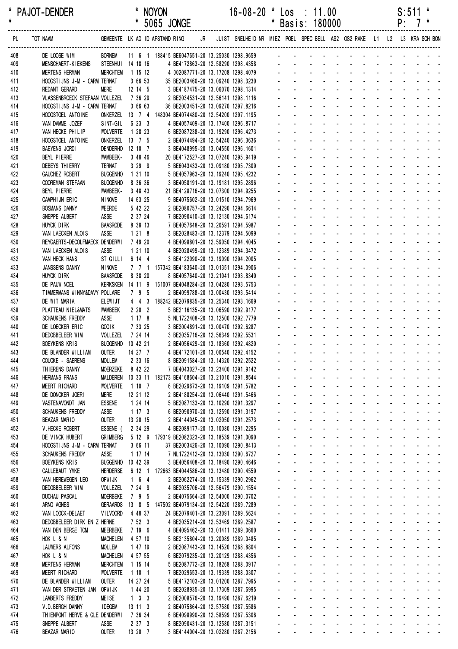| *<br>$\pmb{\star}$ | <b>PAJOT-DENDER</b>                                                                                                |                                       |                                | <b>NOYON</b>                                             |  | $16 - 08 - 20$<br>* 5065 JONGE                                                                               | $\star$ |                     | $\textsf{Los} \div 11.00$<br>* Basis: 180000                                                                                                                                                                                                                                                                                                                                                                                                                   |  |  |  | $S:511$ *<br>$P: 7$ * |  |
|--------------------|--------------------------------------------------------------------------------------------------------------------|---------------------------------------|--------------------------------|----------------------------------------------------------|--|--------------------------------------------------------------------------------------------------------------|---------|---------------------|----------------------------------------------------------------------------------------------------------------------------------------------------------------------------------------------------------------------------------------------------------------------------------------------------------------------------------------------------------------------------------------------------------------------------------------------------------------|--|--|--|-----------------------|--|
| PL                 | TOT NAAM GEMEENTE LK AD ID AFSTAND RING JR JUIST SNELHEID NR MIEZ POEL SPEC BELL AS2 OS2 RAKE L1 L2 L3 KRA SCH BON |                                       |                                |                                                          |  |                                                                                                              |         |                     |                                                                                                                                                                                                                                                                                                                                                                                                                                                                |  |  |  |                       |  |
| 408                | DE LOOSE WIM                                                                                                       |                                       |                                |                                                          |  | BORNEM 11 6 1 188415 BE6047651-20 13.25030 1298.9659 - - - - - - - - - - - - - - - -                         |         |                     |                                                                                                                                                                                                                                                                                                                                                                                                                                                                |  |  |  |                       |  |
| 409<br>410         | MENSCHAERT-KIEKENS<br><b>MERTENS HERMAN</b>                                                                        | STEENHUI 14 18 16<br>MERCHTEM 1 15 12 |                                |                                                          |  |                                                                                                              |         |                     |                                                                                                                                                                                                                                                                                                                                                                                                                                                                |  |  |  |                       |  |
| 411                | HOOGSTIJNS J-M - CARM TERNAT                                                                                       |                                       | 3 66 53                        |                                                          |  | 4 BE4172863-20 12.58290 1298.4358<br>4 002087771-20 13.17208 1298.4079<br>35 BE2003460-20 13.09240 1298.3230 |         |                     |                                                                                                                                                                                                                                                                                                                                                                                                                                                                |  |  |  |                       |  |
| 412                | REDANT GERARD                                                                                                      | <b>MERE</b>                           | 12 14 5                        | 3 BE4187475-20 13.06070 1298.1314                        |  |                                                                                                              |         |                     | and the company of the company of the company of                                                                                                                                                                                                                                                                                                                                                                                                               |  |  |  |                       |  |
| 413                | VLASSENBROECK STEFAAN VOLLEZEL 7 36 29                                                                             |                                       |                                |                                                          |  | 2 BE2034531-20 12.56141 1298.1116                                                                            |         |                     | and the contract of the contract of the con-                                                                                                                                                                                                                                                                                                                                                                                                                   |  |  |  |                       |  |
| 414                | HOOGSTIJNS J-M - CARM TERNAT                                                                                       |                                       | 3 66 63                        |                                                          |  | 36 BE2003451-20 13.09270 1297.8216                                                                           |         |                     | and a straightful and a straight and                                                                                                                                                                                                                                                                                                                                                                                                                           |  |  |  |                       |  |
| 415                | HOOGSTOEL ANTOINE                                                                                                  | SINT-GIL 6 23 3                       |                                | ONKERZEL 13 7 4 148304 BE4074480-20 12.54200 1297.1195   |  |                                                                                                              |         |                     | والمناور والمناور والمناور والمناور والمناور<br>and the state of the state of the state                                                                                                                                                                                                                                                                                                                                                                        |  |  |  |                       |  |
| 416<br>417         | VAN DAMME JOZEF<br>VAN HECKE PHILIP                                                                                | <b>WOLVERTE</b>                       | 1 28 23                        |                                                          |  | 4 BE4057409-20 13.17400 1296.8717<br>6 BE2087238-20 13.19290 1296.4273                                       |         |                     | and the state of the state of the state                                                                                                                                                                                                                                                                                                                                                                                                                        |  |  |  |                       |  |
| 418                | HOOGSTOEL ANTOINE                                                                                                  | ONKERZEL 13 7 5                       |                                |                                                          |  | 2 BE4074494-20 12.54240 1296.3636                                                                            |         |                     | and a state of the state of the state                                                                                                                                                                                                                                                                                                                                                                                                                          |  |  |  |                       |  |
| 419                | BAEYENS JORDI                                                                                                      | DENDERHO 12 10 7                      |                                |                                                          |  | 3 BE4048995-20 13.04550 1296.1601                                                                            |         |                     | and a series of the contract of the series of                                                                                                                                                                                                                                                                                                                                                                                                                  |  |  |  |                       |  |
| 420                | BEYL PIERRE                                                                                                        | WAMBEEK-                              | 3 48 46                        |                                                          |  | 20 BE4172527-20 13.07240 1295.9419                                                                           |         |                     | and a straightful and a straight and                                                                                                                                                                                                                                                                                                                                                                                                                           |  |  |  |                       |  |
| 421                | DEBEYS THIERRY<br><b>GAUCHEZ ROBERT</b>                                                                            | <b>TERNAT</b>                         | 3299                           |                                                          |  | 5 BE6043433-20 13.09180 1295.7309                                                                            |         |                     | and a state of the state of the state<br>and a straightful and a straight and a                                                                                                                                                                                                                                                                                                                                                                                |  |  |  |                       |  |
| 422<br>423         | COOREMAN STEFAAN                                                                                                   | <b>BUGGENHO</b><br><b>BUGGENHO</b>    | 1 31 10<br>8 36 36             |                                                          |  | 5 BE4057963-20 13.19240 1295.4232<br>3 BE4058191-20 13.19181 1295.2896                                       |         |                     | and a construction of the construction of the construction of the construction of the construction of the construction of the construction of the construction of the construction of the construction of the construction of                                                                                                                                                                                                                                  |  |  |  |                       |  |
| 424                | BEYL PIERRE                                                                                                        | WAMBEEK-                              | 3 48 43                        |                                                          |  | 21 BE4128716-20 13.07300 1294.9255                                                                           |         |                     | and the state of the state of the state of                                                                                                                                                                                                                                                                                                                                                                                                                     |  |  |  |                       |  |
| 425                | CAMPHIJN ERIC                                                                                                      | <b>NINOVE</b>                         | 14 63 25                       |                                                          |  | 9 BE4075602-20 13.01510 1294.7969                                                                            |         |                     | and a series of the contract of the series                                                                                                                                                                                                                                                                                                                                                                                                                     |  |  |  |                       |  |
| 426                | <b>BOSMANS DANNY</b>                                                                                               | WEERDE                                | 5 42 22                        |                                                          |  | 2 BE2080757-20 13.24290 1294.6614                                                                            |         |                     | and a straightful and a straight and                                                                                                                                                                                                                                                                                                                                                                                                                           |  |  |  |                       |  |
| 427                | SNEPPE ALBERT                                                                                                      | ASSE                                  | 2 37 24                        |                                                          |  | 7 BE2090410-20 13.12130 1294.6174                                                                            |         |                     | and the contract of the contract of the<br>a construction of the construction of the construction of the construction of the construction of the construction of the construction of the construction of the construction of the construction of the construction of the                                                                                                                                                                                       |  |  |  |                       |  |
| 428<br>429         | HUYCK DIRK<br>VAN LAECKEN ALOIS                                                                                    | BAASRODE 8 38 13<br>ASSE              | $1218$                         |                                                          |  | 7 BE4057648-20 13.20591 1294.5987<br>3 BE2028483-20 13.12379 1294.5099                                       |         |                     | and the state of the state of the state                                                                                                                                                                                                                                                                                                                                                                                                                        |  |  |  |                       |  |
| 430                | REYGAERTS-DECOLFMAECK DENDERWI                                                                                     |                                       | 7 49 20                        |                                                          |  | 4 BE4098801-20 12.59050 1294.4045                                                                            |         |                     | and a state of the state of the state                                                                                                                                                                                                                                                                                                                                                                                                                          |  |  |  |                       |  |
| 431                | VAN LAECKEN ALOIS                                                                                                  | ASSE                                  | 1 21 10                        |                                                          |  | 4 BE2028499-20 13.12389 1294.3472                                                                            |         |                     | and a series of the contract of the series of                                                                                                                                                                                                                                                                                                                                                                                                                  |  |  |  |                       |  |
| 432                | VAN HECK HANS                                                                                                      | ST GILLI                              | 6 14 4                         |                                                          |  | 3 BE4122090-20 13.19090 1294.2005                                                                            |         |                     | <u>.</u>                                                                                                                                                                                                                                                                                                                                                                                                                                                       |  |  |  |                       |  |
| 433                | JANSSENS DANNY                                                                                                     | <b>NINOVE</b>                         |                                | 7 7 1 157342 BE4183640-20 13.01351 1294.0906             |  |                                                                                                              |         |                     |                                                                                                                                                                                                                                                                                                                                                                                                                                                                |  |  |  |                       |  |
| 434<br>435         | HUYCK DIRK<br>DE PAUW NOEL                                                                                         | <b>BAASRODE</b>                       | 8 38 20                        | KERKSKEN 14 11 9 161007 BE4048284-20 13.04280 1293.5753  |  | 8 BE4057640-20 13.21041 1293.8340                                                                            |         | $\omega_{\rm{max}}$ | design and contract the contract of the<br>design and contract the contract of the                                                                                                                                                                                                                                                                                                                                                                             |  |  |  |                       |  |
| 436                | TIMMERMANS WINNY&DAVY POLLARE                                                                                      |                                       | 7 9 5                          |                                                          |  | 2 BE4099788-20 13.00430 1293.5414                                                                            |         |                     | and a state of the state of the state                                                                                                                                                                                                                                                                                                                                                                                                                          |  |  |  |                       |  |
| 437                | DE WIT MARIA                                                                                                       | <b>ELEWIJT</b>                        |                                | 4 4 3 188242 BE2079835-20 13.25340 1293.1669             |  |                                                                                                              |         |                     | and a series of the contract of the series of                                                                                                                                                                                                                                                                                                                                                                                                                  |  |  |  |                       |  |
| 438                | PLATTEAU NIEL&MATS                                                                                                 | WAMBEEK                               | $2 20 2$                       |                                                          |  | 5 BE2116135-20 13.06590 1292.9177                                                                            |         |                     | والمناور والمناور والمناور والمناور والمناور                                                                                                                                                                                                                                                                                                                                                                                                                   |  |  |  |                       |  |
| 439                | SCHAUKENS FREDDY                                                                                                   | ASSE                                  | 1178                           |                                                          |  | 5 NL1722408-20 13.12500 1292.7779                                                                            |         |                     | والمتعاط والمتعاط والمتعاط والمتعاط والمتعاط                                                                                                                                                                                                                                                                                                                                                                                                                   |  |  |  |                       |  |
| 440                | DE LOECKER ERIC                                                                                                    | GOO IK                                | 7 33 25                        |                                                          |  | 3 BE2004891-20 13.00470 1292.6287                                                                            |         |                     | and a straightful and a straight and a<br>a construction of the construction of the construction of the construction of the construction of the construction of the construction of the construction of the construction of the construction of the construction of the                                                                                                                                                                                        |  |  |  |                       |  |
| 441<br>442         | DEDOBBELEER WIM<br><b>BOEYKENS KRIS</b>                                                                            | VOLLEZEL<br>BUGGENHO 10 42 21         | 7 24 14                        |                                                          |  | 3 BE2035716-20 12.56349 1292.5531<br>2 BE4056429-20 13.18360 1292.4820                                       |         |                     |                                                                                                                                                                                                                                                                                                                                                                                                                                                                |  |  |  |                       |  |
| 443                | DE BLANDER WILLIAM                                                                                                 | OUTER 14 27 7                         |                                |                                                          |  | 4 BE4172101-20 13.00540 1292.4152                                                                            |         |                     | state of the state of the state of the state of the state of the state of the state of the state of the state of the                                                                                                                                                                                                                                                                                                                                           |  |  |  |                       |  |
| 444                | COUCKE - SAERENS                                                                                                   | MOLLEM                                | 2 33 16                        |                                                          |  | 8 BE2091584-20 13.14320 1292.2522                                                                            |         |                     | والمناول والمتناول والمتناول والمتناول والمتناول والمناور                                                                                                                                                                                                                                                                                                                                                                                                      |  |  |  |                       |  |
| 445                | THIERENS DANNY                                                                                                     | MOERZEKE 8 42 22                      |                                |                                                          |  | 7 BE4043027-20 13.23400 1291.9142                                                                            |         |                     | المناطق والمتناط المناطق والمناطق والمناطق والمناطق                                                                                                                                                                                                                                                                                                                                                                                                            |  |  |  |                       |  |
| 446                | <b>HERMANS FRANS</b>                                                                                               |                                       |                                | MALDEREN 10 33 11 182173 BE4168604-20 13.21010 1291.8544 |  |                                                                                                              |         |                     | a construction of the construction of the construction of the construction of the construction of the construction of the construction of the construction of the construction of the construction of the construction of the<br>a construction of the construction of the construction of the construction of the construction of the construction of the construction of the construction of the construction of the construction of the construction of the |  |  |  |                       |  |
| 447<br>448         | MEERT RICHARD<br>DE DONCKER JOERI                                                                                  | <b>WOLVERTE</b><br><b>MERE</b>        | 1107<br>12 21 12               |                                                          |  | 6 BE2029673-20 13.19109 1291.5782<br>2 BE4188254-20 13.06440 1291.5466                                       |         |                     | and a series and a series and a series of                                                                                                                                                                                                                                                                                                                                                                                                                      |  |  |  |                       |  |
| 449                | VASTENAVONDT JAN                                                                                                   | <b>ESSENE</b>                         | 1 24 14                        |                                                          |  | 5 BE2087133-20 13.10290 1291.3297                                                                            |         |                     | المناصب والمتناول والمتناول والمتناول والمتناول والمتناول                                                                                                                                                                                                                                                                                                                                                                                                      |  |  |  |                       |  |
| 450                | SCHAUKENS FREDDY                                                                                                   | ASSE                                  | 1173                           |                                                          |  | 6 BE2090970-20 13.12590 1291.3197                                                                            |         |                     | والمتعاط المتابعات والمتابعات والمتابعات والمتابع                                                                                                                                                                                                                                                                                                                                                                                                              |  |  |  |                       |  |
| 451                | BEAZAR MARIO                                                                                                       | <b>OUTER</b>                          | 13 20 15                       |                                                          |  | 2 BE4144045-20 13.02050 1291.2573                                                                            |         |                     | والمتعادل والمتابع المتابع المتابع المتابعات                                                                                                                                                                                                                                                                                                                                                                                                                   |  |  |  |                       |  |
| 452                | V.HECKE ROBERT                                                                                                     | ESSENE (                              | 2 34 29                        |                                                          |  | 4 BE2089177-20 13.10080 1291.2295                                                                            |         |                     | and a series and a series and a series of<br>the contract of the contract of the contract of                                                                                                                                                                                                                                                                                                                                                                   |  |  |  |                       |  |
| 453<br>454         | DE VINCK HUBERT<br>HOOGSTIJNS J-M - CARM TERNAT                                                                    | <b>GRIMBERG</b>                       | 3 66 11                        | 5 12 9 179319 BE2082323-20 13.18539 1291.0090            |  | 37 BE2003426-20 13.10090 1290.8413                                                                           |         |                     | and the contract of the contract of the contract of                                                                                                                                                                                                                                                                                                                                                                                                            |  |  |  |                       |  |
| 455                | <b>SCHAUKENS FREDDY</b>                                                                                            | ASSE                                  | 11714                          |                                                          |  | 7 NL1722412-20 13.13030 1290.6727                                                                            |         |                     | and a series of the contract of the series of                                                                                                                                                                                                                                                                                                                                                                                                                  |  |  |  |                       |  |
| 456                | <b>BOEYKENS KRIS</b>                                                                                               | BUGGENHO 10 42 39                     |                                |                                                          |  | 3 BE4056408-20 13.18490 1290.4646                                                                            |         |                     | والمتعاط والمتابع المتابع المتابع المتابع المتابع                                                                                                                                                                                                                                                                                                                                                                                                              |  |  |  |                       |  |
| 457                | CALLEBAUT YMKE                                                                                                     | HERDERSE                              |                                | 6 12 1 172663 BE4044586-20 13.13480 1290.4559            |  |                                                                                                              |         |                     | and a series of the contract of the series of                                                                                                                                                                                                                                                                                                                                                                                                                  |  |  |  |                       |  |
| 458                | VAN HEREWEGEN LEO                                                                                                  | OPW I JK                              | $1 \quad 6 \quad 4$            |                                                          |  | 2 BE2062274-20 13.15339 1290.2962                                                                            |         |                     | and a straightful and a straight and<br>and a straightful and a straight and                                                                                                                                                                                                                                                                                                                                                                                   |  |  |  |                       |  |
| 459<br>460         | DEDOBBELEER WIM<br><b>DUCHAU PASCAL</b>                                                                            | VOLLEZEL<br><b>MOERBEKE</b>           | 7 24 9<br>7 9 5                |                                                          |  | 4 BE2035706-20 12.56479 1290.1554<br>2 BE4075664-20 12.54000 1290.0702                                       |         |                     | and a series and a series and a series                                                                                                                                                                                                                                                                                                                                                                                                                         |  |  |  |                       |  |
| 461                | ARNO AGNES                                                                                                         |                                       |                                | GERAARDS 13 8 5 147502 BE4079134-20 12.54220 1289.7289   |  |                                                                                                              |         |                     | المناطق والمناطق والمناطق والمناطق والمناطق والمناطق                                                                                                                                                                                                                                                                                                                                                                                                           |  |  |  |                       |  |
| 462                | VAN LOOCK-DELAET                                                                                                   | VILVOORD                              | 4 48 37                        |                                                          |  | 24 BE2079401-20 13.23091 1289.5624                                                                           |         |                     | والمتعاط المتناول والمتناول والمتناول والمتناول                                                                                                                                                                                                                                                                                                                                                                                                                |  |  |  |                       |  |
| 463                | DEDOBBELEER DIRK EN Z HERNE                                                                                        |                                       | 7 52 3                         |                                                          |  | 4 BE2035214-20 12.53469 1289.2587                                                                            |         |                     | and a series of the contract of the series of                                                                                                                                                                                                                                                                                                                                                                                                                  |  |  |  |                       |  |
| 464                | VAN DEN BERGE TOM                                                                                                  | <b>MEERBEKE</b>                       | 7 19 6                         |                                                          |  | 4 BE4095462-20 13.01411 1289.0660                                                                            |         |                     | and a series of the contract of the series of                                                                                                                                                                                                                                                                                                                                                                                                                  |  |  |  |                       |  |
| 465                | HOK L & N                                                                                                          | <b>MACHELEN</b>                       | 4 57 10<br>1 47 19             |                                                          |  | 5 BE2135804-20 13.20089 1289.0485                                                                            |         |                     | the contract of the contract of the contract of<br>and the contract of the contract of the contract of the contract of the contract of the contract of the contract of the contract of the contract of the contract of the contract of the contract of the contract of the contra                                                                                                                                                                              |  |  |  |                       |  |
| 466<br>467         | LAUWERS ALFONS<br>HOK L & N                                                                                        | <b>MOLLEM</b><br>MACHELEN             | 4 57 55                        |                                                          |  | 2 BE2087443-20 13.14520 1288.8804<br>6 BE2079235-20 13.20129 1288.4356                                       |         |                     | and a series of the contract of the series of                                                                                                                                                                                                                                                                                                                                                                                                                  |  |  |  |                       |  |
| 468                | <b>MERTENS HERMAN</b>                                                                                              | <b>MERCHTEM</b>                       | 1 15 14                        |                                                          |  | 5 BE2087772-20 13.18268 1288.0917                                                                            |         |                     | فالمنافذ والمنافر والمنافر والمنافر المرابط                                                                                                                                                                                                                                                                                                                                                                                                                    |  |  |  |                       |  |
| 469                | MEERT RICHARD                                                                                                      | <b>WOLVERTE</b>                       | 1101                           |                                                          |  | 7 BE2029653-20 13.19339 1288.0307                                                                            |         |                     | and a series of the contract of the series of                                                                                                                                                                                                                                                                                                                                                                                                                  |  |  |  |                       |  |
| 470                | DE BLANDER WILLIAM                                                                                                 | <b>OUTER</b>                          | 14 27 24                       |                                                          |  | 5 BE4172103-20 13.01200 1287.7995                                                                            |         |                     | and a series and a series and a series                                                                                                                                                                                                                                                                                                                                                                                                                         |  |  |  |                       |  |
| 471                | VAN DER STRAETEN JAN                                                                                               | OPW I JK<br><b>MEISE</b>              | 1 44 20<br>$1 \quad 3 \quad 3$ |                                                          |  | 5 BE2028935-20 13.17309 1287.6995                                                                            |         |                     | and a straightful and a straight and<br>and a series and a series and a series of                                                                                                                                                                                                                                                                                                                                                                              |  |  |  |                       |  |
| 472<br>473         | LAMBERTS FREDDY<br>V.D.BERGH DANNY                                                                                 | <b>IDEGEM</b>                         | $13$ 11 3                      |                                                          |  | 2 BE2008576-20 13.19490 1287.6219<br>2 BE4075864-20 12.57580 1287.5586                                       |         |                     | فالمستحيل والمستحدث والمستحدث والمستحدث والمستحدث                                                                                                                                                                                                                                                                                                                                                                                                              |  |  |  |                       |  |
| 474                | THIENPONT HERVE & GLE DENDERWI                                                                                     |                                       | 7 36 34                        |                                                          |  | 6 BE4098990-20 12.58599 1287.5306                                                                            |         |                     | والمناور والمناور والمناور والمناور والمناور                                                                                                                                                                                                                                                                                                                                                                                                                   |  |  |  |                       |  |
| 475                | SNEPPE ALBERT                                                                                                      | ASSE                                  | 2373                           |                                                          |  | 8 BE2090431-20 13.12580 1287.3151                                                                            |         |                     | والمتعاط والمتعاط والمتعاط والمتعاط والمتار                                                                                                                                                                                                                                                                                                                                                                                                                    |  |  |  |                       |  |
| 476                | BEAZAR MARIO                                                                                                       | OUTER                                 | 13 20 7                        |                                                          |  | 3 BE4144004-20 13.02280 1287.2156                                                                            |         |                     | and the contract of the contract of the contract of                                                                                                                                                                                                                                                                                                                                                                                                            |  |  |  |                       |  |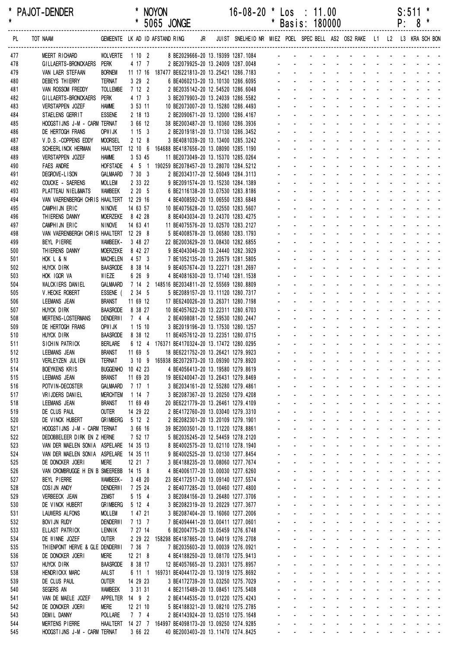| *<br>$\star$ | <b>PAJOT-DENDER</b>                                  |                                  | $\star$             |         | <b>NOYON</b><br>5065 JONGE                                    |    | $16 - 08 - 20$                                                           | $\cdot$<br>*   |                                                          | Los : 11.00<br>Basis: 180000                                             |                                                              |                                                                             |                             |                                            |                              | P:                       | S:511<br>8                 | *<br>*                                                                                                       |
|--------------|------------------------------------------------------|----------------------------------|---------------------|---------|---------------------------------------------------------------|----|--------------------------------------------------------------------------|----------------|----------------------------------------------------------|--------------------------------------------------------------------------|--------------------------------------------------------------|-----------------------------------------------------------------------------|-----------------------------|--------------------------------------------|------------------------------|--------------------------|----------------------------|--------------------------------------------------------------------------------------------------------------|
| PL.          | TOT NAAM                                             |                                  |                     |         | GEMEENTE LK AD ID AFSTAND RING                                | JR | JUIST SNELHEID NR MIEZ POEL SPEC BELL AS2 OS2 RAKE L1 L2 L3 KRA SCH BON  |                |                                                          |                                                                          |                                                              |                                                                             |                             |                                            |                              |                          |                            |                                                                                                              |
| 477          | MEERT RICHARD                                        | <b>WOLVERTE</b>                  | 1102                |         |                                                               |    | 8 BE2029666-20 13.19399 1287.1084                                        |                |                                                          |                                                                          |                                                              |                                                                             |                             |                                            |                              |                          |                            |                                                                                                              |
| 478          | GILLAERTS-BRONCKAERS                                 | Perk                             | 4 17 7              |         |                                                               |    | 2 BE2079925-20 13.24009 1287.0048                                        |                |                                                          |                                                                          |                                                              |                                                                             |                             |                                            |                              |                          |                            |                                                                                                              |
| 479          | VAN LAER STEFAAN<br><b>DEBEYS THIERRY</b>            | <b>BORNEM</b><br><b>TERNAT</b>   | $3\quad 29\quad 2$  |         | 11 17 16 187477 BE6221813-20 13.25421 1286.7183               |    | 6 BE4060213-20 13.10130 1286.6095                                        |                |                                                          |                                                                          |                                                              |                                                                             |                             |                                            |                              |                          |                            |                                                                                                              |
| 480<br>481   | VAN ROSSOM FREDDY                                    | <b>TOLLEMBE</b>                  | 7122                |         |                                                               |    | 2 BE2035142-20 12.54520 1286.6048                                        |                |                                                          |                                                                          |                                                              |                                                                             |                             |                                            |                              |                          |                            |                                                                                                              |
| 482          | GILLAERTS-BRONCKAERS                                 | PERK                             | 4 17 3              |         |                                                               |    | 3 BE2079903-20 13.24039 1286.5582                                        |                |                                                          |                                                                          |                                                              |                                                                             |                             |                                            |                              |                          |                            |                                                                                                              |
| 483          | <b>VERSTAPPEN JOZEF</b>                              | <b>HAMME</b>                     | 3 53 11             |         |                                                               |    | 10 BE2073007-20 13.15280 1286.4493                                       |                |                                                          |                                                                          |                                                              |                                                                             |                             |                                            |                              |                          |                            |                                                                                                              |
| 484          | STAELENS GERRIT                                      | <b>ESSENE</b>                    | 2 18 13             |         |                                                               |    | 2 BE2090671-20 13.12000 1286.4167                                        |                |                                                          |                                                                          |                                                              |                                                                             |                             |                                            |                              |                          |                            |                                                                                                              |
| 485          | HOOGSTIJNS J-M - CARM TERNAT                         |                                  | 3 66 12             |         |                                                               |    | 38 BE2003487-20 13.10360 1286.3936                                       |                |                                                          |                                                                          |                                                              |                                                                             |                             |                                            |                              |                          |                            |                                                                                                              |
| 486          | DE HERTOGH FRANS<br>V.D.S.-COPPENS EDDY              | OPW I JK<br><b>MOORSEL</b>       | 1153<br>2128        |         |                                                               |    | 2 BE2019181-20 13.17130 1286.3452<br>3 BE4081039-20 13.13400 1285.3242   |                |                                                          |                                                                          |                                                              |                                                                             |                             |                                            |                              |                          |                            |                                                                                                              |
| 487<br>488   | SCHEERL INCK HERMAN                                  | <b>HAALTERT</b>                  | 12 10 6             |         | 164688 BE4187656-20 13.08090 1285.1190                        |    |                                                                          |                |                                                          |                                                                          |                                                              |                                                                             |                             |                                            |                              |                          |                            |                                                                                                              |
| 489          | VERSTAPPEN JOZEF                                     | <b>HAMME</b>                     | 3 53 45             |         |                                                               |    | 11 BE2073049-20 13.15370 1285.0264                                       |                |                                                          |                                                                          |                                                              |                                                                             |                             |                                            |                              |                          |                            |                                                                                                              |
| 490          | <b>FAES ANDRE</b>                                    | <b>HOFSTADE</b>                  |                     |         | 4 5 1 190259 BE2078457-20 13.28070 1284.5212                  |    |                                                                          |                |                                                          |                                                                          |                                                              |                                                                             |                             |                                            |                              |                          |                            |                                                                                                              |
| 491          | DEGROVE-LISON                                        | <b>GALMAARD</b>                  | 7 30 3              |         |                                                               |    | 2 BE2034317-20 12.56049 1284.3113                                        |                |                                                          |                                                                          |                                                              |                                                                             |                             |                                            |                              |                          |                            |                                                                                                              |
| 492          | COUCKE - SAERENS                                     | <b>MOLLEM</b>                    | 2 33 22             |         |                                                               |    | 9 BE2091574-20 13.15230 1284.1389                                        |                |                                                          |                                                                          |                                                              |                                                                             |                             |                                            |                              |                          |                            |                                                                                                              |
| 493<br>494   | PLATTEAU NIEL&MATS<br>VAN VAERENBERGH CHRIS HAALTERT | <b>WAMBEEK</b>                   | 2205<br>12 29 16    |         |                                                               |    | 6 BE2116138-20 13.07530 1283.8186<br>4 BE4008592-20 13.06550 1283.6848   |                |                                                          |                                                                          |                                                              |                                                                             |                             |                                            |                              |                          |                            |                                                                                                              |
| 495          | CAMPHIJN ERIC                                        | <b>NINOVE</b>                    | 14 63 57            |         |                                                               |    | 10 BE4075628-20 13.02550 1283.5607                                       |                |                                                          |                                                                          |                                                              |                                                                             |                             |                                            |                              |                          |                            |                                                                                                              |
| 496          | THIERENS DANNY                                       | MOERZEKE                         | 8 42 28             |         |                                                               |    | 8 BE4043034-20 13.24370 1283.4275                                        |                |                                                          |                                                                          |                                                              |                                                                             |                             |                                            |                              |                          |                            |                                                                                                              |
| 497          | CAMPHIJN ERIC                                        | <b>NINOVE</b>                    | 14 63 41            |         |                                                               |    | 11 BE4075576-20 13.02570 1283.2127                                       |                |                                                          |                                                                          |                                                              |                                                                             |                             |                                            |                              |                          |                            |                                                                                                              |
| 498          | VAN VAERENBERGH CHRIS HAALTERT 12 29 8               |                                  |                     |         |                                                               |    | 5 BE4008578-20 13.06580 1283.1793                                        |                |                                                          |                                                                          |                                                              |                                                                             |                             |                                            |                              |                          |                            |                                                                                                              |
| 499<br>500   | BEYL PIERRE<br>THIERENS DANNY                        | WAMBEEK-<br><b>MOERZEKE</b>      | 3 48 27<br>8 42 27  |         |                                                               |    | 22 BE2003629-20 13.08430 1282.6855<br>9 BE4043046-20 13.24440 1282.3929  |                |                                                          |                                                                          |                                                              |                                                                             |                             |                                            |                              |                          |                            |                                                                                                              |
| 501          | HOK L & N                                            | <b>MACHELEN</b>                  | 4 57 3              |         |                                                               |    | 7 BE1052135-20 13.20579 1281.5805                                        |                |                                                          |                                                                          |                                                              |                                                                             |                             |                                            |                              |                          |                            |                                                                                                              |
| 502          | HUYCK DIRK                                           | <b>BAASRODE</b>                  | 8 38 14             |         |                                                               |    | 9 BE4057674-20 13.22271 1281.2697                                        |                |                                                          |                                                                          |                                                              |                                                                             |                             |                                            |                              |                          |                            |                                                                                                              |
| 503          | HOK IGOR VA                                          | WIEZE                            | 6 26 9              |         |                                                               |    | 4 BE4081630-20 13.17140 1281.1538                                        |                |                                                          |                                                                          |                                                              |                                                                             |                             |                                            |                              |                          |                            |                                                                                                              |
| 504          | <b>WALCKIERS DANIEL</b>                              | <b>GALMAARD</b>                  |                     | 7142    | 148516 BE2034811-20 12.55569 1280.8809                        |    |                                                                          |                |                                                          |                                                                          |                                                              |                                                                             |                             |                                            |                              |                          |                            |                                                                                                              |
| 505          | V. HECKE ROBERT                                      | ESSENE (                         | 2 34 5              |         |                                                               |    | 5 BE2089157-20 13.11120 1280.7317                                        |                |                                                          |                                                                          |                                                              |                                                                             |                             |                                            |                              |                          |                            |                                                                                                              |
| 506<br>507   | LEEMANS JEAN<br><b>HUYCK DIRK</b>                    | <b>BRANST</b><br><b>BAASRODE</b> | 11 69 12<br>8 38 27 |         |                                                               |    | 17 BE6240026-20 13.26371 1280.7198<br>10 BE4057622-20 13.22311 1280.6703 |                |                                                          |                                                                          |                                                              |                                                                             |                             |                                            |                              |                          |                            |                                                                                                              |
| 508          | MERTENS-LOSTERMANS                                   | <b>DENDERWI</b>                  | 744                 |         |                                                               |    | 2 BE4098081-20 12.59530 1280.2447                                        |                |                                                          |                                                                          |                                                              |                                                                             |                             |                                            |                              |                          |                            |                                                                                                              |
| 509          | DE HERTOGH FRANS                                     | OPWI JK                          | 1 15 10             |         |                                                               |    | 3 BE2019196-20 13.17530 1280.1257                                        |                |                                                          |                                                                          |                                                              |                                                                             |                             |                                            |                              |                          |                            |                                                                                                              |
| 510          | HUYCK DIRK                                           | <b>BAASRODE</b>                  | 8 38 12             |         |                                                               |    | 11 BE4057612-20 13.22351 1280.0715                                       |                |                                                          |                                                                          |                                                              |                                                                             |                             |                                            |                              |                          |                            |                                                                                                              |
| 511          | SICHIN PATRICK                                       | <b>BERLARE</b>                   |                     |         | 6 12 4 176371 BE4170324-20 13.17472 1280.0295                 |    |                                                                          |                |                                                          |                                                                          |                                                              |                                                                             |                             |                                            |                              |                          |                            |                                                                                                              |
| 512<br>513   | LEEMANS JEAN<br>VERLEYZEN JULIEN                     | <b>BRANST</b><br><b>TERNAT</b>   | 11 69 5             |         | 3 10 9 165938 BE2072973-20 13.09390 1279.8920                 |    | 18 BE6221752-20 13.26421 1279.9923                                       |                |                                                          |                                                                          |                                                              | and a straight and a straight<br>and a straight and a straight              |                             |                                            |                              |                          |                            | $\sigma_{\rm{eff}}=0.01$ and $\sigma_{\rm{eff}}=0.01$                                                        |
| 514          | <b>BOEYKENS KRIS</b>                                 | <b>BUGGENHO</b>                  | 10 42 23            |         |                                                               |    | 4 BE4056413-20 13.19580 1279.8619                                        |                | $\mathbf{r}$                                             | $\Delta \sim 100$                                                        | $\mathbf{r}$                                                 | <b>Contract Contract</b>                                                    | <b>Contractor</b>           | $\sim 100$                                 | $\omega$                     | <b>Contractor</b>        |                            | $\omega_{\rm{eff}}=0.01$ and $\omega_{\rm{eff}}=0.01$                                                        |
| 515          | LEEMANS JEAN                                         | <b>BRANST</b>                    | 11 69 20            |         |                                                               |    | 19 BE6240047-20 13.26431 1279.8469                                       |                |                                                          | $\mathcal{L}^{\text{max}}$<br>$\omega_{\rm{max}}$                        | <b>All Cards</b>                                             |                                                                             | <b>Service Control</b>      | $\mathcal{L}^{\text{max}}$                 | $\omega$ .                   | $\Delta \sim 100$        |                            |                                                                                                              |
| 516          | POTVIN-DECOSTER                                      | GALMAARD                         | 7 17 1              |         |                                                               |    | 3 BE2034161-20 12.55280 1279.4861                                        |                | $\sim$                                                   | $\mathbf{L}^{\text{max}}$                                                | $\omega_{\rm{max}}$                                          | $\Delta \sim 10^4$<br>$\Delta \sim 100$                                     | $\sim$                      |                                            |                              |                          |                            | $\sim$ $ \sim$                                                                                               |
| 517          | VRIJDERS DANIEL                                      | <b>MERCHTEM</b>                  | 1 14 7              |         |                                                               |    | 3 BE2087367-20 13.20250 1279.4208                                        |                | $\sim$                                                   | $\omega_{\rm{max}}$                                                      | $\mathbf{r}$<br>$\sim 100$ km s $^{-1}$                      | $\mathcal{L}_{\mathcal{A}}$                                                 | $\sim 100$                  | $\blacksquare$                             |                              |                          |                            |                                                                                                              |
| 518          | LEEMANS JEAN                                         | <b>BRANST</b>                    | 11 69 49            |         |                                                               |    | 20 BE6221779-20 13.26461 1279.4109<br>2 BE4172760-20 13.03040 1279.3310  |                | $\sim$                                                   | $\Delta \sim 100$<br>$\Delta \sim 100$                                   | $\mathbf{L}^{\text{max}}$<br>$\sim 100$<br>$\sim$            | $\omega$<br>$\mathcal{L}$                                                   | $\sim$                      | $\sim$<br>$\Delta \sim 100$                | ÷.                           | $\Delta \sim 100$        |                            | $\omega_{\rm{max}}$                                                                                          |
| 519<br>520   | DE CLUS PAUL<br>DE VINCK HUBERT                      | <b>OUTER</b><br><b>GRIMBERG</b>  | 14 29 22<br>5 12 2  |         |                                                               |    | 2 BE2082301-20 13.20109 1279.1901                                        | ÷.             | ¥.                                                       | $\omega_{\rm{max}}$                                                      | <b>Contract</b><br>$\mathcal{L}^{\mathcal{A}}$               | $\mathcal{L}$                                                               | $\sim 100$                  | $\mathbf{L}^{\text{max}}$                  | $\mathbf{r}$                 | <b>Contractor</b>        | $\Delta \sim 10^4$         | $\omega_{\rm{max}}$                                                                                          |
| 521          | HOOGSTIJNS J-M - CARM TERNAT                         |                                  | 3 66 16             |         |                                                               |    | 39 BE2003501-20 13.11220 1278.8861                                       | $\blacksquare$ | $\mathbf{r}$                                             | $\omega_{\rm{max}}$                                                      | $\mathbf{L}^{\text{max}}$                                    | $\Delta \sim 10^4$<br>$\mathbf{r}$                                          | $\mathbf{L}^{\text{max}}$   | $\omega_{\rm{max}}$                        | $\omega_{\rm{max}}$          | $\Delta \sim 10^4$       | $\mathcal{L}^{\text{max}}$ | $\mathbf{u} = \mathbf{u} \cdot \mathbf{u}$                                                                   |
| 522          | DEDOBBELEER DIRK EN Z HERNE                          |                                  | 7 52 17             |         |                                                               |    | 5 BE2035245-20 12.54459 1278.2120                                        |                | $\sim$                                                   | $\sim$                                                                   | $\omega_{\rm{max}}$<br>$\sim$                                | $\blacksquare$                                                              | $\mathbb{Z}^+$              | $\sim$                                     | $\mathbf{r}$                 | $\Delta \sim 10^4$       | $\mathbf{r}$               | $\sim 100$ km s $^{-1}$                                                                                      |
| 523          | VAN DER MAELEN SONIA ASPELARE 14 35 13               |                                  |                     |         |                                                               |    | 8 BE4002575-20 13.02110 1278.1940                                        |                | $\mathbf{r}$                                             | $\sim 100$                                                               | $\mathbf{r}$<br>$\sim$                                       | $\mathcal{L}_{\mathcal{A}}$                                                 | $\sim$                      | $\blacksquare$                             |                              | <b>Contractor</b>        |                            | $\omega_{\rm{eff}}=0.01$ and $\omega_{\rm{eff}}=0.01$                                                        |
| 524          | VAN DER MAELEN SONIA ASPELARE 14 35 11               |                                  |                     |         |                                                               |    | 9 BE4002525-20 13.02130 1277.8454                                        |                |                                                          | $\mathcal{L}^{\text{max}}$                                               | $\sim$<br>$\mathbf{r}$                                       | $\mathbf{r}$                                                                |                             | $\mathbf{r}$                               |                              |                          | $\sim$                     | $\mathbf{r} = \mathbf{r}$                                                                                    |
| 525<br>526   | DE DONCKER JOERI<br>VAN CROMBRUGGE H EN B SMEEREBB   | <b>MERE</b>                      | 12 21 7<br>14 15 8  |         |                                                               |    | 3 BE4188235-20 13.08060 1277.7674<br>4 BE4006177-20 13.00030 1277.6260   |                | $\mathbf{r}$                                             | $\omega_{\rm{max}}$<br>$\Delta \sim 100$                                 | $\sim 100$ km s $^{-1}$<br><b>Contractor</b><br>$\mathbf{r}$ | $\sim$<br>$\mathcal{L}$                                                     | $\mathcal{L}_{\mathcal{A}}$ | $\sim$<br>$\mathbf{L}^{\text{max}}$        | $\mathcal{L}$                | $\sim$<br>$\sim$         | $\mathbf{r}$               | $\omega_{\rm{max}}$<br>$\omega_{\rm{max}}$                                                                   |
| 527          | BEYL PIERRE                                          | WAMBEEK-                         | 3 48 20             |         |                                                               |    | 23 BE4172517-20 13.09140 1277.5574                                       |                | $\mathbf{r} = \mathbf{r}$                                | $\Delta \sim 100$<br>$\Delta \sim 100$                                   | and a state                                                  |                                                                             | <b>All States</b>           | $\mathcal{L}^{\text{max}}$                 | $\mathcal{L}^{\mathcal{A}}$  |                          |                            | $\omega_{\rm{max}}$                                                                                          |
| 528          | COSIJN ANDY                                          | <b>DENDERWI</b>                  | 7 25 24             |         |                                                               |    | 2 BE4077285-20 13.00460 1277.4800                                        |                |                                                          | $\omega_{\rm{max}}$<br>$\mathbf{z} = \mathbf{z}$                         | <b>All Service</b>                                           |                                                                             | $\Delta \phi = 0.000$ .     | $\sim$                                     |                              |                          |                            | $\sim 100$ km s $^{-1}$                                                                                      |
| 529          | VERBEECK JEAN                                        | ZEMST                            | 5 15 4              |         |                                                               |    | 3 BE2084156-20 13.26480 1277.3706                                        |                | $\sim$                                                   | $\omega_{\rm{max}}$                                                      | <b>All Cards</b>                                             |                                                                             | <b>Service Control</b>      | $\sim$                                     |                              |                          |                            | $\omega_{\rm{eff}}=0.01$ and $\omega_{\rm{eff}}=0.01$                                                        |
| 530          | DE VINCK HUBERT                                      | <b>GRIMBERG</b>                  | 5 12 4              |         |                                                               |    | 3 BE2082319-20 13.20229 1277.3677                                        |                |                                                          | $\mathcal{L}^{\text{max}}$<br>$\Delta \sim 100$                          | $\Delta \phi = 0.01$                                         | $\sim$                                                                      |                             | $\sim$                                     |                              |                          |                            | and the second second                                                                                        |
| 531          | <b>LAUWERS ALFONS</b>                                | <b>MOLLEM</b>                    | 1 47 21             |         |                                                               |    | 3 BE2087404-20 13.16060 1277.2006                                        |                |                                                          | $\Delta \sim 10^{-1}$<br>$\Delta \sim 100$                               | and a strategies                                             |                                                                             | <b>Service</b> State        |                                            |                              |                          |                            | and the second control of the second                                                                         |
| 532<br>533   | <b>BOVI JN RUDY</b><br>ELLAST PATRICK                | <b>DENDERWI</b><br>LENNIK        | 7137<br>7 27 14     |         |                                                               |    | 7 BE4094441-20 13.00411 1277.0601<br>6 BE2004775-20 13.05459 1276.6748   | $\blacksquare$ | $\mathcal{L}_{\mathcal{A}}$<br>$\mathbf{r} = \mathbf{r}$ | $\Delta \sim 100$<br>$\Delta \sim 10^{-1}$<br>$\mathcal{L}^{\text{max}}$ | <b>Contractor</b><br>$\mathbf{r}$                            | $\sim$<br>and a straight and a straight                                     | <b>Contract Contract</b>    | $\Delta \sim 10^{-1}$                      | $\mathcal{L}$<br>and a state | <b>Contract Contract</b> |                            | $\omega_{\rm{eff}}$ , $\omega_{\rm{eff}}$ , $\omega_{\rm{eff}}$<br>$\Delta \phi = \Delta \phi = \Delta \phi$ |
| 534          | DE WINNE JOZEF                                       | <b>OUTER</b>                     |                     | 2 29 22 | 158298 BE4187865-20 13.04019 1276.2708                        |    |                                                                          |                | $\mathbf{r} = \mathbf{r}$                                | $\Delta \sim 100$                                                        |                                                              | and a straightful and straight                                              |                             | $\mathcal{L}^{\text{max}}$                 | All Card Co                  |                          |                            | $\omega_{\rm{max}}$ and $\omega_{\rm{max}}$                                                                  |
| 535          | THIENPONT HERVE & GLE DENDERWI                       |                                  | 7 36 7              |         |                                                               |    | 7 BE2035603-20 13.00039 1276.0921                                        |                | $\sim$                                                   | $\mathbf{z}$ and $\mathbf{z}$                                            | <b>All Cards</b>                                             | $\sim$                                                                      | $\sim 100$                  | $\blacksquare$                             |                              |                          |                            | $\mathcal{L}^{\text{max}}$ , and $\mathcal{L}^{\text{max}}$                                                  |
| 536          | DE DONCKER JOERI                                     | <b>MERE</b>                      | 12 21 8             |         |                                                               |    | 4 BE4188250-20 13.08170 1275.9413                                        |                |                                                          | $\Delta \sim 100$                                                        |                                                              | and a straight and                                                          |                             | $\sim$                                     |                              |                          |                            | <b>Contract Contract</b>                                                                                     |
| 537          | <b>HUYCK DIRK</b>                                    | <b>BAASRODE</b>                  | 8 38 17             |         |                                                               |    | 12 BE4057665-20 13.23031 1275.8957                                       | $\mathbf{r}$   |                                                          | $\Delta \sim 100$<br>$\omega_{\rm{max}}$                                 | and a strategies                                             |                                                                             |                             | $\sim$                                     |                              |                          |                            | $\omega_{\rm{max}}$ and $\omega_{\rm{max}}$                                                                  |
| 538          | HENDRICKX MARC                                       | AALST                            |                     |         | 6 11 1 169731 BE4044172-20 13.13019 1275.8692                 |    |                                                                          | $\mathbf{r}$   | $\sim$                                                   | $\Delta \sim 100$<br>$\Delta \sim 100$<br>$\Delta \sim 100$              | $\mathbf{r}$                                                 | <b>Contractor</b><br>and a straight and a                                   | <b>Contractor</b>           | $\mathbf{L}^{\text{max}}$                  | $\mathcal{L}^{\mathcal{A}}$  |                          |                            | $\omega_{\rm{max}}$ and $\omega_{\rm{max}}$                                                                  |
| 539<br>540   | DE CLUS PAUL<br>SEGERS AN                            | <b>OUTER</b><br>WAMBEEK          | 14 29 23<br>3 31 31 |         |                                                               |    | 3 BE4172739-20 13.03250 1275.7029<br>4 BE2115489-20 13.08451 1275.5408   |                | $\mathbf{r} = \mathbf{r}$<br>$\omega_{\rm{max}}$         | $\Delta \sim 100$<br>$\mathbf{z} = \mathbf{z}$                           |                                                              | and the company of the com-                                                 |                             | $\mathcal{L}^{\text{max}}$<br>$\mathbf{r}$ |                              |                          |                            | $\omega_{\rm{max}}$<br>$\sim$ $ \sim$                                                                        |
| 541          | VAN DE MAELE JOZEF                                   | APPELTER                         | 14 9 2              |         |                                                               |    | 2 BE4144535-20 13.01220 1275.4243                                        |                |                                                          | $\mathbf{z} = \mathbf{z}$                                                | and a straight of                                            |                                                                             | <b>Service Control</b>      | $\blacksquare$                             |                              |                          |                            |                                                                                                              |
| 542          | DE DONCKER JOERI                                     | <b>MERE</b>                      | 12 21 10            |         |                                                               |    | 5 BE4188321-20 13.08210 1275.2785                                        |                |                                                          | $\mathcal{L}^{\text{max}}$<br>$\Delta \sim 100$                          | $\Delta \phi = 0.01$                                         | $\sim$                                                                      |                             |                                            |                              |                          |                            |                                                                                                              |
| 543          | <b>DEMIL DANNY</b>                                   | <b>POLLARE</b>                   | 7 7 4               |         |                                                               |    | 2 BE4143924-20 13.02510 1275.1648                                        | $\mathbf{r}$   |                                                          | $\Delta \sim 100$<br>$\Delta \sim 100$                                   | <b>Contract</b>                                              | $\mathcal{L}$                                                               | $\sim 100$                  | $\mathcal{L}^{\text{max}}$                 |                              |                          |                            | $\mathbf{u} = \mathbf{u} + \mathbf{u}$ .                                                                     |
| 544          | <b>MERTENS PIERRE</b>                                |                                  |                     |         | HAALTERT  14  27  7  164997 BE4098173-20  13.09250  1274.9285 |    |                                                                          | a.             |                                                          | $\Delta \sim 100$<br>$\mathbf{r} = \mathbf{r}$                           | $\mathbf{r}$                                                 | $\Delta \sim 100$<br>$\mathcal{L}$<br>and a state of the state of the state | <b>Contractor</b>           | $\Delta \sim 100$                          | $\sim$                       | <b>Contractor</b>        |                            | $\omega_{\rm{max}}$ and $\omega_{\rm{max}}$                                                                  |
| 545          | HOOGSTIJNS J-M - CARM TERNAT                         |                                  | 3 66 22             |         |                                                               |    | 40 BE2003403-20 13.11470 1274.8425                                       |                | $\mathbf{L}^{\text{max}}$                                | $\omega_{\rm{max}}$<br>$\mathbf{L}^{\text{max}}$                         |                                                              |                                                                             |                             |                                            |                              |                          |                            |                                                                                                              |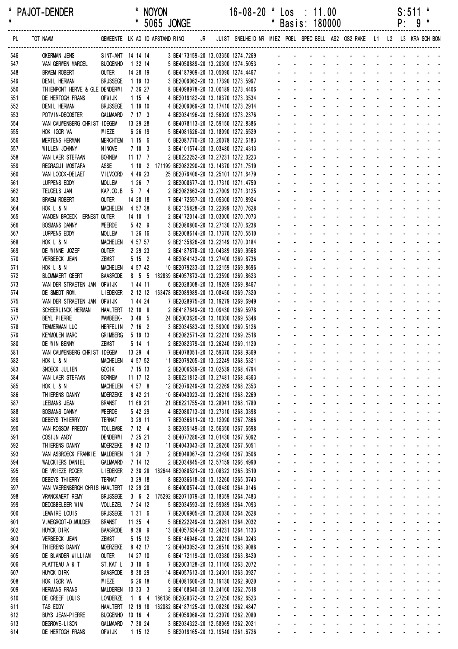| $\star$    | PAJOT-DENDER                                                                                                       |                                     |                     | <b>NOYON</b><br>* 5065 JONGE                                                        |  | $16 - 08 - 20$                                                          |                      |                                            | $\cdot$ Los : 11.00<br>* Basis: 180000                                                  |                                                 |                  |                                                                            |                                  |                                  |                                           |                             | S:511<br>$P: 9$ * |                                                       |  |
|------------|--------------------------------------------------------------------------------------------------------------------|-------------------------------------|---------------------|-------------------------------------------------------------------------------------|--|-------------------------------------------------------------------------|----------------------|--------------------------------------------|-----------------------------------------------------------------------------------------|-------------------------------------------------|------------------|----------------------------------------------------------------------------|----------------------------------|----------------------------------|-------------------------------------------|-----------------------------|-------------------|-------------------------------------------------------|--|
| PL         | TOT NAAM GEMEENTE LK AD ID AFSTAND RING JR JUIST SNELHEID NR MIEZ POEL SPEC BELL AS2 OS2 RAKE L1 L2 L3 KRA SCH BON |                                     |                     |                                                                                     |  |                                                                         |                      |                                            |                                                                                         |                                                 |                  |                                                                            |                                  |                                  |                                           |                             |                   |                                                       |  |
| 546        | <b>OKERMAN JENS</b>                                                                                                |                                     |                     | SINT-ANT 14 14 14 3 BE4173159-20 13.03350 1274.7269 - - - - - - - - - - - - - - - - |  |                                                                         |                      |                                            |                                                                                         |                                                 |                  |                                                                            |                                  |                                  |                                           |                             |                   |                                                       |  |
| 547        | VAN GERWEN MARCEL                                                                                                  | BUGGENHO 1 32 14                    |                     |                                                                                     |  |                                                                         |                      |                                            |                                                                                         |                                                 |                  |                                                                            |                                  |                                  |                                           |                             |                   |                                                       |  |
| 548        | <b>BRAEM ROBERT</b>                                                                                                | OUTER                               | 14 28 19            |                                                                                     |  |                                                                         |                      |                                            |                                                                                         |                                                 |                  |                                                                            |                                  |                                  |                                           |                             |                   |                                                       |  |
| 549        | DENIL HERMAN                                                                                                       | BRUSSEGE 1 19 13                    |                     |                                                                                     |  |                                                                         |                      |                                            | and the second contract of the second                                                   |                                                 |                  |                                                                            |                                  |                                  |                                           |                             |                   |                                                       |  |
| 550        | THIENPONT HERVE & GLE DENDERWI                                                                                     |                                     | 7 36 27             |                                                                                     |  | 8 BE4098978-20 13.00189 1273.4406<br>4 BE2019182-20 13.18370 1273.3534  |                      |                                            | والمتعاط والمتعاط والمتعاط والمتالين                                                    |                                                 |                  |                                                                            |                                  |                                  |                                           |                             |                   |                                                       |  |
| 551<br>552 | DE HERTOGH FRANS<br><b>DENIL HERMAN</b>                                                                            | OPW I JK<br><b>BRUSSEGE</b>         | 1154<br>1 19 10     |                                                                                     |  | 4 BE2009069-20 13.17410 1273.2914                                       |                      |                                            | and the second contract of the second con-                                              |                                                 |                  |                                                                            |                                  |                                  |                                           |                             |                   |                                                       |  |
| 553        | POTVIN-DECOSTER                                                                                                    | GALMAARD                            | 7 17 3              |                                                                                     |  | 4 BE2034196-20 12.56020 1273.2376                                       |                      |                                            | and the state of the state of the state                                                 |                                                 |                  |                                                                            |                                  |                                  |                                           |                             |                   |                                                       |  |
| 554        | VAN CAUWENBERG CHRIST IDEGEM                                                                                       |                                     | 13 29 28            |                                                                                     |  | 6 BE4078113-20 12.59150 1272.8386                                       |                      |                                            | and the second contract of the second                                                   |                                                 |                  |                                                                            |                                  |                                  |                                           |                             |                   |                                                       |  |
| 555        | HOK IGOR VA                                                                                                        | WIEZE                               | 6 26 19             |                                                                                     |  | 5 BE4081626-20 13.18090 1272.6529                                       |                      |                                            | and a series of the contract of the series                                              |                                                 |                  |                                                                            |                                  |                                  |                                           |                             |                   |                                                       |  |
| 556        | <b>MERTENS HERMAN</b>                                                                                              | <b>MERCHTEM</b>                     | 1156                |                                                                                     |  | 6 BE2087770-20 13.20078 1272.6183                                       |                      |                                            | and a series of the contract of the series                                              |                                                 |                  |                                                                            |                                  |                                  |                                           |                             |                   |                                                       |  |
| 557        | WILLEN JOHNNY                                                                                                      | <b>NINOVE</b>                       | 7103                |                                                                                     |  | 3 BE4101574-20 13.03480 1272.4313                                       |                      |                                            | and a series of the contract of the series                                              |                                                 |                  |                                                                            |                                  |                                  |                                           |                             |                   |                                                       |  |
| 558        | VAN LAER STEFAAN                                                                                                   | <b>BORNEM</b>                       | 11 17 7             |                                                                                     |  | 2 BE6222252-20 13.27231 1272.0223                                       |                      |                                            | and a straightful and a straight and<br>and the state of the state of the state         |                                                 |                  |                                                                            |                                  |                                  |                                           |                             |                   |                                                       |  |
| 559<br>560 | REGRAGUI MOSTAFA                                                                                                   | ASSE<br>VILVOORD                    | 4 48 23             | 1 10 2 171199 BE2082290-20 13.14370 1271.7519                                       |  |                                                                         |                      |                                            | design and a state of the state of the                                                  |                                                 |                  |                                                                            |                                  |                                  |                                           |                             |                   |                                                       |  |
| 561        | VAN LOOCK-DELAET<br>LUPPENS EDDY                                                                                   | <b>MOLLEM</b>                       | $1267$              |                                                                                     |  | 25 BE2079406-20 13.25101 1271.6479<br>2 BE2008677-20 13.17310 1271.4750 |                      |                                            | and a series of the contract of the series                                              |                                                 |                  |                                                                            |                                  |                                  |                                           |                             |                   |                                                       |  |
| 562        | TEUGELS JAN                                                                                                        | KAP.OD.B 5 7 4                      |                     |                                                                                     |  | 2 BE2082663-20 13.27009 1271.3125                                       |                      |                                            | and a series of the contract of the series                                              |                                                 |                  |                                                                            |                                  |                                  |                                           |                             |                   |                                                       |  |
| 563        | <b>BRAEM ROBERT</b>                                                                                                | <b>OUTER</b>                        | 14 28 18            |                                                                                     |  | 7 BE4172557-20 13.05300 1270.8924                                       |                      |                                            | and a series and a series and a series                                                  |                                                 |                  |                                                                            |                                  |                                  |                                           |                             |                   |                                                       |  |
| 564        | HOK L & N                                                                                                          | MACHELEN 4 57 38                    |                     |                                                                                     |  | 8 BE2135828-20 13.22099 1270.7628                                       |                      |                                            | and a state of the contract of the state                                                |                                                 |                  |                                                                            |                                  |                                  |                                           |                             |                   |                                                       |  |
| 565        | VANDEN BROECK ERNEST OUTER                                                                                         |                                     | 14 10 1             |                                                                                     |  | 2 BE4172014-20 13.03000 1270.7073                                       |                      |                                            | and the state of the state of the state                                                 |                                                 |                  |                                                                            |                                  |                                  |                                           |                             |                   |                                                       |  |
| 566        | <b>BOSMANS DANNY</b>                                                                                               | WEERDE                              | 5 42 9              |                                                                                     |  | 3 BE2080800-20 13.27130 1270.6238                                       |                      |                                            | and a straightful and a straight and a                                                  |                                                 |                  |                                                                            |                                  |                                  |                                           |                             |                   |                                                       |  |
| 567        | LUPPENS EDDY                                                                                                       | <b>MOLLEM</b>                       | 1 26 16             |                                                                                     |  | 3 BE2008614-20 13.17370 1270.5510                                       |                      |                                            | and a straightful and a straight and                                                    |                                                 |                  |                                                                            |                                  |                                  |                                           |                             |                   |                                                       |  |
| 568        | HOK L & N                                                                                                          | <b>MACHELEN</b>                     | 4 57 57             |                                                                                     |  | 9 BE2135826-20 13.22149 1270.0184                                       |                      |                                            | and a series of the contract of the series<br>a construction of the construction of the |                                                 |                  |                                                                            |                                  |                                  |                                           |                             |                   |                                                       |  |
| 569<br>570 | DE WINNE JOZEF<br>VERBEECK JEAN                                                                                    | <b>OUTER</b><br><b>ZEMST</b>        | 2 29 23<br>5 15 2   |                                                                                     |  | 2 BE4187878-20 13.04389 1269.9568<br>4 BE2084143-20 13.27400 1269.8736  |                      |                                            | and a state of the contract of the state                                                |                                                 |                  |                                                                            |                                  |                                  |                                           |                             |                   |                                                       |  |
| 571        | HOK L & N                                                                                                          | <b>MACHELEN</b>                     | 4 57 42             |                                                                                     |  | 10 BE2079233-20 13.22159 1269.8696                                      |                      |                                            | and the state of the state of the state                                                 |                                                 |                  |                                                                            |                                  |                                  |                                           |                             |                   |                                                       |  |
| 572        | <b>BLOMMAERT GEERT</b>                                                                                             | <b>BAASRODE</b>                     |                     | 8 5 5 182839 BE4057873-20 13.23590 1269.8623                                        |  |                                                                         |                      |                                            | and a complete the second contract of the                                               |                                                 |                  |                                                                            |                                  |                                  |                                           |                             |                   |                                                       |  |
| 573        | VAN DER STRAETEN JAN OPWIJK                                                                                        |                                     | 1 44 11             |                                                                                     |  | 6 BE2028308-20 13.19269 1269.8467                                       |                      |                                            | and a straightful and a straight and                                                    |                                                 |                  |                                                                            |                                  |                                  |                                           |                             |                   |                                                       |  |
| 574        | DE SMEDT ROM.                                                                                                      |                                     |                     | LIEDEKER 2 12 12 163478 BE2089989-20 13.08450 1269.7320                             |  |                                                                         |                      |                                            | and a series of the contract of the series                                              |                                                 |                  |                                                                            |                                  |                                  |                                           |                             |                   |                                                       |  |
| 575        | VAN DER STRAETEN JAN OPWIJK                                                                                        |                                     | 1 44 24             |                                                                                     |  | 7 BE2028975-20 13.19279 1269.6949                                       |                      |                                            | and a state of the state of the state                                                   |                                                 |                  |                                                                            |                                  |                                  |                                           |                             |                   |                                                       |  |
| 576        | SCHEERL INCK HERMAN                                                                                                | HAALTERT 12 10 8                    |                     |                                                                                     |  | 2 BE4187649-20 13.09430 1269.5978                                       |                      |                                            | and a straightful and a straight and<br>and the state of the state of the state         |                                                 |                  |                                                                            |                                  |                                  |                                           |                             |                   |                                                       |  |
| 577        | BEYL PIERRE                                                                                                        | WAMBEEK-                            | 3 48 5              |                                                                                     |  | 24 BE2003620-20 13.10030 1269.5348                                      |                      |                                            | design and a state of the state of the                                                  |                                                 |                  |                                                                            |                                  |                                  |                                           |                             |                   |                                                       |  |
| 578<br>579 | TEMMERMAN LUC<br><b>KEYMOLEN MARC</b>                                                                              | <b>HERFEL IN</b><br><b>GRIMBERG</b> | 7 16 2<br>5 19 13   |                                                                                     |  | 3 BE2034583-20 12.59000 1269.5126<br>4 BE2082571-20 13.22210 1269.2518  |                      |                                            | and a straightful and a straight and                                                    |                                                 |                  |                                                                            |                                  |                                  |                                           |                             |                   |                                                       |  |
| 580        | DE WIN BENNY                                                                                                       | <b>ZEMST</b>                        | 5 14 1              |                                                                                     |  | 2 BE2082379-20 13.26240 1269.1120                                       |                      |                                            |                                                                                         |                                                 |                  |                                                                            |                                  |                                  |                                           |                             |                   |                                                       |  |
| 581        | VAN CAUWENBERG CHRIST IDEGEM                                                                                       |                                     | 13 29 4             |                                                                                     |  | 7 BE4078051-20 12.59370 1268.9369                                       |                      |                                            |                                                                                         |                                                 |                  |                                                                            |                                  |                                  |                                           |                             |                   |                                                       |  |
| 582        | HOK L & N                                                                                                          | <b>MACHELEN</b>                     | 4 57 52             |                                                                                     |  | 11 BE2079205-20 13.22249 1268.5321                                      |                      |                                            |                                                                                         |                                                 |                  | $\Delta \phi = 0.01$                                                       | <b>Contractor</b>                |                                  |                                           |                             |                   |                                                       |  |
| 583        | SNOECK JULIEN                                                                                                      | GOO IK                              | 7 15 13             |                                                                                     |  | 2 BE2006539-20 13.02539 1268.4794                                       |                      |                                            |                                                                                         |                                                 | $\sim$           |                                                                            |                                  |                                  |                                           |                             |                   |                                                       |  |
| 584        | VAN LAER STEFAAN                                                                                                   | <b>BORNEM</b>                       | 11 17 12            |                                                                                     |  | 3 BE6221812-20 13.27481 1268.4363                                       | ä,                   |                                            |                                                                                         |                                                 |                  | $\Delta \sim 10^4$<br>$\mathbf{r}$                                         | $\Delta \sim 100$                | $\omega_{\rm{max}}$              | $\Delta \sim 100$                         | $\mathcal{L}^{\text{max}}$  |                   |                                                       |  |
| 585        | HOK L & N                                                                                                          | <b>MACHELEN</b>                     | 4 57 8              |                                                                                     |  | 12 BE2079249-20 13.22269 1268.2353                                      | $\blacksquare$       |                                            |                                                                                         |                                                 | $\sim$           | $\blacksquare$                                                             |                                  |                                  |                                           |                             |                   |                                                       |  |
| 586        | THIERENS DANNY                                                                                                     | <b>MOERZEKE</b>                     | 8 42 21             |                                                                                     |  | 10 BE4043023-20 13.26210 1268.2269                                      |                      |                                            |                                                                                         | $\sim$                                          | $\mathbf{r}$     |                                                                            |                                  |                                  |                                           |                             |                   |                                                       |  |
| 587<br>588 | LEEMANS JEAN<br><b>BOSMANS DANNY</b>                                                                               | <b>BRANST</b><br>WEERDE             | 11 69 21<br>5 42 29 |                                                                                     |  | 21 BE6221755-20 13.28041 1268.1780<br>4 BE2080713-20 13.27310 1268.0398 | ÷.                   |                                            |                                                                                         |                                                 |                  |                                                                            |                                  |                                  |                                           |                             |                   |                                                       |  |
| 589        | DEBEYS THIERRY                                                                                                     | TERNAT                              | 3 29 11             |                                                                                     |  | 7 BE2036611-20 13.12090 1267.7866                                       | $\mathbf{r}$         | $\sim$                                     | ÷.                                                                                      | $\mathbf{r}$                                    |                  | $\omega_{\rm{max}}$ , $\omega_{\rm{max}}$                                  | $\sim$                           |                                  | $\omega_{\rm{max}}$ , $\omega_{\rm{max}}$ | $\sim$                      |                   |                                                       |  |
| 590        | VAN ROSSOM FREDDY                                                                                                  | <b>TOLLEMBE</b>                     | 7 12 4              |                                                                                     |  | 3 BE2035149-20 12.56350 1267.6598                                       | $\mathbf{r}$         |                                            |                                                                                         |                                                 |                  | $\Delta \sim 10^4$<br>$\Delta \sim 10^4$                                   | $\Delta \sim 10^4$               | $\omega_{\rm{max}}$              | $\mathbf{r}$                              | $\mathbf{r}$                |                   |                                                       |  |
| 591        | COSIJN ANDY                                                                                                        | <b>DENDERWI</b>                     | 7 25 21             |                                                                                     |  | 3 BE4077286-20 13.01430 1267.5092                                       |                      | $\omega_{\rm{max}}$                        | $\Delta \sim 10^{-11}$<br>$\mathcal{L}^{\text{max}}$                                    | $\mathbf{L}^{\text{max}}$                       |                  | $\Delta \sim 100$                                                          | <b>All Cards</b>                 | $\mathcal{L}^{\text{max}}$       |                                           |                             |                   |                                                       |  |
| 592        | THIERENS DANNY                                                                                                     | <b>MOERZEKE</b>                     | 8 42 13             |                                                                                     |  | 11 BE4043043-20 13.26260 1267.5051                                      |                      | $\sim$                                     |                                                                                         | $\omega_{\rm{max}}$ and $\omega_{\rm{max}}$     | $\sim$ $-$       |                                                                            | $\sim 100$                       |                                  |                                           |                             |                   |                                                       |  |
| 593        | VAN ASBROECK FRANKIE                                                                                               | MALDEREN                            | 1207                |                                                                                     |  | 2 BE6048067-20 13.23490 1267.0506                                       |                      |                                            |                                                                                         |                                                 |                  |                                                                            |                                  |                                  |                                           |                             |                   |                                                       |  |
| 594        | <b>WALCKIERS DANIEL</b>                                                                                            | <b>GALMAARD</b>                     | 7 14 12             |                                                                                     |  | 2 BE2034845-20 12.57159 1266.4990                                       |                      |                                            | $\mathcal{L}^{\text{max}}$                                                              |                                                 | $\sim$           |                                                                            |                                  | $\mathcal{L}^{\mathcal{L}}$      |                                           |                             |                   | <b>Carl Carl Carl Carl</b>                            |  |
| 595        | DE VRIEZE ROGER                                                                                                    | <b>LIEDEKER</b>                     |                     | 2 38 28 162644 BE2088521-20 13.08322 1265.3510                                      |  |                                                                         | $\blacksquare$       | $\sim$                                     | $\overline{a}$                                                                          | $\sim$                                          | $\sim$           | $\mathbf{r}$                                                               | $\sim$                           | ÷.                               | $\sim$                                    |                             |                   | and the state of the state of                         |  |
| 596        | DEBEYS THIERRY                                                                                                     | <b>TERNAT</b>                       | 3 29 18             |                                                                                     |  | 8 BE2036618-20 13.12260 1265.0743                                       | L.                   | $\mathcal{L}^{\pm}$<br>$\omega_{\rm{max}}$ | $\omega_{\rm{max}}$<br>$\mathcal{L}^{\text{max}}$                                       | $\mathcal{L}^{\text{max}}$<br>$\Delta \sim 100$ |                  | $\Delta \sim 10^4$<br>$\sim$<br>$\omega_{\rm{max}}$<br>$\omega_{\rm{max}}$ | $\Delta \sim 10^4$<br>$\sim 100$ | $\omega_{\rm{max}}$              |                                           |                             |                   | and a strain and a<br>and a strain and a              |  |
| 597<br>598 | VAN VAERENBERGH CHRIS HAALTERT 12 29 28<br><b>VRANCKAERT REMY</b>                                                  | <b>BRUSSEGE</b>                     |                     | 3 6 2 175292 BE2071079-20 13.18359 1264.7483                                        |  | 6 BE4008574-20 13.08480 1264.9146                                       | ä,                   | $\Delta$                                   |                                                                                         | $\sim$                                          | $\mathbf{r}$     |                                                                            | $\sim$                           |                                  |                                           |                             |                   | $\omega_{\rm{eff}}=0.01$ and $\omega_{\rm{eff}}=0.01$ |  |
| 599        | DEDOBBELEER WIM                                                                                                    | VOLLEZEL                            | 7 24 12             |                                                                                     |  | 5 BE2034593-20 12.59089 1264.7093                                       |                      |                                            |                                                                                         |                                                 |                  |                                                                            |                                  |                                  |                                           |                             |                   |                                                       |  |
| 600        | LEMAIRE LOUIS                                                                                                      | <b>BRUSSEGE</b>                     | 1316                |                                                                                     |  | 7 BE2006905-20 13.20030 1264.2628                                       | ä,                   |                                            |                                                                                         |                                                 | $\sim$           |                                                                            |                                  | ÷.                               |                                           |                             |                   | and the state of                                      |  |
| 601        | V. MEGROOT-D. MULDER                                                                                               | <b>BRANST</b>                       | 11 35 4             |                                                                                     |  | 5 BE6222249-20 13.28261 1264.2032                                       | $\mathbf{r}$         | $\sim$                                     | L.                                                                                      | $\sim$                                          |                  | $\Delta \sim 100$<br>$\mathcal{L}$                                         | $\sim$                           |                                  | $\omega_{\rm{max}}=0.1$                   |                             |                   |                                                       |  |
| 602        | HUYCK DIRK                                                                                                         | <b>BAASRODE</b>                     | 8 38 9              |                                                                                     |  | 13 BE4057634-20 13.24231 1264.1133                                      | $\mathbf{r}$         |                                            | $\Delta \sim 10^{-1}$                                                                   | $\Delta \sim 100$                               |                  | $\Delta \sim 100$<br>$\Delta \sim 10^4$                                    | $\Delta \sim 10^4$               | $\omega_{\rm{max}}$              | $\sim$                                    | $\mathbf{L}^{\text{max}}$   |                   |                                                       |  |
| 603        | <b>VERBEECK JEAN</b>                                                                                               | <b>ZEMST</b>                        | 5 15 12             |                                                                                     |  | 5 BE6146946-20 13.28210 1264.0243                                       |                      | $\omega_{\rm{max}}$                        | $\sim 100$<br>$\mathbf{L}^{\text{max}}$                                                 | $\mathbf{L}^{\text{max}}$                       |                  | $\Delta \sim 10^{-1}$                                                      | <b>All Cards</b>                 | $\omega_{\rm{max}}$              |                                           | $\mathcal{L}^{\text{max}}$  |                   |                                                       |  |
| 604        | THIERENS DANNY                                                                                                     | <b>MOERZEKE</b>                     | 8 42 17             |                                                                                     |  | 12 BE4043052-20 13.26510 1263.9088                                      | ä,                   | $\sim$                                     |                                                                                         | $\omega_{\rm{max}}$ , $\omega_{\rm{max}}$       | $\sim$           | $\omega$                                                                   | $\sim 100$                       | $\mathbf{r}$                     |                                           |                             |                   |                                                       |  |
| 605        | DE BLANDER WILLIAM                                                                                                 | <b>OUTER</b>                        | 14 27 10            |                                                                                     |  | 6 BE4172119-20 13.03380 1263.8420                                       |                      |                                            | ä.                                                                                      |                                                 |                  |                                                                            |                                  |                                  |                                           |                             |                   |                                                       |  |
| 606<br>607 | PLATTEAU A & T<br>HUYCK DIRK                                                                                       | ST.KAT L<br><b>BAASRODE</b>         | 3106<br>8 38 29     |                                                                                     |  | 7 BE2003128-20 13.11160 1263.2072<br>14 BE4057613-20 13.24301 1263.0927 | ä,<br>$\blacksquare$ | $\sim$                                     | $\overline{a}$                                                                          | $\sim$                                          | $\sim$<br>$\sim$ | $\mathbf{r}$                                                               | $\sim$                           | $\mathcal{L}^{\text{max}}$<br>÷. | $\sim$                                    | $\sim$                      |                   | and the state of the state of<br><b>Carl Street</b>   |  |
| 608        | HOK IGOR VA                                                                                                        | WIEZE                               | 6 26 18             |                                                                                     |  | 6 BE4081606-20 13.19130 1262.9020                                       | L.                   |                                            | $\Delta \sim 10^{-1}$                                                                   |                                                 |                  | $\Delta \sim 10^{-1}$<br>$\mathcal{L}^{\mathcal{A}}$                       | $\Delta \sim 10^4$               |                                  |                                           |                             |                   | and a strain and a                                    |  |
| 609        | <b>HERMANS FRANS</b>                                                                                               | MALDEREN                            | 10333               |                                                                                     |  | 2 BE4168640-20 13.24160 1262.7518                                       | ä,                   | $\sim$                                     | $\mathcal{L}^{\text{max}}$                                                              | $\Delta \sim 100$                               | $\Delta \sim 10$ | $\Delta \sim 10^{-11}$                                                     | $\Delta \sim 10^4$               | $\mathbf{L}^{\text{max}}$        | $\Delta \sim 100$                         | $\Delta \sim 100$           |                   | $\Delta \phi = \Delta \phi = 0.1$                     |  |
| 610        | DE GREEF LOUIS                                                                                                     | LONDERZE                            | 1 6 4               | 186136 BE2028372-20 13.27250 1262.6523                                              |  |                                                                         | ä,                   | $\Delta$                                   |                                                                                         | $\mathbf{r}$                                    | $\mathcal{L}$    |                                                                            | $\sim$                           |                                  |                                           |                             |                   |                                                       |  |
| 611        | TAS EDDY                                                                                                           |                                     |                     | HAALTERT 12 19 18 162082 BE4187125-20 13.08230 1262.4847                            |  |                                                                         |                      |                                            |                                                                                         |                                                 | ÷.               |                                                                            |                                  |                                  |                                           |                             |                   |                                                       |  |
| 612        | BUYS JEAN-PIERRE                                                                                                   | <b>BUGGENHO</b>                     | 10 16 4             |                                                                                     |  | 2 BE4059068-20 13.23070 1262.2080                                       | ä,                   |                                            |                                                                                         |                                                 | $\mathbf{r}$     |                                                                            |                                  | ä,                               | $\sim$                                    | $\mathcal{L}_{\mathcal{A}}$ |                   | $\omega_{\rm{max}}$ and $\omega_{\rm{max}}$           |  |
| 613        | DEGROVE-LISON                                                                                                      | GALMAARD                            | 7 30 24             |                                                                                     |  | 3 BE2034322-20 12.58069 1262.2021                                       | $\blacksquare$       | $\sim$                                     | $\mathbf{r}$                                                                            | $\mathbf{r}$                                    | $\sim$           | $\mathcal{L}$                                                              | $\sim$                           | $\mathbf{r}$                     | <b>Contractor</b>                         | $\sim$                      |                   |                                                       |  |
| 614        | DE HERTOGH FRANS                                                                                                   | OPWI JK                             | 1 15 12             |                                                                                     |  | 5 BE2019165-20 13.19540 1261.6726                                       |                      |                                            | المناطر المناطر المناطر المناطر المناطر المناطر                                         |                                                 |                  |                                                                            |                                  |                                  |                                           |                             |                   |                                                       |  |

 $\mathbf{r}$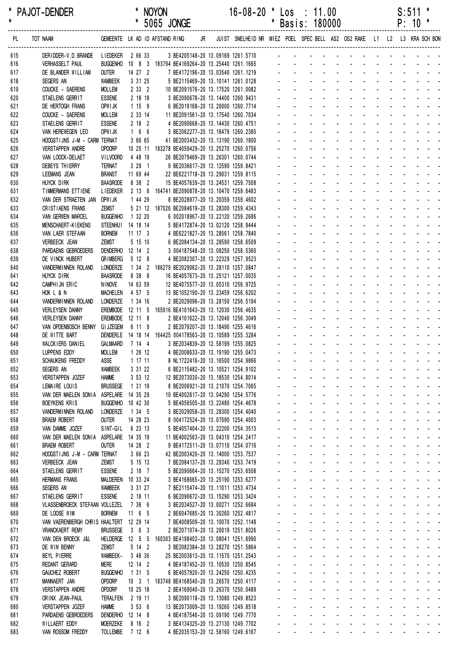| *<br>$\pmb{\ast}$ | PAJOT-DENDER                                              |                                     |                    |                      | <b>NOYON</b><br>* 5065 JONGE                                                                                                         |           | $16 - 08 - 20$                                                          | $\star$<br>$\star$ |                                                            | $\textsf{Los} \div 11.00$<br>Basis: 180000                                                                                                                                                                                    |                                                                                                               |             |  | S:511<br>$P: 10 *$              | *                                                                                                                                                                                                                                                                            |
|-------------------|-----------------------------------------------------------|-------------------------------------|--------------------|----------------------|--------------------------------------------------------------------------------------------------------------------------------------|-----------|-------------------------------------------------------------------------|--------------------|------------------------------------------------------------|-------------------------------------------------------------------------------------------------------------------------------------------------------------------------------------------------------------------------------|---------------------------------------------------------------------------------------------------------------|-------------|--|---------------------------------|------------------------------------------------------------------------------------------------------------------------------------------------------------------------------------------------------------------------------------------------------------------------------|
|                   |                                                           |                                     |                    |                      |                                                                                                                                      |           |                                                                         |                    |                                                            |                                                                                                                                                                                                                               |                                                                                                               |             |  |                                 |                                                                                                                                                                                                                                                                              |
| PL                | TOT NAAM                                                  |                                     |                    |                      | GEMEENTE LK AD ID AFSTAND RING                                                                                                       | <b>JR</b> | JUIST SNELHEID NR MIEZ POEL SPEC BELL AS2 OS2 RAKE L1 L2 L3 KRA SCH BON |                    |                                                            |                                                                                                                                                                                                                               |                                                                                                               |             |  |                                 |                                                                                                                                                                                                                                                                              |
| 615               | DERIDDER-V.D.BRANDE LIEDEKER 2 66 33                      |                                     |                    |                      |                                                                                                                                      |           | 3 BE4205148-20 13.09169 1261.5710                                       |                    |                                                            | and the contract of the contract of the                                                                                                                                                                                       |                                                                                                               |             |  |                                 |                                                                                                                                                                                                                                                                              |
| 616<br>617        | <b>VERHASSELT PAUL</b><br>DE BLANDER WILLIAM              |                                     |                    |                      | BUGGENHO 10 8 3 183794 BE4169264-20 13.25440 1261.1665<br>OUTER 14 27 2 7 BE4172196-20 13.03540 1261.1219 -------------------------- |           |                                                                         |                    |                                                            |                                                                                                                                                                                                                               |                                                                                                               |             |  |                                 |                                                                                                                                                                                                                                                                              |
| 618               | SEGERS AN                                                 | WAMBEEK                             | 3 31 25            |                      |                                                                                                                                      |           | 5 BE2115469-20 13.10141 1261.0128                                       |                    |                                                            | a construction of the construction of the construction of the construction of the construction of the construction of the construction of the construction of the construction of the construction of the construction of the |                                                                                                               |             |  |                                 |                                                                                                                                                                                                                                                                              |
| 619               | COUCKE - SAERENS                                          | <b>MOLLEM</b>                       |                    | $2 \quad 33 \quad 2$ |                                                                                                                                      |           | 10 BE2091576-20 13.17520 1261.0082                                      |                    |                                                            |                                                                                                                                                                                                                               | and a state of the state of the state of                                                                      |             |  |                                 | and a strain and a                                                                                                                                                                                                                                                           |
| 620               | STAELENS GERRIT                                           | <b>ESSENE</b>                       |                    | 2 18 18              |                                                                                                                                      |           | 3 BE2090678-20 13.14400 1260.9431                                       |                    |                                                            | a construction of the construction of the construction of the construction of the construction of the construction of the construction of the construction of the construction of the construction of the construction of the |                                                                                                               |             |  |                                 |                                                                                                                                                                                                                                                                              |
| 621               | DE HERTOGH FRANS                                          | OPWI JK                             | 1159               |                      |                                                                                                                                      |           | 6 BE2019168-20 13.20000 1260.7714                                       |                    |                                                            | a construction of the construction of the construction of the construction of the construction of the construction of the construction of the construction of the construction of the construction of the construction of the |                                                                                                               |             |  |                                 |                                                                                                                                                                                                                                                                              |
| 622               | COUCKE - SAERENS                                          | <b>MOLLEM</b>                       |                    | 2 33 14              |                                                                                                                                      |           | 11 BE2091561-20 13.17540 1260.7034                                      |                    |                                                            | والمناور والمناور والوالو الوالو الوالي<br>de la provincia de la provincia de la                                                                                                                                              |                                                                                                               |             |  |                                 |                                                                                                                                                                                                                                                                              |
| 623<br>624        | STAELENS GERRIT<br>VAN HEREWEGEN LEO                      | <b>ESSENE</b><br>OPW I JK           | 166                | $2 18 2$             |                                                                                                                                      |           | 4 BE2090668-20 13.14430 1260.4751<br>3 BE2062277-20 13.18479 1260.2385  |                    |                                                            | $\mathbf{L}^{\text{max}}$<br>and a state                                                                                                                                                                                      |                                                                                                               |             |  | and a state of the state of the |                                                                                                                                                                                                                                                                              |
| 625               | HOOGSTIJNS J-M - CARM TERNAT                              |                                     | 3 66 65            |                      |                                                                                                                                      |           | 41 BE2003432-20 13.13190 1260.1800                                      |                    |                                                            |                                                                                                                                                                                                                               | and a state of the state of the state of the state of the state of the state of the state of the state of the |             |  |                                 |                                                                                                                                                                                                                                                                              |
| 626               | <b>VERSTAPPEN ANDRE</b>                                   | OPDORP                              |                    |                      | 10 25 11 183278 BE4059429-20 13.25270 1260.0756                                                                                      |           |                                                                         |                    |                                                            |                                                                                                                                                                                                                               |                                                                                                               | and a state |  |                                 | and a straight and a                                                                                                                                                                                                                                                         |
| 627               | VAN LOOCK-DELAET                                          | <b>VILVOORD</b>                     | 4 48 19            |                      |                                                                                                                                      |           | 26 BE2079469-20 13.26301 1260.0744                                      |                    |                                                            |                                                                                                                                                                                                                               |                                                                                                               |             |  |                                 |                                                                                                                                                                                                                                                                              |
| 628               | DEBEYS THIERRY                                            | <b>TERNAT</b>                       |                    | $3291$               |                                                                                                                                      |           | 9 BE2036617-20 13.12590 1259.8421                                       |                    |                                                            | <u>. Kanadana na manana na kanada</u>                                                                                                                                                                                         |                                                                                                               |             |  |                                 |                                                                                                                                                                                                                                                                              |
| 629               | LEEMANS JEAN                                              | <b>BRANST</b>                       | 11 69 44           |                      |                                                                                                                                      |           | 22 BE6221718-20 13.29031 1259.8115                                      |                    |                                                            |                                                                                                                                                                                                                               | and a state of the state of the state of the<br>and a strain and a strain and a                               |             |  |                                 |                                                                                                                                                                                                                                                                              |
| 630<br>631        | HUYCK DIRK<br>TIMMERMANS ETTIENE                          | <b>BAASRODE</b><br><b>LIEDEKER</b>  | 8 38 2             |                      | 2 13 6 164741 BE2090878-20 13.10470 1259.6483                                                                                        |           | 15 BE4057639-20 13.24531 1259.7508                                      |                    |                                                            |                                                                                                                                                                                                                               |                                                                                                               |             |  |                                 | and a strain and a strain and a                                                                                                                                                                                                                                              |
| 632               | VAN DER STRAETEN JAN OPWIJK                               |                                     | 1 44 29            |                      |                                                                                                                                      |           | 8 BE2028977-20 13.20359 1259.4602                                       |                    |                                                            | and a series of the contract of the series of                                                                                                                                                                                 |                                                                                                               |             |  |                                 |                                                                                                                                                                                                                                                                              |
| 633               | CRISTIAENS FRANS                                          | ZEMST                               |                    |                      | 5 21 12 187026 BE2084619-20 13.28300 1259.4343                                                                                       |           |                                                                         |                    |                                                            | a construction of the construction of the construction of the construction of the construction of the construction of the construction of the construction of the construction of the construction of the construction of the |                                                                                                               |             |  |                                 |                                                                                                                                                                                                                                                                              |
| 634               | VAN GERWEN MARCEL                                         | <b>BUGGENHO</b>                     | 1 32 20            |                      |                                                                                                                                      |           | 6 002018967-20 13.22120 1259.2686                                       |                    |                                                            | a construction of the construction of the construction of the construction of the construction of the construction of the construction of the construction of the construction of the construction of the construction of the |                                                                                                               |             |  |                                 |                                                                                                                                                                                                                                                                              |
| 635               | MENSCHAERT-KIEKENS                                        | STEENHUI 14 18 14                   |                    |                      |                                                                                                                                      |           | 5 BE4172874-20 13.02120 1258.9444                                       |                    |                                                            | <u>.</u>                                                                                                                                                                                                                      |                                                                                                               |             |  |                                 |                                                                                                                                                                                                                                                                              |
| 636               | VAN LAER STEFAAN                                          | <b>BORNEM</b>                       | $11 \t17 \t3$      |                      |                                                                                                                                      |           | 4 BE6221827-20 13.28561 1258.7840                                       |                    |                                                            |                                                                                                                                                                                                                               |                                                                                                               |             |  |                                 | and a state of the state of the state                                                                                                                                                                                                                                        |
| 637               | <b>VERBEECK JEAN</b>                                      | ZEMST                               |                    | 5 15 10              |                                                                                                                                      |           | 6 BE2084134-20 13.28590 1258.6509                                       |                    |                                                            | .                                                                                                                                                                                                                             |                                                                                                               |             |  |                                 |                                                                                                                                                                                                                                                                              |
| 638<br>639        | PARDAENS GEBROEDERS<br>DE VINCK HUBERT                    | DENDERHO 12 14 2<br><b>GRIMBERG</b> | 5 12 8             |                      |                                                                                                                                      |           | 3 004187548-20 13.08250 1258.5360<br>4 BE2082307-20 13.22329 1257.9523  |                    |                                                            | and a series of the contract of the                                                                                                                                                                                           |                                                                                                               |             |  |                                 | and a series of the series of the series of                                                                                                                                                                                                                                  |
| 640               | VANDERMINNEN ROLAND                                       | LONDERZE                            |                    |                      | 1 34 2 186279 BE2029062-20 13.28110 1257.0847                                                                                        |           |                                                                         |                    |                                                            | a construction of the construction of the construction of the construction of the construction of the construction of the construction of the construction of the construction of the construction of the construction of the |                                                                                                               |             |  |                                 |                                                                                                                                                                                                                                                                              |
| 641               | HUYCK DIRK                                                | <b>BAASRODE</b>                     | 8 38 8             |                      |                                                                                                                                      |           | 16 BE4057673-20 13.25121 1257.0035                                      |                    |                                                            |                                                                                                                                                                                                                               |                                                                                                               |             |  |                                 | and a state of the state of the state of the state of the state of the state of the state of the state of the                                                                                                                                                                |
| 642               | CAMPHIJN ERIC                                             | <b>NINOVE</b>                       | 14 63 59           |                      |                                                                                                                                      |           | 12 BE4075577-20 13.05310 1256.9725                                      |                    |                                                            |                                                                                                                                                                                                                               |                                                                                                               |             |  |                                 | a construction of the construction of the construction of the construction of the construction of the construction of the construction of the construction of the construction of the construction of the construction of the                                                |
| 643               | HOK L & N                                                 | MACHELEN 4 57 5                     |                    |                      |                                                                                                                                      |           | 13 BE1052190-20 13.23459 1256.6202                                      |                    |                                                            | <u>.</u>                                                                                                                                                                                                                      |                                                                                                               |             |  |                                 |                                                                                                                                                                                                                                                                              |
| 644               | VANDERMINNEN ROLAND                                       | LONDERZE                            | 1 34 16            |                      |                                                                                                                                      |           | 2 BE2029096-20 13.28150 1256.5194                                       |                    |                                                            | والمتعاون والمتعاون والمتعاون والمتعاون والمتعاونة<br>.                                                                                                                                                                       |                                                                                                               |             |  |                                 |                                                                                                                                                                                                                                                                              |
| 645<br>646        | <b>VERLEYSEN DANNY</b><br><b>VERLEYSEN DANNY</b>          | EREMBODE 12 11 8                    |                    |                      | EREMBODE 12 11 5 165916 BE4101643-20 13.12030 1256.4635                                                                              |           | 2 BE4101622-20 13.12040 1256.3049                                       |                    |                                                            | والمناول والمناول والمناول والمناول والمناول                                                                                                                                                                                  |                                                                                                               |             |  |                                 |                                                                                                                                                                                                                                                                              |
| 647               | VAN OPDENBOSCH BENNY GIJZEGEM 6 11 9                      |                                     |                    |                      |                                                                                                                                      |           | 2 BE2079207-20 13.18490 1255.4616                                       |                    | $\omega_{\rm{max}}$ and $\omega_{\rm{max}}$                |                                                                                                                                                                                                                               |                                                                                                               |             |  |                                 | .                                                                                                                                                                                                                                                                            |
| 648               | DE WITTE BART                                             |                                     |                    |                      | DENDERLE 14 18 14 164425 004178563-20 13.10589 1255.3284                                                                             |           |                                                                         |                    |                                                            |                                                                                                                                                                                                                               | <u>a da a da a da a da a</u>                                                                                  |             |  |                                 |                                                                                                                                                                                                                                                                              |
| 649               | WALCKIERS DANIEL                                          | GALMAARD                            | 7144               |                      |                                                                                                                                      |           | 3 BE2034839-20 12.58199 1255.0825                                       |                    |                                                            |                                                                                                                                                                                                                               | and a state of the state of the                                                                               |             |  | $\mathcal{L}^{\text{max}}$      |                                                                                                                                                                                                                                                                              |
| 650               | LUPPENS EDDY                                              | <b>MOLLEM</b>                       |                    |                      | 1 26 12 4 BE2008633-20 13.19190 1255.0473                                                                                            |           |                                                                         |                    |                                                            |                                                                                                                                                                                                                               |                                                                                                               |             |  |                                 |                                                                                                                                                                                                                                                                              |
| 651               | SCHAUKENS FREDDY                                          | ASSE                                | 1 17 11            |                      |                                                                                                                                      |           | 8 NL1722416-20 13.16500 1254.9866                                       |                    |                                                            | المناسب والمستنقل والمستنقل والمستنقل والمستنقل والمستنقل والمستنقل                                                                                                                                                           |                                                                                                               |             |  |                                 |                                                                                                                                                                                                                                                                              |
| 652<br>653        | SEGERS AN<br>VERSTAPPEN JOZEF                             | WAMBEEK<br><b>HAMME</b>             | 3 31 22            | 3 53 12              |                                                                                                                                      |           | 6 BE2115482-20 13.10521 1254.9102<br>12 BE2073030-20 13.18530 1254.8014 |                    | and a state                                                |                                                                                                                                                                                                                               |                                                                                                               |             |  |                                 | المناطق والمناطق والمناطق والمناطق والمناطق<br>a construction of the construction of the construction of the construction of the construction of the construction of the construction of the construction of the construction of the construction of the construction of the |
| 654               | LEMAIRE LOUIS                                             | <b>BRUSSEGE</b>                     | 1 31 19            |                      |                                                                                                                                      |           | 8 BE2006921-20 13.21070 1254.7065                                       |                    | and a state                                                |                                                                                                                                                                                                                               |                                                                                                               |             |  |                                 | and the second contract of the second                                                                                                                                                                                                                                        |
| 655               | VAN DER MAELEN SONIA                                      | ASPELARE 14 35 29                   |                    |                      |                                                                                                                                      |           | 10 BE4002617-20 13.04290 1254.5776                                      |                    | $\mathbf{L}^{\text{max}}$                                  | $\omega_{\rm{max}}$                                                                                                                                                                                                           |                                                                                                               |             |  |                                 | and a state of the state of the state of                                                                                                                                                                                                                                     |
| 656               | <b>BOEYKENS KRIS</b>                                      | BUGGENHO 10 42 30                   |                    |                      |                                                                                                                                      |           | 5 BE4056505-20 13.22480 1254.4678                                       |                    |                                                            | $\Delta \sim 100$                                                                                                                                                                                                             |                                                                                                               |             |  |                                 | and a series of the series of the series of                                                                                                                                                                                                                                  |
| 657               | VANDERMINNEN ROLAND                                       | LONDERZE                            | 1345               |                      |                                                                                                                                      |           | 3 BE2029058-20 13.28300 1254.4040                                       |                    |                                                            | $\mathbf{L}^{\text{max}}$                                                                                                                                                                                                     |                                                                                                               |             |  |                                 | المناصر المناصر المناصر المناصر المناصرات                                                                                                                                                                                                                                    |
| 658               | <b>BRAEM ROBERT</b>                                       | <b>OUTER</b>                        | 14 28 23           |                      |                                                                                                                                      |           | 8 004172524-20 13.07090 1254.4003                                       |                    |                                                            | $\Delta \sim 100$                                                                                                                                                                                                             |                                                                                                               |             |  |                                 | المناطق والمناطق والمناطق والمناطق والمناطق                                                                                                                                                                                                                                  |
| 659<br>660        | VAN DAMME JOZEF<br>VAN DER MAELEN SONIA ASPELARE 14 35 19 | SINT-GIL                            | 6 23 13            |                      |                                                                                                                                      |           | 5 BE4057404-20 13.22200 1254.3513<br>11 BE4002563-20 13.04310 1254.2417 |                    | and a con-<br>and a state                                  |                                                                                                                                                                                                                               |                                                                                                               |             |  |                                 | and a series of the series of the series of<br>and a state of the state of the state                                                                                                                                                                                         |
| 661               | <b>BRAEM ROBERT</b>                                       | OUTER                               | 14 28 2            |                      |                                                                                                                                      |           | 9 BE4172511-20 13.07110 1254.0716                                       |                    |                                                            | a construction of the construction of the construction of the construction of the construction of the construction of the construction of the construction of the construction of the construction of the construction of the |                                                                                                               |             |  |                                 |                                                                                                                                                                                                                                                                              |
| 662               | HOOGSTIJNS J-M - CARM TERNAT                              |                                     | 3 66 23            |                      |                                                                                                                                      |           | 42 BE2003420-20 13.14000 1253.7537                                      |                    | and a state                                                |                                                                                                                                                                                                                               |                                                                                                               |             |  |                                 | and a series of the series of the series of                                                                                                                                                                                                                                  |
| 663               | <b>VERBEECK JEAN</b>                                      | ZEMST                               | 5 15 13            |                      |                                                                                                                                      |           | 7 BE2084137-20 13.29340 1253.7419                                       |                    |                                                            | a construction of the construction of the construction of the construction of the construction of the construction of the construction of the construction of the construction of the construction of the construction of the |                                                                                                               |             |  |                                 |                                                                                                                                                                                                                                                                              |
| 664               | STAELENS GERRIT                                           | <b>ESSENE</b>                       |                    | 2187                 |                                                                                                                                      |           | 5 BE2090664-20 13.15270 1253.6508                                       |                    |                                                            | a construction of the construction of the construction of the construction of the construction of the construction of the construction of the construction of the construction of the construction of the construction of the |                                                                                                               |             |  |                                 |                                                                                                                                                                                                                                                                              |
| 665               | <b>HERMANS FRANS</b>                                      | MALDEREN 10 33 24                   |                    |                      |                                                                                                                                      |           | 3 BE4168665-20 13.25190 1253.6277                                       |                    |                                                            | <u>.</u>                                                                                                                                                                                                                      |                                                                                                               |             |  |                                 |                                                                                                                                                                                                                                                                              |
| 666               | SEGERS AN                                                 | <b>WAMBEEK</b>                      | 3 31 27            |                      |                                                                                                                                      |           | 7 BE2115474-20 13.11011 1253.4734                                       |                    |                                                            | <u>.</u><br><u>.</u>                                                                                                                                                                                                          |                                                                                                               |             |  |                                 |                                                                                                                                                                                                                                                                              |
| 667<br>668        | STAELENS GERRIT<br>VLASSENBROECK STEFAAN VOLLEZEL         | <b>ESSENE</b>                       | 2 18 11<br>7 36 6  |                      |                                                                                                                                      |           | 6 BE2090672-20 13.15290 1253.3424<br>3 BE2034527-20 13.00271 1252.6684  |                    | and the con-                                               |                                                                                                                                                                                                                               |                                                                                                               |             |  |                                 | and a series of the series of the series of                                                                                                                                                                                                                                  |
| 669               | DE LOOSE WIM                                              | <b>BORNEM</b>                       | $11$ 6 5           |                      |                                                                                                                                      |           | 2 BE6047685-20 13.30260 1252.4817                                       |                    |                                                            | المنافذ والمستنقل والمستنقل والمستنقل والمستنقل والمستنقل                                                                                                                                                                     |                                                                                                               |             |  |                                 |                                                                                                                                                                                                                                                                              |
| 670               | VAN VAERENBERGH CHRIS HAALTERT 12 29 14                   |                                     |                    |                      |                                                                                                                                      |           | 7 BE4008509-20 13.10070 1252.1148                                       |                    |                                                            | المنافذ والمنافر والمنافر والمنافر والمنافر والمنافر                                                                                                                                                                          |                                                                                                               |             |  |                                 |                                                                                                                                                                                                                                                                              |
| 671               | <b>VRANCKAERT REMY</b>                                    | <b>BRUSSEGE</b>                     | 363                |                      |                                                                                                                                      |           | 2 BE2071074-20 13.20019 1251.8026                                       |                    |                                                            | a construction of the construction of the construction of the construction of the construction of the construction of the construction of the construction of the construction of the construction of the construction of the |                                                                                                               |             |  |                                 |                                                                                                                                                                                                                                                                              |
| 672               | VAN DEN BROECK J&L                                        |                                     |                    |                      | HELDERGE  12  5  5  160303 BE4198402-20  13.08041  1251.6990                                                                         |           |                                                                         |                    | and a state                                                |                                                                                                                                                                                                                               |                                                                                                               |             |  |                                 | and a state of the state of the state                                                                                                                                                                                                                                        |
| 673               | DE WIN BENNY                                              | ZEMST                               |                    | 5 14 2               |                                                                                                                                      |           | 3 BE2082384-20 13.28270 1251.5864                                       |                    |                                                            | a construction of the construction of the construction of the construction of the construction of the construction of the construction of the construction of the construction of the construction of the construction of the |                                                                                                               |             |  |                                 |                                                                                                                                                                                                                                                                              |
| 674<br>675        | BEYL PIERRE<br><b>REDANT GERARD</b>                       | <b>WAMBEEK-</b><br><b>MERE</b>      | 3 48 36<br>12 14 2 |                      |                                                                                                                                      |           | 25 BE2003613-20 13.11570 1251.2543<br>4 BE4187452-20 13.10530 1250.8545 |                    | and a state<br>$\omega_{\rm{max}}$ and $\omega_{\rm{max}}$ |                                                                                                                                                                                                                               | and a straightful and state of                                                                                |             |  |                                 | and a straight and<br>and a series of the contract of the series of                                                                                                                                                                                                          |
| 676               | <b>GAUCHEZ ROBERT</b>                                     | <b>BUGGENHO</b>                     | 1 31 5             |                      |                                                                                                                                      |           | 6 BE4057920-20 13.24250 1250.4235                                       |                    |                                                            | a construction of the construction of the construction of the construction of the construction of the construction of the construction of the construction of the construction of the construction of the construction of the |                                                                                                               |             |  |                                 |                                                                                                                                                                                                                                                                              |
| 677               | MANNAERT JAN                                              | OPDORP                              |                    |                      | 10 3 1 183748 BE4168540-20 13.26570 1250.4117                                                                                        |           |                                                                         |                    | and a state                                                |                                                                                                                                                                                                                               |                                                                                                               |             |  |                                 | and a state of the state of the state of                                                                                                                                                                                                                                     |
| 678               | <b>VERSTAPPEN ANDRE</b>                                   | OPDORP                              | 10 25 18           |                      |                                                                                                                                      |           | 2 BE4169040-20 13.26370 1250.0489                                       |                    | and a con-                                                 |                                                                                                                                                                                                                               |                                                                                                               |             |  |                                 | and a state of the state of the state                                                                                                                                                                                                                                        |
| 679               | ORINX JEAN-PAUL                                           | Teralfen                            | 2 19 11            |                      |                                                                                                                                      |           | 3 BE2090118-20 13.13080 1249.8523                                       |                    | $\omega_{\rm{max}}$                                        | $\Delta \sim 100$                                                                                                                                                                                                             |                                                                                                               |             |  |                                 | and a series of the contract of the                                                                                                                                                                                                                                          |
| 680               | <b>VERSTAPPEN JOZEF</b>                                   | <b>HAMME</b>                        |                    | 3536                 |                                                                                                                                      |           | 13 BE2073009-20 13.19260 1249.8518                                      |                    | and a state                                                | $\Delta \sim 100$                                                                                                                                                                                                             |                                                                                                               |             |  |                                 | المناطق والمتناط والمتناط والمتناط والمتناط<br>and a series of the contract of the                                                                                                                                                                                           |
| 681<br>682        | PARDAENS GEBROEDERS<br>WILLAERT EDDY                      | DENDERHO 12 14 8<br>MOERZEKE        | 8 16 2             |                      |                                                                                                                                      |           | 4 BE4187546-20 13.09190 1249.7770<br>3 BE4134325-20 13.27130 1249.7702  |                    |                                                            | $\Delta \sim 100$                                                                                                                                                                                                             |                                                                                                               |             |  |                                 | المناطق والمتناطق والمتناطق والمناطق والمتناطق                                                                                                                                                                                                                               |
| 683               | VAN ROSSOM FREDDY                                         | TOLLEMBE 7 12 6                     |                    |                      |                                                                                                                                      |           | 4 BE2035153-20 12.58160 1249.6167                                       |                    | and a state                                                |                                                                                                                                                                                                                               |                                                                                                               |             |  |                                 | and the second contract of the second                                                                                                                                                                                                                                        |
|                   |                                                           |                                     |                    |                      |                                                                                                                                      |           |                                                                         |                    |                                                            |                                                                                                                                                                                                                               |                                                                                                               |             |  |                                 |                                                                                                                                                                                                                                                                              |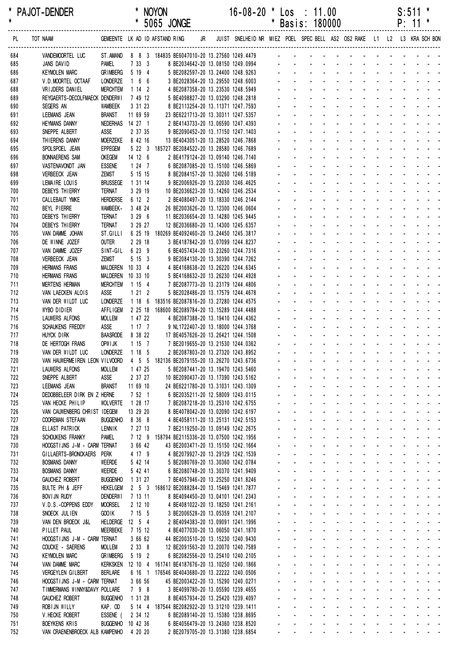| $\star$    | PAJOT-DENDER                                           |                                   |                              | <b>NOYON</b>                                                                            |  | $16 - 08 - 20$                                                             | $\mathbf{x}$   |                                                             | $\textsf{Los} : 11.00$           |                                               |                                                                                                                                                                                                                                                                                |                      |                            | $S:511$ *                 |  |
|------------|--------------------------------------------------------|-----------------------------------|------------------------------|-----------------------------------------------------------------------------------------|--|----------------------------------------------------------------------------|----------------|-------------------------------------------------------------|----------------------------------|-----------------------------------------------|--------------------------------------------------------------------------------------------------------------------------------------------------------------------------------------------------------------------------------------------------------------------------------|----------------------|----------------------------|---------------------------|--|
|            |                                                        |                                   |                              | * 5065 JONGE                                                                            |  |                                                                            |                |                                                             | * Basis: 180000                  |                                               |                                                                                                                                                                                                                                                                                |                      |                            | $P: 11 *$                 |  |
| PL         | TOT NAAM GEMEENTE LK AD ID AFSTAND RING                |                                   |                              |                                                                                         |  | JR JUIST SNELHEID NR MIEZ POEL SPEC BELL AS2 OS2 RAKE L1 L2 L3 KRA SCH BON |                |                                                             |                                  |                                               |                                                                                                                                                                                                                                                                                |                      |                            |                           |  |
| 684        | VANDEMOORTEL LUC                                       |                                   |                              |                                                                                         |  |                                                                            |                |                                                             |                                  |                                               |                                                                                                                                                                                                                                                                                |                      |                            |                           |  |
| 685<br>686 | JANS DAVID<br><b>KEYMOLEN MARC</b>                     | PAMEL<br><b>GRIMBERG</b>          | 7333<br>5 19 4               |                                                                                         |  | 8 BE2034642-20 13.08150 1249.0994<br>5 BE2082597-20 13.24400 1248.9263     |                |                                                             |                                  |                                               |                                                                                                                                                                                                                                                                                |                      |                            |                           |  |
| 687        | V.D.MOORTEL OCTAAF                                     | LONDERZE                          | $1\quad 6\quad 6$            | 3 BE2028364-20 13.29550 1248.6003                                                       |  |                                                                            |                |                                                             |                                  |                                               | and the contract of the contract of the contract of the contract of the contract of the contract of the contract of the contract of the contract of the contract of the contract of the contract of the contract of the contra                                                 |                      |                            |                           |  |
| 688        | VRIJDERS DANIEL                                        | <b>MERCHTEM</b>                   | 1142                         | 4 BE2087358-20 13.23530 1248.5949                                                       |  |                                                                            |                |                                                             |                                  |                                               | and a straightful and a straight and                                                                                                                                                                                                                                           |                      |                            |                           |  |
| 689        | REYGAERTS-DECOLFMAECK DENDERWI                         |                                   | 7 49 12                      | 5 BE4098827-20 13.03290 1248.2818                                                       |  |                                                                            |                |                                                             |                                  |                                               | and the series of the series of the series                                                                                                                                                                                                                                     |                      |                            |                           |  |
| 690        | SEGERS AN                                              | <b>WAMBEEK</b>                    | 3 31 23                      | 8 BE2113254-20 13.11371 1247.7593                                                       |  |                                                                            |                |                                                             |                                  |                                               | and a state of the state of the state of                                                                                                                                                                                                                                       |                      |                            |                           |  |
| 691        | LEEMANS JEAN                                           | <b>BRANST</b>                     | 11 69 59                     | 23 BE6221713-20 13.30311 1247.5357                                                      |  |                                                                            |                |                                                             |                                  |                                               | and a straightful and a straight and                                                                                                                                                                                                                                           |                      |                            |                           |  |
| 692<br>693 | <b>HEYMANS DANNY</b><br>SNEPPE ALBERT                  | ASSE                              | NEDERHAS 14 27 1<br>2 37 35  | 2 BE4143733-20 13.06590 1247.4393<br>9 BE2090452-20 13.17150 1247.1403                  |  |                                                                            |                |                                                             |                                  |                                               | and a series and a series and a series<br>and a state of the state of the state of                                                                                                                                                                                             |                      |                            |                           |  |
| 694        | THIERENS DANNY                                         | <b>MOERZEKE</b>                   | 8 42 16                      | 13 BE4043051-20 13.28520 1246.7868                                                      |  |                                                                            |                |                                                             |                                  |                                               | and a state of the state of the state of                                                                                                                                                                                                                                       |                      |                            |                           |  |
| 695        | SPOLSPOEL JEAN                                         | <b>EPPEGEM</b>                    |                              | 5 22 3 185727 BE2084522-20 13.28580 1246.7689                                           |  |                                                                            |                |                                                             |                                  |                                               | and a series of the contract of the                                                                                                                                                                                                                                            |                      |                            |                           |  |
| 696        | <b>BONNAERENS SAM</b>                                  | <b>OKEGEM</b>                     | 14 12 6                      | 2 BE4179124-20 13.09140 1246.7140                                                       |  |                                                                            |                |                                                             |                                  |                                               | and a series of the contract of the series of                                                                                                                                                                                                                                  |                      |                            |                           |  |
| 697        | VASTENAVONDT JAN                                       | <b>ESSENE</b>                     | $1247$                       | 6 BE2087085-20 13.15100 1246.5869                                                       |  |                                                                            |                |                                                             |                                  |                                               | and a straightful and a straight and a                                                                                                                                                                                                                                         |                      |                            |                           |  |
| 698        | <b>VERBEECK JEAN</b>                                   | <b>ZEMST</b>                      | 5 15 15                      | 8 BE2084157-20 13.30260 1246.5189                                                       |  |                                                                            |                | $\Delta \sim 10^4$                                          | $\Delta \sim 100$                |                                               | design and a state of the state of the state of the state of the state of the state of the state of the state of the state of the state of the state of the state of the state of the state of the state of the state of the s                                                 |                      |                            |                           |  |
| 699        | LEMAIRE LOUIS<br>DEBEYS THIERRY                        | <b>BRUSSEGE</b><br><b>TERNAT</b>  | 1 31 14<br>3 29 19           | 9 BE2006926-20 13.22030 1246.4625<br>10 BE2036623-20 13.14260 1246.2534                 |  |                                                                            |                |                                                             |                                  |                                               | a construction of the construction of the construction of the construction of the construction of the construction of the construction of the construction of the construction of the construction of the construction of the<br>and a series of the contract of the series of |                      |                            |                           |  |
| 700<br>701 | CALLEBAUT YMKE                                         | <b>HERDERSE</b>                   | 6 12 2                       | 2 BE4080497-20 13.18330 1246.2144                                                       |  |                                                                            |                |                                                             |                                  |                                               | والمناور والمناور والوالو الوالو الواليو                                                                                                                                                                                                                                       |                      |                            |                           |  |
| 702        | BEYL PIERRE                                            | WAMBEEK-                          | 3 48 24                      | 26 BE2003626-20 13.12300 1246.0604                                                      |  |                                                                            |                |                                                             |                                  |                                               | والمتعاون والمتعاون والمتعاون والمتعاون والمناور                                                                                                                                                                                                                               |                      |                            |                           |  |
| 703        | DEBEYS THIERRY                                         | <b>TERNAT</b>                     | 3 29 6                       | 11 BE2036654-20 13.14280 1245.9445                                                      |  |                                                                            |                |                                                             |                                  |                                               | a construction of the construction of the construction of the construction of the construction of the construction of the construction of the construction of the construction of the construction of the construction of the                                                  |                      |                            |                           |  |
| 704        | <b>DEBEYS THIERRY</b>                                  | <b>TERNAT</b>                     | 3 29 27                      | 12 BE2036680-20 13.14300 1245.6357                                                      |  |                                                                            |                |                                                             |                                  |                                               | and a state of the state of the state                                                                                                                                                                                                                                          |                      |                            |                           |  |
| 705        | VAN DAMME JOHAN                                        | ST.GILLI                          |                              | 6 25 19 180269 BE4092460-20 13.24450 1245.3817                                          |  |                                                                            |                |                                                             |                                  |                                               | and a series of the contract of the series of                                                                                                                                                                                                                                  |                      |                            |                           |  |
| 706        | DE WINNE JOZEF                                         | <b>OUTER</b>                      | 2 29 18                      | 3 BE4187842-20 13.07099 1244.8237                                                       |  |                                                                            |                |                                                             |                                  |                                               | design and a state of the state of the state<br>and a series of the contract of the series                                                                                                                                                                                     |                      |                            |                           |  |
| 707<br>708 | VAN DAMME JOZEF<br><b>VERBEECK JEAN</b>                | SINT-GIL<br>ZEMST                 | 6 23 9<br>5153               | 6 BE4057434-20 13.23260 1244.7316<br>9 BE2084130-20 13.30390 1244.7262                  |  |                                                                            |                |                                                             |                                  |                                               | and a series of the contract of the series                                                                                                                                                                                                                                     |                      |                            |                           |  |
| 709        | <b>HERMANS FRANS</b>                                   |                                   | MALDEREN 10 33 4             | 4 BE4168638-20 13.26220 1244.6345                                                       |  |                                                                            |                |                                                             |                                  |                                               | de la participat de la participat de                                                                                                                                                                                                                                           |                      |                            |                           |  |
| 710        | <b>HERMANS FRANS</b>                                   |                                   | MALDEREN 10 33 10            | 5 BE4168632-20 13.26230 1244.4928                                                       |  |                                                                            |                |                                                             |                                  |                                               | and a series of the contract of the series of                                                                                                                                                                                                                                  |                      |                            |                           |  |
| 711        | <b>MERTENS HERMAN</b>                                  | <b>MERCHTEM</b>                   | 1154                         | 7 BE2087773-20 13.23179 1244.4806                                                       |  |                                                                            |                |                                                             |                                  |                                               | and a series and a series and a series                                                                                                                                                                                                                                         |                      |                            |                           |  |
| 712        | VAN LAECKEN ALOIS                                      | ASSE                              | 1212                         | 5 BE2028486-20 13.17579 1244.4678                                                       |  |                                                                            |                |                                                             |                                  |                                               | and a series of the contract of the series of                                                                                                                                                                                                                                  |                      |                            |                           |  |
| 713        | VAN DER WILDT LUC                                      | LONDERZE                          |                              | 1 18 6 183516 BE2087816-20 13.27280 1244.4575                                           |  |                                                                            |                |                                                             |                                  |                                               | والمناور والمناور والوالو الوالو الواليو<br>and a series of the contract of the series                                                                                                                                                                                         |                      |                            |                           |  |
| 714<br>715 | WYBO DIDIER<br><b>LAUWERS ALFONS</b>                   | AFFLIGEM<br><b>MOLLEM</b>         | 1 47 22                      | 2 25 18 168600 BE2089784-20 13.15289 1244.4488<br>4 BE2087388-20 13.19410 1244.4362     |  |                                                                            |                |                                                             |                                  |                                               | de la provincia de la provincia de la provincia de                                                                                                                                                                                                                             |                      |                            |                           |  |
| 716        | SCHAUKENS FREDDY                                       | ASSE                              | 1177                         | 9 NL1722407-20 13.18000 1244.3768                                                       |  |                                                                            |                |                                                             |                                  |                                               | and a straightful and a straight and                                                                                                                                                                                                                                           |                      |                            |                           |  |
| 717        | HUYCK DIRK                                             | <b>BAASRODE</b>                   | 8 38 22                      | 17 BE4057626-20 13.26421 1244.1508                                                      |  |                                                                            |                |                                                             |                                  |                                               | a construction of the construction of the construction of the construction of the construction of the construction of the construction of the construction of the construction of the construction of the construction of the                                                  |                      |                            |                           |  |
| 718        | DE HERTOGH FRANS                                       | OPWI JK                           | 1157                         | 7 BE2019655-20 13.21530 1244.0362                                                       |  |                                                                            |                | $\omega_{\rm{max}}$                                         |                                  | $\Delta \phi = \Delta \phi$ and $\Delta \phi$ | and a state of the state of the state of the                                                                                                                                                                                                                                   |                      |                            |                           |  |
| 719        | VAN DER WILDT LUC                                      | LONDERZE                          | 1 18 5                       | 2 BE2087803-20 13.27320 1243.8952                                                       |  |                                                                            |                |                                                             |                                  |                                               |                                                                                                                                                                                                                                                                                |                      |                            |                           |  |
| 720        | VAN HAUWERMEIREN LEON VILVOORD                         |                                   | 4 5 5                        | 182136 BE2079155-20 13.26270 1243.6736                                                  |  |                                                                            |                |                                                             |                                  |                                               | $\Delta \sim 100$                                                                                                                                                                                                                                                              |                      |                            |                           |  |
| 721<br>722 | <b>LAUWERS ALFONS</b><br>SNEPPE ALBERT                 | <b>MOLLEM</b><br>ASSE             | 1 47 25<br>2 37 27           | 5 BE2087441-20 13.19470 1243.5460<br>10 BE2090437-20 13.17390 1243.5162                 |  |                                                                            | ä,             |                                                             |                                  |                                               |                                                                                                                                                                                                                                                                                |                      |                            |                           |  |
| 723        | LEEMANS JEAN                                           | <b>BRANST</b>                     | 11 69 10                     | 24 BE6221780-20 13.31031 1243.1309                                                      |  |                                                                            | ÷.             |                                                             | $\blacksquare$                   |                                               | $\sim 100$<br>$\mathbf{r}$                                                                                                                                                                                                                                                     | $\mathbf{r}$         |                            | $\omega_{\rm{max}}$       |  |
| 724        | DEDOBBELEER DIRK EN Z HERNE                            |                                   | 7521                         | 6 BE2035211-20 12.58009 1243.0115                                                       |  |                                                                            | $\blacksquare$ | $\blacksquare$                                              |                                  |                                               |                                                                                                                                                                                                                                                                                |                      |                            |                           |  |
| 725        | VAN HECKE PHILIP                                       | <b>WOLVERTE</b>                   | 1 28 17                      | 7 BE2087218-20 13.25310 1242.6755                                                       |  |                                                                            |                |                                                             |                                  |                                               |                                                                                                                                                                                                                                                                                |                      |                            |                           |  |
| 726        | VAN CAUWENBERG CHRIST IDEGEM                           |                                   | 13 29 20                     | 8 BE4078042-20 13.02090 1242.6197                                                       |  |                                                                            |                |                                                             |                                  |                                               |                                                                                                                                                                                                                                                                                |                      |                            |                           |  |
| 727        | <b>COOREMAN STEFAAN</b>                                | <b>BUGGENHO</b>                   | 8 36 8                       | 4 BE4058111-20 13.25131 1242.5153                                                       |  |                                                                            | $\mathbf{r}$   |                                                             |                                  |                                               | $\mathbf{r}$<br>$\omega_{\rm{max}}$                                                                                                                                                                                                                                            |                      | $\sim$                     | $\mathbf{L} = \mathbf{L}$ |  |
| 728        | ELLAST PATRICK                                         | <b>LENNIK</b>                     | 7 27 13                      | 7 BE2119250-20 13.09149 1242.2675                                                       |  |                                                                            | $\omega$       | $\mathcal{L}^{\mathcal{A}}$                                 |                                  |                                               | $\Delta \sim 100$<br>$\sim$                                                                                                                                                                                                                                                    | $\mathcal{L}$        |                            |                           |  |
| 729<br>730 | SCHOUKENS FRANKY<br>HOOGSTIJNS J-M - CARM TERNAT       | <b>PAMEL</b>                      | 7 12 9<br>3 66 42            | 158794 BE2115336-20 13.07500 1242.1956<br>43 BE2003471-20 13.15150 1242.1664            |  |                                                                            | $\blacksquare$ | $\mathcal{L}^{\pm}$<br>$\mathcal{L}^{\text{max}}$<br>$\sim$ | $\blacksquare$<br>$\blacksquare$ | $\blacksquare$                                | $\mathbf{L}^{\text{max}}$<br>$\Delta \sim 100$<br>$\sim$                                                                                                                                                                                                                       | $\sim 100$<br>$\sim$ | $\omega$<br>$\blacksquare$ | $\sim 100$                |  |
| 731        | GILLAERTS-BRONCKAERS                                   | Perk                              | 4 17 9                       | 4 BE2079927-20 13.29129 1242.1539                                                       |  |                                                                            |                |                                                             |                                  |                                               |                                                                                                                                                                                                                                                                                |                      |                            |                           |  |
| 732        | <b>BOSMANS DANNY</b>                                   | WEERDE                            | 5 42 14                      | 5 BE2080769-20 13.30360 1242.0784                                                       |  |                                                                            |                |                                                             |                                  |                                               |                                                                                                                                                                                                                                                                                |                      |                            |                           |  |
| 733        | <b>BOSMANS DANNY</b>                                   | <b>WEERDE</b>                     | 5 42 41                      | 6 BE2080748-20 13.30370 1241.9409                                                       |  |                                                                            |                |                                                             |                                  | ÷.                                            | ÷.                                                                                                                                                                                                                                                                             |                      | $\sim$                     | $\mathbf{L} = \mathbf{L}$ |  |
| 734        | <b>GAUCHEZ ROBERT</b>                                  | <b>BUGGENHO</b>                   | 1 31 27                      | 7 BE4057946-20 13.25250 1241.8246                                                       |  |                                                                            | $\blacksquare$ |                                                             |                                  |                                               |                                                                                                                                                                                                                                                                                |                      |                            |                           |  |
| 735        | BULTE PH & JEFF                                        | <b>HEKELGEM</b>                   | $2\quad 5\quad 3$            | 168612 BE2088284-20 13.15469 1241.7877                                                  |  |                                                                            | ä,             |                                                             | ä,                               |                                               | $\mathcal{L}^{\text{max}}$<br>$\mathcal{L}^{\mathcal{A}}$                                                                                                                                                                                                                      | $\Delta \sim 100$    | $\omega_{\rm{max}}$        | $\Delta \sim 100$         |  |
| 736<br>737 | <b>BOVIJN RUDY</b><br>V.D.S.-COPPENS EDDY              | <b>DENDERWI</b><br><b>MOORSEL</b> | 7 13 11<br>2 12 10           | 8 BE4094450-20 13.04101 1241.2343<br>4 BE4081022-20 13.18250 1241.2161                  |  |                                                                            | $\blacksquare$ | $\mathbf{r}$                                                | $\blacksquare$                   |                                               |                                                                                                                                                                                                                                                                                | $\mathbf{r}$         |                            |                           |  |
| 738        | SNOECK JULIEN                                          | GOO IK                            | 7 15 5                       | 3 BE2006528-20 13.05359 1241.2107                                                       |  |                                                                            |                |                                                             |                                  |                                               |                                                                                                                                                                                                                                                                                |                      |                            |                           |  |
| 739        | VAN DEN BROECK J&L                                     | HELDERGE                          | $12 \quad 5 \quad 4$         | 2 BE4094383-20 13.09091 1241.1996                                                       |  |                                                                            | ä,             |                                                             |                                  |                                               | $\sim$                                                                                                                                                                                                                                                                         |                      | $\sim$                     | $\Delta \sim 10^{-1}$     |  |
| 740        | PILLET PAUL                                            | <b>MEERBEKE</b>                   | 7 15 12                      | 4 BE4077030-20 13.06050 1241.1870                                                       |  |                                                                            | $\blacksquare$ | $\blacksquare$                                              |                                  |                                               | $\mathbf{r}$                                                                                                                                                                                                                                                                   | $\mathbf{r}$         |                            |                           |  |
| 741        | HOOGSTIJNS J-M - CARM TERNAT                           |                                   | 3 66 62                      | 44 BE2003510-20 13.15230 1240.9430                                                      |  |                                                                            |                |                                                             | ä,                               |                                               | $\mathcal{L}^{\mathcal{A}}$                                                                                                                                                                                                                                                    | ÷.                   |                            |                           |  |
| 742        | COUCKE - SAERENS                                       | <b>MOLLEM</b>                     | 2338                         | 12 BE2091563-20 13.20070 1240.7589                                                      |  |                                                                            | ä,             | $\blacksquare$                                              | $\blacksquare$                   |                                               |                                                                                                                                                                                                                                                                                | $\blacksquare$       | $\blacksquare$             |                           |  |
| 743        | <b>KEYMOLEN MARC</b>                                   | <b>GRIMBERG</b>                   | 5 19 2                       | 6 BE2082556-20 13.25410 1240.2105                                                       |  |                                                                            |                |                                                             |                                  |                                               |                                                                                                                                                                                                                                                                                |                      |                            |                           |  |
| 744<br>745 | VAN DAMME MARC<br><b>VERGEYLEN GILBERT</b>             | Kerksken<br><b>BERLARE</b>        | 12 10 4                      | 161741 BE4187676-20 13.10250 1240.1866<br>6 16 1 176546 BE4043680-20 13.22222 1240.0506 |  |                                                                            |                |                                                             |                                  |                                               |                                                                                                                                                                                                                                                                                |                      | $\sim$                     | $\mathbf{L}^{\text{max}}$ |  |
| 746        | HOOGSTIJNS J-M - CARM TERNAT                           |                                   | 3 66 56                      | 45 BE2003422-20 13.15290 1240.0271                                                      |  |                                                                            | ä,             |                                                             |                                  |                                               | $\mathbf{r}$                                                                                                                                                                                                                                                                   |                      |                            |                           |  |
| 747        | TIMMERMANS WINNY&DAVY POLLARE                          |                                   | 798                          | 3 BE4099780-20 13.05590 1239.4655                                                       |  |                                                                            | ÷.             |                                                             | ä,                               |                                               | $\mathcal{L}^{\mathcal{A}}$                                                                                                                                                                                                                                                    |                      | ÷.                         | $\Delta \sim 10^4$        |  |
| 748        | <b>GAUCHEZ ROBERT</b>                                  | <b>BUGGENHO</b>                   | 1 31 28                      | 8 BE4057934-20 13.25420 1239.4097                                                       |  |                                                                            | $\blacksquare$ | $\blacksquare$                                              | $\blacksquare$                   |                                               |                                                                                                                                                                                                                                                                                | $\blacksquare$       | $\blacksquare$             |                           |  |
| 749        | ROBIJN WILLY                                           | KAP. OD                           | 5 14 4                       | 187544 BE2082922-20 13.31210 1239.1411                                                  |  |                                                                            |                |                                                             |                                  |                                               |                                                                                                                                                                                                                                                                                |                      |                            |                           |  |
| 750        | V. HECKE ROBERT                                        | ESSENE (                          | 2 34 12                      | 6 BE2089140-20 13.15380 1238.8695                                                       |  |                                                                            |                |                                                             |                                  |                                               |                                                                                                                                                                                                                                                                                |                      |                            |                           |  |
| 751<br>752 | <b>BOEYKENS KRIS</b><br>VAN CRAENENBROECK ALB KAMPENHO |                                   | BUGGENHO 10 42 36<br>4 20 20 | 6 BE4056479-20 13.24360 1238.8520<br>2 BE2079705-20 13.31380 1238.6854                  |  |                                                                            |                |                                                             |                                  |                                               | والمناور والمناور والمناور والمناور والمناور والمناور                                                                                                                                                                                                                          |                      |                            |                           |  |
|            |                                                        |                                   |                              |                                                                                         |  |                                                                            |                |                                                             |                                  |                                               |                                                                                                                                                                                                                                                                                |                      |                            |                           |  |

 $\mathbf{r}$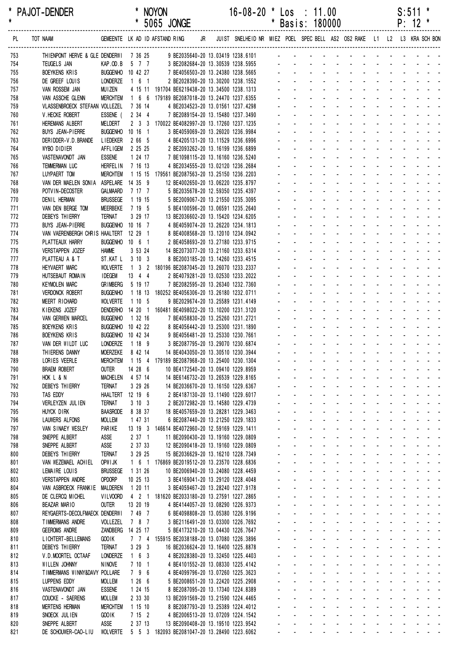| *<br>$\star$ | <b>PAJOT-DENDER</b>                        |                                    |                     |                    | <b>NOYON</b><br>* 5065 JONGE                                                        |    | $16 - 08 - 20$ *                                                        | $\star$        |                                 | Los : 11.00<br>Basis: 180000                                                                                    |                                                                   |                                                         |                                                 |                                                     |                         |                                           | S:511<br>$P: 12$ *          |                                                                                            |
|--------------|--------------------------------------------|------------------------------------|---------------------|--------------------|-------------------------------------------------------------------------------------|----|-------------------------------------------------------------------------|----------------|---------------------------------|-----------------------------------------------------------------------------------------------------------------|-------------------------------------------------------------------|---------------------------------------------------------|-------------------------------------------------|-----------------------------------------------------|-------------------------|-------------------------------------------|-----------------------------|--------------------------------------------------------------------------------------------|
| PL           | TOT NAAM                                   |                                    |                     |                    | GEMEENTE LK AD ID AFSTAND RING                                                      | JR | JUIST SNELHEID NR MIEZ POEL SPEC BELL AS2 OS2 RAKE L1 L2 L3 KRA SCH BON |                |                                 |                                                                                                                 |                                                                   |                                                         |                                                 |                                                     |                         |                                           |                             |                                                                                            |
| 753          | THIENPONT HERVE & GLE DENDERWI 7 36 25     |                                    |                     |                    |                                                                                     |    | 9 BE2035640-20 13.03419 1238.6101                                       |                |                                 | and a strong control of the strong strong and                                                                   |                                                                   |                                                         |                                                 |                                                     |                         |                                           |                             |                                                                                            |
| 754          | TEUGELS JAN                                | KAP.OD.B                           | 5 7 7               |                    |                                                                                     |    | 3 BE2082684-20 13.30539 1238.5955                                       |                |                                 |                                                                                                                 |                                                                   |                                                         |                                                 |                                                     |                         |                                           |                             |                                                                                            |
| 755          | BOEYKENS KRIS                              | BUGGENHO 10 42 27                  |                     |                    |                                                                                     |    | 7 BE4056503-20 13.24380 1238.5665                                       |                |                                 |                                                                                                                 |                                                                   |                                                         |                                                 |                                                     |                         |                                           |                             |                                                                                            |
| 756<br>757   | DE GREEF LOUIS<br>VAN ROSSEM JAN           | LONDERZE<br>MU I ZEN               | 161                 |                    | 4 15 11 191704 BE6219438-20 13.34500 1238.1313                                      |    | 2 BE2028390-20 13.30200 1238.1552                                       |                |                                 |                                                                                                                 |                                                                   |                                                         |                                                 |                                                     |                         |                                           |                             |                                                                                            |
| 758          | VAN ASSCHE GLENN                           | <b>MERCHTEM</b>                    |                     |                    | 1 6 6 179189 BE2087018-20 13.24470 1237.6355                                        |    |                                                                         |                |                                 |                                                                                                                 |                                                                   |                                                         |                                                 |                                                     |                         |                                           |                             |                                                                                            |
| 759          | VLASSENBROECK STEFAAN VOLLEZEL             |                                    | 7 36 14             |                    |                                                                                     |    | 4 BE2034523-20 13.01561 1237.4298                                       |                |                                 |                                                                                                                 |                                                                   |                                                         |                                                 |                                                     |                         |                                           |                             |                                                                                            |
| 760          | V. HECKE ROBERT                            | ESSENE (                           |                     | 2 34 4             |                                                                                     |    | 7 BE2089154-20 13.15480 1237.3490                                       |                |                                 |                                                                                                                 |                                                                   |                                                         |                                                 |                                                     |                         |                                           |                             |                                                                                            |
| 761          | HEREMANS ALBERT                            | MELDERT                            |                     |                    | 2 3 3 170022 BE4082997-20 13.17260 1237.1235                                        |    |                                                                         |                |                                 |                                                                                                                 |                                                                   |                                                         |                                                 |                                                     |                         |                                           |                             |                                                                                            |
| 762          | <b>BUYS JEAN-PIERRE</b>                    | BUGGENHO 10 16 1                   |                     |                    |                                                                                     |    | 3 BE4059069-20 13.26020 1236.9984                                       |                |                                 |                                                                                                                 |                                                                   |                                                         |                                                 |                                                     |                         |                                           |                             |                                                                                            |
| 763<br>764   | DER I DDER-V.D. BRANDE<br>WYBO DIDIER      | <b>LIEDEKER</b><br><b>AFFLIGEM</b> |                     | 2 66 5<br>2 25 25  |                                                                                     |    | 4 BE4205131-20 13.11529 1236.6996<br>2 BE2093262-20 13.16199 1236.6899  |                |                                 |                                                                                                                 |                                                                   |                                                         |                                                 |                                                     |                         |                                           |                             |                                                                                            |
| 765          | VASTENAVONDT JAN                           | <b>ESSENE</b>                      |                     | 1 24 17            |                                                                                     |    | 7 BE1098115-20 13.16160 1236.5240                                       |                |                                 |                                                                                                                 |                                                                   |                                                         |                                                 |                                                     |                         |                                           |                             |                                                                                            |
| 766          | TEMMERMAN LUC                              | <b>HERFEL IN</b>                   | 7 16 13             |                    |                                                                                     |    | 4 BE2034555-20 13.02120 1236.2684                                       |                |                                 |                                                                                                                 |                                                                   |                                                         |                                                 |                                                     |                         |                                           |                             |                                                                                            |
| 767          | LUYPAERT TOM                               | <b>MERCHTEM</b>                    |                     | 1 15 15            | 179561 BE2087563-20 13.25150 1236.2203                                              |    |                                                                         |                |                                 |                                                                                                                 |                                                                   |                                                         |                                                 |                                                     |                         |                                           |                             |                                                                                            |
| 768          | VAN DER MAELEN SONIA                       | ASPELARE 14 35 9                   |                     |                    | 12 BE4002650-20 13.06220 1235.8797                                                  |    |                                                                         |                |                                 |                                                                                                                 |                                                                   |                                                         |                                                 |                                                     |                         |                                           |                             |                                                                                            |
| 769<br>770   | POTVIN-DECOSTER<br>DENIL HERMAN            | GALMAARD<br><b>BRUSSEGE</b>        | 7 17 7<br>1 19 15   |                    |                                                                                     |    | 5 BE2035678-20 12.59350 1235.4397<br>5 BE2009067-20 13.21550 1235.3095  |                |                                 |                                                                                                                 |                                                                   |                                                         |                                                 |                                                     |                         |                                           |                             |                                                                                            |
| 771          | VAN DEN BERGE TOM                          | MEERBEKE                           | 7 19 5              |                    |                                                                                     |    | 5 BE4100596-20 13.06591 1235.2640                                       |                |                                 |                                                                                                                 |                                                                   |                                                         |                                                 |                                                     |                         |                                           |                             |                                                                                            |
| 772          | DEBEYS THIERRY                             | <b>TERNAT</b>                      |                     | 3 29 17            | 13 BE2036602-20 13.15420 1234.6205                                                  |    |                                                                         |                |                                 |                                                                                                                 |                                                                   |                                                         |                                                 |                                                     |                         |                                           |                             |                                                                                            |
| 773          | <b>BUYS JEAN-PIERRE</b>                    | BUGGENHO 10 16 7                   |                     |                    |                                                                                     |    | 4 BE4059074-20 13.26220 1234.1813                                       |                |                                 |                                                                                                                 |                                                                   |                                                         |                                                 |                                                     |                         |                                           |                             |                                                                                            |
| 774          | VAN VAERENBERGH CHRIS HAALTERT 12 29 1     |                                    |                     |                    |                                                                                     |    | 8 BE4008568-20 13.12010 1234.0942                                       |                |                                 |                                                                                                                 |                                                                   |                                                         |                                                 |                                                     |                         |                                           |                             |                                                                                            |
| 775          | PLATTEAUX HARRY                            | BUGGENHO 10 6 1                    |                     |                    |                                                                                     |    | 2 BE4058693-20 13.27180 1233.9715                                       |                |                                 |                                                                                                                 |                                                                   |                                                         |                                                 |                                                     |                         |                                           |                             |                                                                                            |
| 776<br>777   | VERSTAPPEN JOZEF<br>PLATTEAU A & T         | <b>HAMME</b><br>ST.KAT L           |                     | 3 53 24<br>3103    | 14 BE2073077-20 13.21160 1233.6314                                                  |    | 8 BE2003185-20 13.14260 1233.4515                                       |                |                                 |                                                                                                                 |                                                                   |                                                         |                                                 |                                                     |                         |                                           |                             |                                                                                            |
| 778          | <b>HEYVAERT MARC</b>                       | <b>WOLVERTE</b>                    |                     |                    | 1 3 2 180196 BE2087045-20 13.26070 1233.2337                                        |    |                                                                         |                |                                 |                                                                                                                 |                                                                   |                                                         |                                                 |                                                     |                         |                                           |                             |                                                                                            |
| 779          | HUTSEBAUT ROMAIN                           | <b>IDEGEM</b>                      | 13 4 4              |                    |                                                                                     |    | 2 BE4079281-20 13.02530 1233.2022                                       |                |                                 |                                                                                                                 |                                                                   |                                                         |                                                 |                                                     |                         |                                           |                             |                                                                                            |
| 780          | <b>KEYMOLEN MARC</b>                       | <b>GRIMBERG</b>                    |                     | 5 19 17            |                                                                                     |    | 7 BE2082595-20 13.26340 1232.7360                                       |                |                                 |                                                                                                                 |                                                                   |                                                         |                                                 |                                                     |                         |                                           |                             |                                                                                            |
| 781          | <b>VERDONCK ROBERT</b>                     | <b>BUGGENHO</b>                    |                     | 1 18 13            | 180252 BE4056306-20 13.26180 1232.0711                                              |    |                                                                         |                |                                 |                                                                                                                 |                                                                   |                                                         |                                                 |                                                     |                         |                                           |                             |                                                                                            |
| 782          | MEERT RICHARD                              | <b>WOLVERTE</b><br>DENDERHO        | 1105                |                    | 14 20 1 160481 BE4098022-20 13.10200 1231.3120                                      |    | 9 BE2029674-20 13.25589 1231.4149                                       |                |                                 |                                                                                                                 |                                                                   |                                                         |                                                 |                                                     |                         |                                           |                             |                                                                                            |
| 783<br>784   | KIEKENS JOZEF<br><b>VAN GERWEN MARCEL</b>  | <b>BUGGENHO</b>                    | 1 32 16             |                    | 7 BE4058830-20 13.25260 1231.2721                                                   |    |                                                                         |                |                                 |                                                                                                                 |                                                                   |                                                         |                                                 |                                                     |                         |                                           |                             |                                                                                            |
| 785          | <b>BOEYKENS KRIS</b>                       | <b>BUGGENHO</b>                    | 10 42 22            |                    |                                                                                     |    | 8 BE4056442-20 13.25300 1231.1890                                       |                |                                 |                                                                                                                 |                                                                   |                                                         |                                                 |                                                     |                         |                                           |                             |                                                                                            |
| 786          | <b>BOEYKENS KRIS</b>                       | BUGGENHO 10 42 34                  |                     |                    |                                                                                     |    | 9 BE4056481-20 13.25330 1230.7661                                       |                |                                 |                                                                                                                 |                                                                   |                                                         |                                                 |                                                     |                         |                                           |                             |                                                                                            |
| 787          | VAN DER WILDT LUC                          | LONDERZE                           | 1 18 9              |                    |                                                                                     |    | 3 BE2087795-20 13.29070 1230.6874                                       |                |                                 |                                                                                                                 |                                                                   |                                                         |                                                 |                                                     |                         |                                           |                             |                                                                                            |
| 788          | THIERENS DANNY                             | MOERZEKE 8 42 14                   |                     |                    | 14 BE4043050-20 13.30510 1230.3944                                                  |    |                                                                         |                |                                 |                                                                                                                 | $\sim 100$                                                        | $\sim$ $-$                                              | <b>Contract Contract</b>                        |                                                     |                         |                                           |                             |                                                                                            |
| 789<br>790   | LORIES VEERLE<br><b>BRAEM ROBERT</b>       | <b>MERCHTEM</b><br><b>OUTER</b>    | 14 28 6             |                    | 1 15 4 179189 BE2087968-20 13.25400 1230.1304<br>10 BE4172540-20 13.09410 1229.8959 |    |                                                                         |                |                                 |                                                                                                                 | $\mathbf{r}$<br>and a strategies                                  | <b>Contract Contract</b>                                | <b>Contractor</b><br><b>Contractor</b>          | $\Delta \sim 100$<br>$\Delta \sim 10^{-1}$          | $\sim$<br>$\mathcal{L}$ | <b>Contractor</b><br>$\Delta \sim 100$    |                             | $\omega_{\rm{max}}$ , and $\omega_{\rm{max}}$<br>$\omega_{\rm{max}}$                       |
| 791          | HOK L & N                                  | <b>MACHELEN</b>                    | 4 57 14             |                    | 14 BE6146732-20 13.26539 1229.8165                                                  |    |                                                                         |                |                                 | $\mathcal{L}^{\text{max}}$<br>$\omega_{\rm{max}}$                                                               | $\Delta \phi = 0.000$ and $\Delta \phi = 0.000$                   |                                                         | <b>All Service</b>                              | $\mathcal{L}^{\mathcal{L}}$                         | ÷.                      | $\Delta \sim 10^4$                        | $\mathcal{L}^{\mathcal{L}}$ | $\sim 100$ km s $^{-1}$                                                                    |
| 792          | DEBEYS THIERRY                             | <b>TERNAT</b>                      |                     | 3 29 26            | 14 BE2036670-20 13.16150 1229.6367                                                  |    |                                                                         |                | $\sim$                          | $\sim 100$                                                                                                      | <b>All States</b>                                                 |                                                         | $\omega_{\rm{max}}=0.1$                         |                                                     |                         |                                           |                             | $\sim 100$                                                                                 |
| 793          | TAS EDDY                                   | HAALTERT 12 19 6                   |                     |                    |                                                                                     |    | 2 BE4187130-20 13.11490 1229.6017                                       |                |                                 |                                                                                                                 | $\Delta \phi = 0.000$ and $\Delta \phi = 0.000$                   | $\mathcal{L}_{\mathcal{A}}$                             |                                                 |                                                     |                         |                                           |                             | $\sim 100$ km s $^{-1}$                                                                    |
| 794          | VERLEYZEN JUL IEN                          | <b>TERNAT</b>                      |                     | 3103               |                                                                                     |    | 2 BE2072982-20 13.14580 1229.4739                                       |                | $\mathcal{L}^{\mathcal{A}}$     | $\omega_{\rm{max}}$                                                                                             | $\sim$<br>$\mathbf{z}$ and $\mathbf{z}$                           | $\omega$                                                |                                                 | $\mathcal{L}^{\pm}$                                 |                         |                                           | $\mathcal{L}^{\text{max}}$  | $\omega_{\rm{max}}$                                                                        |
| 795<br>796   | HUYCK DIRK<br><b>LAUWERS ALFONS</b>        | <b>BAASRODE</b>                    | 8 38 37             | 1 47 31            | 18 BE4057659-20 13.28281 1229.3463                                                  |    | 6 BE2087440-20 13.21250 1229.1833                                       | ÷,             | $\sim$<br>a.                    | $\Delta \sim 100$<br>$\Delta \sim 10^{-1}$                                                                      | $\sim 100$<br>$\mathbf{r}$<br>and a strategies                    | $\mathcal{L}$                                           | $\sim 100$<br><b>Contract Contract Contract</b> | $\Delta \sim 100$                                   | $\sim$                  |                                           |                             | <b>Carl America</b><br>and a strain and                                                    |
| 797          | VAN SINAEY WESLEY                          | <b>MOLLEM</b><br>PARIKE            | 13 19 3             |                    | 146614 BE4072960-20 12.59169 1229.1411                                              |    |                                                                         |                | $\mathbf{r} = \mathbf{r}$       | $\mathcal{L}^{\text{max}}$<br>$\omega_{\rm{max}}$                                                               | $\Delta \sim 100$<br>$\Delta \sim 10^4$                           | $\Delta \sim 10^{-11}$                                  | $\Delta \sim 100$                               | $\mathcal{L}^{\text{max}}$                          |                         | $\omega_{\rm{max}}$ , $\omega_{\rm{max}}$ | $\sim 100$                  | $\mathbf{z} = \mathbf{z}$                                                                  |
| 798          | SNEPPE ALBERT                              | ASSE                               |                     | $237 - 1$          | 11 BE2090430-20 13.19160 1229.0809                                                  |    |                                                                         |                | $\sim$                          | $\sim 100$                                                                                                      | $\mathbf{r}$<br>$\sim$                                            | $\mathbf{r}$                                            | $\sim$                                          | $\mathbf{r}$                                        |                         | <b>Contractor</b>                         |                             | $\mathcal{L}^{\text{max}}$ , and $\mathcal{L}^{\text{max}}$                                |
| 798          | SNEPPE ALBERT                              | ASSE                               |                     | 2 37 33            | 12 BE2090418-20 13.19160 1229.0809                                                  |    |                                                                         |                |                                 |                                                                                                                 | $\mathbf{r}$<br><b>Contact Contact</b>                            | $\mathcal{L}_{\mathcal{A}}$                             |                                                 |                                                     |                         |                                           |                             | and the state of the                                                                       |
| 800          | DEBEYS THIERRY                             | TERNAT                             |                     | 3 29 25            | 15 BE2036629-20 13.16210 1228.7349                                                  |    |                                                                         |                | $\sim$                          | $\mathcal{L}^{\text{max}}$                                                                                      | $\Delta \phi = 0.01$                                              | $\mathcal{L}_{\mathcal{A}}$                             |                                                 | $\sim$                                              |                         |                                           | $\sim$ 10 $\pm$             | $\omega_{\rm{max}}$                                                                        |
| 801          | VAN WEZEMAEL ACHIEL                        | OPW I JK                           |                     | $1\quad6\quad1$    | 176869 BE2019512-20 13.23570 1228.6836                                              |    |                                                                         |                | $\sim$                          | $\omega_{\rm{max}}$                                                                                             | and a strategies                                                  |                                                         | $\sim 100$ km s $^{-1}$                         | $\Delta \sim 100$                                   | ÷.                      | $\Delta \sim 100$                         |                             | $\omega_{\rm{max}}$ and $\omega_{\rm{max}}$                                                |
| 802<br>803   | LEMAIRE LOUIS<br><b>VERSTAPPEN ANDRE</b>   | <b>BRUSSEGE</b><br><b>OPDORP</b>   | 1 31 26<br>10 25 13 |                    | 10 BE2006940-20 13.24080 1228.4459                                                  |    | 3 BE4169041-20 13.29120 1228.4048                                       |                | ä.<br>$\mathbf{L}^{\text{max}}$ | $\omega_{\rm{max}}$<br>$\Delta \sim 100$<br>$\omega_{\rm{max}}$                                                 | ÷.                                                                | <b>Contract Contract</b><br>and a straight and straight | $\sim 100$                                      | $\Delta \sim 10^{-1}$<br>$\mathcal{L}^{\text{max}}$ |                         |                                           |                             | $\sim$ $ \sim$<br>$\mathcal{L}^{\text{max}}$                                               |
| 804          | VAN ASBROECK FRANKIE                       | MALDEREN                           | 1 20 11             |                    |                                                                                     |    | 3 BE4059467-20 13.28240 1227.9178                                       |                |                                 | $\Delta \sim 100$<br>$\mathbf{z}$ and $\mathbf{z}$                                                              | $\Delta \phi = 0.000$ and $\Delta \phi = 0.000$                   |                                                         | <b>All States</b>                               |                                                     |                         |                                           |                             | $\sim 100$ km s $^{-1}$                                                                    |
| 805          | DE CLERCQ MICHEL                           | <b>VILVOORD</b>                    |                     |                    | 4 2 1 181620 BE2033180-20 13.27591 1227.2865                                        |    |                                                                         |                | $\mathbf{r}$                    |                                                                                                                 | and a straight and                                                |                                                         | $\sim 100$                                      |                                                     |                         |                                           |                             | $\mathcal{L}^{\text{max}}$ , and $\mathcal{L}^{\text{max}}$                                |
| 806          | <b>BEAZAR MARIO</b>                        | <b>OUTER</b>                       | 13 20 19            |                    |                                                                                     |    | 4 BE4144057-20 13.08290 1226.9373                                       |                |                                 | $\omega_{\rm{max}}$<br>$\omega_{\rm{max}}$                                                                      | <b>All States</b>                                                 | $\sim$                                                  |                                                 | $\sim$                                              |                         |                                           |                             | and the state of the                                                                       |
| 807          | REYGAERTS-DECOLFMAECK DENDERWI             |                                    | 7 49 7              |                    |                                                                                     |    | 6 BE4098808-20 13.05380 1226.9196                                       | ÷.             |                                 | $\omega_{\rm{max}}$<br>$\mathbf{L}$                                                                             | and a strategies                                                  |                                                         | <b>Contract Contract</b>                        | $\Delta \sim 100$                                   |                         |                                           |                             | and a straight and                                                                         |
| 808          | TIMMERMANS ANDRE                           | VOLLEZEL                           |                     | 7 8 7              |                                                                                     |    | 3 BE2116491-20 13.03300 1226.7692                                       |                | $\mathcal{L}^{\pm}$             | $\Delta \sim 10^{-1}$                                                                                           | ÷.<br><b>Contract Contract</b>                                    |                                                         | <b>Contractor</b>                               | $\Delta \sim 100$                                   |                         |                                           |                             | <b>Carl America</b>                                                                        |
| 809<br>810   | <b>GEEROMS ANDRE</b><br>LICHTERT-BELLEMANS | ZANDBERG 14 25 17<br>GOO IK        |                     | 7 7 4              | 155915 BE2038188-20 13.07080 1226.3896                                              |    | 5 BE4173210-20 13.04430 1226.7647                                       |                | $\mathbf{r} = \mathbf{r}$       | $\mathbf{L}^{\text{max}}$<br>$\omega_{\rm{max}}$<br>$\mathcal{L}^{\text{max}}$<br>$\mathbf{z}$ and $\mathbf{z}$ | <b>All States</b><br>$\Delta \phi = 0.000$ .                      | $\Delta \sim 100$<br>$\omega$                           | $\sim 100$<br>$\sim$                            | $\mathcal{L}^{\text{max}}$                          |                         | <b>All Cards</b><br>$\sim$                |                             | $\omega_{\rm{max}}$ and $\omega_{\rm{max}}$<br>$\omega_{\rm{max}}$ and $\omega_{\rm{max}}$ |
| 811          | <b>DEBEYS THIERRY</b>                      | <b>TERNAT</b>                      |                     | 3293               | 16 BE2036624-20 13.16400 1225.8878                                                  |    |                                                                         |                |                                 |                                                                                                                 | $\mathbf{u}$<br><b>Contractor</b>                                 | $\mathcal{L}_{\mathcal{A}}$                             |                                                 |                                                     |                         |                                           |                             | $\mathcal{L}^{\text{max}}$ , and $\mathcal{L}^{\text{max}}$                                |
| 812          | V.D.MOORTEL OCTAAF                         | <b>LONDERZE</b>                    | 163                 |                    |                                                                                     |    | 4 BE2028380-20 13.32450 1225.4403                                       |                | $\sim$                          | $\omega_{\rm{max}}$                                                                                             | and a strategies                                                  |                                                         |                                                 | ÷.                                                  |                         |                                           | $\sim 10^{-1}$              | $\omega_{\rm{max}}$                                                                        |
| 813          | WILLEN JOHNNY                              | <b>NINOVE</b>                      |                     | 7101               |                                                                                     |    | 4 BE4101552-20 13.08330 1225.4142                                       |                | $\mathbf{r}$ .                  | $\Delta \sim 100$                                                                                               |                                                                   | and a straight and                                      |                                                 | $\sim$                                              |                         |                                           |                             |                                                                                            |
| 814          | TIMMERMANS WINNY&DAVY POLLARE              |                                    |                     | 796                |                                                                                     |    | 4 BE4099796-20 13.07260 1225.3623                                       |                | $\mathcal{L}_{\mathcal{A}}$     | $\omega_{\rm{max}}$                                                                                             | $\mathcal{L}^{\mathcal{A}}$                                       | <b>Contract Contract</b>                                | <b>Contract Contract</b>                        | $\mathcal{L}^{\pm}$                                 |                         |                                           |                             | $\sim$ $ \sim$                                                                             |
| 815          | LUPPENS EDDY                               | <b>MOLLEM</b>                      |                     | 1266               |                                                                                     |    | 5 BE2008651-20 13.22420 1225.2908                                       |                | $\mathbf{r} = \mathbf{r}$       | $\omega_{\rm{max}}$<br>$\omega_{\rm{max}}$                                                                      | <b>All States</b>                                                 |                                                         | $\Delta\phi$ and $\Delta\phi$ and $\Delta\phi$  | $\mathcal{L}^{\pm}$                                 |                         |                                           |                             | $\sim 100$ km s $^{-1}$                                                                    |
| 816<br>817   | VASTENAVONDT JAN<br>COUCKE - SAERENS       | <b>ESSENE</b><br><b>MOLLEM</b>     |                     | 1 24 15<br>2 33 30 | 13 BE2091569-20 13.21590 1224.4465                                                  |    | 8 BE2087095-20 13.17340 1224.8389                                       |                | ¥.                              | $\sim 100$<br>$\sim 100$                                                                                        | $\Delta \sim 100$<br>$\Delta \sim 10^4$<br>$\mathbf{u}$<br>$\sim$ | $\Delta \sim 100$<br>$\omega$                           | $\sim$<br>$\sim$                                |                                                     |                         |                                           |                             | $\sim$ $ \sim$<br>$\sim 100$ km s $^{-1}$                                                  |
| 818          | <b>MERTENS HERMAN</b>                      | <b>MERCHTEM</b>                    | 1 15 10             |                    |                                                                                     |    | 8 BE2087793-20 13.25389 1224.4012                                       |                |                                 | $\omega_{\rm{max}}$<br>$\omega_{\rm{max}}$                                                                      | $\mathbf{r}$<br>$\sim$                                            | $\omega$                                                |                                                 | $\mathcal{L}^{\pm}$                                 |                         |                                           | $\sim 100$                  | $\omega_{\rm{max}}$                                                                        |
| 819          | SNOECK JULIEN                              | GOO IK                             |                     | 7 15 2             |                                                                                     |    | 4 BE2006513-20 13.07209 1224.1542                                       | $\mathbf{r}$   | $\mathbf{r}$ .                  | $\Delta \sim 100$                                                                                               | $\mathbf{r}$<br>$\sim$                                            | $\mathcal{L}^{\mathcal{A}}$                             | a.                                              | $\Delta \sim 100$                                   | $\mathbf{r}$            | $\sim$                                    |                             |                                                                                            |
| 820          | SNEPPE ALBERT                              | ASSE                               |                     | 2 37 13            | 13 BE2090408-20 13.19510 1223.9542                                                  |    |                                                                         | $\blacksquare$ | $\mathcal{L}_{\mathcal{A}}$     |                                                                                                                 |                                                                   | $\Delta \sim 100$<br>$\mathbf{r}$                       | <b>Contract Contract</b>                        | $\Delta \sim 10^{-1}$                               | ÷.                      | <b>Contract Contract</b>                  |                             | $\omega_{\rm{max}}$ and $\omega_{\rm{max}}$                                                |
| 821          | DE SCHOUWER-CAO-LIU                        | <b>WOLVERTE</b>                    |                     |                    | 5 5 3 182093 BE2081047-20 13.28490 1223.6062                                        |    |                                                                         |                | $\omega_{\rm{max}}$             | $\omega_{\rm{max}}$                                                                                             | $\omega_{\rm{max}}$                                               | and a straight                                          |                                                 | $\sim 100$                                          |                         | $\Delta \phi = 0.001$                     |                             | $\omega_{\rm{eff}}$ , $\omega_{\rm{eff}}$ , $\omega_{\rm{eff}}$                            |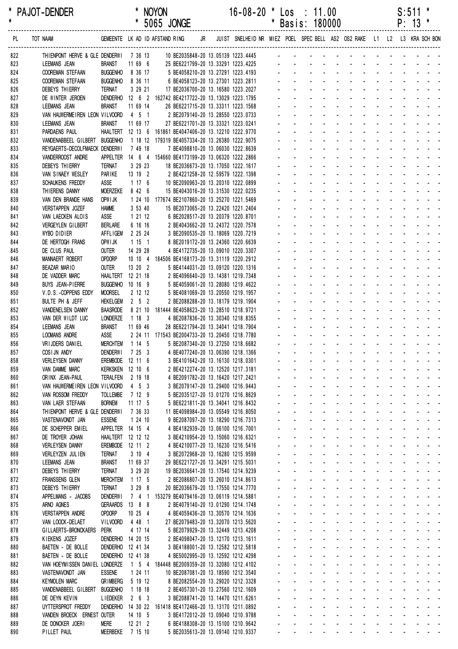| *<br>$\pmb{\star}$ | <b>PAJOT-DENDER</b>                                 |                                       |                    | <b>NOYON</b><br>* 5065 JONGE                                                                              |  | $16 - 08 - 20$                                                                                               | $\star$ |                        | $\textsf{Los} : 11.00$<br>* Basis: 180000                                                                                                                                                                                                                                      |                                             |  |  | S:511<br>$P: 13$ * | * |
|--------------------|-----------------------------------------------------|---------------------------------------|--------------------|-----------------------------------------------------------------------------------------------------------|--|--------------------------------------------------------------------------------------------------------------|---------|------------------------|--------------------------------------------------------------------------------------------------------------------------------------------------------------------------------------------------------------------------------------------------------------------------------|---------------------------------------------|--|--|--------------------|---|
| PL                 | TOT NAAM                                            |                                       |                    | GEMEENTE LK AD ID AFSTAND RING                                                                            |  | JR JUIST SNELHEID NR MIEZ POEL SPEC BELL AS2 OS2 RAKE L1 L2 L3 KRA SCH BON                                   |         |                        |                                                                                                                                                                                                                                                                                |                                             |  |  |                    |   |
| 822                | THIENPONT HERVE & GLE DENDERWI 7 36 13              |                                       |                    |                                                                                                           |  |                                                                                                              |         |                        |                                                                                                                                                                                                                                                                                |                                             |  |  |                    |   |
| 823                | LEEMANS JEAN                                        | BRANST<br><b>BUGGENHO</b>             | 11 69 6<br>8 36 17 |                                                                                                           |  |                                                                                                              |         |                        |                                                                                                                                                                                                                                                                                |                                             |  |  |                    |   |
| 824<br>825         | <b>COOREMAN STEFAAN</b><br><b>COOREMAN STEFAAN</b>  | <b>BUGGENHO</b>                       | 8 36 11            |                                                                                                           |  | 25 BE6221799-20 13.33291 1223.4225<br>5 BE4058210-20 13.27291 1223.4193<br>6 BE4058123-20 13.27301 1223.2811 |         |                        |                                                                                                                                                                                                                                                                                |                                             |  |  |                    |   |
| 826                | DEBEYS THIERRY                                      | TERNAT                                | 3 29 21            |                                                                                                           |  | 17 BE2036700-20 13.16580 1223.2027                                                                           |         |                        | and the contract of the contract of the contract of the contract of the contract of the contract of the contract of the contract of the contract of the contract of the contract of the contract of the contract of the contra                                                 |                                             |  |  |                    |   |
| 827                | DE WINTER JEROEN                                    |                                       |                    | DENDERHO 12 6 2 162742 BE4217722-20 13.13029 1223.1795                                                    |  |                                                                                                              |         |                        | and the contract of the contract of the contract of                                                                                                                                                                                                                            |                                             |  |  |                    |   |
| 828                | LEEMANS JEAN                                        | <b>BRANST</b>                         | 11 69 14           | 26 BE6221715-20 13.33311 1223.1568                                                                        |  |                                                                                                              |         |                        | and a straightful and a straight and                                                                                                                                                                                                                                           |                                             |  |  |                    |   |
| 829                | VAN HAUWERMEIREN LEON VILVOORD                      |                                       | 4 5 1              | 2 BE2079140-20 13.28550 1223.0733                                                                         |  |                                                                                                              |         |                        | and the contract of the contract of the<br>a construction of the construction of the construction of the construction of the construction of the construction of the construction of the construction of the construction of the construction of the construction of the       |                                             |  |  |                    |   |
| 830                | <b>LEEMANS JEAN</b>                                 | <b>BRANST</b>                         | 11 69 17           | 27 BE6221701-20 13.33321 1223.0241                                                                        |  |                                                                                                              |         |                        | and a straightful and a straight and a                                                                                                                                                                                                                                         |                                             |  |  |                    |   |
| 831<br>832         | PARDAENS PAUL<br>VANDENABBEEL GILBERT BUGGENHO      |                                       |                    | HAALTERT 12 13 6 161861 BE4047406-20 13.12210 1222.9770<br>1 18 12 179319 BE4057334-20 13.26380 1222.9075 |  |                                                                                                              |         |                        | and a state of the state of the state                                                                                                                                                                                                                                          |                                             |  |  |                    |   |
| 833                | REYGAERTS-DECOLFMAECK DENDERWI                      |                                       | 7 49 18            |                                                                                                           |  | 7 BE4098810-20 13.06030 1222.8639                                                                            |         |                        |                                                                                                                                                                                                                                                                                | design and a state of the state of the      |  |  |                    |   |
| 834                | VANDERROOST ANDRE                                   |                                       |                    | APPELTER  14  6  4  154660 BE4173199-20  13.06320  1222.2866                                              |  |                                                                                                              |         |                        | and a series of the contract of the                                                                                                                                                                                                                                            |                                             |  |  |                    |   |
| 835                | DEBEYS THIERRY                                      | <b>TERNAT</b>                         | 3 29 23            | 18 BE2036673-20 13.17050 1222.1617                                                                        |  |                                                                                                              |         |                        | de la provincia de la provincia de la                                                                                                                                                                                                                                          |                                             |  |  |                    |   |
| 836                | VAN SINAEY WESLEY                                   | PARIKE                                | 13 19 2            | 2 BE4221258-20 12.59579 1222.1398                                                                         |  |                                                                                                              |         |                        | design and contract the contract of the                                                                                                                                                                                                                                        |                                             |  |  |                    |   |
| 837                | SCHAUKENS FREDDY<br>THIERENS DANNY                  | ASSE<br><b>MOERZEKE</b>               | 1176<br>8 42 6     | 10 BE2090963-20 13.20310 1222.0899<br>15 BE4043016-20 13.31530 1222.0235                                  |  |                                                                                                              |         |                        | design and contract the contract of the<br>and a series and a series and a series                                                                                                                                                                                              |                                             |  |  |                    |   |
| 838<br>839         | VAN DEN BRANDE HANS                                 | OPWI JK                               |                    | 1 24 10 177674 BE2107860-20 13.25270 1221.5469                                                            |  |                                                                                                              |         |                        | and a series of the contract of the series of                                                                                                                                                                                                                                  |                                             |  |  |                    |   |
| 840                | <b>VERSTAPPEN JOZEF</b>                             | <b>HAMME</b>                          | 3 53 40            | 15 BE2073065-20 13.22420 1221.2404                                                                        |  |                                                                                                              |         |                        |                                                                                                                                                                                                                                                                                |                                             |  |  |                    |   |
| 841                | VAN LAECKEN ALOIS                                   | ASSE                                  | 1 21 12            |                                                                                                           |  | 6 BE2028517-20 13.20379 1220.8701                                                                            |         |                        |                                                                                                                                                                                                                                                                                |                                             |  |  |                    |   |
| 842                | VERGEYLEN GILBERT                                   | <b>BERLARE</b>                        | 6 16 16            |                                                                                                           |  | 2 BE4043662-20 13.24372 1220.7578                                                                            |         |                        | a construction of the construction of the construction of the construction of the construction of the construction of the construction of the construction of the construction of the construction of the construction of the                                                  |                                             |  |  |                    |   |
| 843                | WYBO DIDIER                                         | <b>AFFLIGEM</b>                       | 2 25 24            |                                                                                                           |  | 3 BE2090535-20 13.18069 1220.7219                                                                            |         |                        | a construction of the construction of the construction of the construction of the construction of the construction of the construction of the construction of the construction of the construction of the construction of the                                                  |                                             |  |  |                    |   |
| 844                | DE HERTOGH FRANS                                    | OPW I JK                              | 1151               |                                                                                                           |  | 8 BE2019172-20 13.24360 1220.6639                                                                            |         |                        | design and contract the contract of the                                                                                                                                                                                                                                        | and a state of the state of the state of    |  |  |                    |   |
| 845<br>846         | DE CLUS PAUL<br>MANNAERT ROBERT                     | <b>OUTER</b><br>OPDORP                | 14 29 28           | 10 10 4 184506 BE4168173-20 13.31119 1220.2912                                                            |  | 4 BE4172735-20 13.09010 1220.3307                                                                            |         |                        | والمناور والمناور والوالد المناور والمناور                                                                                                                                                                                                                                     |                                             |  |  |                    |   |
| 847                | BEAZAR MARIO                                        | <b>OUTER</b>                          | 13 20 2            |                                                                                                           |  | 5 BE4144031-20 13.09120 1220.1316                                                                            |         |                        | and a straightful and a straight and                                                                                                                                                                                                                                           |                                             |  |  |                    |   |
| 848                | DE VADDER MARC                                      | <b>HAALTERT</b>                       | 12 21 18           |                                                                                                           |  | 2 BE4096640-20 13.14381 1219.7348                                                                            |         |                        | and a state of the state of the state of                                                                                                                                                                                                                                       |                                             |  |  |                    |   |
| 849                | BUYS JEAN-PIERRE                                    | BUGGENHO 10 16 9                      |                    |                                                                                                           |  | 5 BE4059061-20 13.28080 1219.4622                                                                            |         |                        |                                                                                                                                                                                                                                                                                | design and a state of the state of          |  |  |                    |   |
| 850                | V.D.S.-COPPENS EDDY                                 | <b>MOORSEL</b>                        | 2 12 12            |                                                                                                           |  | 5 BE4081069-20 13.20550 1219.1957                                                                            |         |                        | design and a state of the state of                                                                                                                                                                                                                                             |                                             |  |  |                    |   |
| 851                | BULTE PH & JEFF                                     | HEKELGEM 2 5 2                        |                    |                                                                                                           |  | 2 BE2088288-20 13.18179 1219.1904                                                                            |         |                        | and a series of the contract of the series of<br>a construction of the construction of the construction of the construction of the construction of the construction of the construction of the construction of the construction of the construction of the construction of the |                                             |  |  |                    |   |
| 852<br>853         | VANDENELSEN DANNY<br>VAN DER WILDT LUC              | <b>BAASRODE</b><br>LONDERZE           | 1183               | 8 21 10 181444 BE4058623-20 13.28510 1218.9721                                                            |  | 4 BE2087836-20 13.30340 1218.8355                                                                            |         |                        |                                                                                                                                                                                                                                                                                |                                             |  |  |                    |   |
| 854                | <b>LEEMANS JEAN</b>                                 | <b>BRANST</b>                         | 11 69 46           | 28 BE6221794-20 13.34041 1218.7904                                                                        |  |                                                                                                              |         |                        | de la provincia de la provincia de la provincia de                                                                                                                                                                                                                             |                                             |  |  |                    |   |
| 855                | LOOMANS ANDRE                                       | ASSE                                  |                    | 2 24 11 171543 BE2004733-20 13.20450 1218.7780                                                            |  |                                                                                                              |         |                        |                                                                                                                                                                                                                                                                                |                                             |  |  |                    |   |
| 856                | VRIJDERS DANIEL                                     | <b>MERCHTEM</b>                       | 1 14 5             |                                                                                                           |  | 5 BE2087340-20 13.27250 1218.6682                                                                            |         | $\Delta \sim 10^{-11}$ | and a straightful and a straight and                                                                                                                                                                                                                                           |                                             |  |  |                    |   |
| 857                | COSIJN ANDY                                         |                                       |                    | DENDERWI 7 25 3 4 BE4077240-20 13.06390 1218.1366                                                         |  |                                                                                                              |         |                        | .                                                                                                                                                                                                                                                                              |                                             |  |  |                    |   |
| 858                | <b>VERLEYSEN DANNY</b>                              | EREMBODE 12 11 6                      |                    |                                                                                                           |  | 3 BE4101642-20 13.16130 1218.0301                                                                            |         |                        | والمناور والمناور والمناور والمناور والمناور والمناور                                                                                                                                                                                                                          |                                             |  |  |                    |   |
| 859<br>860         | VAN DAMME MARC<br>ORINX JEAN-PAUL                   | KERKSKEN 12 10 6<br>TERALFEN          | 2 19 18            |                                                                                                           |  | 2 BE4212274-20 13.12520 1217.3181<br>4 BE2091782-20 13.16420 1217.2421                                       |         |                        | المناطق والمناطق والمناطق والمناطق والمناطق<br>a construction of the construction of the construction of the construction of the construction of the construction of the construction of the construction of the construction of the construction of the construction of the   |                                             |  |  |                    |   |
| 861                | VAN HAUWERMEIREN LEON VILVOORD                      |                                       | 4 5 3              |                                                                                                           |  | 3 BE2079147-20 13.29400 1216.9443                                                                            |         |                        | a construction of the construction of the construction of the construction of the construction of the construction of the construction of the construction of the construction of the construction of the construction of the                                                  |                                             |  |  |                    |   |
| 862                | VAN ROSSOM FREDDY                                   | <b>TOLLEMBE</b>                       | 7 12 9             |                                                                                                           |  | 5 BE2035127-20 13.01270 1216.8629                                                                            |         |                        | a construction of the construction of the construction of the construction of the construction of the construction of the construction of the construction of the construction of the construction of the construction of the                                                  |                                             |  |  |                    |   |
| 863                | VAN LAER STEFAAN                                    | <b>BORNEM</b>                         | 11 17 5            |                                                                                                           |  | 5 BE6221811-20 13.34041 1216.8432                                                                            |         | and a state            |                                                                                                                                                                                                                                                                                | and a series of the series of the series of |  |  |                    |   |
| 864                | THIENPONT HERVE & GLE DENDERWI                      |                                       | 7 36 33            | 11 BE4098984-20 13.05549 1216.8050                                                                        |  |                                                                                                              |         | $\omega_{\rm{max}}$    | and a series of the contract of the series of                                                                                                                                                                                                                                  |                                             |  |  |                    |   |
| 865                | VASTENAVONDT JAN                                    | <b>ESSENE</b>                         | 1 24 10            |                                                                                                           |  | 9 BE2087097-20 13.18290 1216.7313                                                                            |         |                        | والمتعاد والمتعاون والمتعاون والمتعاون والمناو                                                                                                                                                                                                                                 |                                             |  |  |                    |   |
| 866<br>867         | DE SCHEPPER EMIEL                                   | APPELTER 14 15 4                      |                    |                                                                                                           |  | 4 BE4182939-20 13.06100 1216.7001                                                                            |         |                        | a construction of the construction of the construction of the construction of the construction of the construction of the construction of the construction of the construction of the construction of the construction of the<br>and a straightful and a straight and          |                                             |  |  |                    |   |
| 868                | DE TROYER JOHAN<br><b>VERLEYSEN DANNY</b>           | HAALTERT 12 12 12<br>EREMBODE 12 11 2 |                    |                                                                                                           |  | 3 BE4210954-20 13.15060 1216.6321<br>4 BE4210077-20 13.16230 1216.5416                                       |         |                        | and a series of the contract of the series of                                                                                                                                                                                                                                  |                                             |  |  |                    |   |
| 869                | VERLEYZEN JUL IEN                                   | <b>TERNAT</b>                         | 3104               |                                                                                                           |  | 3 BE2072968-20 13.16280 1215.9599                                                                            |         |                        | and a series of the contract of the series of                                                                                                                                                                                                                                  |                                             |  |  |                    |   |
| 870                | LEEMANS JEAN                                        | <b>BRANST</b>                         | 11 69 37           | 29 BE6221727-20 13.34291 1215.5031                                                                        |  |                                                                                                              |         |                        | والمتعاون والمتعاون والمتعاون والمتعاونات                                                                                                                                                                                                                                      |                                             |  |  |                    |   |
| 871                | DEBEYS THIERRY                                      | TERNAT                                | 3 29 20            | 19 BE2036641-20 13.17540 1214.9239                                                                        |  |                                                                                                              |         |                        | and a series of the contract of the series of                                                                                                                                                                                                                                  |                                             |  |  |                    |   |
| 872                | FRANSSENS GLEN                                      | <b>MERCHTEM</b>                       | 1 17 5             |                                                                                                           |  | 2 BE2086807-20 13.26010 1214.8613                                                                            |         |                        | and a series and a series and a series                                                                                                                                                                                                                                         |                                             |  |  |                    |   |
| 873                | DEBEYS THIERRY                                      | TERNAT                                | 3298               |                                                                                                           |  | 20 BE2036679-20 13.17550 1214.7770                                                                           |         |                        | and a complete the second complete the<br>and a series and a series and a series of                                                                                                                                                                                            |                                             |  |  |                    |   |
| 874<br>875         | APPELMANS - JACOBS<br>ARNO AGNES                    | <b>DENDERWI</b><br>GERAARDS 13 8 8    |                    | 7 4 1 153279 BE4079416-20 13.06119 1214.5881                                                              |  | 2 BE4079140-20 13.01290 1214.1748                                                                            |         |                        | المناطق والمتناط والمتناط والمتناط والمتناط والمتناط                                                                                                                                                                                                                           |                                             |  |  |                    |   |
| 876                | <b>VERSTAPPEN ANDRE</b>                             | <b>OPDORP</b>                         | 10 25 4            |                                                                                                           |  | 4 BE4059436-20 13.30570 1214.1636                                                                            |         |                        | فالقاط القارف القارف القارف القارف القاربية                                                                                                                                                                                                                                    |                                             |  |  |                    |   |
| 877                | VAN LOOCK-DELAET                                    | VILVOORD                              | 4 48 1             | 27 BE2079483-20 13.32070 1213.5620                                                                        |  |                                                                                                              |         |                        | المنافذ والمنافر والمنافر والمنافر والمنافر والمنافر                                                                                                                                                                                                                           |                                             |  |  |                    |   |
| 878                | GILLAERTS-BRONCKAERS                                | Perk                                  | 4 17 14            |                                                                                                           |  | 5 BE2079929-20 13.32449 1213.4208                                                                            |         |                        | and a series of the contract of the series of                                                                                                                                                                                                                                  |                                             |  |  |                    |   |
| 879                | KIEKENS JOZEF                                       | DENDERHO 14 20 15                     |                    |                                                                                                           |  | 2 BE4098047-20 13.12170 1213.1611                                                                            |         |                        | and a series of the contract of the series of                                                                                                                                                                                                                                  |                                             |  |  |                    |   |
| 880                | BAETEN - DE BOLLE                                   | DENDERHO 12 41 34                     |                    |                                                                                                           |  | 3 BE4188001-20 13.12582 1212.5818                                                                            |         |                        | and a series and a series and a series of                                                                                                                                                                                                                                      |                                             |  |  |                    |   |
| 881<br>882         | BAETEN - DE BOLLE<br>VAN HOEYMISSEN DANIEL LONDERZE | DENDERHO 12 41 38                     |                    | 1 5 4 184448 BE2009359-20 13.32080 1212.4102                                                              |  | 4 BE5002995-20 13.12592 1212.4298                                                                            |         |                        | المناطق والمناطق والمناطق والمناطق والمناطق والمناطق<br>والمتعاون والمتعاون والمتعاون والمتعاونات                                                                                                                                                                              |                                             |  |  |                    |   |
| 883                | VASTENAVONDT JAN                                    | <b>ESSENE</b>                         | 1 24 11            |                                                                                                           |  | 10 BE2087081-20 13.18590 1212.3540                                                                           |         |                        | المنافذ والمنافر والمنافر والمنافر والمنافر والمنافر                                                                                                                                                                                                                           |                                             |  |  |                    |   |
| 884                | <b>KEYMOLEN MARC</b>                                | <b>GRIMBERG</b>                       | 5 19 12            |                                                                                                           |  | 8 BE2082554-20 13.29020 1212.3328                                                                            |         |                        | and a series and a series and a series of                                                                                                                                                                                                                                      |                                             |  |  |                    |   |
| 885                | VANDENABBEEL GILBERT                                | <b>BUGGENHO</b>                       | 1 18 18            |                                                                                                           |  | 2 BE4057301-20 13.27560 1212.1609                                                                            |         |                        | and a series of the contract of the series of                                                                                                                                                                                                                                  |                                             |  |  |                    |   |
| 886                | DE DEYN KEVIN                                       | <b>LIEDEKER</b>                       | $2\quad 6\quad 3$  |                                                                                                           |  | 3 BE2088741-20 13.14470 1211.6261                                                                            |         |                        | and a series and a series and a series of                                                                                                                                                                                                                                      |                                             |  |  |                    |   |
| 887                | UYTTERSPROT FREDDY                                  | <b>DENDERHO</b>                       |                    | 14 30 22 161418 BE4172466-20 13.13170 1211.0892                                                           |  |                                                                                                              |         |                        | المنافذ والمستنقذ والمستنقذ والمستنقذ والمستنقذ والمستنقذ                                                                                                                                                                                                                      |                                             |  |  |                    |   |
| 888<br>889         | VANDEN BROECK ERNEST OUTER<br>DE DONCKER JOERI      | MERE                                  | 14 10 5<br>12 21 2 |                                                                                                           |  | 3 BE4172012-20 13.09040 1210.9788<br>6 BE4188308-20 13.15100 1210.9642                                       |         |                        | والمتعاون والمتعاون والمتعاون والمتعاون والمتعاونة<br>المناطق والمتناط والمتناط والمتناط والمتناط والمتناط                                                                                                                                                                     |                                             |  |  |                    |   |
| 890                | PILLET PAUL                                         | <b>MEERBEKE</b>                       | 7 15 10            |                                                                                                           |  | 5 BE2035613-20 13.09140 1210.9337                                                                            |         |                        | and a series of the contract of the series                                                                                                                                                                                                                                     |                                             |  |  |                    |   |
|                    |                                                     |                                       |                    |                                                                                                           |  |                                                                                                              |         |                        |                                                                                                                                                                                                                                                                                |                                             |  |  |                    |   |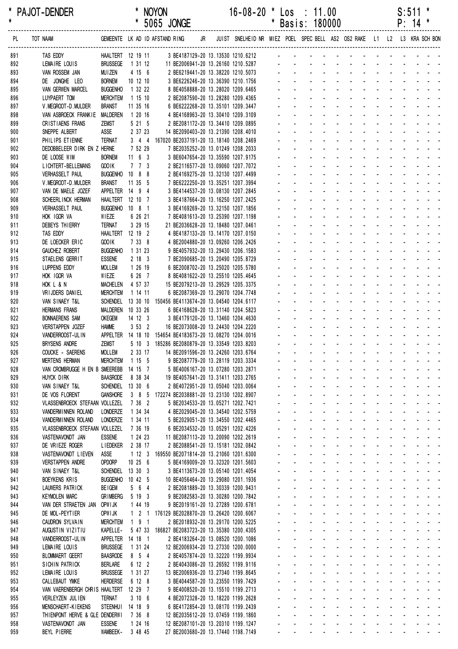| *<br>$\pmb{\ast}$ | PAJOT-DENDER                                                                                                       |                                    |                      | * NOYON            |                                                                                      | $16 - 08 - 20$ *<br>* 5065 JONGE                                                                             |                           | $\textsf{Los} : 11.00$<br>* Basis: 180000 |                                                |  |                               |  |  | S:511<br>$P: 14$ * | $\star$                                                                                                                                                                                                                        |
|-------------------|--------------------------------------------------------------------------------------------------------------------|------------------------------------|----------------------|--------------------|--------------------------------------------------------------------------------------|--------------------------------------------------------------------------------------------------------------|---------------------------|-------------------------------------------|------------------------------------------------|--|-------------------------------|--|--|--------------------|--------------------------------------------------------------------------------------------------------------------------------------------------------------------------------------------------------------------------------|
| PL                | TOT NAAM GEMEENTE LK AD ID AFSTAND RING JR JUIST SNELHEID NR MIEZ POEL SPEC BELL AS2 OS2 RAKE L1 L2 L3 KRA SCH BON |                                    |                      |                    |                                                                                      |                                                                                                              |                           |                                           |                                                |  |                               |  |  |                    |                                                                                                                                                                                                                                |
| 891               | <b>TAS EDDY</b>                                                                                                    | HAALTERT 12 19 11                  |                      |                    |                                                                                      | 3 BE4187129-20 13.13530 1210.6212                                                                            |                           |                                           |                                                |  |                               |  |  |                    |                                                                                                                                                                                                                                |
| 892               | LEMAIRE LOUIS                                                                                                      | BRUSSEGE 1 31 12                   |                      |                    |                                                                                      | 11 BE2006941-20 13.26160 1210.5287<br>2 BE6219441-20 13.38220 1210.5073<br>3 BE6226246-20 13.36390 1210.1756 |                           |                                           |                                                |  |                               |  |  |                    |                                                                                                                                                                                                                                |
| 893               | VAN ROSSEM JAN                                                                                                     | <b>MUIZEN</b>                      |                      | 4 15 6             |                                                                                      |                                                                                                              |                           |                                           |                                                |  |                               |  |  |                    |                                                                                                                                                                                                                                |
| 894<br>895        | DE JONGHE LEO<br><b>VAN GERWEN MARCEL</b>                                                                          | <b>BORNEM</b><br><b>BUGGENHO</b>   | 10 12 10<br>1 32 22  |                    | 8 BE4058888-20 13.28020 1209.6465                                                    |                                                                                                              |                           |                                           |                                                |  |                               |  |  |                    | and the contract of the contract of the contract of the contract of the contract of the contract of the contract of the contract of the contract of the contract of the contract of the contract of the contract of the contra |
| 896               | LUYPAERT TOM                                                                                                       | <b>MERCHTEM</b>                    | 1 15 10              |                    | 2 BE2087590-20 13.28280 1209.4365                                                    |                                                                                                              |                           |                                           |                                                |  |                               |  |  |                    | والمتعاط والمتعاط والمتعاط والمتعاط والمتعاط                                                                                                                                                                                   |
| 897               | V. MEGROOT-D. MULDER                                                                                               | <b>BRANST</b>                      | 11 35 16             |                    | 6 BE6222268-20 13.35101 1209.3447                                                    |                                                                                                              |                           |                                           |                                                |  |                               |  |  |                    | and the contract of the contract of the                                                                                                                                                                                        |
| 898               | VAN ASBROECK FRANKIE                                                                                               | MALDEREN                           | 1 20 16              |                    | 4 BE4168963-20 13.30410 1209.3109                                                    |                                                                                                              |                           |                                           |                                                |  |                               |  |  |                    | the contract of the contract of the contract of                                                                                                                                                                                |
| 899               | CRISTIAENS FRANS                                                                                                   | <b>ZEMST</b>                       |                      | 5 21 5             | 2 BE2081172-20 13.34410 1209.0895                                                    |                                                                                                              |                           |                                           |                                                |  |                               |  |  |                    | and the state of the state of the state                                                                                                                                                                                        |
| 900               | SNEPPE ALBERT                                                                                                      | ASSE                               |                      | 2 37 23            | 14 BE2090403-20 13.21390 1208.4010                                                   |                                                                                                              |                           |                                           |                                                |  |                               |  |  |                    | and a state of the state of the state of                                                                                                                                                                                       |
| 901<br>902        | PHILIPS ETIENNE<br>DEDOBBELEER DIRK EN Z HERNE                                                                     | Ternat                             |                      | 7 52 29            | 3 4 4 167020 BE2037191-20 13.18140 1208.2469<br>7 BE2035252-20 13.01249 1208.2033    |                                                                                                              |                           |                                           |                                                |  |                               |  |  |                    | and a straightful and a straight and<br>and a straightful and a straight and                                                                                                                                                   |
| 903               | DE LOOSE WIM                                                                                                       | <b>BORNEM</b>                      | $11 \quad 6 \quad 3$ |                    | 3 BE6047654-20 13.35590 1207.9175                                                    |                                                                                                              |                           |                                           |                                                |  |                               |  |  |                    | والمتعاون والمتعاون والمتعاون والمتعاون والمناور                                                                                                                                                                               |
| 904               | LICHTERT-BELLEMANS                                                                                                 | GOO IK                             |                      | $7$ $7$ $3$        | 2 BE2116577-20 13.09060 1207.7072                                                    |                                                                                                              |                           |                                           |                                                |  |                               |  |  |                    | and a state of the state of the state of                                                                                                                                                                                       |
| 905               | VERHASSELT PAUL                                                                                                    | BUGGENHO 10 8 8                    |                      |                    | 2 BE4169275-20 13.32130 1207.4499                                                    |                                                                                                              |                           |                                           |                                                |  |                               |  |  |                    | de la provincia de la provincia de la provincia de                                                                                                                                                                             |
| 906               | V. MEGROOT-D. MULDER                                                                                               | <b>BRANST</b>                      | 11 35 5              |                    | 7 BE6222250-20 13.35251 1207.3994                                                    |                                                                                                              |                           |                                           |                                                |  |                               |  |  |                    | and a series and a series and a series                                                                                                                                                                                         |
| 907               | VAN DE MAELE JOZEF                                                                                                 | APPELTER 14 9 4                    |                      |                    | 3 BE4144537-20 13.08130 1207.2845                                                    |                                                                                                              |                           |                                           |                                                |  |                               |  |  |                    | and a state of the state of the state                                                                                                                                                                                          |
| 908               | SCHEERL INCK HERMAN                                                                                                | HAALTERT 12 10 7                   |                      |                    | 3 BE4187664-20 13.16250 1207.2425                                                    |                                                                                                              |                           |                                           |                                                |  |                               |  |  |                    | and a series of the contract of the series                                                                                                                                                                                     |
| 909               | VERHASSELT PAUL                                                                                                    | BUGGENHO 10 8 1                    |                      |                    | 3 BE4169269-20 13.32150 1207.1856                                                    |                                                                                                              |                           |                                           |                                                |  |                               |  |  |                    | and a series of the contract of the series<br>والمتعاط المتابعات والمتابع المتابعات والمتابع                                                                                                                                   |
| 910<br>911        | HOK IGOR VA<br>DEBEYS THIERRY                                                                                      | WIEZE<br><b>TERNAT</b>             |                      | 6 26 21<br>3 29 15 | 7 BE4081613-20 13.25390 1207.1198<br>21 BE2036628-20 13.18480 1207.0461              |                                                                                                              |                           |                                           |                                                |  |                               |  |  |                    | and a straightful and a straight and a                                                                                                                                                                                         |
| 912               | TAS EDDY                                                                                                           | HAALTERT 12 19 2                   |                      |                    | 4 BE4187133-20 13.14170 1207.0150                                                    |                                                                                                              |                           |                                           |                                                |  |                               |  |  |                    | and a state of the state of the state of                                                                                                                                                                                       |
| 913               | DE LOECKER ERIC                                                                                                    | GOO IK                             |                      | 7 33 8             | 4 BE2004880-20 13.09260 1206.2426                                                    |                                                                                                              |                           |                                           |                                                |  |                               |  |  |                    | and a state of the state of the state                                                                                                                                                                                          |
| 914               | <b>GAUCHEZ ROBERT</b>                                                                                              | <b>BUGGENHO</b>                    | 1 31 23              |                    | 9 BE4057932-20 13.29430 1206.1583                                                    |                                                                                                              |                           |                                           |                                                |  |                               |  |  |                    | and a state of the state of the state of                                                                                                                                                                                       |
| 915               | STAELENS GERRIT                                                                                                    | <b>ESSENE</b>                      |                      | 2183               | 7 BE2090685-20 13.20490 1205.8729                                                    |                                                                                                              |                           |                                           |                                                |  |                               |  |  |                    | a construction of the construction of the                                                                                                                                                                                      |
| 916               | LUPPENS EDDY                                                                                                       | <b>MOLLEM</b>                      |                      | 1 26 19            | 6 BE2008702-20 13.25020 1205.5780                                                    |                                                                                                              |                           |                                           |                                                |  |                               |  |  |                    | design and a state of the state of the                                                                                                                                                                                         |
| 917               | HOK IGOR VA                                                                                                        | WIEZE                              |                      | 6 26 7             | 8 BE4081622-20 13.25510 1205.4645                                                    |                                                                                                              |                           |                                           |                                                |  |                               |  |  |                    | de la participat de la participat de                                                                                                                                                                                           |
| 918               | HOK L & N                                                                                                          | <b>MACHELEN</b>                    | 4 57 37              |                    | 15 BE2079213-20 13.29529 1205.3375                                                   |                                                                                                              |                           |                                           |                                                |  |                               |  |  |                    | and a series and a series and a series<br>and a straightful and a straight and                                                                                                                                                 |
| 919<br>920        | VRIJDERS DANIEL<br>VAN SINAEY T&L                                                                                  | <b>MERCHTEM</b><br><b>SCHENDEL</b> | 1 14 11              |                    | 6 BE2087369-20 13.29070 1204.7748<br>13 30 10 150456 BE4113674-20 13.04540 1204.6117 |                                                                                                              |                           |                                           |                                                |  |                               |  |  |                    | والمتعاون والمتعاون والمتعاون والمتعاونات                                                                                                                                                                                      |
| 921               | <b>HERMANS FRANS</b>                                                                                               | <b>MALDEREN</b>                    | 10 33 26             |                    | 6 BE4168628-20 13.31140 1204.5823                                                    |                                                                                                              |                           |                                           |                                                |  |                               |  |  |                    | and a state of the state of the state                                                                                                                                                                                          |
| 922               | <b>BONNAERENS SAM</b>                                                                                              | <b>OKEGEM</b>                      | 14 12 3              |                    | 3 BE4179120-20 13.13460 1204.4630                                                    |                                                                                                              |                           |                                           |                                                |  |                               |  |  |                    | والمتعاط المتناول والمتناول والمتناول والمتناو                                                                                                                                                                                 |
| 923               | VERSTAPPEN JOZEF                                                                                                   | <b>HAMME</b>                       |                      | 3532               | 16 BE2073008-20 13.24430 1204.2220                                                   |                                                                                                              |                           |                                           |                                                |  |                               |  |  |                    | and a straightful and a straight and a                                                                                                                                                                                         |
| 924               | VANDERROOST-UL IN                                                                                                  |                                    |                      |                    | APPELTER  14 18 10  154654 BE4183673-20  13.08270  1204.0016                         |                                                                                                              |                           |                                           |                                                |  |                               |  |  |                    | and a straightful and a straight and a                                                                                                                                                                                         |
| 925               | <b>BRYSENS ANDRE</b>                                                                                               | <b>ZEMST</b>                       |                      |                    | 5 10 3 185286 BE2080879-20 13.33549 1203.8203                                        |                                                                                                              |                           |                                           |                                                |  |                               |  |  |                    | and a series of the contract of the series                                                                                                                                                                                     |
| 926               | COUCKE - SAERENS                                                                                                   | <b>MOLLEM</b>                      |                      |                    | 2   33   17               14   BE2091596-20  13.24260  1203.6764                     |                                                                                                              |                           |                                           |                                                |  |                               |  |  |                    | and the company of the company of the company of the company of the company of the company of the company of the company of the company of the company of the company of the company of the company of the company of the comp |
| 927<br>928        | <b>MERTENS HERMAN</b><br>VAN CROMBRUGGE H EN B SMEEREBB 14 15 7                                                    | <b>MERCHTEM</b>                    | 1155                 |                    | 9 BE2087779-20 13.28119 1203.3334<br>5 BE4006167-20 13.07280 1203.2871               |                                                                                                              |                           |                                           |                                                |  |                               |  |  |                    | والمناور والوالد والمناور والمناور<br>and a state of the state of the state of                                                                                                                                                 |
| 929               | HUYCK DIRK                                                                                                         | <b>BAASRODE</b>                    | 8 38 34              |                    | 19 BE4057641-20 13.31411 1203.2765                                                   |                                                                                                              | ÷.                        |                                           | $\Delta \sim 100$                              |  |                               |  |  |                    | and a series and a series and                                                                                                                                                                                                  |
| 930               | VAN SINAEY T&L                                                                                                     | SCHENDEL 13 30 6                   |                      |                    | 2 BE4072951-20 13.05040 1203.0064                                                    |                                                                                                              | $\mathbb{Z}^{\mathbb{Z}}$ |                                           | $\omega_{\rm{max}}$                            |  |                               |  |  |                    | and a state of the state of the state                                                                                                                                                                                          |
| 931               | DE VOS FLORENT                                                                                                     | <b>GANSHORE</b>                    | 385                  |                    | 172274 BE2038881-20 13.23130 1202.8907                                               |                                                                                                              |                           | $\omega_{\rm{max}}$                       | $\omega_{\rm{max}}$                            |  |                               |  |  |                    | and a state of the state of the state                                                                                                                                                                                          |
| 932               | VLASSENBROECK STEFAAN VOLLEZEL                                                                                     |                                    |                      | 7 36 2             | 5 BE2034533-20 13.05271 1202.7421                                                    |                                                                                                              |                           | $\mathcal{L}^{\text{max}}$                | $\Delta \sim 100$                              |  |                               |  |  |                    | فالمنافذ والمستنقذ والمستنقذ والمستنقذ والمستنقذ                                                                                                                                                                               |
| 933               | VANDERMINNEN ROLAND                                                                                                | <b>LONDERZE</b>                    |                      | 1 34 34            | 4 BE2029045-20 13.34540 1202.5759                                                    |                                                                                                              |                           |                                           |                                                |  |                               |  |  |                    | والمناول والمتناول والمتناول والمتناول                                                                                                                                                                                         |
| 934               | VANDERMINNEN ROLAND                                                                                                | LONDERZE                           |                      | 1 34 11            | 5 BE2029051-20 13.34550 1202.4465                                                    |                                                                                                              | ÷.                        |                                           | $\Delta \sim 100$                              |  | and a straight and a straight |  |  |                    | and a strain and a                                                                                                                                                                                                             |
| 935<br>936        | VLASSENBROECK STEFAAN VOLLEZEL<br>VASTENAVONDT JAN                                                                 | <b>ESSENE</b>                      |                      | 7 36 19<br>1 24 23 | 6 BE2034532-20 13.05291 1202.4226<br>11 BE2087113-20 13.20090 1202.2619              |                                                                                                              | ä.                        | $\omega_{\rm{max}}$                       | $\mathbf{L}^{\text{max}}$<br>$\Delta \sim 100$ |  |                               |  |  |                    | and a series of the series of the series<br>and a state of the state of the state                                                                                                                                              |
| 937               | DE VRIEZE ROGER                                                                                                    | <b>LIEDEKER</b>                    | 2 38 17              |                    | 2 BE2088541-20 13.15181 1202.0842                                                    |                                                                                                              |                           | $\Delta \sim 100$                         | $\Delta \sim 100$                              |  |                               |  |  |                    | and a series of the contract of the                                                                                                                                                                                            |
| 938               | VASTENAVONDT LIEVEN                                                                                                | ASSE                               |                      |                    | 1 12 3 169550 BE2071814-20 13.21060 1201.6300                                        |                                                                                                              |                           | $\omega_{\rm{max}}$                       | $\Delta \sim 100$                              |  |                               |  |  |                    | فالقائد والمتاريخ والمتاريخ والمتاريخ والمتاريخ                                                                                                                                                                                |
| 939               | <b>VERSTAPPEN ANDRE</b>                                                                                            | <b>OPDORP</b>                      | 10 25 6              |                    | 5 BE4169009-20 13.32320 1201.5603                                                    |                                                                                                              |                           |                                           | $\Delta \sim 100$                              |  |                               |  |  |                    | فالقائق والقاربة القاربة القاربة القاربة                                                                                                                                                                                       |
| 940               | VAN SINAEY T&L                                                                                                     | SCHENDEL 13 30 3                   |                      |                    | 3 BE4113673-20 13.05140 1201.4054                                                    |                                                                                                              |                           | $\mathcal{L}^{\text{max}}$                | $\Delta \sim 100$                              |  |                               |  |  |                    | and a series of the contract of the                                                                                                                                                                                            |
| 941               | <b>BOEYKENS KRIS</b>                                                                                               | <b>BUGGENHO</b>                    | 10 42 5              |                    | 10 BE4056464-20 13.29080 1201.1936                                                   |                                                                                                              |                           | $\Delta \sim 100$                         |                                                |  |                               |  |  |                    | design and a state of the state of the state of the state of the state of the state of the state of the state of the state of the state of the state of the state of the state of the state of the state of the state of the s |
| 942               | LAUWERS PATRICK                                                                                                    | <b>BEIGEM</b>                      |                      | 564                | 2 BE2081889-20 13.30339 1200.9431                                                    |                                                                                                              |                           |                                           |                                                |  |                               |  |  |                    | a construction of the construction of the construction of the construction of the construction of the construction of the construction of the construction of the construction of the construction of the construction of the  |
| 943               | <b>KEYMOLEN MARC</b>                                                                                               | <b>GRIMBERG</b>                    |                      | 5 19 3             | 9 BE2082583-20 13.30280 1200.7842                                                    |                                                                                                              |                           | $\Delta \sim 100$<br>$\omega_{\rm{max}}$  | $\Delta \sim 100$<br>$\Delta \sim 100$         |  |                               |  |  |                    | and a series of the contract of the<br>فالمنافذ والمستنقذ والمستنقذ والمستنقذ والمستنقذ                                                                                                                                        |
| 944<br>945        | VAN DER STRAETEN JAN<br>DE MOL-PEYTIER                                                                             | OPW I JK<br>OPWIJK                 |                      | 1 44 19            | 9 BE2019161-20 13.27289 1200.6781<br>1 2 1 176129 BE2028870-20 13.26420 1200.6067    |                                                                                                              |                           |                                           | $\Delta \sim 100$                              |  |                               |  |  |                    | فالقائق والقاربة القاربة القاربة القاربة                                                                                                                                                                                       |
| 946               | CAUDRON SYLVAIN                                                                                                    | <b>MERCHTEM</b>                    | $191$                |                    | 2 BE2018932-20 13.29170 1200.5225                                                    |                                                                                                              |                           | $\omega_{\rm{max}}$                       | $\Delta \sim 100$                              |  |                               |  |  |                    | فالمنافذ والمستنقذ والمستنقذ والمستنقذ والمستنقذ                                                                                                                                                                               |
| 947               | AUGUSTIN VIZITIU                                                                                                   | KAPELLE-                           |                      |                    | 5 47 33 186827 BE2083723-20 13.35380 1200.4305                                       |                                                                                                              |                           | $\Delta \sim 10^{-1}$                     |                                                |  |                               |  |  |                    | and a strain and a strain and a strain a                                                                                                                                                                                       |
| 948               | VANDERROOST-ULIN                                                                                                   | APPELTER 14 18 1                   |                      |                    | 2 BE4183264-20 13.08520 1200.1086                                                    |                                                                                                              |                           |                                           |                                                |  |                               |  |  |                    | and a series and a series and a series                                                                                                                                                                                         |
| 949               | LEMAIRE LOUIS                                                                                                      | <b>BRUSSEGE</b>                    | 1 31 24              |                    | 12 BE2006934-20 13.27330 1200.0000                                                   |                                                                                                              |                           | and a state                               |                                                |  |                               |  |  |                    | and a series of the contract of the                                                                                                                                                                                            |
| 950               | <b>BLOMMAERT GEERT</b>                                                                                             | <b>BAASRODE</b>                    |                      | 8 5 4              | 2 BE4057874-20 13.32220 1199.9934                                                    |                                                                                                              |                           | $\omega_{\rm{eff}}=2.0\pm0.01$            |                                                |  |                               |  |  |                    | and a series of the contract of the series                                                                                                                                                                                     |
| 951               | SICHIN PATRICK                                                                                                     | <b>BERLARE</b>                     |                      | 6 12 2             | 2 BE4043086-20 13.26592 1199.9116                                                    |                                                                                                              |                           | $\omega_{\rm{max}}$                       |                                                |  |                               |  |  |                    | and a series of the contract of the series of                                                                                                                                                                                  |
| 952               | LEMAIRE LOUIS                                                                                                      | <b>BRUSSEGE</b>                    | 1 31 27              |                    | 13 BE2006936-20 13.27340 1199.8645                                                   |                                                                                                              |                           | $\omega_{\rm{max}}$                       | $\Delta \sim 100$                              |  |                               |  |  |                    | design and a state of the state of the<br>and a series of the contract of the series of                                                                                                                                        |
| 953<br>954        | CALLEBAUT YMKE<br>VAN VAERENBERGH CHRIS HAALTERT 12 29 7                                                           | <b>HERDERSE</b>                    |                      | 6 12 8             | 3 BE4044587-20 13.23550 1199.7429<br>9 BE4008520-20 13.15510 1199.2713               |                                                                                                              |                           |                                           |                                                |  |                               |  |  |                    | a construction of the construction of the construction of the construction of the construction of the construction of the construction of the construction of the construction of the construction of the construction of the  |
| 955               | VERLEYZEN JULIEN                                                                                                   | <b>TERNAT</b>                      |                      | 3106               | 4 BE2072328-20 13.18220 1199.2628                                                    |                                                                                                              |                           | $\Delta \sim 100$                         | $\Delta \sim 100$                              |  |                               |  |  |                    | and a state of the state of the state of                                                                                                                                                                                       |
| 956               | MENSCHAERT-KIEKENS                                                                                                 | STEENHUI 14 18 9                   |                      |                    | 6 BE4172854-20 13.08170 1199.2439                                                    |                                                                                                              |                           |                                           |                                                |  |                               |  |  |                    | and a series of the series of the series of the                                                                                                                                                                                |
| 957               | THIENPONT HERVE & GLE DENDERWI                                                                                     |                                    | 7 36 8               |                    | 12 BE2035612-20 13.07459 1199.1860                                                   |                                                                                                              |                           |                                           |                                                |  |                               |  |  |                    | فالقاط القارف القارف القارف القارف القاربية                                                                                                                                                                                    |
| 958               | VASTENAVONDT JAN                                                                                                   | <b>ESSENE</b>                      |                      | 1 24 16            | 12 BE2087101-20 13.20310 1199.1247                                                   |                                                                                                              |                           | $\Delta \sim 100$                         | <b>Service</b>                                 |  |                               |  |  |                    | and a state of the state of the state of                                                                                                                                                                                       |
| 959               | BEYL PIERRE                                                                                                        | WAMBEEK-                           | 3 48 45              |                    | 27 BE2003680-20 13.17440 1198.7149                                                   |                                                                                                              |                           |                                           |                                                |  |                               |  |  |                    | and the contract of the contract of the contract of                                                                                                                                                                            |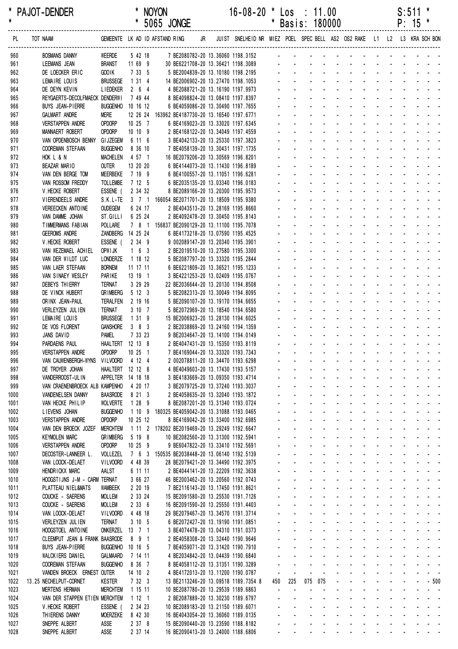| *<br>$\star$ | PAJOT-DENDER                                            |                                    |                      | <b>NOYON</b><br>* 5065 JONGE                          |    | $16 - 08 - 20$                                                          | $\mathbf{\ast}$ |                           | $\textsf{Los} \div 11.00$<br>* Basis: 180000                                                                                                                                                                                   |                                      |                   |                |                         |              |                             |                    | S:511<br>$P: 15$ * | *                                                                                                                                                                                                                                                                                 |
|--------------|---------------------------------------------------------|------------------------------------|----------------------|-------------------------------------------------------|----|-------------------------------------------------------------------------|-----------------|---------------------------|--------------------------------------------------------------------------------------------------------------------------------------------------------------------------------------------------------------------------------|--------------------------------------|-------------------|----------------|-------------------------|--------------|-----------------------------|--------------------|--------------------|-----------------------------------------------------------------------------------------------------------------------------------------------------------------------------------------------------------------------------------------------------------------------------------|
| PL           | TOT NAAM                                                |                                    |                      | GEMEENTE LK AD ID AFSTAND RING                        | JR | JUIST SNELHEID NR MIEZ POEL SPEC BELL AS2 OS2 RAKE L1 L2 L3 KRA SCH BON |                 |                           |                                                                                                                                                                                                                                |                                      |                   |                |                         |              |                             |                    |                    |                                                                                                                                                                                                                                                                                   |
| 960          | <b>BOSMANS DANNY</b>                                    | WEERDE                             | 5 42 18              | 7 BE2080782-20 13.36060 1198.3152                     |    |                                                                         |                 |                           | and the contract of the contract of the contract of the contract of the contract of the contract of the contract of the contract of the contract of the contract of the contract of the contract of the contract of the contra |                                      |                   |                |                         |              |                             |                    |                    |                                                                                                                                                                                                                                                                                   |
| 961          | LEEMANS JEAN                                            | <b>BRANST</b>                      | 11 69 9              |                                                       |    | 30 BE6221708-20 13.36421 1198.3089<br>5 BE2004839-20 13.10180 1198.2195 |                 |                           |                                                                                                                                                                                                                                |                                      |                   |                |                         |              |                             |                    |                    |                                                                                                                                                                                                                                                                                   |
| 962<br>963   | DE LOECKER ERIC<br>LEMAIRE LOUIS                        | GOO IK<br><b>BRUSSEGE</b>          | 7 33 5<br>1314       |                                                       |    | 14 BE2006902-20 13.27470 1198.1053                                      |                 |                           | and a straightful and a straight and                                                                                                                                                                                           |                                      |                   |                |                         |              |                             |                    |                    |                                                                                                                                                                                                                                                                                   |
| 964          | DE DEYN KEVIN                                           | <b>LIEDEKER</b>                    | $2\quad 6\quad 4$    |                                                       |    | 4 BE2088721-20 13.16190 1197.9973                                       |                 |                           | والمتعاط المتابعات والمتابعات والمتابعات والمتابع                                                                                                                                                                              |                                      |                   |                |                         |              |                             |                    |                    |                                                                                                                                                                                                                                                                                   |
| 965          | REYGAERTS-DECOLFMAECK DENDERWI                          |                                    | 7 49 44              |                                                       |    | 8 BE4098824-20 13.08410 1197.8397                                       |                 |                           |                                                                                                                                                                                                                                |                                      |                   |                |                         |              |                             |                    |                    |                                                                                                                                                                                                                                                                                   |
| 966          | BUYS JEAN-PIERRE                                        | BUGGENHO 10 16 12                  |                      |                                                       |    | 6 BE4059086-20 13.30490 1197.7655                                       |                 |                           | والمناور والمناور والوالو الوالو الوالي                                                                                                                                                                                        |                                      |                   |                |                         |              |                             |                    |                    |                                                                                                                                                                                                                                                                                   |
| 967          | <b>GALMART ANDRE</b>                                    | Mere                               |                      | 12 26 24 163962 BE4187730-20 13.16540 1197.6771       |    |                                                                         |                 |                           | de la provincia de la provincia de la provincia de                                                                                                                                                                             |                                      |                   |                |                         |              |                             |                    |                    |                                                                                                                                                                                                                                                                                   |
| 968          | <b>VERSTAPPEN ANDRE</b>                                 | OPDORP                             | 10 25 7              |                                                       |    | 6 BE4169023-20 13.33020 1197.6345                                       |                 | $\Delta \sim 10^{-11}$    |                                                                                                                                                                                                                                |                                      |                   |                |                         |              |                             |                    |                    | design and the state of the state of the                                                                                                                                                                                                                                          |
| 969<br>970   | MANNAERT ROBERT<br>VAN OPDENBOSCH BENNY                 | <b>OPDORP</b><br><b>GI JZEGEM</b>  | 10 10 9<br>6 11 6    |                                                       |    | 2 BE4168122-20 13.34049 1197.4559<br>3 BE4042133-20 13.25330 1197.3823  |                 |                           | de la provincia de la provincia de la partida                                                                                                                                                                                  |                                      |                   |                |                         |              |                             |                    |                    |                                                                                                                                                                                                                                                                                   |
| 971          | <b>COOREMAN STEFAAN</b>                                 | <b>BUGGENHO</b>                    | 8 36 10              |                                                       |    | 7 BE4058139-20 13.30431 1197.1735                                       |                 |                           | and a series of the series of the series of the                                                                                                                                                                                |                                      |                   |                |                         |              |                             |                    |                    |                                                                                                                                                                                                                                                                                   |
| 972          | HOK L & N                                               | <b>MACHELEN</b>                    | 4 57 1               |                                                       |    | 16 BE2079206-20 13.30569 1196.8201                                      |                 |                           | والمتعاط المتابع المتابع المتابع المتابع المتابع                                                                                                                                                                               |                                      |                   |                |                         |              |                             |                    |                    |                                                                                                                                                                                                                                                                                   |
| 973          | BEAZAR MARIO                                            | OUTER                              | 13 20 20             |                                                       |    | 6 BE4144073-20 13.11430 1196.8189                                       |                 |                           | a construction of the construction of the construction of the construction of the construction of the construction of the construction of the construction of the construction of the construction of the construction of the  |                                      |                   |                |                         |              |                             |                    |                    |                                                                                                                                                                                                                                                                                   |
| 974          | VAN DEN BERGE TOM                                       | MEERBEKE                           | 7 19 9               |                                                       |    | 6 BE4100557-20 13.11051 1196.6281                                       |                 |                           | de la provincia de la provincia de la provincia de                                                                                                                                                                             |                                      |                   |                |                         |              |                             |                    |                    |                                                                                                                                                                                                                                                                                   |
| 975          | VAN ROSSOM FREDDY                                       | <b>TOLLEMBE</b>                    | 7 12 5               |                                                       |    | 6 BE2035135-20 13.03340 1196.0183                                       |                 |                           | die staat die kanaal van die kanaal die kanaal van die kanaal van die kanaal van die kanaal van die kanaal van                                                                                                                 |                                      |                   |                |                         |              |                             |                    |                    |                                                                                                                                                                                                                                                                                   |
| 976          | V. HECKE ROBERT<br>VIERENDEELS ANDRE                    | ESSENE (                           | 2 34 32              | S.K.L-TE 3 7 1 166054 BE2071701-20 13.18509 1195.9380 |    | 8 BE2089166-20 13.20300 1195.9573                                       |                 |                           | de la provincia de la provincia de la partida<br>والمناور والمناور والمناور والمناور والمناور                                                                                                                                  |                                      |                   |                |                         |              |                             |                    |                    |                                                                                                                                                                                                                                                                                   |
| 977<br>978   | <b>VEREECKEN ANTOINE</b>                                | <b>OUDEGEM</b>                     | 6 24 17              |                                                       |    | 2 BE4043513-20 13.28169 1195.8660                                       |                 |                           | <u>.</u>                                                                                                                                                                                                                       |                                      |                   |                |                         |              |                             |                    |                    |                                                                                                                                                                                                                                                                                   |
| 979          | VAN DAMME JOHAN                                         | ST.GILLI                           | 6 25 24              |                                                       |    | 2 BE4092478-20 13.30450 1195.8143                                       |                 |                           | والمناور والمناور والمناور والمناور والمناور                                                                                                                                                                                   |                                      |                   |                |                         |              |                             |                    |                    |                                                                                                                                                                                                                                                                                   |
| 980          | TIMMERMANS FABIAN                                       | POLLARE                            |                      | 7 8 1 156837 BE2090129-20 13.11100 1195.7078          |    |                                                                         |                 |                           | die staat die kanaal van die kanaal die kanaal van die kanaal van die kanaal van die kanaal van die kanaal van                                                                                                                 |                                      |                   |                |                         |              |                             |                    |                    |                                                                                                                                                                                                                                                                                   |
| 981          | <b>GEEROMS ANDRE</b>                                    | ZANDBERG 14 25 24                  |                      |                                                       |    | 6 BE4173218-20 13.07590 1195.4525                                       |                 |                           | <u>.</u>                                                                                                                                                                                                                       |                                      |                   |                |                         |              |                             |                    |                    |                                                                                                                                                                                                                                                                                   |
| 982          | V. HECKE ROBERT                                         | ESSENE (                           | $2 \quad 34 \quad 9$ |                                                       |    | 9 002089147-20 13.20340 1195.3901                                       |                 |                           | de la provincia de la provincia de la partida                                                                                                                                                                                  |                                      |                   |                |                         |              |                             |                    |                    |                                                                                                                                                                                                                                                                                   |
| 983          | VAN WEZEMAEL ACHIEL                                     | OPW I JK                           | $1\quad 6\quad 3$    |                                                       |    | 2 BE2019510-20 13.27580 1195.3300                                       |                 |                           | and the company of                                                                                                                                                                                                             |                                      |                   |                | $\Delta \phi = 0.000$ . |              |                             |                    |                    | and a straightful and a                                                                                                                                                                                                                                                           |
| 984          | VAN DER WILDT LUC                                       | LONDERZE                           | 1 18 12              |                                                       |    | 5 BE2087797-20 13.33320 1195.2844                                       |                 |                           | and a series of the contract of the<br><u>.</u>                                                                                                                                                                                |                                      |                   |                |                         |              |                             |                    |                    |                                                                                                                                                                                                                                                                                   |
| 985<br>986   | VAN LAER STEFAAN<br>VAN SINAEY WESLEY                   | <b>BORNEM</b><br>PARIKE            | 11 17 11<br>13 19 1  |                                                       |    | 6 BE6221809-20 13.36521 1195.1233<br>3 BE4221253-20 13.02409 1195.0767  |                 |                           | design and contract the contract of the                                                                                                                                                                                        |                                      |                   |                |                         |              |                             |                    |                    |                                                                                                                                                                                                                                                                                   |
| 987          | DEBEYS THIERRY                                          | <b>TERNAT</b>                      | 3 29 29              |                                                       |    | 22 BE2036644-20 13.20130 1194.8508                                      |                 |                           | design and a state of the state of the state of the state of the state of the state of the state of the state of the state of the state of the state of the state of the state of the state of the state of the state of the s |                                      |                   |                |                         |              |                             |                    |                    |                                                                                                                                                                                                                                                                                   |
| 988          | DE VINCK HUBERT                                         | <b>GRIMBERG</b>                    | 5 12 3               |                                                       |    | 5 BE2082313-20 13.30049 1194.8095                                       |                 |                           | <u>.</u>                                                                                                                                                                                                                       |                                      |                   |                |                         |              |                             |                    |                    |                                                                                                                                                                                                                                                                                   |
| 989          | ORINX JEAN-PAUL                                         | <b>TERALFEN</b>                    | 2 19 16              |                                                       |    | 5 BE2090107-20 13.19170 1194.6655                                       |                 |                           | والمناور والمناور والوالد المناور والمناور والمناور                                                                                                                                                                            |                                      |                   |                |                         |              |                             |                    |                    |                                                                                                                                                                                                                                                                                   |
| 990          | VERLEYZEN JULIEN                                        | <b>TERNAT</b>                      | 3 10 7               |                                                       |    | 5 BE2072969-20 13.18540 1194.6580                                       |                 |                           | <u>.</u>                                                                                                                                                                                                                       |                                      |                   |                |                         |              |                             |                    |                    |                                                                                                                                                                                                                                                                                   |
| 991          | LEMAIRE LOUIS                                           | <b>BRUSSEGE</b>                    | 1 31 9               | 15 BE2006923-20 13.28130 1194.6025                    |    |                                                                         |                 |                           | .                                                                                                                                                                                                                              |                                      |                   |                |                         |              |                             |                    |                    |                                                                                                                                                                                                                                                                                   |
| 992          | DE VOS FLORENT                                          | GANSHORE                           | 383                  |                                                       |    | 2 BE2038869-20 13.24160 1194.1359                                       |                 |                           | design and contract the contract of the                                                                                                                                                                                        |                                      |                   |                |                         |              |                             |                    |                    |                                                                                                                                                                                                                                                                                   |
| 993<br>994   | JANS DAVID<br>PARDAENS PAUL                             | <b>PAMEL</b><br>HAALTERT 12 13 8   | 7 33 23              |                                                       |    | 9 BE2034647-20 13.14100 1194.0149<br>2 BE4047431-20 13.15350 1193.8119  |                 |                           | and a state of                                                                                                                                                                                                                 |                                      |                   |                |                         |              |                             |                    |                    | and a state of the state of the                                                                                                                                                                                                                                                   |
| 995          | <b>VERSTAPPEN ANDRE</b>                                 | OPDORP                             | 10 25 1              |                                                       |    | 7 BE4169044-20 13.33320 1193.7343                                       |                 |                           | .                                                                                                                                                                                                                              |                                      |                   |                |                         |              |                             |                    |                    |                                                                                                                                                                                                                                                                                   |
| 996          | VAN CAUWENBERGH-WYNS VILVOORD                           |                                    | 4 12 4               |                                                       |    | 2 002078811-20 13.34470 1193.6298                                       |                 |                           |                                                                                                                                                                                                                                |                                      |                   |                |                         |              |                             |                    |                    | فالمستحدث والمستحدث والمستحدث والمستحدث                                                                                                                                                                                                                                           |
| 997          | DE TROYER JOHAN                                         | HAALTERT 12 12 8                   |                      |                                                       |    | 4 BE4049603-20 13.17430 1193.5157                                       |                 |                           |                                                                                                                                                                                                                                |                                      |                   |                |                         |              |                             |                    |                    | and a state of the state of the state                                                                                                                                                                                                                                             |
| 998          | VANDERROOST-UL IN                                       | APPELTER 14 18 18                  |                      |                                                       |    | 3 BE4183669-20 13.09350 1193.4714                                       |                 |                           |                                                                                                                                                                                                                                |                                      |                   |                |                         |              |                             |                    |                    | and a state of the state of the state of                                                                                                                                                                                                                                          |
| 999          | VAN CRAENENBROECK ALB KAMPENHO                          |                                    | 4 20 17              |                                                       |    | 3 BE2079725-20 13.37240 1193.3037                                       |                 |                           |                                                                                                                                                                                                                                |                                      |                   |                |                         |              |                             |                    |                    | and a strain and a strain and a strain<br>design and a state of the state of the                                                                                                                                                                                                  |
| 1000<br>1001 | VANDENELSEN DANNY<br>VAN HECKE PHILIP                   | <b>BAASRODE</b><br><b>WOLVERTE</b> | 8 21 3<br>1289       |                                                       |    | 2 BE4058635-20 13.32040 1193.1872<br>8 BE2087201-20 13.31340 1193.0724  |                 |                           | $\Delta \sim 100$                                                                                                                                                                                                              |                                      |                   |                |                         |              |                             |                    |                    | فالقائد والمتابع القاربة القاربة القاربة                                                                                                                                                                                                                                          |
| 1002         | LIEVENS JOHAN                                           | <b>BUGGENHO</b>                    | 1 10 9               | 180325 BE4059042-20 13.31088 1193.0465                |    |                                                                         |                 |                           |                                                                                                                                                                                                                                |                                      |                   |                |                         |              |                             |                    |                    | and a series of the series of the series                                                                                                                                                                                                                                          |
| 1003         | <b>VERSTAPPEN ANDRE</b>                                 | <b>OPDORP</b>                      | 10 25 12             |                                                       |    | 8 BE4169042-20 13.33400 1192.6985                                       |                 |                           |                                                                                                                                                                                                                                |                                      |                   |                |                         |              |                             |                    |                    | and the contract of the contract of the contract of                                                                                                                                                                                                                               |
| 1004         | VAN DEN BROECK JOZEF MERCHTEM                           |                                    |                      | 1 11 2 178202 BE2019469-20 13.29249 1192.6647         |    |                                                                         |                 |                           |                                                                                                                                                                                                                                |                                      |                   |                |                         |              |                             |                    |                    | design and a state of the state of the state of                                                                                                                                                                                                                                   |
| 1005         | <b>KEYMOLEN MARC</b>                                    | <b>GRIMBERG</b>                    | 5 19 8               |                                                       |    | 10 BE2082560-20 13.31300 1192.5941                                      |                 | $\Delta \sim 100$         |                                                                                                                                                                                                                                |                                      |                   |                |                         |              |                             |                    |                    | and a state of the state of the state of                                                                                                                                                                                                                                          |
| 1006         | <b>VERSTAPPEN ANDRE</b>                                 | <b>OPDORP</b>                      | 10 25 9              |                                                       |    | 9 BE6047822-20 13.33410 1192.5691                                       |                 |                           |                                                                                                                                                                                                                                |                                      |                   |                |                         |              |                             |                    |                    | and a series of the contract of the series of                                                                                                                                                                                                                                     |
| 1007         | DECOSTER-LANNEER L.                                     | VOLLEZEL                           |                      | 7 6 3 150535 BE2038448-20 13.06140 1192.5139          |    |                                                                         |                 | and a state               | and a series of the contract of the series                                                                                                                                                                                     |                                      |                   |                |                         |              |                             |                    |                    | والمستحيل والمستنقل والمستنقل والمستحدث والمستنق                                                                                                                                                                                                                                  |
| 1008<br>1009 | VAN LOOCK-DELAET<br>HENDRICKX MARC                      | <b>VILVOORD</b><br>AALST           | 4 48 39<br>6 11 11   |                                                       |    | 28 BE2079421-20 13.34490 1192.3975<br>2 BE4044141-20 13.22209 1192.3638 |                 |                           |                                                                                                                                                                                                                                |                                      |                   |                |                         |              |                             |                    |                    | and a series of the contract of the series of                                                                                                                                                                                                                                     |
| 1010         | HOOGSTIJNS J-M - CARM TERNAT                            |                                    | 3 66 27              | 46 BE2003462-20 13.20560 1192.0743                    |    |                                                                         |                 |                           |                                                                                                                                                                                                                                |                                      |                   |                |                         |              |                             |                    |                    | a construction of the construction of the construction of the construction of the construction of the construction of the construction of the construction of the construction of the construction of the construction of the                                                     |
| 1011         | PLATTEAU NIEL&MATS                                      | <b>WAMBEEK</b>                     | 2 20 19              |                                                       |    | 7 BE2116143-20 13.17450 1191.8621                                       |                 | $\omega_{\rm{max}}$       |                                                                                                                                                                                                                                |                                      |                   |                |                         |              |                             |                    |                    | design and a state of the state of the                                                                                                                                                                                                                                            |
| 1012         | COUCKE - SAERENS                                        | <b>MOLLEM</b>                      | 2 33 24              | 15 BE2091580-20 13.25530 1191.7126                    |    |                                                                         |                 | $\omega_{\rm{max}}$       | $\Delta \sim 100$                                                                                                                                                                                                              | and a straight                       |                   |                |                         |              |                             |                    |                    | and a state of the state of the                                                                                                                                                                                                                                                   |
| 1013         | COUCKE - SAERENS                                        | <b>MOLLEM</b>                      | 2336                 |                                                       |    | 16 BE2091590-20 13.25550 1191.4403                                      |                 |                           | $\Delta \sim 100$                                                                                                                                                                                                              | <b>All Carl Carl</b>                 |                   |                |                         |              |                             |                    |                    | فالقائم القاربة القاربة المرابط                                                                                                                                                                                                                                                   |
| 1014         | VAN LOOCK-DELAET                                        | VILVOORD                           | 4 48 18              |                                                       |    | 29 BE2079467-20 13.34570 1191.3714                                      |                 |                           |                                                                                                                                                                                                                                |                                      |                   |                |                         |              |                             |                    |                    | and a series of the contract of the series                                                                                                                                                                                                                                        |
| 1015         | VERLEYZEN JUL IEN                                       | TERNAT                             | 3 10 5               |                                                       |    | 6 BE2072427-20 13.19190 1191.0851                                       |                 |                           |                                                                                                                                                                                                                                |                                      |                   |                |                         |              |                             |                    |                    | فالمنافذ المنافذ المنافذ المنافذ المنافذ المنافذ<br>a construction of the construction of the construction of the construction of the construction of the construction of the construction of the construction of the construction of the construction of the construction of the |
| 1016<br>1017 | HOOGSTOEL ANTOINE<br>CLEEMPUT JEAN & FRANK BAASRODE     | ONKERZEL 13 7 1                    | 8 9 1                |                                                       |    | 3 BE4074478-20 13.04310 1191.0373<br>2 BE4058308-20 13.32440 1190.9646  |                 |                           |                                                                                                                                                                                                                                |                                      |                   |                |                         |              |                             |                    |                    | a construction of the construction of the construction of the construction of the construction of the construction of the construction of the construction of the construction of the construction of the construction of the                                                     |
| 1018         | BUYS JEAN-PIERRE                                        | BUGGENHO 10 16 5                   |                      |                                                       |    | 7 BE4059071-20 13.31420 1190.7910                                       |                 |                           |                                                                                                                                                                                                                                |                                      |                   |                |                         |              |                             |                    |                    | والمناور والمناور والمناور والمناور والمناور                                                                                                                                                                                                                                      |
| 1019         | WALCKIERS DANIEL                                        | <b>GALMAARD</b>                    | 7 14 11              |                                                       |    | 4 BE2034842-20 13.04439 1190.6840                                       |                 |                           |                                                                                                                                                                                                                                |                                      |                   |                |                         |              |                             |                    |                    | والمناور والمناور والمناور والمناور والمناور والمناور                                                                                                                                                                                                                             |
| 1020         | <b>COOREMAN STEFAAN</b>                                 | <b>BUGGENHO</b>                    | 8 36 7               |                                                       |    | 8 BE4058112-20 13.31351 1190.3289                                       |                 |                           |                                                                                                                                                                                                                                |                                      |                   |                |                         |              |                             |                    |                    | والمناور والمناور والمناور والمناور والمناور                                                                                                                                                                                                                                      |
| 1021         | VANDEN BROECK ERNEST OUTER                              |                                    | 14 10 2              |                                                       |    | 4 BE4172013-20 13.11200 1190.0787                                       |                 |                           |                                                                                                                                                                                                                                |                                      |                   |                |                         |              |                             |                    |                    | the company of the company of the company                                                                                                                                                                                                                                         |
| 1022         | 13.25 NECHELPUT-CORNET                                  | <b>KESTER</b>                      | 7 32 3               |                                                       |    | 13 BE2113246-20 13.09518 1189.7354 8                                    | 450             | 225                       | 075 075                                                                                                                                                                                                                        |                                      |                   |                |                         |              |                             |                    |                    |                                                                                                                                                                                                                                                                                   |
| 1023         | <b>MERTENS HERMAN</b><br>VAN DER STAPPEN ETIEN MERCHTEM | <b>MERCHTEM</b>                    | 1 15 11              | 10 BE2087780-20 13.29539 1189.6863                    |    |                                                                         | $\mathbf{u}$    | $\mathbf{u}$              | ä,                                                                                                                                                                                                                             | $\mathbf{r}$                         | <b>Contractor</b> |                |                         |              |                             |                    |                    | and a state of the state of the<br>and a state of the state of the                                                                                                                                                                                                                |
| 1024<br>1025 | V. HECKE ROBERT                                         | ESSENE (                           | 1121<br>2 34 23      |                                                       |    | 2 BE2087889-20 13.30230 1189.6797<br>10 BE2089183-20 13.21150 1189.6071 |                 |                           | <b>Service</b>                                                                                                                                                                                                                 | <b>All Carl Carl</b>                 |                   |                |                         |              |                             |                    |                    | فالقائق والقاربة القاربة                                                                                                                                                                                                                                                          |
| 1026         | THIERENS DANNY                                          | <b>MOERZEKE</b>                    | 8 42 30              |                                                       |    | 16 BE4043054-20 13.36060 1189.0135                                      |                 |                           | والمناور والمناور والمناور والمناور والمناور                                                                                                                                                                                   |                                      |                   |                |                         |              |                             |                    |                    |                                                                                                                                                                                                                                                                                   |
| 1027         | SNEPPE ALBERT                                           | ASSE                               | 2378                 |                                                       |    | 15 BE2090440-20 13.23590 1188.8182                                      |                 |                           | $\mathbf{a}$ and $\mathbf{a}$                                                                                                                                                                                                  |                                      |                   |                |                         |              |                             |                    |                    | والمناور والمناور والمناور والمناور والمناور                                                                                                                                                                                                                                      |
| 1028         | SNEPPE ALBERT                                           | ASSE                               | 2 37 14              |                                                       |    | 16 BE2090413-20 13.24000 1188.6806                                      |                 | $\mathbf{L}^{\text{max}}$ | $\Delta \sim 10^{-10}$                                                                                                                                                                                                         | $\mathbf{L} = \mathbf{L} \mathbf{L}$ |                   | and a straight |                         | $\mathbf{L}$ | $\mathcal{L}^{\mathcal{A}}$ | $\Delta \sim 10^4$ |                    |                                                                                                                                                                                                                                                                                   |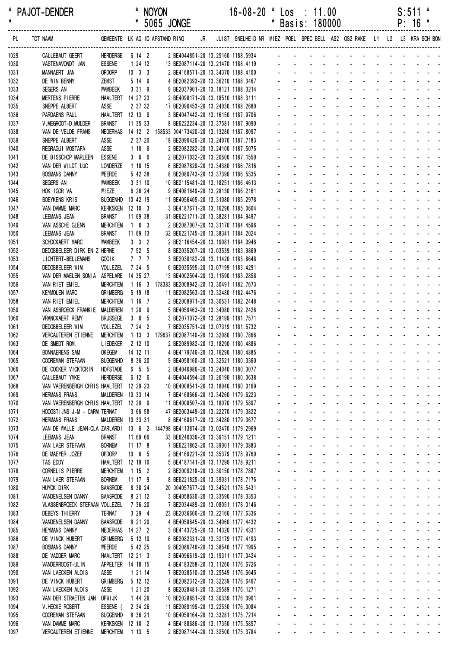| $\star$<br>$\star$ | PAJOT-DENDER                                      |                                       |                                 |         | <b>NOYON</b>                                                                                         |  | $16-08-20$ * Los : 11.00                                                   | $\star$ |                     |                                                                                                                                                                                                                                                                                              |                                                                                                               |  |  | S:511       | $\ast$ |
|--------------------|---------------------------------------------------|---------------------------------------|---------------------------------|---------|------------------------------------------------------------------------------------------------------|--|----------------------------------------------------------------------------|---------|---------------------|----------------------------------------------------------------------------------------------------------------------------------------------------------------------------------------------------------------------------------------------------------------------------------------------|---------------------------------------------------------------------------------------------------------------|--|--|-------------|--------|
|                    |                                                   |                                       |                                 |         | * 5065 JONGE                                                                                         |  |                                                                            |         |                     | Basis: 180000                                                                                                                                                                                                                                                                                |                                                                                                               |  |  | $P: 16 *$   |        |
| PL                 | TOT NAAM<br>---------------------------           |                                       |                                 |         | GEMEENTE LK AD ID AFSTAND RING                                                                       |  | JR JUIST SNELHEID NR MIEZ POEL SPEC BELL AS2 OS2 RAKE L1 L2 L3 KRA SCH BON |         |                     |                                                                                                                                                                                                                                                                                              |                                                                                                               |  |  |             |        |
| 1029               | CALLEBAUT GEERT                                   | <b>HERDERSE</b>                       | 6 14 2                          |         | 2 BE4044851-20 13.25160 1188.5934                                                                    |  |                                                                            |         |                     |                                                                                                                                                                                                                                                                                              |                                                                                                               |  |  |             |        |
| 1030               | VASTENAVONDT JAN                                  | <b>ESSENE</b>                         | 1 24 12<br>$10 \quad 3 \quad 3$ |         | 13 BE2087114-20 13.21470 1188.4119                                                                   |  |                                                                            |         |                     |                                                                                                                                                                                                                                                                                              |                                                                                                               |  |  |             |        |
| 1031<br>1032       | MANNAERT JAN<br>DE WIN BENNY                      | OPDORP<br><b>ZEMST</b>                | 5 14 9                          |         | 2 BE4168571-20 13.34370 1188.4100<br>4 BE2082393-20 13.36210 1188.3467                               |  |                                                                            |         |                     |                                                                                                                                                                                                                                                                                              |                                                                                                               |  |  |             |        |
| 1033               | SEGERS AN                                         | <b>WAMBEEK</b>                        | 3 31 9                          |         | 9 BE2037901-20 13.18121 1188.3214                                                                    |  |                                                                            |         | and a state         |                                                                                                                                                                                                                                                                                              | and a strain and a strain and a                                                                               |  |  |             |        |
| 1034               | <b>MERTENS PIERRE</b>                             | HAALTERT 14 27 23                     |                                 |         | 2 BE4098171-20 13.18510 1188.3111                                                                    |  |                                                                            |         |                     |                                                                                                                                                                                                                                                                                              | and a strain and a strain and a                                                                               |  |  |             |        |
| 1035               | SNEPPE ALBERT                                     | ASSE                                  | 2 37 32                         |         | 17 BE2090453-20 13.24030 1188.2680                                                                   |  |                                                                            |         |                     | والمتعاط والمتناوب والمتناوب والمتناوب والمتناوب                                                                                                                                                                                                                                             |                                                                                                               |  |  |             |        |
| 1036               | PARDAENS PAUL                                     | HAALTERT 12 13 9                      |                                 |         | 3 BE4047442-20 13.16150 1187.9706                                                                    |  |                                                                            |         |                     | a construction of the construction of the construction of the construction of the construction of the construction of the construction of the construction of the construction of the construction of the construction of the                                                                |                                                                                                               |  |  |             |        |
| 1037               | V. MEGROOT-D. MULDER                              | <b>BRANST</b>                         | 11 35 33                        |         | 8 BE6222234-20 13.37581 1187.9090                                                                    |  |                                                                            |         |                     | والمناول والمناول والمناول والمناول والمناول<br>die staat die kanaal van die kanaal die kanaal van die kanaal van die kanaal van die kanaal van die kanaal van                                                                                                                               |                                                                                                               |  |  |             |        |
| 1038<br>1039       | VAN DE VELDE FRANS<br>SNEPPE ALBERT               | ASSE                                  | 2 37 20                         |         | NEDERHAS  14  12  2  158533  004173420-20  13.13280  1187.8097<br>18 BE2090420-20 13.24070 1187.7183 |  |                                                                            |         |                     | de la provincia de la provincia de la                                                                                                                                                                                                                                                        |                                                                                                               |  |  |             |        |
| 1040               | REGRAGUI MOSTAFA                                  | ASSE                                  | 1106                            |         | 2 BE2082282-20 13.24100 1187.5075                                                                    |  |                                                                            |         |                     |                                                                                                                                                                                                                                                                                              | and a state of the state of the state of the state of the state of the state of the state of the state of the |  |  |             |        |
| 1041               | DE BISSCHOP MARLEEN                               | <b>ESSENE</b>                         |                                 | 366     | 2 BE2071032-20 13.20500 1187.1550                                                                    |  |                                                                            |         |                     |                                                                                                                                                                                                                                                                                              | والمناوب والمناوب والمتناوب والمناوب والمناوب                                                                 |  |  |             |        |
| 1042               | VAN DER WILDT LUC                                 | LONDERZE                              | 1 18 15                         |         | 6 BE2087829-20 13.34380 1186.7816                                                                    |  |                                                                            |         |                     |                                                                                                                                                                                                                                                                                              | and a series of the contract of the                                                                           |  |  |             |        |
| 1043               | <b>BOSMANS DANNY</b>                              | WEERDE                                |                                 | 5 42 38 | 8 BE2080743-20 13.37390 1186.5335                                                                    |  |                                                                            |         |                     | and a series of the contract of the                                                                                                                                                                                                                                                          |                                                                                                               |  |  |             |        |
| 1044               | SEGERS AN                                         | WAMBEEK                               | 3 31 10                         |         | 10 BE2115481-20 13.18251 1186.4613                                                                   |  |                                                                            |         |                     | $\mathcal{L}^{\text{max}}$                                                                                                                                                                                                                                                                   | design and a state of the state of the<br>and a strain and a strain and a                                     |  |  |             |        |
| 1045<br>1046       | HOK IGOR VA<br><b>BOEYKENS KRIS</b>               | WIEZE<br>BUGGENHO 10 42 19            | 6 26 24                         |         | 9 BE4081649-20 13.28130 1186.2161<br>11 BE4056405-20 13.31080 1185.2978                              |  |                                                                            |         |                     |                                                                                                                                                                                                                                                                                              | and a straight and a straight                                                                                 |  |  | and a state |        |
| 1047               | VAN DAMME MARC                                    | KERKSKEN 12 10 3                      |                                 |         | 3 BE4187671-20 13.16290 1185.0604                                                                    |  |                                                                            |         |                     | والمتعاط والمتناوب والمتناوب والمتناوب والمتناوب                                                                                                                                                                                                                                             |                                                                                                               |  |  |             |        |
| 1048               | LEEMANS JEAN                                      | <b>BRANST</b>                         | 11 69 38                        |         | 31 BE6221711-20 13.38281 1184.9497                                                                   |  |                                                                            |         |                     | a construction of the construction of the construction of the construction of the construction of the construction of the construction of the construction of the construction of the construction of the construction of the                                                                |                                                                                                               |  |  |             |        |
| 1049               | VAN ASSCHE GLENN                                  | <b>MERCHTEM</b>                       | $1\quad 6\quad 3$               |         | 2 BE2087007-20 13.31170 1184.4596                                                                    |  |                                                                            |         |                     | <u>.</u>                                                                                                                                                                                                                                                                                     |                                                                                                               |  |  |             |        |
| 1050               | LEEMANS JEAN                                      | <b>BRANST</b>                         | 11 69 13                        |         | 32 BE6221745-20 13.38341 1184.2024                                                                   |  |                                                                            |         |                     | die staat die kanaal van die kanaal die kanaal van die kanaal van die kanaal van die kanaal van die kanaal van                                                                                                                                                                               |                                                                                                               |  |  |             |        |
| 1051               | SCHOCKAERT MARC                                   | <b>WAMBEEK</b>                        | $3 \quad 3 \quad 2$             |         | 2 BE2116454-20 13.19081 1184.0946                                                                    |  |                                                                            |         |                     | die staat die kanaal van die kanaal die kanaal van die kanaal van die kanaal van die kanaal van die kanaal van                                                                                                                                                                               | <u>.</u>                                                                                                      |  |  |             |        |
| 1052<br>1053       | DEDOBBELEER DIRK EN Z HERNE<br>LICHTERT-BELLEMANS | <b>GOOIK</b>                          | 7 52 5<br>7 7 7                 |         | 8 BE2035207-20 13.03539 1183.9869<br>3 BE2038182-20 13.11420 1183.8648                               |  |                                                                            |         |                     |                                                                                                                                                                                                                                                                                              | and a series of the series of the series of                                                                   |  |  |             |        |
| 1054               | DEDOBBELEER WIM                                   | VOLLEZEL                              | 7 24 5                          |         | 6 BE2035595-20 13.07199 1183.4291                                                                    |  |                                                                            |         |                     | and a series of the contract of the series of                                                                                                                                                                                                                                                |                                                                                                               |  |  |             |        |
| 1055               | VAN DER MAELEN SONIA                              | ASPELARE                              | 14 35 27                        |         | 13 BE4002504-20 13.11590 1183.2858                                                                   |  |                                                                            |         |                     | design and a state of the state of the                                                                                                                                                                                                                                                       |                                                                                                               |  |  |             |        |
| 1056               | VAN RIET EMIEL                                    | <b>MERCHTEM</b>                       |                                 |         | 1 16 3 178383 BE2008942-20 13.30491 1182.7673                                                        |  |                                                                            |         |                     | design and a state of the state of the                                                                                                                                                                                                                                                       |                                                                                                               |  |  |             |        |
| 1057               | <b>KEYMOLEN MARC</b>                              | <b>GRIMBERG</b>                       | 5 19 18                         |         | 11 BE2082563-20 13.32480 1182.4476                                                                   |  |                                                                            |         |                     |                                                                                                                                                                                                                                                                                              | and a strain and a strain and a                                                                               |  |  |             |        |
| 1058               | VAN RIET EMIEL                                    | <b>MERCHTEM</b>                       | 1167                            |         | 2 BE2008971-20 13.30531 1182.2448                                                                    |  |                                                                            |         |                     |                                                                                                                                                                                                                                                                                              | and a state of the state of the state of                                                                      |  |  |             |        |
| 1059<br>1060       | VAN ASBROECK FRANKIE<br><b>VRANCKAERT REMY</b>    | MALDEREN<br><b>BRUSSEGE</b>           | 1209<br>365                     |         | 5 BE4059463-20 13.34080 1182.2426<br>3 BE2071072-20 13.28199 1181.7571                               |  |                                                                            |         |                     | والمتعاون والمتعاون والمتعاون والمتعاون والمتعاون والمتعاون<br>a construction of the construction of the construction of the construction of the construction of the construction of the construction of the construction of the construction of the construction of the construction of the |                                                                                                               |  |  |             |        |
| 1061               | DEDOBBELEER WIM                                   | VOLLEZEL                              | 7 24 2                          |         | 7 BE2035751-20 13.07319 1181.5732                                                                    |  |                                                                            |         |                     | <u>.</u>                                                                                                                                                                                                                                                                                     |                                                                                                               |  |  |             |        |
| 1062               | <b>VERCAUTEREN ETIENNE</b>                        | <b>MERCHTEM</b>                       |                                 |         | 1 13 3 179637 BE2087140-20 13.32080 1180.7866                                                        |  |                                                                            |         |                     | <u>. Kanadan ang kabupatèn Indonesia</u>                                                                                                                                                                                                                                                     |                                                                                                               |  |  |             |        |
| 1063               | DE SMEDT ROM.                                     | <b>LIEDEKER</b>                       | 2 12 10                         |         | 2 BE2089982-20 13.18290 1180.4886                                                                    |  |                                                                            |         | $\omega_{\rm{max}}$ |                                                                                                                                                                                                                                                                                              | and a straightful and a straight                                                                              |  |  |             |        |
| 1064               | <b>BONNAERENS SAM</b>                             |                                       |                                 |         | OKEGEM  14 12 11  4 BE4179746-20 13.16290 1180.4885                                                  |  |                                                                            |         |                     | .                                                                                                                                                                                                                                                                                            |                                                                                                               |  |  |             |        |
| 1065               | <b>COOREMAN STEFAAN</b>                           | BUGGENHO 8 36 20                      |                                 |         | 9 BE4058160-20 13.32521 1180.3360                                                                    |  |                                                                            |         |                     | المنابع والمستنقل والمستنقل والمستنقل والمستنقل والمستنقل                                                                                                                                                                                                                                    |                                                                                                               |  |  |             |        |
| 1066<br>1067       | DE COCKER VICKTORIN<br>CALLEBAUT YMKE             | <b>HOFSTADE</b><br><b>HERDERSE</b>    | 6 5 5<br>6 12 6                 |         | 2 BE4040986-20 13.24040 1180.3077<br>4 BE4044594-20 13.26190 1180.0638                               |  |                                                                            |         |                     | فالمنافذ والمنافر والمنافر والمنافر والمنافر والمنافر<br>المناطق والمناطق والمناطق والمناطق والمناطق والمناطق                                                                                                                                                                                |                                                                                                               |  |  |             |        |
| 1068               | VAN VAERENBERGH CHRIS HAALTERT 12 29 23           |                                       |                                 |         | 10 BE4008541-20 13.18040 1180.0169                                                                   |  |                                                                            |         |                     | and a series of the contract of the series of                                                                                                                                                                                                                                                |                                                                                                               |  |  |             |        |
| 1069               | <b>HERMANS FRANS</b>                              | MALDEREN 10 33 14                     |                                 |         | 7 BE4168666-20 13.34260 1179.6223                                                                    |  |                                                                            |         |                     | <u>.</u>                                                                                                                                                                                                                                                                                     |                                                                                                               |  |  |             |        |
| 1070               | VAN VAERENBERGH CHRIS HAALTERT 12 29 9            |                                       |                                 |         | 11 BE4008507-20 13.18070 1179.5897                                                                   |  |                                                                            |         |                     | <u>.</u>                                                                                                                                                                                                                                                                                     |                                                                                                               |  |  |             |        |
| 1071               | HOOGSTIJNS J-M - CARM TERNAT                      |                                       | 3 66 58                         |         | 47 BE2003449-20 13.22270 1179.3822                                                                   |  |                                                                            |         |                     | المناصب والمستنقل والمستنقل والمستنقل والمستنقل والمستنقل                                                                                                                                                                                                                                    |                                                                                                               |  |  |             |        |
| 1072               | <b>HERMANS FRANS</b>                              | MALDEREN 10 33 31                     |                                 |         | 8 BE4168617-20 13.34280 1179.3677                                                                    |  |                                                                            |         |                     | المنافذ والمنافر والمنافر والمنافر والمنافر والمنافر                                                                                                                                                                                                                                         |                                                                                                               |  |  |             |        |
| 1073<br>1074       | VAN DE WALLE JEAN-CLA ZARLARDI<br>LEEMANS JEAN    | <b>BRANST</b>                         | 11 69 66                        |         | 13 6 2 144798 BE4113874-20 13.02470 1179.2969<br>33 BE6240036-20 13.39151 1179.1211                  |  |                                                                            |         |                     | المناصر والمناصر والمناصر والمناصر والمناصر والمناصر<br>and a series of the contract of the series of                                                                                                                                                                                        |                                                                                                               |  |  |             |        |
| 1075               | VAN LAER STEFAAN                                  | <b>BORNEM</b>                         | 11 17 8                         |         | 7 BE6221802-20 13.39001 1179.0883                                                                    |  |                                                                            |         |                     | a construction of the construction of the construction of the construction of the construction of the construction of the construction of the construction of the construction of the construction of the construction of the                                                                |                                                                                                               |  |  |             |        |
| 1076               | DE MAEYER JOZEF                                   | OPDORP                                | $10 \t 6 \t 5$                  |         | 2 BE4169221-20 13.35379 1178.9760                                                                    |  |                                                                            |         |                     | a construction of the construction of the construction of the construction of the construction of the construction of the construction of the construction of the construction of the construction of the construction of the                                                                |                                                                                                               |  |  |             |        |
| 1077               | TAS EDDY                                          | HAALTERT 12 19 10                     |                                 |         | 5 BE4187141-20 13.17290 1178.9211                                                                    |  |                                                                            |         |                     | المناصب والمستنقل والمستنقل والمستنقل والمستنقل والمستنقل                                                                                                                                                                                                                                    |                                                                                                               |  |  |             |        |
| 1078               | CORNEL IS PIERRE                                  | <b>MERCHTEM</b>                       | 1 15 2                          |         | 2 BE2009218-20 13.30150 1178.7887                                                                    |  |                                                                            |         |                     | المناصب والمتناول والمتناول والمتناول والمتناول والمناول                                                                                                                                                                                                                                     |                                                                                                               |  |  |             |        |
| 1079               | VAN LAER STEFAAN                                  | <b>BORNEM</b>                         | 11 17 9                         |         | 8 BE6221825-20 13.39031 1178.7176                                                                    |  |                                                                            |         |                     | المناطق والمتناط والمناطق والمناطق والمناطق والمناطق                                                                                                                                                                                                                                         |                                                                                                               |  |  |             |        |
| 1080               | HUYCK DIRK<br>VANDENELSEN DANNY                   | <b>BAASRODE</b><br><b>BAASRODE</b>    | 8 38 24<br>8 21 12              |         | 20 004057677-20 13.34521 1178.5431                                                                   |  |                                                                            |         |                     | المنافذ والمستنقل والمستعين والمستنقل والمستنقل<br>a construction of the construction of the construction of the construction of the construction of the construction of the construction of the construction of the construction of the construction of the construction of the             |                                                                                                               |  |  |             |        |
| 1081<br>1082       | VLASSENBROECK STEFAAN VOLLEZEL                    |                                       | 7 36 20                         |         | 3 BE4058630-20 13.33590 1178.3353<br>7 BE2034489-20 13.08051 1178.0146                               |  |                                                                            |         |                     | a construction of the construction of the construction of the construction of the construction of the construction of the construction of the construction of the construction of the construction of the construction of the                                                                |                                                                                                               |  |  |             |        |
| 1083               | DEBEYS THIERRY                                    | <b>TERNAT</b>                         | 3294                            |         | 23 BE2036606-20 13.22160 1177.6336                                                                   |  |                                                                            |         |                     | and a series of the contract of the series of                                                                                                                                                                                                                                                |                                                                                                               |  |  |             |        |
| 1084               | VANDENELSEN DANNY                                 | <b>BAASRODE</b>                       | 8 21 20                         |         | 4 BE4058645-20 13.34060 1177.4432                                                                    |  |                                                                            |         |                     | المناصب والمتناول والمتناول والمتناول والمتناول والمناول                                                                                                                                                                                                                                     |                                                                                                               |  |  |             |        |
| 1085               | <b>HEYMANS DANNY</b>                              | NEDERHAS 14 27 2                      |                                 |         | 3 BE4143725-20 13.14320 1177.4331                                                                    |  |                                                                            |         |                     | المناطق والمتناط والمناطق والمناطق والمناطق والمناطق                                                                                                                                                                                                                                         |                                                                                                               |  |  |             |        |
| 1086               | DE VINCK HUBERT                                   | <b>GRIMBERG</b>                       | 5 12 10                         |         | 6 BE2082331-20 13.32179 1177.4193                                                                    |  |                                                                            |         |                     | and a series of the contract of the series of                                                                                                                                                                                                                                                |                                                                                                               |  |  |             |        |
| 1087               | <b>BOSMANS DANNY</b>                              | WEERDE                                |                                 | 5 42 25 | 9 BE2080746-20 13.38540 1177.1995                                                                    |  |                                                                            |         |                     | المنافذ والمستنقل والمستعين والمستنقل والمستنقل<br>المنافذ والمستنقل والمستعين والمستنقل والمستنقل                                                                                                                                                                                           |                                                                                                               |  |  |             |        |
| 1088<br>1089       | DE VADDER MARC<br>VANDERROOST-ULIN                | HAALTERT 12 21 3<br>APPELTER 14 18 15 |                                 |         | 3 BE4096619-20 13.19311 1177.0424<br>4 BE4183258-20 13.11260 1176.6726                               |  |                                                                            |         |                     | المناصب والمستنقل والمستنقل والمستنقل والمستنقل والمستنقل                                                                                                                                                                                                                                    |                                                                                                               |  |  |             |        |
| 1090               | VAN LAECKEN ALOIS                                 | <b>ASSE</b>                           | 1 21 14                         |         | 7 BE2028510-20 13.25549 1176.6645                                                                    |  |                                                                            |         |                     | المناطر والمناطر المناطر المناطر المناطر المناطر                                                                                                                                                                                                                                             |                                                                                                               |  |  |             |        |
| 1091               | DE VINCK HUBERT                                   | <b>GRIMBERG</b>                       | 5 12 12                         |         | 7 BE2082312-20 13.32239 1176.6467                                                                    |  |                                                                            |         |                     | المناصر والمناصر والمناصر والمناصر والمناصر                                                                                                                                                                                                                                                  |                                                                                                               |  |  |             |        |
| 1092               | VAN LAECKEN ALOIS                                 | ASSE                                  | 1 21 20                         |         | 8 BE2028481-20 13.25589 1176.1271                                                                    |  |                                                                            |         |                     | and a series of the contract of the series of                                                                                                                                                                                                                                                |                                                                                                               |  |  |             |        |
| 1093               | VAN DER STRAETEN JAN                              | OPW I JK                              | 1 44 26                         |         | 10 BE2028851-20 13.30339 1176.0901                                                                   |  |                                                                            |         |                     | a construction of the construction of the construction of the construction of the construction of the construction of the construction of the construction of the construction of the construction of the construction of the                                                                |                                                                                                               |  |  |             |        |
| 1094               | V. HECKE ROBERT                                   | ESSENE (                              | 2 34 26                         |         | 11 BE2089199-20 13.22530 1176.0084                                                                   |  |                                                                            |         |                     | المنافذ والمستنقل والمستنقل والمستنقل والمستنقل                                                                                                                                                                                                                                              |                                                                                                               |  |  |             |        |
| 1095<br>1096       | <b>COOREMAN STEFAAN</b><br>VAN DAMME MARC         | <b>BUGGENHO</b><br>KERKSKEN 12 10 2   | 8 36 21                         |         | 10 BE4058164-20 13.33281 1175.7214<br>4 BE4188686-20 13.17350 1175.5857                              |  |                                                                            |         |                     | المناصب والمستنقل والمستنقل والمستنقل والمستنقل والمستنقل<br>المناصر والمناصر والمناصر والمناصر والمناصر والمناصر                                                                                                                                                                            |                                                                                                               |  |  |             |        |
| 1097               | VERCAUTEREN ETIENNE                               | MERCHTEM 1 13 5                       |                                 |         | 2 BE2087144-20 13.32500 1175.3784                                                                    |  |                                                                            |         |                     | and a series of the contract of the series of                                                                                                                                                                                                                                                |                                                                                                               |  |  |             |        |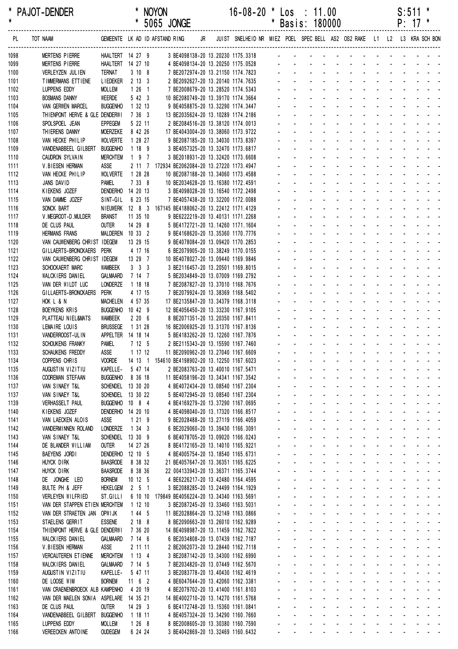| $\star$      | PAJOI-DENDER                                        |                                     |              |                     | <b>NOYON</b><br>* 5065 JONGE                                             |    | 16-08-20                                                                | $\overline{\bm{x}}$ | Los                         | $\therefore$ 11.00<br>* Basis: 180000 |  |                                                                                                                                                                                                                                |  |  | S:511<br>$P: 17$ * |  |
|--------------|-----------------------------------------------------|-------------------------------------|--------------|---------------------|--------------------------------------------------------------------------|----|-------------------------------------------------------------------------|---------------------|-----------------------------|---------------------------------------|--|--------------------------------------------------------------------------------------------------------------------------------------------------------------------------------------------------------------------------------|--|--|--------------------|--|
| . PL         | TOT NAAM                                            |                                     |              |                     | GEMEENTE LK AD ID AFSTAND RING                                           | JR | JUIST SNELHEID NR MIEZ POEL SPEC BELL AS2 OS2 RAKE L1 L2 L3 KRA SCH BON |                     |                             |                                       |  |                                                                                                                                                                                                                                |  |  |                    |  |
| 1098         | <b>MERTENS PIERRE</b>                               | HAALTERT 14 27 9                    |              |                     |                                                                          |    | 3 BE4098138-20 13.20230 1175.3318                                       |                     |                             |                                       |  | and the contract of the contract of the contract of                                                                                                                                                                            |  |  |                    |  |
| 1099         | MERTENS PIERRE                                      | HAALTERT 14 27 10                   |              |                     |                                                                          |    |                                                                         |                     |                             |                                       |  |                                                                                                                                                                                                                                |  |  |                    |  |
| 1100         | VERLEYZEN JULIEN                                    | <b>TERNAT</b>                       |              | 3108                |                                                                          |    |                                                                         |                     |                             |                                       |  |                                                                                                                                                                                                                                |  |  |                    |  |
| 1101<br>1102 | TIMMERMANS ETTIENE<br>LUPPENS EDDY                  | LIEDEKER 2 13 3<br>MOLLEM           |              | $126$ 1             |                                                                          |    | 7 BE2008679-20 13.28520 1174.5343                                       |                     |                             |                                       |  | والمناور والمناور والمناور والمناور والمناور                                                                                                                                                                                   |  |  |                    |  |
| 1103         | <b>BOSMANS DANNY</b>                                | WEERDE                              |              | 5 42 3              |                                                                          |    | 10 BE2080749-20 13.39170 1174.3664                                      |                     |                             |                                       |  | . <del>.</del>                                                                                                                                                                                                                 |  |  |                    |  |
| 1104         | VAN GERWEN MARCEL                                   | <b>BUGGENHO</b>                     | 1 32 13      |                     |                                                                          |    | 9 BE4058875-20 13.32290 1174.3447                                       |                     |                             |                                       |  |                                                                                                                                                                                                                                |  |  |                    |  |
| 1105         | THIENPONT HERVE & GLE DENDERWI                      |                                     | 7 36 3       |                     | 13 BE2035624-20 13.10289 1174.2186                                       |    |                                                                         |                     |                             |                                       |  |                                                                                                                                                                                                                                |  |  |                    |  |
| 1106         | SPOLSPOEL JEAN                                      | <b>EPPEGEM</b>                      |              | 5 22 11             |                                                                          |    | 2 BE2084516-20 13.38120 1174.0013                                       |                     |                             |                                       |  | and the contract of the contract of the contract of the contract of the contract of the contract of the contract of the contract of the contract of the contract of the contract of the contract of the contract of the contra |  |  |                    |  |
| 1107         | THIERENS DANNY                                      | <b>MOERZEKE</b>                     |              | 8 42 26             | 17 BE4043004-20 13.38060 1173.9722                                       |    |                                                                         |                     |                             |                                       |  | the second contract of the second contract of the second                                                                                                                                                                       |  |  |                    |  |
| 1108         | VAN HECKE PHILIP                                    | <b>WOLVERTE</b>                     |              | 1 28 27             |                                                                          |    | 9 BE2087185-20 13.34030 1173.8397                                       |                     |                             |                                       |  | والمتعادل والمتعاون والمتعاون والمتعاون والمناور                                                                                                                                                                               |  |  |                    |  |
| 1109<br>1110 | VANDENABBEEL GILBERT<br>CAUDRON SYLVAIN             | <b>BUGGENHO</b><br><b>MERCHTEM</b>  |              | 1 18 9<br>$197$     |                                                                          |    | 3 BE4057325-20 13.32470 1173.6817<br>3 BE2018931-20 13.32420 1173.6608  |                     |                             |                                       |  | the contract of the contract of the contract of<br>the contract of the contract of the contract of                                                                                                                             |  |  |                    |  |
| 1111         | V.BIESEN HERMAN                                     | ASSE                                |              |                     | 2 11 7 172934 BE2062084-20 13.27220 1173.4947                            |    |                                                                         |                     |                             |                                       |  | the contract of the contract of the contract of                                                                                                                                                                                |  |  |                    |  |
| 1112         | VAN HECKE PHILIP                                    | <b>WOLVERTE</b>                     | 1 28 28      |                     |                                                                          |    | 10 BE2087188-20 13.34060 1173.4588                                      |                     |                             |                                       |  | and the company of the company of the company of the company of the company of the company of the company of the company of the company of the company of the company of the company of the company of the company of the comp |  |  |                    |  |
| 1113         | JANS DAVID                                          | <b>PAMEL</b>                        |              | 7 33 8              | 10 BE2034628-20 13.16380 1172.4591                                       |    |                                                                         |                     |                             |                                       |  | and the contract of the contract of the contract of                                                                                                                                                                            |  |  |                    |  |
| 1114         | KIEKENS JOZEF                                       | DENDERHO 14 20 13                   |              |                     |                                                                          |    | 3 BE4098028-20 13.16540 1172.2498                                       |                     |                             |                                       |  | فالمنافذ والمنافر والمنافر والمنافر والمنافر والمنافر                                                                                                                                                                          |  |  |                    |  |
| 1115         | VAN DAMME JOZEF                                     | SINT-GIL                            |              | 6 23 15             |                                                                          |    | 7 BE4057438-20 13.32200 1172.0088                                       |                     |                             |                                       |  | and the contract of the contract of the                                                                                                                                                                                        |  |  |                    |  |
| 1116         | SONCK BART                                          |                                     |              |                     | NIEUWERK 12 8 3 167145 BE4188062-20 13.22412 1171.4129                   |    |                                                                         |                     |                             |                                       |  | the contract of the contract of the contract of                                                                                                                                                                                |  |  |                    |  |
| 1117         | V. MEGROOT-D. MULDER                                | <b>BRANST</b>                       | 11 35 10     |                     |                                                                          |    | 9 BE6222219-20 13.40131 1171.2268                                       |                     |                             |                                       |  | والمتعاط والمتعاط والمتعاط والمتعاطي<br>the contract of the contract of the contract of the contract of the contract of the contract of the contract of                                                                        |  |  |                    |  |
| 1118<br>1119 | DE CLUS PAUL<br><b>HERMANS FRANS</b>                | <b>OUTER</b><br>MALDEREN 10 33 2    | 14 29 8      |                     |                                                                          |    | 5 BE4172721-20 13.14260 1171.1604<br>9 BE4168620-20 13.35360 1170.7776  |                     |                             |                                       |  | the contract of the contract of the contract of the contract of the contract of the contract of the contract of                                                                                                                |  |  |                    |  |
| 1120         | VAN CAUWENBERG CHRIST IDEGEM                        |                                     | 13 29 15     |                     |                                                                          |    | 9 BE4078084-20 13.09420 1170.2853                                       |                     |                             |                                       |  | and the contract of the contract of the contract of                                                                                                                                                                            |  |  |                    |  |
| 1121         | GILLAERTS-BRONCKAERS PERK                           |                                     |              | 4 17 16             |                                                                          |    | 6 BE2079905-20 13.38249 1170.0155                                       |                     |                             |                                       |  | the contract of the contract of the contract of                                                                                                                                                                                |  |  |                    |  |
| 1122         | VAN CAUWENBERG CHRIST IDEGEM                        |                                     | 13 29 7      |                     | 10 BE4078027-20 13.09440 1169.9846                                       |    |                                                                         |                     |                             |                                       |  | the contract of the contract of the contract of                                                                                                                                                                                |  |  |                    |  |
| 1123         | SCHOCKAERT MARC                                     | <b>WAMBEEK</b>                      |              | $3 \quad 3 \quad 3$ |                                                                          |    | 3 BE2116457-20 13.20501 1169.8015                                       |                     |                             |                                       |  | the contract of the contract of the contract of                                                                                                                                                                                |  |  |                    |  |
| 1124         | WALCKIERS DANIEL                                    | GALMAARD                            | 7 14 7       |                     |                                                                          |    | 5 BE2034849-20 13.07009 1169.2792                                       |                     |                             |                                       |  | and the contract of the contract of the contract of                                                                                                                                                                            |  |  |                    |  |
| 1125         | VAN DER WILDT LUC                                   | <b>LONDERZE</b>                     | 1 18 18      |                     |                                                                          |    | 7 BE2087827-20 13.37010 1168.7676                                       |                     |                             |                                       |  | and the contract of the contract of the contract of                                                                                                                                                                            |  |  |                    |  |
| 1126         | GILLAERTS-BRONCKAERS                                | Perk                                |              | 4 17 15<br>4 57 35  |                                                                          |    | 7 BE2079924-20 13.38369 1168.5402                                       |                     |                             |                                       |  | and the contract of the contract of the contract of<br>فتتحدث والمتحدث والمتحدث والمناد                                                                                                                                        |  |  |                    |  |
| 1127<br>1128 | HOK L & N<br>BOEYKENS KRIS                          | <b>MACHELEN</b><br>BUGGENHO 10 42 9 |              |                     | 17 BE2135847-20 13.34379 1168.3118<br>12 BE4056450-20 13.33230 1167.9105 |    |                                                                         |                     |                             |                                       |  | the contract of the contract of the contract of                                                                                                                                                                                |  |  |                    |  |
| 1129         | PLATTEAU NIEL&MATS                                  | WAMBEEK                             |              | 2206                |                                                                          |    | 8 BE2071351-20 13.20350 1167.8411                                       |                     |                             |                                       |  | and the state of the state of the state                                                                                                                                                                                        |  |  |                    |  |
| 1130         | LEMAIRE LOUIS                                       | <b>BRUSSEGE</b>                     |              | 1 31 28             | 16 BE2006925-20 13.31370 1167.8136                                       |    |                                                                         |                     |                             |                                       |  | and the contract of the contract of the contract of                                                                                                                                                                            |  |  |                    |  |
| 1131         | VANDERROOST-ULIN                                    | APPELTER 14 18 14                   |              |                     |                                                                          |    | 5 BE4183262-20 13.12260 1167.7876                                       |                     |                             |                                       |  | the contract of the contract of the contract of the                                                                                                                                                                            |  |  |                    |  |
| 1132         | SCHOUKENS FRANKY                                    | <b>PAMEL</b>                        |              | 7 12 5              |                                                                          |    | 2 BE2115343-20 13.15590 1167.7460                                       |                     |                             |                                       |  | and a straightful and a straight and                                                                                                                                                                                           |  |  |                    |  |
| 1133         | SCHAUKENS FREDDY                                    | ASSE                                |              | 1 17 12             | 11 BE2090962-20 13.27040 1167.6609                                       |    |                                                                         |                     |                             |                                       |  | والمناول والمناول والمناول والمناولين                                                                                                                                                                                          |  |  |                    |  |
| 1134         | COPPENS CHRIS                                       | <b>VOORDE</b><br>KAPELLE-           | 14 13 1      | 5 47 14             | 154610 BE4198902-20 13.12250 1167.6023                                   |    | 2 BE2083763-20 13.40010 1167.5471                                       |                     | $\sim$                      | $\Delta \sim 100$                     |  | فالمستحدث والمستحدث والمستحدث والمستحدث<br>and a series of the series of the series of                                                                                                                                         |  |  |                    |  |
| 1135<br>1136 | AUGUSTIN VIZITIU<br>COOREMAN STEFAAN                | <b>BUGGENHO</b>                     |              | 8 36 18             | 11 BE4058196-20 13.34341 1167.3542                                       |    |                                                                         |                     | $\mathbf{z} = \mathbf{z}$ . |                                       |  | and a straightful contract and a straight and                                                                                                                                                                                  |  |  |                    |  |
| 1137         | VAN SINAEY T&L                                      | SCHENDEL 13 30 20                   |              |                     |                                                                          |    | 4 BE4072434-20 13.08540 1167.2304                                       |                     | $\mathbf{a} = \mathbf{a}$   | $\mathbf{a}$ and $\mathbf{a}$         |  | and a series of the contract and a series                                                                                                                                                                                      |  |  |                    |  |
| 1137         | VAN SINAEY T&L                                      | SCHENDEL 13 30 22                   |              |                     |                                                                          |    | 5 BE4072945-20 13.08540 1167.2304                                       |                     |                             | $\mathbf{u} = \mathbf{u}$             |  | فالقائد والمتاريخ والمتاريخ والمتاريخ والمتاريخ                                                                                                                                                                                |  |  |                    |  |
| 1139         | <b>VERHASSELT PAUL</b>                              | <b>BUGGENHO</b>                     | $10 \t8 \t4$ |                     |                                                                          |    | 4 BE4169279-20 13.37290 1167.0695                                       |                     |                             |                                       |  | and a series of the series of the series of                                                                                                                                                                                    |  |  |                    |  |
| 1140         | KIEKENS JOZEF                                       | <b>DENDERHO</b>                     | 14 20 10     |                     |                                                                          |    | 4 BE4098040-20 13.17320 1166.8517                                       | $\sim$              |                             | $\mathbf{L}^{\text{max}}$             |  | and a series of the series of the series of                                                                                                                                                                                    |  |  |                    |  |
| 1141         | VAN LAECKEN ALOIS                                   | ASSE                                |              | 1219                |                                                                          |    | 9 BE2028488-20 13.27119 1166.4059                                       |                     | $\omega_{\rm{max}}$         |                                       |  | and the contract of the contract of the contract of                                                                                                                                                                            |  |  |                    |  |
| 1142<br>1143 | VANDERMINNEN ROLAND<br>VAN SINAEY T&L               | <b>LONDERZE</b><br>SCHENDEL 13 30 9 | 1343         |                     |                                                                          |    | 6 BE2029060-20 13.39430 1166.3091<br>6 BE4078705-20 13.09020 1166.0243  |                     | $\mathbf{L}^{\text{max}}$   |                                       |  | and the contract of the contract of the contract of<br>المناطق والمستنقل والمستنقل والمستنقل والمستنقل والمستنق                                                                                                                |  |  |                    |  |
| 1144         | DE BLANDER WILLIAM                                  | <b>OUTER</b>                        | 14 27 26     |                     |                                                                          |    | 8 BE4172165-20 13.14010 1165.9221                                       |                     |                             |                                       |  | والمناور والمناور والمناور والمناور والمناور والمناور                                                                                                                                                                          |  |  |                    |  |
| 1145         | BAEYENS JORDI                                       | <b>DENDERHO</b>                     | 12 10 5      |                     |                                                                          |    | 4 BE4005754-20 13.18540 1165.6731                                       |                     |                             |                                       |  | المنافذ والمستنقل والمستنقل والمستنقل والمستنقل والمستنقل                                                                                                                                                                      |  |  |                    |  |
| 1146         | <b>HUYCK DIRK</b>                                   | <b>BAASRODE</b>                     |              | 8 38 32             | 21 BE4057647-20 13.36351 1165.6225                                       |    |                                                                         |                     |                             |                                       |  | and a series of the series of the series of the                                                                                                                                                                                |  |  |                    |  |
| 1147         | <b>HUYCK DIRK</b>                                   | <b>BAASRODE</b>                     |              | 8 38 36             | 22 004133943-20 13.36371 1165.3744                                       |    |                                                                         |                     |                             |                                       |  | <u>.</u>                                                                                                                                                                                                                       |  |  |                    |  |
| 1148         | DE JONGHE LEO                                       | <b>BORNEM</b>                       | 10125        |                     |                                                                          |    | 4 BE6226217-20 13.42480 1164.4595                                       |                     |                             |                                       |  | a construction of the construction of the construction of the construction of the construction of the construction of the construction of the construction of the construction of the construction of the construction of the  |  |  |                    |  |
| 1149         | BULTE PH & JEFF                                     | <b>HEKELGEM</b>                     | $2 \t5 \t1$  |                     |                                                                          |    | 3 BE2088285-20 13.24499 1164.1929                                       |                     |                             |                                       |  | المناصب والمستنقل والمستنقل والمستنقل والمستنقل والمستنقل                                                                                                                                                                      |  |  |                    |  |
| 1150<br>1151 | VERLEYEN WILFRIED<br>VAN DER STAPPEN ETIEN MERCHTEM | ST.GILLI                            |              | 6 10 10<br>1 12 10  | 179849 BE4056224-20 13.34340 1163.5691                                   |    | 3 BE2087245-20 13.33460 1163.5031                                       |                     | $\Delta \sim 100$           | $\Delta \sim 100$                     |  | فالمنافذ والمستنقل والمستنقل والمستنقل والمستنق<br>فالمنافذ والمنافر والمنافر والمنافر والمنافر والمنافر                                                                                                                       |  |  |                    |  |
| 1152         | VAN DER STRAETEN JAN OPWIJK                         |                                     |              | 1 44 5              | 11 BE2028864-20 13.32149 1163.0866                                       |    |                                                                         |                     | $\Delta \sim 100$           |                                       |  | the second contract of the second contract of the                                                                                                                                                                              |  |  |                    |  |
| 1153         | STAELENS GERRIT                                     | <b>ESSENE</b>                       |              | 2188                |                                                                          |    | 8 BE2090663-20 13.26010 1162.9289                                       |                     |                             |                                       |  | فالمستحيل والمستحدث والمستحدث والمستحدث والمستحدث                                                                                                                                                                              |  |  |                    |  |
| 1154         | THIENPONT HERVE & GLE DENDERWI                      |                                     |              | 7 36 20             | 14 BE4098987-20 13.11459 1162.7822                                       |    |                                                                         |                     |                             |                                       |  | and a series of the series of the series of the                                                                                                                                                                                |  |  |                    |  |
| 1155         | WALCKIERS DANIEL                                    | <b>GALMAARD</b>                     |              | 7146                |                                                                          |    | 6 BE2034808-20 13.07439 1162.7187                                       |                     |                             |                                       |  | المناطق والمناطق والمناطق والمناطق والمناطق والمناطق                                                                                                                                                                           |  |  |                    |  |
| 1156         | V.BIESEN HERMAN                                     | <b>ASSE</b>                         |              | 2 11 11             |                                                                          |    | 2 BE2062073-20 13.28440 1162.7118                                       |                     |                             |                                       |  | المناطق والمستنقل والمستنقل والمستنقل والمستنقل والمستنق                                                                                                                                                                       |  |  |                    |  |
| 1157         | VERCAUTEREN ETIENNE                                 | <b>MERCHTEM</b>                     | 1134         |                     |                                                                          |    | 3 BE2087142-20 13.34300 1162.6990                                       |                     |                             |                                       |  | المنافذ والمستنقل والمستنقل والمستنقل والمستنقل والمستنقل                                                                                                                                                                      |  |  |                    |  |
| 1158         | <b>WALCKIERS DANIEL</b>                             | <b>GALMAARD</b>                     |              | 7 14 5              |                                                                          |    | 7 BE2034820-20 13.07449 1162.5670                                       |                     |                             |                                       |  | and a series of the contract of the series of<br><u>.</u>                                                                                                                                                                      |  |  |                    |  |
| 1159<br>1160 | AUGUSTIN VIZITIU<br>DE LOOSE WIM                    | KAPELLE-<br><b>BORNEM</b>           | $11 \t6 \t2$ | 5 47 11             |                                                                          |    | 3 BE2083778-20 13.40430 1162.4619<br>4 BE6047644-20 13.42060 1162.3381  |                     |                             |                                       |  | and a series of the series of the series of                                                                                                                                                                                    |  |  |                    |  |
| 1161         | VAN CRAENENBROECK ALB KAMPENHO                      |                                     |              | 4 20 19             |                                                                          |    | 4 BE2079702-20 13.41400 1161.8103                                       |                     |                             |                                       |  | المنافذ والمستنقذ والمستنقذ والمستنقذ والمستنقذ والمستنقذ                                                                                                                                                                      |  |  |                    |  |
| 1162         | VAN DER MAELEN SONIA ASPELARE 14 35 21              |                                     |              |                     | 14 BE4002710-20 13.14270 1161.5768                                       |    |                                                                         |                     | $\Delta \sim 100$           | $\Delta \sim 100$                     |  | فالمنافذ والمستنقل والمستنقل والمستنقل والمستنق                                                                                                                                                                                |  |  |                    |  |
| 1163         | DE CLUS PAUL                                        | <b>OUTER</b>                        | 14 29 3      |                     |                                                                          |    | 6 BE4172748-20 13.15360 1161.0841                                       |                     |                             |                                       |  | فالمنافذ والمنافر والمنافر والمنافر والمنافر والمنافر                                                                                                                                                                          |  |  |                    |  |
| 1164         | VANDENABBEEL GILBERT                                | <b>BUGGENHO</b>                     | 1 18 11      |                     |                                                                          |    | 4 BE4057324-20 13.34290 1160.7660                                       |                     |                             |                                       |  | and a series of the series of the series of the                                                                                                                                                                                |  |  |                    |  |
| 1165         | LUPPENS EDDY                                        | <b>MOLLEM</b>                       |              | 1268                |                                                                          |    | 8 BE2008605-20 13.30380 1160.7590                                       |                     |                             |                                       |  | a construction of the construction of the construction of the construction of the construction of the construction of the construction of the construction of the construction of the construction of the construction of the  |  |  |                    |  |
| 1166         | VEREECKEN ANTOINE                                   | <b>OUDEGEM</b>                      |              | 6 24 24             |                                                                          |    | 3 BE4042869-20 13.32469 1160.6432                                       |                     |                             |                                       |  | and the contract of the contract of the contract of                                                                                                                                                                            |  |  |                    |  |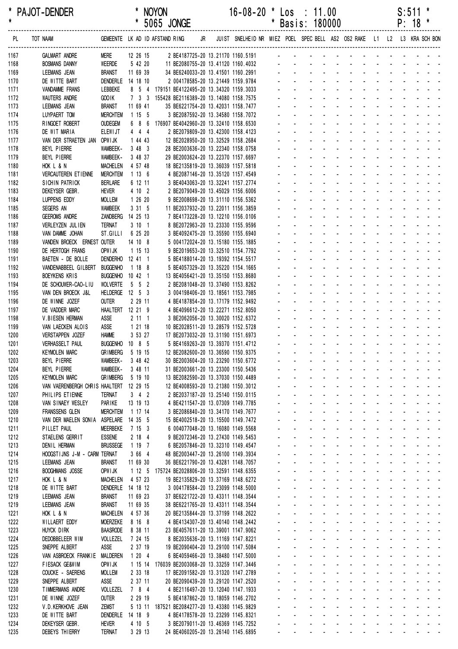\* PAJOT-DENDER \* NOYON 16-08-20 \* Los : 11.00 S:511 \* \* \* 5065 JONGE \* Basis: 180000 P: 18 \* ------------------------------------------------------------------------------------------------------------------------------------------------------------------

| PL.          | TOT NAAM                                                        |                                    |                     |         |                                                                                              |  |  |                          |                                                                                                                                                                                                                                                                          |                                     |                                                |  |                   |                               |                                                                                                                                                                                                                                                                                                                                                                                                                                   |
|--------------|-----------------------------------------------------------------|------------------------------------|---------------------|---------|----------------------------------------------------------------------------------------------|--|--|--------------------------|--------------------------------------------------------------------------------------------------------------------------------------------------------------------------------------------------------------------------------------------------------------------------|-------------------------------------|------------------------------------------------|--|-------------------|-------------------------------|-----------------------------------------------------------------------------------------------------------------------------------------------------------------------------------------------------------------------------------------------------------------------------------------------------------------------------------------------------------------------------------------------------------------------------------|
| 1167         | <b>GALMART ANDRE</b>                                            | <b>MERE</b>                        | 12 26 15            |         |                                                                                              |  |  |                          |                                                                                                                                                                                                                                                                          |                                     |                                                |  |                   |                               |                                                                                                                                                                                                                                                                                                                                                                                                                                   |
| 1168         | <b>BOSMANS DANNY</b>                                            | WEERDE                             | 5 42 20             |         |                                                                                              |  |  |                          |                                                                                                                                                                                                                                                                          |                                     |                                                |  |                   |                               |                                                                                                                                                                                                                                                                                                                                                                                                                                   |
| 1169         | LEEMANS JEAN                                                    | <b>BRANST</b>                      | 11 69 39            |         | 34 BE6240033-20 13.41501 1160.2991                                                           |  |  |                          | والمتعاط المتعاط المتعاط المتعاط المتناوب                                                                                                                                                                                                                                |                                     |                                                |  |                   |                               |                                                                                                                                                                                                                                                                                                                                                                                                                                   |
| 1170         | DE WITTE BART                                                   | DENDERLE 14 18 10                  |                     |         | 2 004178585-20 13.21449 1159.9784                                                            |  |  |                          | and a series and a series and a series<br>design and a state of the state of the state of the state of the state of the state of the state of the state of the state of the state of the state of the state of the state of the state of the state of the state of the s |                                     |                                                |  |                   |                               |                                                                                                                                                                                                                                                                                                                                                                                                                                   |
| 1171         | VANDAMME FRANS<br><b>WAUTERS ANDRE</b>                          | LEBBEKE<br><b>GOOIK</b>            |                     |         | 8 5 4 179151 BE4122495-20 13.34320 1159.3033<br>7 3 3 155428 BE2116389-20 13.14080 1158.7575 |  |  |                          | and a strain and a strain and a                                                                                                                                                                                                                                          |                                     |                                                |  |                   |                               |                                                                                                                                                                                                                                                                                                                                                                                                                                   |
| 1172<br>1173 | LEEMANS JEAN                                                    | <b>BRANST</b>                      | 11 69 41            |         | 35 BE6221754-20 13.42031 1158.7477                                                           |  |  |                          |                                                                                                                                                                                                                                                                          |                                     |                                                |  |                   |                               | and a straightful contract and a                                                                                                                                                                                                                                                                                                                                                                                                  |
| 1174         | LUYPAERT TOM                                                    | <b>MERCHTEM</b>                    | 1 15 5              |         | 3 BE2087592-20 13.34580 1158.7072                                                            |  |  |                          |                                                                                                                                                                                                                                                                          |                                     |                                                |  |                   |                               |                                                                                                                                                                                                                                                                                                                                                                                                                                   |
| 1175         | RINGOET ROBERT                                                  | <b>OUDEGEM</b>                     |                     |         | 6 8 6 176907 BE4042960-20 13.32410 1158.6530                                                 |  |  |                          |                                                                                                                                                                                                                                                                          |                                     |                                                |  |                   |                               |                                                                                                                                                                                                                                                                                                                                                                                                                                   |
| 1176         | DE WIT MARIA                                                    | <b>ELEWIJT</b>                     | 444                 |         | 2 BE2079809-20 13.42300 1158.4123                                                            |  |  |                          |                                                                                                                                                                                                                                                                          |                                     |                                                |  |                   |                               |                                                                                                                                                                                                                                                                                                                                                                                                                                   |
| 1177         | VAN DER STRAETEN JAN OPWIJK                                     |                                    | 1 44 43             |         | 12 BE2028950-20 13.32529 1158.2684                                                           |  |  |                          | and a strain and a strain and a                                                                                                                                                                                                                                          |                                     |                                                |  |                   |                               |                                                                                                                                                                                                                                                                                                                                                                                                                                   |
| 1178         | BEYL PIERRE                                                     | WAMBEEK-                           | 3483                |         | 28 BE2003636-20 13.22340 1158.0758                                                           |  |  |                          | and a state of the state of the state of the state of the state of the state of the state of the state of the                                                                                                                                                            |                                     |                                                |  |                   |                               |                                                                                                                                                                                                                                                                                                                                                                                                                                   |
| 1179         | BEYL PIERRE                                                     | WAMBEEK-                           | 3 48 37             |         | 29 BE2003624-20 13.22370 1157.6697                                                           |  |  |                          | and a straightful and a straight<br>and a series of the contract of the series of                                                                                                                                                                                        |                                     |                                                |  |                   |                               | and a strain and a                                                                                                                                                                                                                                                                                                                                                                                                                |
| 1180<br>1181 | HOK L & N<br><b>VERCAUTEREN ETIENNE</b>                         | <b>MACHELEN</b><br><b>MERCHTEM</b> | 4 57 48<br>1136     |         | 18 BE2135819-20 13.36039 1157.5818<br>4 BE2087146-20 13.35120 1157.4549                      |  |  |                          |                                                                                                                                                                                                                                                                          |                                     |                                                |  |                   |                               |                                                                                                                                                                                                                                                                                                                                                                                                                                   |
| 1182         | SICHIN PATRICK                                                  | <b>BERLARE</b>                     | 6 12 11             |         | 3 BE4043063-20 13.32241 1157.2774                                                            |  |  |                          |                                                                                                                                                                                                                                                                          |                                     |                                                |  |                   |                               |                                                                                                                                                                                                                                                                                                                                                                                                                                   |
| 1183         | DEKEYSER GEBR.                                                  | <b>HEVER</b>                       | 4 10 2              |         | 2 BE2079049-20 13.45029 1156.6006                                                            |  |  |                          | design and a state of the state of the state of the state of the state of the state of the state of the state of the state of the state of the state of the state of the state of the state of the state of the state of the s                                           |                                     |                                                |  |                   |                               |                                                                                                                                                                                                                                                                                                                                                                                                                                   |
| 1184         | LUPPENS EDDY                                                    | <b>MOLLEM</b>                      | 1 26 20             |         | 9 BE2008698-20 13.31110 1156.5362                                                            |  |  |                          | <u>.</u>                                                                                                                                                                                                                                                                 |                                     |                                                |  |                   |                               |                                                                                                                                                                                                                                                                                                                                                                                                                                   |
| 1185         | SEGERS AN                                                       | <b>WAMBEEK</b>                     | 3315                |         | 11 BE2037932-20 13.22011 1156.3859                                                           |  |  |                          |                                                                                                                                                                                                                                                                          |                                     |                                                |  |                   |                               | design and a state of the state of                                                                                                                                                                                                                                                                                                                                                                                                |
| 1186         | <b>GEEROMS ANDRE</b>                                            | ZANDBERG                           | 14 25 13            |         | 7 BE4173228-20 13.12210 1156.0106                                                            |  |  |                          |                                                                                                                                                                                                                                                                          |                                     |                                                |  |                   |                               | and a straightful contract and                                                                                                                                                                                                                                                                                                                                                                                                    |
| 1187         | VERLEYZEN JULIEN                                                | <b>TERNAT</b>                      | 3101                |         | 8 BE2072963-20 13.23330 1155.9596                                                            |  |  |                          |                                                                                                                                                                                                                                                                          |                                     |                                                |  |                   |                               |                                                                                                                                                                                                                                                                                                                                                                                                                                   |
| 1188<br>1189 | VAN DAMME JOHAN<br>VANDEN BROECK ERNEST OUTER                   | ST.GILLI                           | 6 25 20<br>14 10 8  |         | 3 BE4092475-20 13.35590 1155.6940<br>5 004172024-20 13.15180 1155.1885                       |  |  |                          | and a state of the state of the state of                                                                                                                                                                                                                                 |                                     |                                                |  |                   |                               |                                                                                                                                                                                                                                                                                                                                                                                                                                   |
| 1190         | DE HERTOGH FRANS                                                | OPW I JK                           | 1 15 13             |         | 9 BE2019653-20 13.32510 1154.7792                                                            |  |  |                          | and a strain and a strain                                                                                                                                                                                                                                                |                                     |                                                |  |                   |                               |                                                                                                                                                                                                                                                                                                                                                                                                                                   |
| 1191         | BAETEN - DE BOLLE                                               | DENDERHO 12 41 1                   |                     |         | 5 BE4188014-20 13.19392 1154.5517                                                            |  |  |                          | and a series of the series of the series                                                                                                                                                                                                                                 |                                     |                                                |  |                   |                               |                                                                                                                                                                                                                                                                                                                                                                                                                                   |
| 1192         | VANDENABBEEL GILBERT                                            | <b>BUGGENHO</b>                    | 1188                |         | 5 BE4057329-20 13.35220 1154.1665                                                            |  |  |                          | design and a state of the state of the state                                                                                                                                                                                                                             |                                     |                                                |  |                   |                               |                                                                                                                                                                                                                                                                                                                                                                                                                                   |
| 1193         | BOEYKENS KRIS                                                   | BUGGENHO 10 42 1                   |                     |         | 13 BE4056421-20 13.35150 1153.8680                                                           |  |  |                          |                                                                                                                                                                                                                                                                          |                                     |                                                |  |                   |                               |                                                                                                                                                                                                                                                                                                                                                                                                                                   |
| 1194         | DE SCHOUWER-CAO-LIU                                             | <b>WOLVERTE</b>                    | $5\quad 5\quad 2$   |         | 2 BE2081048-20 13.37490 1153.8262                                                            |  |  |                          | and a state of the state of the state of                                                                                                                                                                                                                                 |                                     |                                                |  |                   |                               |                                                                                                                                                                                                                                                                                                                                                                                                                                   |
| 1195         | VAN DEN BROECK J&L                                              | HELDERGE 12 5 3                    |                     |         | 3 004198406-20 13.18561 1153.7985                                                            |  |  |                          | and a strain and a strain and a                                                                                                                                                                                                                                          |                                     |                                                |  |                   |                               |                                                                                                                                                                                                                                                                                                                                                                                                                                   |
| 1196         | DE WINNE JOZEF                                                  | <b>OUTER</b>                       | 2 29 11             |         | 4 BE4187854-20 13.17179 1152.9492                                                            |  |  |                          | and a state of the state of the state of the state of the state of the state of the state of the state of the                                                                                                                                                            |                                     |                                                |  |                   |                               | and a straightful contract and a                                                                                                                                                                                                                                                                                                                                                                                                  |
| 1197<br>1198 | DE VADDER MARC<br>V.BIESEN HERMAN                               | HAALTERT 12 21 9<br>ASSE           | 2111                |         | 4 BE4096612-20 13.22271 1152.8050<br>3 BE2062056-20 13.30020 1152.6372                       |  |  |                          | and a series of the contract of the series of                                                                                                                                                                                                                            |                                     |                                                |  |                   |                               |                                                                                                                                                                                                                                                                                                                                                                                                                                   |
| 1199         | VAN LAECKEN ALOIS                                               | ASSE                               | 1 21 18             |         | 10 BE2028511-20 13.28579 1152.5728                                                           |  |  |                          |                                                                                                                                                                                                                                                                          |                                     |                                                |  |                   |                               |                                                                                                                                                                                                                                                                                                                                                                                                                                   |
| 1200         | VERSTAPPEN JOZEF                                                | <b>HAMME</b>                       | 3 53 27             |         | 17 BE2073032-20 13.31190 1151.6973                                                           |  |  |                          | and a strain and a strain and a                                                                                                                                                                                                                                          |                                     |                                                |  |                   |                               |                                                                                                                                                                                                                                                                                                                                                                                                                                   |
| 1201         | <b>VERHASSELT PAUL</b>                                          | <b>BUGGENHO</b>                    | $10$ 8 5            |         | 5 BE4169263-20 13.39370 1151.4712                                                            |  |  |                          | and a state of the state of the state of                                                                                                                                                                                                                                 |                                     |                                                |  |                   |                               |                                                                                                                                                                                                                                                                                                                                                                                                                                   |
| 1202         | <b>KEYMOLEN MARC</b>                                            | <b>GRIMBERG</b>                    | 5 19 15             |         | 12 BE2082600-20 13.36590 1150.9375                                                           |  |  |                          |                                                                                                                                                                                                                                                                          |                                     |                                                |  |                   | and a straight and a straight |                                                                                                                                                                                                                                                                                                                                                                                                                                   |
| 1203         | BEYL PIERRE                                                     | WAMBEEK-                           | 3 48 42             |         | 30 BE2003604-20 13.23290 1150.6772                                                           |  |  |                          |                                                                                                                                                                                                                                                                          |                                     |                                                |  |                   |                               |                                                                                                                                                                                                                                                                                                                                                                                                                                   |
| 1204         | BEYL PIERRE                                                     | WAMBEEK-                           | 3 48 11             |         | 31 BE2003661-20 13.23300 1150.5436                                                           |  |  |                          |                                                                                                                                                                                                                                                                          |                                     |                                                |  |                   |                               |                                                                                                                                                                                                                                                                                                                                                                                                                                   |
| 1205<br>1206 | <b>KEYMOLEN MARC</b><br>VAN VAERENBERGH CHRIS HAALTERT 12 29 15 | <b>GRIMBERG</b>                    | 5 19 10             |         | 13 BE2082590-20 13.37030 1150.4489<br>12 BE4008593-20 13.21380 1150.3012                     |  |  |                          |                                                                                                                                                                                                                                                                          |                                     |                                                |  |                   |                               |                                                                                                                                                                                                                                                                                                                                                                                                                                   |
| 1207         | PHILIPS ETIENNE                                                 | <b>TERNAT</b>                      | $3 \quad 4 \quad 2$ |         | 2 BE2037187-20 13.25140 1150.0115                                                            |  |  |                          |                                                                                                                                                                                                                                                                          |                                     |                                                |  |                   |                               |                                                                                                                                                                                                                                                                                                                                                                                                                                   |
| 1208         | VAN SINAEY WESLEY                                               | PARIKE                             | 13 19 13            |         | 4 BE4211547-20 13.07309 1149.7785                                                            |  |  |                          |                                                                                                                                                                                                                                                                          | $\omega_{\rm{max}}=0.1$             | $\sim$                                         |  |                   |                               |                                                                                                                                                                                                                                                                                                                                                                                                                                   |
| 1209         | FRANSSENS GLEN                                                  | <b>MERCHTEM</b>                    | 1 17 14             |         | 3 BE2086840-20 13.34170 1149.7677                                                            |  |  |                          |                                                                                                                                                                                                                                                                          | $\sim 100$                          | $\mathbf{u} = \mathbf{0}$<br>$\Delta \sim 100$ |  |                   |                               |                                                                                                                                                                                                                                                                                                                                                                                                                                   |
| 1210         | VAN DER MAELEN SONIA                                            | ASPELARE                           | 14 35 5             |         | 15 BE4002518-20 13.15500 1149.7472                                                           |  |  | $\blacksquare$           | $\sim$                                                                                                                                                                                                                                                                   | $\sim$                              | $\sim$                                         |  |                   |                               |                                                                                                                                                                                                                                                                                                                                                                                                                                   |
| 1211         | PILLET PAUL                                                     | <b>MEERBEKE</b>                    | 7153                |         | 6 004077048-20 13.16080 1149.5568                                                            |  |  |                          |                                                                                                                                                                                                                                                                          |                                     |                                                |  |                   |                               |                                                                                                                                                                                                                                                                                                                                                                                                                                   |
| 1212         | STAELENS GERRIT                                                 | <b>ESSENE</b>                      | 2184                |         | 9 BE2072346-20 13.27430 1149.5453                                                            |  |  |                          |                                                                                                                                                                                                                                                                          |                                     |                                                |  |                   |                               |                                                                                                                                                                                                                                                                                                                                                                                                                                   |
| 1213<br>1214 | DENIL HERMAN<br>HOOGSTIJNS J-M - CARM TERNAT                    | <b>BRUSSEGE</b>                    | 1197<br>3 66 4      |         | 6 BE2057846-20 13.32310 1149.4547<br>48 BE2003447-20 13.26100 1149.3934                      |  |  |                          |                                                                                                                                                                                                                                                                          |                                     |                                                |  |                   |                               | and a state of                                                                                                                                                                                                                                                                                                                                                                                                                    |
| 1215         | <b>LEEMANS JEAN</b>                                             | <b>BRANST</b>                      | 11 69 30            |         | 36 BE6221790-20 13.43281 1148.7057                                                           |  |  |                          |                                                                                                                                                                                                                                                                          |                                     |                                                |  | $\Delta \sim 100$ |                               | $\label{eq:2.1} \begin{array}{cccccccccc} \mathbf{1} & \mathbf{1} & \mathbf{1} & \mathbf{1} & \mathbf{1} & \mathbf{1} & \mathbf{1} & \mathbf{1} & \mathbf{1} & \mathbf{1} & \mathbf{1} & \mathbf{1} & \mathbf{1} & \mathbf{1} & \mathbf{1} & \mathbf{1} & \mathbf{1} & \mathbf{1} & \mathbf{1} & \mathbf{1} & \mathbf{1} & \mathbf{1} & \mathbf{1} & \mathbf{1} & \mathbf{1} & \mathbf{1} & \mathbf{1} & \mathbf{1} & \mathbf{1}$ |
| 1216         | <b>BOOGHMANS JOSSE</b>                                          | OPWI JK                            |                     |         | 1 12 5 175724 BE2028806-20 13.32591 1148.6355                                                |  |  | $\overline{\phantom{a}}$ | $\blacksquare$                                                                                                                                                                                                                                                           |                                     |                                                |  |                   |                               |                                                                                                                                                                                                                                                                                                                                                                                                                                   |
| 1217         | HOK L & N                                                       | MACHELEN                           | 4 57 23             |         | 19 BE2135829-20 13.37169 1148.6272                                                           |  |  |                          |                                                                                                                                                                                                                                                                          |                                     |                                                |  |                   |                               |                                                                                                                                                                                                                                                                                                                                                                                                                                   |
| 1218         | DE WITTE BART                                                   | DENDERLE                           | 14 18 12            |         | 3 004178584-20 13.23099 1148.5000                                                            |  |  |                          |                                                                                                                                                                                                                                                                          |                                     |                                                |  |                   |                               |                                                                                                                                                                                                                                                                                                                                                                                                                                   |
| 1219         | LEEMANS JEAN                                                    | <b>BRANST</b>                      | 11 69 23            |         | 37 BE6221722-20 13.43311 1148.3544                                                           |  |  |                          |                                                                                                                                                                                                                                                                          |                                     |                                                |  |                   |                               |                                                                                                                                                                                                                                                                                                                                                                                                                                   |
| 1219         | LEEMANS JEAN                                                    | <b>BRANST</b>                      | 11 69 35            |         | 38 BE6221765-20 13.43311 1148.3544                                                           |  |  |                          |                                                                                                                                                                                                                                                                          |                                     |                                                |  |                   |                               |                                                                                                                                                                                                                                                                                                                                                                                                                                   |
| 1221         | HOK L & N                                                       | <b>MACHELEN</b>                    | 4 57 36             |         | 20 BE2135844-20 13.37199 1148.2622                                                           |  |  |                          |                                                                                                                                                                                                                                                                          |                                     |                                                |  |                   |                               |                                                                                                                                                                                                                                                                                                                                                                                                                                   |
| 1222<br>1223 | WILLAERT EDDY<br>HUYCK DIRK                                     | <b>MOERZEKE</b><br><b>BAASRODE</b> | 8 16 8<br>8 38 11   |         | 4 BE4134307-20 13.40140 1148.2442<br>23 BE4057611-20 13.39001 1147.9062                      |  |  | $\blacksquare$           | $\sim$                                                                                                                                                                                                                                                                   |                                     | $\blacksquare$                                 |  |                   |                               |                                                                                                                                                                                                                                                                                                                                                                                                                                   |
| 1224         | DEDOBBELEER WIM                                                 | VOLLEZEL                           | 7 24 15             |         | 8 BE2035636-20 13.11169 1147.8221                                                            |  |  |                          |                                                                                                                                                                                                                                                                          |                                     |                                                |  |                   |                               |                                                                                                                                                                                                                                                                                                                                                                                                                                   |
| 1225         | SNEPPE ALBERT                                                   | ASSE                               | 2 37 19             |         | 19 BE2090404-20 13.29100 1147.5084                                                           |  |  |                          |                                                                                                                                                                                                                                                                          |                                     |                                                |  |                   |                               |                                                                                                                                                                                                                                                                                                                                                                                                                                   |
| 1226         | VAN ASBROECK FRANKIE MALDEREN                                   |                                    | 1204                |         | 6 BE4059466-20 13.38480 1147.5000                                                            |  |  |                          |                                                                                                                                                                                                                                                                          |                                     |                                                |  |                   |                               | and a state of                                                                                                                                                                                                                                                                                                                                                                                                                    |
| 1227         | <b>FIESACK GE&amp;WIM</b>                                       | OPW I JK                           |                     | 1 15 14 | 176039 BE2003068-20 13.33259 1147.3446                                                       |  |  |                          |                                                                                                                                                                                                                                                                          | $\mathcal{L}_{\mathcal{A}}$         |                                                |  | $\Delta \sim 100$ |                               |                                                                                                                                                                                                                                                                                                                                                                                                                                   |
| 1228         | COUCKE - SAERENS                                                | <b>MOLLEM</b>                      | 2 33 18             |         | 17 BE2091582-20 13.31320 1147.2789                                                           |  |  | $\blacksquare$           | $\sim$                                                                                                                                                                                                                                                                   |                                     |                                                |  |                   |                               |                                                                                                                                                                                                                                                                                                                                                                                                                                   |
| 1229         | SNEPPE ALBERT                                                   | ASSE                               | 2 37 11             |         | 20 BE2090439-20 13.29120 1147.2520                                                           |  |  |                          |                                                                                                                                                                                                                                                                          |                                     |                                                |  |                   |                               |                                                                                                                                                                                                                                                                                                                                                                                                                                   |
| 1230<br>1231 | <b>TIMMERMANS ANDRE</b><br>DE WINNE JOZEF                       | VOLLEZEL<br><b>OUTER</b>           | 784<br>2 29 19      |         | 4 BE2116497-20 13.12040 1147.1933<br>5 BE4187862-20 13.18059 1146.2702                       |  |  |                          |                                                                                                                                                                                                                                                                          |                                     |                                                |  |                   |                               |                                                                                                                                                                                                                                                                                                                                                                                                                                   |
| 1232         | V.D.KERKHOVE JEAN                                               | ZEMST                              |                     |         | 5 13 11 187521 BE2084277-20 13.43380 1145.9829                                               |  |  |                          |                                                                                                                                                                                                                                                                          | $\omega_{\rm{max}}=0.1$             |                                                |  |                   |                               |                                                                                                                                                                                                                                                                                                                                                                                                                                   |
| 1233         | DE WITTE BART                                                   | DENDERLE 14 18 9                   |                     |         | 4 BE4178578-20 13.23299 1145.8321                                                            |  |  |                          |                                                                                                                                                                                                                                                                          | $\mathbf{L}^{\text{max}}$<br>$\sim$ |                                                |  | $\mathcal{L}$     |                               |                                                                                                                                                                                                                                                                                                                                                                                                                                   |
| 1234         | DEKEYSER GEBR.                                                  | <b>HEVER</b>                       | 4 10 5              |         | 3 BE2079011-20 13.46369 1145.7252                                                            |  |  |                          | and a series of the contract and a series of the                                                                                                                                                                                                                         |                                     |                                                |  |                   |                               |                                                                                                                                                                                                                                                                                                                                                                                                                                   |

1235 DEBEYS THIERRY TERNAT 3 29 13 24 BE4060205-20 13.26140 1145.6895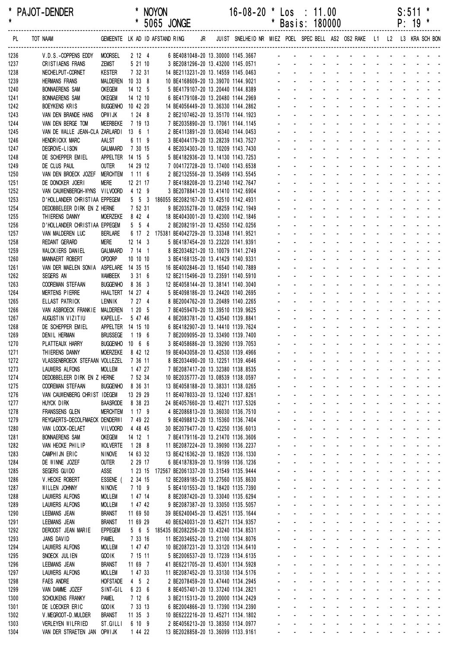| *<br>$\pmb{\ast}$ | <b>PAJOT-DENDER</b>                                          |                           |                    | <b>NOYON</b><br>* 5065 JONGE                                                         |    | $16 - 08 - 20$                                                                                                | $\star$ | $\textsf{Los} : 11.00$<br>* Basis: 180000 |  |  |  | S:511<br>$P: 19 *$ | *                                                                                                                                                                                                                                                                                      |
|-------------------|--------------------------------------------------------------|---------------------------|--------------------|--------------------------------------------------------------------------------------|----|---------------------------------------------------------------------------------------------------------------|---------|-------------------------------------------|--|--|--|--------------------|----------------------------------------------------------------------------------------------------------------------------------------------------------------------------------------------------------------------------------------------------------------------------------------|
| PL                | TOT NAAM                                                     |                           |                    | GEMEENTE LK AD ID AFSTAND RING                                                       | JR | JUIST SNELHEID NR MIEZ POEL SPEC BELL AS2 OS2 RAKE L1 L2 L3 KRA SCH BON                                       |         |                                           |  |  |  |                    |                                                                                                                                                                                                                                                                                        |
| 1236              | V.D.S.-COPPENS EDDY                                          | <b>MOORSEL</b>            | 2 12 4             |                                                                                      |    | 6 BE4081048-20 13.30000 1145.3667                                                                             |         |                                           |  |  |  |                    | and the contract of the contract of the contract of the contract of the contract of the contract of the contract of the contract of the contract of the contract of the contract of the contract of the contract of the contra                                                         |
| 1237              | CRISTIAENS FRANS                                             | ZEMST                     | 5 21 10            |                                                                                      |    | 3 BE2081296-20 13.43200 1145.0571<br>14 BE2113231-20 13.14559 1145.0463<br>10 BE4168609-20 13.39070 1144.9021 |         |                                           |  |  |  |                    |                                                                                                                                                                                                                                                                                        |
| 1238              | NECHELPUT-CORNET                                             | <b>KESTER</b>             | 7 32 31            |                                                                                      |    |                                                                                                               |         |                                           |  |  |  |                    |                                                                                                                                                                                                                                                                                        |
| 1239<br>1240      | <b>HERMANS FRANS</b><br><b>BONNAERENS SAM</b>                | MALDEREN<br><b>OKEGEM</b> | 10 33 8<br>14 12 5 |                                                                                      |    | 5 BE4179107-20 13.20440 1144.8389                                                                             |         |                                           |  |  |  |                    | and the contract of the contract of the contract of the contract of the contract of the contract of the contract of the contract of the contract of the contract of the contract of the contract of the contract of the contra                                                         |
| 1241              | <b>BONNAERENS SAM</b>                                        | <b>OKEGEM</b>             | 14 12 10           |                                                                                      |    | 6 BE4179108-20 13.20480 1144.2969                                                                             |         |                                           |  |  |  |                    | and the second contract of the second                                                                                                                                                                                                                                                  |
| 1242              | BOEYKENS KRIS                                                | BUGGENHO 10 42 20         |                    | 14 BE4056449-20 13.36330 1144.2862                                                   |    |                                                                                                               |         |                                           |  |  |  |                    | والمتعاط والمتعاط والمتعاط والمتعاطي                                                                                                                                                                                                                                                   |
| 1243              | VAN DEN BRANDE HANS                                          | OPW I JK                  | $1248$             |                                                                                      |    | 2 BE2107462-20 13.35170 1144.1923                                                                             |         |                                           |  |  |  |                    |                                                                                                                                                                                                                                                                                        |
| 1244              | VAN DEN BERGE TOM                                            | <b>MEERBEKE</b>           | 7 19 13            |                                                                                      |    | 7 BE2035890-20 13.17061 1144.1145                                                                             |         |                                           |  |  |  |                    | and the second contract of the second                                                                                                                                                                                                                                                  |
| 1245              | VAN DE WALLE JEAN-CLA ZARLARDI                               |                           | 13 6 1             |                                                                                      |    | 2 BE4113891-20 13.06340 1144.0453                                                                             |         |                                           |  |  |  |                    | and the state of the state of the state                                                                                                                                                                                                                                                |
| 1246              | HENDRICKX MARC                                               | AALST                     | 6 11 9             |                                                                                      |    | 3 BE4044179-20 13.28239 1143.7527                                                                             |         |                                           |  |  |  |                    | and a state of the contract of the state                                                                                                                                                                                                                                               |
| 1247              | DEGROVE-LISON                                                | <b>GALMAARD</b>           | 7 30 15            |                                                                                      |    | 4 BE2034303-20 13.10209 1143.7430                                                                             |         |                                           |  |  |  |                    | a construction of the construction of the construction of the construction of the construction of the construction of the construction of the construction of the construction of the construction of the construction of the                                                          |
| 1248              | DE SCHEPPER EMIEL                                            | APPELTER 14 15 5          |                    |                                                                                      |    | 5 BE4182936-20 13.14130 1143.7253                                                                             |         |                                           |  |  |  |                    | والمتعاط والمتعاط والمتعاط والمتعاط والمتعاط                                                                                                                                                                                                                                           |
| 1249              | DE CLUS PAUL                                                 | <b>OUTER</b>              | 14 29 12           |                                                                                      |    | 7 004172728-20 13.17400 1143.6538                                                                             |         |                                           |  |  |  |                    | and a straightful and a straight and                                                                                                                                                                                                                                                   |
| 1250              | VAN DEN BROECK JOZEF MERCHTEM                                |                           | 1116               |                                                                                      |    | 2 BE2132556-20 13.35499 1143.5545                                                                             |         |                                           |  |  |  |                    | and a state of the state of the state of<br>and the state of the state of the state                                                                                                                                                                                                    |
| 1251              | DE DONCKER JOERI                                             | <b>MERE</b>               | 12 21 17           |                                                                                      |    | 7 BE4188208-20 13.23140 1142.7647                                                                             |         |                                           |  |  |  |                    | and a state of the state of the state                                                                                                                                                                                                                                                  |
| 1252              | VAN CAUWENBERGH-WYNS VILVOORD                                |                           | 4 12 9             |                                                                                      |    | 3 BE2078841-20 13.41410 1142.6904                                                                             |         |                                           |  |  |  |                    | and a series of the contract of the series                                                                                                                                                                                                                                             |
| 1253<br>1254      | D'HOLLANDER CHRISTIAA EPPEGEM<br>DEDOBBELEER DIRK EN Z HERNE |                           | 7 52 31            | 5 5 3 186055 BE2082167-20 13.42510 1142.4931                                         |    | 9 BE2035278-20 13.08259 1142.1949                                                                             |         |                                           |  |  |  |                    |                                                                                                                                                                                                                                                                                        |
| 1255              | THIERENS DANNY                                               | MOERZEKE                  | 8 42 4             | 18 BE4043001-20 13.42300 1142.1846                                                   |    |                                                                                                               |         |                                           |  |  |  |                    | والمناور والمناور والمناور والمناور والمناور                                                                                                                                                                                                                                           |
| 1256              | D'HOLLANDER CHRISTIAA EPPEGEM                                |                           | $5\quad 5\quad 4$  | 2 BE2082191-20 13.42550 1142.0256                                                    |    |                                                                                                               |         |                                           |  |  |  |                    | and a state of the contract of the con-                                                                                                                                                                                                                                                |
| 1257              | VAN MALDEREN LUC                                             | <b>BERLARE</b>            |                    | 6 17 2 175381 BE4042729-20 13.33348 1141.9521                                        |    |                                                                                                               |         |                                           |  |  |  |                    | and the state of the state of the state                                                                                                                                                                                                                                                |
| 1258              | REDANT GERARD                                                | <b>MERE</b>               | $12$ 14 3          |                                                                                      |    | 5 BE4187454-20 13.23220 1141.9391                                                                             |         |                                           |  |  |  |                    | and a straightful and a straight and                                                                                                                                                                                                                                                   |
| 1259              | WALCKIERS DANIEL                                             | <b>GALMAARD</b>           | 7141               |                                                                                      |    | 8 BE2034821-20 13.10079 1141.2749                                                                             |         |                                           |  |  |  |                    | and a series of the contract of the series of                                                                                                                                                                                                                                          |
| 1260              | <b>MANNAERT ROBERT</b>                                       | OPDORP                    | 10 10 10           |                                                                                      |    | 3 BE4168135-20 13.41429 1140.9331                                                                             |         |                                           |  |  |  |                    | والمتعاط والمتعاط والمتعاط والمتعاط والمتعاط                                                                                                                                                                                                                                           |
| 1261              | VAN DER MAELEN SONIA                                         | ASPELARE                  | 14 35 15           | 16 BE4002846-20 13.16540 1140.7889                                                   |    |                                                                                                               |         |                                           |  |  |  |                    | and a straightful and a straight and                                                                                                                                                                                                                                                   |
| 1262              | SEGERS AN                                                    | <b>WAMBEEK</b>            | 3316               | 12 BE2115496-20 13.23591 1140.5910                                                   |    |                                                                                                               |         |                                           |  |  |  |                    | a construction of the construction of the construction of the construction of the construction of the construction of the construction of the construction of the construction of the construction of the construction of the                                                          |
| 1263              | COOREMAN STEFAAN                                             | <b>BUGGENHO</b>           | 8 36 3             | 12 BE4058144-20 13.38141 1140.3040                                                   |    |                                                                                                               |         |                                           |  |  |  |                    | and a state of the state of the state                                                                                                                                                                                                                                                  |
| 1264              | MERTENS PIERRE                                               | HAALTERT 14 27 4          |                    |                                                                                      |    | 5 BE4098186-20 13.24420 1140.2695                                                                             |         |                                           |  |  |  |                    | and a state of the state of the state<br>and a state of the contract of the state                                                                                                                                                                                                      |
| 1265<br>1266      | ELLAST PATRICK<br>VAN ASBROECK FRANKIE                       | LENNIK<br>MALDEREN        | 7 27 4<br>1205     | 7 BE4059470-20 13.39510 1139.9625                                                    |    | 8 BE2004762-20 13.20489 1140.2265                                                                             |         |                                           |  |  |  |                    | a construction of the construction of the                                                                                                                                                                                                                                              |
| 1267              | AUGUSTIN VIZITIU                                             | KAPELLE-                  | 5 47 46            |                                                                                      |    | 4 BE2083781-20 13.43540 1139.8841                                                                             |         |                                           |  |  |  |                    | والمناور والمناور والمناور والمناور والمراو                                                                                                                                                                                                                                            |
| 1268              | DE SCHEPPER EMIEL                                            | APPELTER 14 15 10         |                    | 6 BE4182907-20 13.14410 1139.7624                                                    |    |                                                                                                               |         |                                           |  |  |  |                    | a na manana na manana na manana                                                                                                                                                                                                                                                        |
| 1269              | DENIL HERMAN                                                 | <b>BRUSSEGE</b>           | 1 19 6             | 7 BE2009095-20 13.33490 1139.7400                                                    |    |                                                                                                               |         |                                           |  |  |  |                    | a na manana na manana na manana                                                                                                                                                                                                                                                        |
| 1270              | PLATTEAUX HARRY                                              | BUGGENHO 10 6 6           |                    | 3 BE4058686-20 13.39290 1139.7053                                                    |    |                                                                                                               |         |                                           |  |  |  |                    | <u>.</u>                                                                                                                                                                                                                                                                               |
| 1271              | THIERENS DANNY                                               | MOERZEKE 8 42 12          |                    | 19 BE4043058-20 13.42530 1139.4966                                                   |    |                                                                                                               |         |                                           |  |  |  |                    | .                                                                                                                                                                                                                                                                                      |
| 1272              | VLASSENBROECK STEFAAN VOLLEZEL 7 36 11                       |                           |                    |                                                                                      |    | 8 BE2034490-20 13.12251 1139.4646                                                                             |         |                                           |  |  |  |                    | والمتعاون والمتعاون والمتعاون والمتعاون والمتعاون والمتعاون                                                                                                                                                                                                                            |
| 1273              | <b>LAUWERS ALFONS</b>                                        | <b>MOLLEM</b>             | 1 47 27            |                                                                                      |    | 7 BE2087417-20 13.32380 1138.8535                                                                             |         |                                           |  |  |  |                    | والمناور والمناور والوالد المناور والمناور والمناور                                                                                                                                                                                                                                    |
| 1274              | DEDOBBELEER DIRK EN Z HERNE<br>COOREMAN STEFAAN              | <b>BUGGENHO</b>           | 7 52 34<br>8 36 31 | 10 BE2035777-20 13.08539 1138.0597                                                   |    |                                                                                                               |         |                                           |  |  |  |                    | a construction of the construction of the construction of the construction of the construction of the construction of the construction of the construction of the construction of the construction of the construction of the<br>and a series of the contract of the series of         |
| 1275<br>1276      | VAN CAUWENBERG CHRIST IDEGEM                                 |                           | 13 29 29           | 13 BE4058188-20 13.38331 1138.0265<br>11 BE4078033-20 13.13240 1137.8261             |    |                                                                                                               |         |                                           |  |  |  |                    | and a series of the series of the series of                                                                                                                                                                                                                                            |
| 1277              | HUYCK DIRK                                                   | <b>BAASRODE</b>           | 8 38 23            | 24 BE4057660-20 13.40271 1137.5326                                                   |    |                                                                                                               |         |                                           |  |  |  |                    | فالمتابع والمتابع والمتابع والمتابع والمتابع والمتابع والمتابع                                                                                                                                                                                                                         |
| 1278              | FRANSSENS GLEN                                               | <b>MERCHTEM</b>           | 1 17 9             |                                                                                      |    | 4 BE2086813-20 13.36030 1136.7510                                                                             |         |                                           |  |  |  |                    | والمناور والوالد المناور والمناور والمناور المناور                                                                                                                                                                                                                                     |
| 1279              | REYGAERTS-DECOLFMAECK DENDERWI                               |                           | 7 49 22            |                                                                                      |    | 9 BE4098812-20 13.15360 1136.7404                                                                             |         |                                           |  |  |  |                    | والمتعادل والمتابع المتابع المتابع المتابع المتابع                                                                                                                                                                                                                                     |
| 1280              | VAN LOOCK-DELAET                                             | <b>VILVOORD</b>           | 4 48 45            | 30 BE2079477-20 13.42250 1136.6013                                                   |    |                                                                                                               |         |                                           |  |  |  |                    | and a series of the series of the series of the                                                                                                                                                                                                                                        |
| 1281              | <b>BONNAERENS SAM</b>                                        | <b>OKEGEM</b>             | 14 12 1            |                                                                                      |    | 7 BE4179116-20 13.21470 1136.3606                                                                             |         |                                           |  |  |  |                    | and a series of the contract of the contract of                                                                                                                                                                                                                                        |
| 1282              | VAN HECKE PHILIP                                             | <b>WOLVERTE</b>           | 1288               | 11 BE2087224-20 13.39090 1136.2237                                                   |    |                                                                                                               |         |                                           |  |  |  |                    | and a series of the contract of the series of                                                                                                                                                                                                                                          |
| 1283              | CAMPHIJN ERIC                                                | <b>NINOVE</b>             | 14 63 32           | 13 BE4216362-20 13.18520 1136.1330                                                   |    |                                                                                                               |         |                                           |  |  |  |                    | and a series of the contract of the contract of                                                                                                                                                                                                                                        |
| 1284              | DE WINNE JOZEF                                               | <b>OUTER</b>              | 2 29 17            |                                                                                      |    | 6 BE4187839-20 13.19199 1136.1236                                                                             |         |                                           |  |  |  |                    | والمناور والمناور والمناور والمناور والمناور<br>and a series of the contract of the series of                                                                                                                                                                                          |
| 1285<br>1286      | SEGERS GUIDO<br>V. HECKE ROBERT                              | ASSE<br>ESSENE (          | 2 34 15            | 1 23 15 172567 BE2061337-20 13.31549 1135.9444<br>12 BE2089185-20 13.27560 1135.8630 |    |                                                                                                               |         |                                           |  |  |  |                    | and a series and a series and a series                                                                                                                                                                                                                                                 |
| 1287              | WILLEN JOHNNY                                                | <b>NINOVE</b>             | 7 10 9             |                                                                                      |    | 5 BE4101553-20 13.18420 1135.7390                                                                             |         |                                           |  |  |  |                    | and a straightful and a straight and                                                                                                                                                                                                                                                   |
| 1288              | <b>LAUWERS ALFONS</b>                                        | <b>MOLLEM</b>             | 1 47 14            |                                                                                      |    | 8 BE2087420-20 13.33040 1135.6294                                                                             |         |                                           |  |  |  |                    | and a series and a series and a series of                                                                                                                                                                                                                                              |
| 1289              | LAUWERS ALFONS                                               | <b>MOLLEM</b>             | 1 47 42            |                                                                                      |    | 9 BE2087387-20 13.33050 1135.5057                                                                             |         |                                           |  |  |  |                    | and a series of the contract of the contract of the                                                                                                                                                                                                                                    |
| 1290              | LEEMANS JEAN                                                 | <b>BRANST</b>             | 11 69 50           | 39 BE6240045-20 13.45251 1135.1644                                                   |    |                                                                                                               |         |                                           |  |  |  |                    | فالقائم والقاربة والقاربة والقاربة والقاربة والمتارية                                                                                                                                                                                                                                  |
| 1291              | LEEMANS JEAN                                                 | <b>BRANST</b>             | 11 69 29           | 40 BE6240031-20 13.45271 1134.9357                                                   |    |                                                                                                               |         |                                           |  |  |  |                    | and a series of the contract of the series of                                                                                                                                                                                                                                          |
| 1292              | DEROOST JEAN MARIE                                           | <b>EPPEGEM</b>            |                    | 5 6 5 185435 BE2082256-20 13.43240 1134.8531                                         |    |                                                                                                               |         |                                           |  |  |  |                    | and a series of the contract of the series of                                                                                                                                                                                                                                          |
| 1293              | JANS DAVID                                                   | PAMEL                     | 7 33 16            | 11 BE2034652-20 13.21100 1134.8076                                                   |    |                                                                                                               |         |                                           |  |  |  |                    | and a series and a series and a series                                                                                                                                                                                                                                                 |
| 1294              | <b>LAUWERS ALFONS</b>                                        | <b>MOLLEM</b>             | 1 47 47            | 10 BE2087231-20 13.33120 1134.6410                                                   |    |                                                                                                               |         |                                           |  |  |  |                    | and the company of the company of the company of the company of the company of the company of the company of the company of the company of the company of the company of the company of the company of the company of the comp<br>المناصر والمناصر والمناصر والمناصر والمناصر والمناصر |
| 1295<br>1296      | SNOECK JULIEN<br>LEEMANS JEAN                                | GOO IK<br><b>BRANST</b>   | 7 15 11<br>11 69 7 | 41 BE6221705-20 13.45301 1134.5928                                                   |    | 5 BE2006537-20 13.17239 1134.6135                                                                             |         |                                           |  |  |  |                    | فالمنافذ والمنافر والمنافر والمنافر المراقب                                                                                                                                                                                                                                            |
| 1297              | LAUWERS ALFONS                                               | <b>MOLLEM</b>             | 1 47 33            | 11 BE2087452-20 13.33130 1134.5176                                                   |    |                                                                                                               |         |                                           |  |  |  |                    | and a series of the contract of the series of                                                                                                                                                                                                                                          |
| 1298              | <b>FAES ANDRE</b>                                            | <b>HOFSTADE</b>           | 4 5 2              |                                                                                      |    | 2 BE2078459-20 13.47440 1134.2945                                                                             |         |                                           |  |  |  |                    | and a series and a series and a series                                                                                                                                                                                                                                                 |
| 1299              | VAN DAMME JOZEF                                              | SINT-GIL                  | 6 23 6             |                                                                                      |    | 8 BE4057401-20 13.37240 1134.2821                                                                             |         |                                           |  |  |  |                    | and a series of the contract of the series of                                                                                                                                                                                                                                          |
| 1300              | SCHOUKENS FRANKY                                             | <b>PAMEL</b>              | 7126               |                                                                                      |    | 3 BE2115313-20 13.20000 1134.2429                                                                             |         |                                           |  |  |  |                    | and a series and a series and a series of                                                                                                                                                                                                                                              |
| 1301              | DE LOECKER ERIC                                              | GOO IK                    | 7 33 13            |                                                                                      |    | 6 BE2004866-20 13.17390 1134.2390                                                                             |         |                                           |  |  |  |                    | and a series of the contract of the contract of the                                                                                                                                                                                                                                    |
| 1302              | V. MEGROOT-D. MULDER                                         | <b>BRANST</b>             | 11353              | 10 BE6222216-20 13.45271 1134.1802                                                   |    |                                                                                                               |         |                                           |  |  |  |                    | فالمنافذ والمنافر والمنافر والمنافر والمنافر والمنافر                                                                                                                                                                                                                                  |
| 1303<br>1304      | VERLEYEN WILFRIED<br>VAN DER STRAETEN JAN OPWIJK             | ST.GILLI                  | 6 10 9<br>1 44 22  | 13 BE2028858-20 13.36099 1133.9161                                                   |    | 2 BE4056213-20 13.38350 1134.0977                                                                             |         |                                           |  |  |  |                    | والمتعاط والمتعاط والمتعاط والمتعاط والمتار<br>المتعاطف والمتعاط والمتعاط والمتعاط والمتعارف                                                                                                                                                                                           |
|                   |                                                              |                           |                    |                                                                                      |    |                                                                                                               |         |                                           |  |  |  |                    |                                                                                                                                                                                                                                                                                        |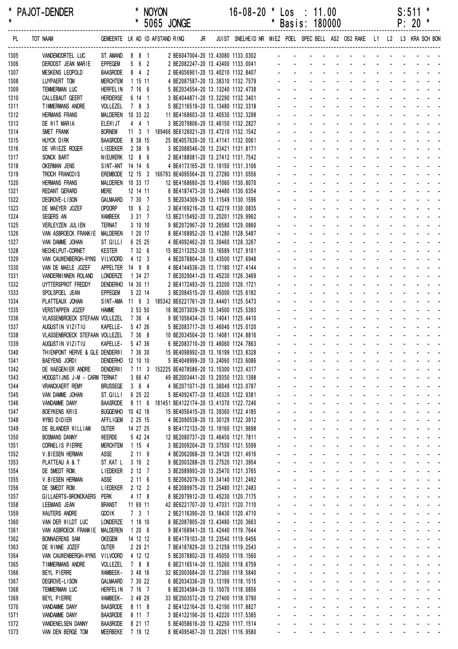| *<br>$\pmb{\star}$ | <b>PAJOT-DENDER</b>                                     |                                     |                      | <b>NOYON</b><br>* 5065 JONGE                            |    | $16 - 08 - 20$                                                                                              | $\star$ | $\textsf{Los}$ : 11.00<br>* Basis: 180000                                                                                                                                                                                      |  |  |  | S:511<br>$P: 20$ * | * |
|--------------------|---------------------------------------------------------|-------------------------------------|----------------------|---------------------------------------------------------|----|-------------------------------------------------------------------------------------------------------------|---------|--------------------------------------------------------------------------------------------------------------------------------------------------------------------------------------------------------------------------------|--|--|--|--------------------|---|
| PL                 | TOT NAAM                                                |                                     |                      | GEMEENTE LK AD ID AFSTAND RING                          | JR | JUIST SNELHEID NR MIEZ POEL SPEC BELL AS2 OS2 RAKE L1 L2 L3 KRA SCH BON                                     |         |                                                                                                                                                                                                                                |  |  |  |                    |   |
| 1305               | VANDEMOORTEL LUC                                        | ST.AMAND 8 8 1                      |                      |                                                         |    | 2 BE6047004-20 13.43080 1133.0302                                                                           |         | and the contract of the contract of the con-                                                                                                                                                                                   |  |  |  |                    |   |
| 1306               | DEROOST JEAN MARIE                                      | EPPEGEM                             | 562                  |                                                         |    |                                                                                                             |         |                                                                                                                                                                                                                                |  |  |  |                    |   |
| 1307               | <b>MESKENS LEOPOLD</b>                                  | <b>BAASRODE</b>                     | $8 \quad 4 \quad 2$  |                                                         |    | 2 BE2082247-20 13.43400 1133.0041<br>2 BE4056901-20 13.40210 1132.8407<br>4 BE2087587-20 13.38310 1132.7579 |         |                                                                                                                                                                                                                                |  |  |  |                    |   |
| 1308<br>1309       | LUYPAERT TOM<br>TEMMERMAN LUC                           | <b>MERCHTEM</b><br><b>HERFEL IN</b> | 1 15 11<br>7 16 6    |                                                         |    | 5 BE2034554-20 13.13240 1132.4738                                                                           |         | and the contract of the contract of the                                                                                                                                                                                        |  |  |  |                    |   |
| 1310               | CALLEBAUT GEERT                                         | <b>HERDERSE</b>                     | 6 14 1               |                                                         |    | 3 BE4044871-20 13.32290 1132.3401                                                                           |         | and the contract of the contract of the                                                                                                                                                                                        |  |  |  |                    |   |
| 1311               | TIMMERMANS ANDRE                                        | VOLLEZEL                            | 7 8 3                |                                                         |    | 5 BE2116519-20 13.13480 1132.3318                                                                           |         | . <del>.</del>                                                                                                                                                                                                                 |  |  |  |                    |   |
| 1312               | <b>HERMANS FRANS</b>                                    | MALDEREN 10 33 22                   |                      | 11 BE4168603-20 13.40530 1132.3298                      |    |                                                                                                             |         |                                                                                                                                                                                                                                |  |  |  |                    |   |
| 1313               | DE WIT MARIA                                            | <b>ELEWIJT</b>                      | 441                  |                                                         |    | 3 BE2079806-20 13.46150 1132.2827                                                                           |         |                                                                                                                                                                                                                                |  |  |  |                    |   |
| 1314               | SMET FRANK                                              | <b>BORNEM</b>                       |                      | 11 3 1 189466 BE6126021-20 13.47210 1132.1542           |    |                                                                                                             |         |                                                                                                                                                                                                                                |  |  |  |                    |   |
| 1315               | HUYCK DIRK                                              | <b>BAASRODE</b>                     | 8 38 15              | 25 BE4057630-20 13.41141 1132.0061                      |    |                                                                                                             |         | and the state of the state of the state of                                                                                                                                                                                     |  |  |  |                    |   |
| 1316               | DE VRIEZE ROGER                                         | <b>LIEDEKER</b>                     | 2 38 9               |                                                         |    | 3 BE2088546-20 13.23421 1131.8171                                                                           |         | the contract of the contract of the contract of                                                                                                                                                                                |  |  |  |                    |   |
| 1317               | SONCK BART                                              | NIEUWERK 12 8 6                     |                      |                                                         |    | 2 BE4188081-20 13.27412 1131.7542                                                                           |         | and the second contract of the second                                                                                                                                                                                          |  |  |  |                    |   |
| 1318               | <b>OKERMAN JENS</b>                                     | SINT-ANT 14 14 6                    |                      |                                                         |    | 4 BE4173165-20 13.19150 1131.3106                                                                           |         | . <del>.</del>                                                                                                                                                                                                                 |  |  |  |                    |   |
| 1319               | TROCH FRANCOIS                                          |                                     |                      | EREMBODE 12 15 3 166793 BE4095564-20 13.27280 1131.0556 |    |                                                                                                             |         | and the contract of the contract of the                                                                                                                                                                                        |  |  |  |                    |   |
| 1320               | <b>HERMANS FRANS</b>                                    | MALDEREN 10 33 17                   |                      |                                                         |    | 12 BE4168660-20 13.41060 1130.8070                                                                          |         | and the state of the state of the state of                                                                                                                                                                                     |  |  |  |                    |   |
| 1321               | <b>REDANT GERARD</b>                                    | <b>MERE</b>                         | 12 14 11             |                                                         |    | 6 BE4187473-20 13.24480 1130.6354                                                                           |         | and the contract of the contract of the                                                                                                                                                                                        |  |  |  |                    |   |
| 1322               | DEGROVE-LISON                                           | GALMAARD 7 30 7                     |                      |                                                         |    | 5 BE2034309-20 13.11549 1130.1596                                                                           |         | and the contract of the contract of the                                                                                                                                                                                        |  |  |  |                    |   |
| 1323               | DE MAEYER JOZEF                                         | OPDORP                              | $10 \quad 6 \quad 2$ |                                                         |    | 3 BE4169216-20 13.42219 1130.0835                                                                           |         |                                                                                                                                                                                                                                |  |  |  |                    |   |
| 1324               | SEGERS AN                                               | <b>WAMBEEK</b><br><b>TERNAT</b>     | 3 31 7<br>3 10 10    |                                                         |    | 13 BE2115492-20 13.25201 1129.9962<br>9 BE2072967-20 13.26580 1129.0860                                     |         |                                                                                                                                                                                                                                |  |  |  |                    |   |
| 1325<br>1326       | VERLEYZEN JUL IEN<br>VAN ASBROECK FRANKIE MALDEREN      |                                     | 1 20 17              |                                                         |    | 8 BE4168952-20 13.41280 1128.5487                                                                           |         | and the state of the state of the state                                                                                                                                                                                        |  |  |  |                    |   |
| 1327               | VAN DAMME JOHAN                                         | ST.GILLI                            | 6 25 25              |                                                         |    | 4 BE4092462-20 13.39460 1128.3267                                                                           |         | and the state of the state of the state of                                                                                                                                                                                     |  |  |  |                    |   |
| 1328               | NECHELPUT-CORNET                                        | <b>KESTER</b>                       | 7 32 6               |                                                         |    | 15 BE2113252-20 13.16589 1127.9101                                                                          |         | the contract of the contract of the contract of                                                                                                                                                                                |  |  |  |                    |   |
| 1329               | VAN CAUWENBERGH-WYNS                                    | VILVOORD                            | 4 12 3               |                                                         |    | 4 BE2078804-20 13.43500 1127.6948                                                                           |         | and the contract of the contract of the                                                                                                                                                                                        |  |  |  |                    |   |
| 1330               | VAN DE MAELE JOZEF                                      | APPELTER 14 9 8                     |                      |                                                         |    | 4 BE4144536-20 13.17180 1127.4144                                                                           |         | . <del>.</del>                                                                                                                                                                                                                 |  |  |  |                    |   |
| 1331               | VANDERMINNEN ROLAND                                     | LONDERZE                            | 1 34 27              |                                                         |    | 7 BE2029041-20 13.45230 1126.3469                                                                           |         | and the contract of the contract of the                                                                                                                                                                                        |  |  |  |                    |   |
| 1332               | UYTTERSPROT FREDDY                                      | DENDERHO 14 30 11                   |                      |                                                         |    | 2 BE4172493-20 13.23200 1126.1721                                                                           |         | and the state of the state of the state of                                                                                                                                                                                     |  |  |  |                    |   |
| 1333               | SPOLSPOEL JEAN                                          | <b>EPPEGEM</b>                      | 5 22 14              |                                                         |    | 3 BE2084515-20 13.45000 1125.6182                                                                           |         | and the contract of the contract of the contract of the contract of the contract of the contract of the contract of the contract of the contract of the contract of the contract of the contract of the contract of the contra |  |  |  |                    |   |
| 1334               | PLATTEAUX JOHAN                                         |                                     |                      | SINT-AMA 11 6 3 185342 BE6221761-20 13.44401 1125.5473  |    |                                                                                                             |         | and the contract of the contract of the                                                                                                                                                                                        |  |  |  |                    |   |
| 1335               | VERSTAPPEN JOZEF                                        | <b>HAMME</b>                        | 3 53 50              |                                                         |    | 18 BE2073039-20 13.34500 1125.5393                                                                          |         |                                                                                                                                                                                                                                |  |  |  |                    |   |
| 1336               | VLASSENBROECK STEFAAN VOLLEZEL                          |                                     | 7 36 4               |                                                         |    | 9 BE1056434-20 13.14041 1125.4410                                                                           |         |                                                                                                                                                                                                                                |  |  |  |                    |   |
| 1337               | AUGUSTIN VIZITIU                                        | KAPELLE-                            | 5 47 26              |                                                         |    | 5 BE2083717-20 13.46040 1125.0120                                                                           |         |                                                                                                                                                                                                                                |  |  |  |                    |   |
| 1338               | VLASSENBROECK STEFAAN VOLLEZEL                          |                                     | 7 36 8               | 10 BE2034504-20 13.14081 1124.8816                      |    |                                                                                                             |         | and a state of the state of the state                                                                                                                                                                                          |  |  |  |                    |   |
| 1339               | AUGUSTIN VIZITIU                                        | KAPELLE-                            | 5 47 36              |                                                         |    | 6 BE2083710-20 13.46060 1124.7863                                                                           |         |                                                                                                                                                                                                                                |  |  |  |                    |   |
| 1340<br>1341       | THIENPONT HERVE & GLE DENDERWI 7 36 30<br>BAEYENS JORDI | DENDERHO 12 10 10                   |                      | 15 BE4098992-20 13.16199 1123.8328                      |    | 5 BE4048999-20 13.24060 1123.6086                                                                           |         | and the contract of the contract of the contract of                                                                                                                                                                            |  |  |  |                    |   |
| 1342               | DE WAEGENIER ANDRE                                      | <b>DENDERWI</b>                     |                      | 7 11 3 152225 BE4078586-20 13.15300 1123.4317           |    |                                                                                                             |         | والمتعاط المتناول والمتناول والمتناول والمتناول                                                                                                                                                                                |  |  |  |                    |   |
| 1343               | HOOGSTIJNS J-M - CARM TERNAT                            |                                     | 3 66 47              |                                                         |    | 49 BE2003441-20 13.29350 1123.1398                                                                          |         | and a series and a series and a series of                                                                                                                                                                                      |  |  |  |                    |   |
| 1344               | <b>VRANCKAERT REMY</b>                                  | <b>BRUSSEGE</b>                     | 364                  |                                                         |    | 4 BE2071071-20 13.36049 1123.0787                                                                           |         | and a series of the contract of the series                                                                                                                                                                                     |  |  |  |                    |   |
| 1345               | VAN DAMME JOHAN                                         | ST.GILLI                            | 6 25 22              |                                                         |    | 5 BE4092477-20 13.40320 1122.9381                                                                           |         | and a series of the series of the series of                                                                                                                                                                                    |  |  |  |                    |   |
| 1346               | VANDAMME DANY                                           | <b>BAASRODE</b>                     |                      | 8 11 6 181451 BE4122174-20 13.41370 1122.7246           |    |                                                                                                             |         | and a series of the series of the series of the                                                                                                                                                                                |  |  |  |                    |   |
| 1347               | <b>BOEYKENS KRIS</b>                                    | <b>BUGGENHO</b>                     | 10 42 18             |                                                         |    | 15 BE4056415-20 13.39360 1122.4185                                                                          |         | فالقائم والقاربة والقاربة والقاربة والقاربة والمتارية                                                                                                                                                                          |  |  |  |                    |   |
| 1348               | WYBO DIDIER                                             | <b>AFFLIGEM</b>                     | 2 25 15              |                                                         |    | 4 BE2090538-20 13.30129 1122.3912                                                                           |         | والمتعادل والمتابع المتابع المتابع المتابع المتابع                                                                                                                                                                             |  |  |  |                    |   |
| 1349               | DE BLANDER WILLIAM                                      | <b>OUTER</b>                        | 14 27 25             |                                                         |    | 9 BE4172133-20 13.19160 1121.9698                                                                           |         | and a series of the series of the series of                                                                                                                                                                                    |  |  |  |                    |   |
| 1350               | <b>BOSMANS DANNY</b>                                    | WEERDE                              | 5 42 24              |                                                         |    | 12 BE2080737-20 13.46450 1121.7811                                                                          |         | the contract of the contract of the contract of the                                                                                                                                                                            |  |  |  |                    |   |
| 1351               | CORNEL IS PIERRE                                        | <b>MERCHTEM</b>                     | 1 15 4               |                                                         |    | 3 BE2009204-20 13.37550 1121.5599                                                                           |         | and the contract of the contract of the contract of                                                                                                                                                                            |  |  |  |                    |   |
| 1352               | V.BIESEN HERMAN                                         | <b>ASSE</b>                         | 2119                 |                                                         |    | 4 BE2062068-20 13.34120 1121.4916                                                                           |         | the second contract of the second contract of the second                                                                                                                                                                       |  |  |  |                    |   |
| 1353               | PLATTEAU A & T                                          | ST.KAT L                            | $3 \t10 \t2$         |                                                         |    | 9 BE2003288-20 13.27520 1121.3954                                                                           |         | والمتعادي والمتعادي والمتعادي والمتعادية<br>and a series of the contract of the contract of                                                                                                                                    |  |  |  |                    |   |
| 1354<br>1355       | DE SMEDT ROM.<br>V.BIESEN HERMAN                        | <b>LIEDEKER</b><br>ASSE             | 2 12 7<br>2 11 6     |                                                         |    | 3 BE2089993-20 13.25470 1121.3765<br>5 BE2062079-20 13.34140 1121.2492                                      |         | and a series of the contract of the series of                                                                                                                                                                                  |  |  |  |                    |   |
| 1356               | DE SMEDT ROM.                                           | <b>LIEDEKER</b>                     | $2 12 2$             |                                                         |    | 4 BE2089975-20 13.25480 1121.2483                                                                           |         | and the contract of the contract of the contract of the contract of the contract of the contract of the contract of the contract of the contract of the contract of the contract of the contract of the contract of the contra |  |  |  |                    |   |
| 1357               | GILLAERTS-BRONCKAERS                                    | Perk                                | 4 17 8               |                                                         |    | 8 BE2079912-20 13.45230 1120.7175                                                                           |         | design and a state of the state of the state                                                                                                                                                                                   |  |  |  |                    |   |
| 1358               | LEEMANS JEAN                                            | <b>BRANST</b>                       | 11 69 11             |                                                         |    | 42 BE6221707-20 13.47331 1120.7110                                                                          |         | and the contract of the contract of the contract of                                                                                                                                                                            |  |  |  |                    |   |
| 1359               | <b>WAUTERS ANDRE</b>                                    | <b>GOOIK</b>                        | $7 \quad 3 \quad 1$  |                                                         |    | 2 BE2116390-20 13.18430 1120.4710                                                                           |         | والمناور والمناور والمناور والمناور والمناور                                                                                                                                                                                   |  |  |  |                    |   |
| 1360               | VAN DER WILDT LUC                                       | <b>LONDERZE</b>                     | 1 18 10              |                                                         |    | 8 BE2087805-20 13.43480 1120.3663                                                                           |         | فالقاط القارف القاربة القاربة القاربة القاربة                                                                                                                                                                                  |  |  |  |                    |   |
| 1361               | VAN ASBROECK FRANKIE                                    | MALDEREN                            | 1206                 |                                                         |    | 9 BE4168941-20 13.42440 1119.7644                                                                           |         | and a series of the contract of the series of                                                                                                                                                                                  |  |  |  |                    |   |
| 1362               | <b>BONNAERENS SAM</b>                                   | <b>OKEGEM</b>                       | 14 12 12             |                                                         |    | 8 BE4179103-20 13.23540 1119.6456                                                                           |         |                                                                                                                                                                                                                                |  |  |  |                    |   |
| 1363               | DE WINNE JOZEF                                          | OUTER                               | 2 29 21              |                                                         |    | 7 BE4187829-20 13.21259 1119.2543                                                                           |         | and the contract of the contract of the                                                                                                                                                                                        |  |  |  |                    |   |
| 1364               | VAN CAUWENBERGH-WYNS                                    | VILVOORD                            | 4 12 12              |                                                         |    | 5 BE2078802-20 13.45050 1119.1560                                                                           |         | المناصر والمناصر والمناصر والمناصر والمناصر المناسب                                                                                                                                                                            |  |  |  |                    |   |
| 1365               | TIMMERMANS ANDRE                                        | VOLLEZEL                            | 7 8 8                |                                                         |    | 6 BE2116514-20 13.15260 1118.6759                                                                           |         | والمتعادي والمتعادي والمتعادي والمتعادية                                                                                                                                                                                       |  |  |  |                    |   |
| 1366               | BEYL PIERRE                                             | WAMBEEK-                            | 3 48 16              |                                                         |    | 32 BE2003684-20 13.27360 1118.5840                                                                          |         | and a series of the contract of the series of                                                                                                                                                                                  |  |  |  |                    |   |
| 1367               | DEGROVE-LISON                                           | <b>GALMAARD</b>                     | 7 30 22              |                                                         |    | 6 BE2034336-20 13.13199 1118.1515                                                                           |         | and a series and a series and a series<br>and a straightful and a straight and                                                                                                                                                 |  |  |  |                    |   |
| 1368               | <b>TEMMERMAN LUC</b>                                    | <b>HERFEL IN</b>                    | 7 16 7               |                                                         |    | 6 BE2034584-20 13.15070 1118.0856                                                                           |         | and a series and a series and a series of                                                                                                                                                                                      |  |  |  |                    |   |
| 1369<br>1370       | BEYL PIERRE<br>VANDAMME DANY                            | WAMBEEK-<br><b>BAASRODE</b>         | 3 48 29<br>8 11 8    |                                                         |    | 33 BE2003572-20 13.27400 1118.0790<br>2 BE4122164-20 13.42190 1117.8827                                     |         | and a series of the contract of the contract of the                                                                                                                                                                            |  |  |  |                    |   |
| 1371               | VANDAMME DANY                                           | <b>BAASRODE</b>                     | 8 11 7               |                                                         |    | 3 BE4122196-20 13.42220 1117.5385                                                                           |         | and a series of the contract of the series of                                                                                                                                                                                  |  |  |  |                    |   |
| 1372               | VANDENELSEN DANNY                                       | <b>BAASRODE</b>                     | 8 21 17              |                                                         |    | 5 BE4058616-20 13.42250 1117.1514                                                                           |         | and a series of the contract of the series of the                                                                                                                                                                              |  |  |  |                    |   |
| 1373               | VAN DEN BERGE TOM                                       | MEERBEKE                            | 7 19 12              |                                                         |    | 8 BE4095467-20 13.20261 1116.9580                                                                           |         | the contract of the contract of the contract of                                                                                                                                                                                |  |  |  |                    |   |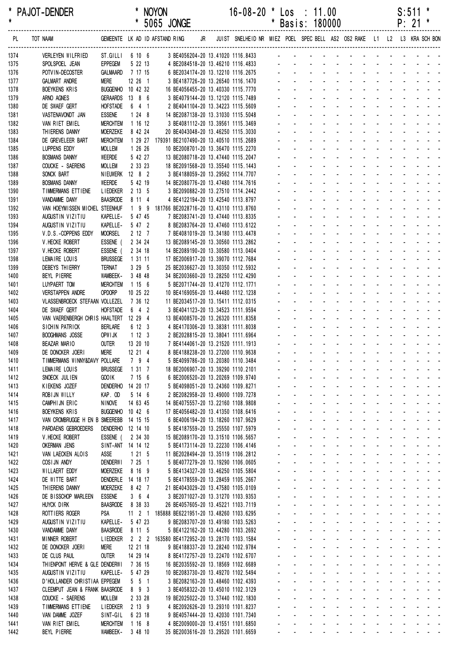| $\star$      | PAJOT-DENDER |                                                |                                  |                     | <b>NOYON</b> | * 5065 JONGE |    | 16-08-20                                                                | $\mathbf{x}$                                                                                                                                                                                                                   |                                         | $\textsf{Los} : 11.00$<br>* Basis: 180000             |  |                                                                                                                                                                                                                                |  | S:511<br>$P: 21$ * |  |  |
|--------------|--------------|------------------------------------------------|----------------------------------|---------------------|--------------|--------------|----|-------------------------------------------------------------------------|--------------------------------------------------------------------------------------------------------------------------------------------------------------------------------------------------------------------------------|-----------------------------------------|-------------------------------------------------------|--|--------------------------------------------------------------------------------------------------------------------------------------------------------------------------------------------------------------------------------|--|--------------------|--|--|
| PL           | TOT NAAM     |                                                | GEMEENTE LK AD ID AFSTAND RING   |                     |              |              | JR | JUIST SNELHEID NR MIEZ POEL SPEC BELL AS2 OS2 RAKE L1 L2 L3 KRA SCH BON |                                                                                                                                                                                                                                |                                         |                                                       |  |                                                                                                                                                                                                                                |  |                    |  |  |
| 1374         |              | VERLEYEN WILFRIED                              | ST.GILLI 6 10 6                  |                     |              |              |    | 3 BE4056204-20 13.41020 1116.8433                                       | and the second contract of the second contract of the second contract of the second contract of the second contract of the second contract of the second contract of the second contract of the second contract of the second  |                                         |                                                       |  |                                                                                                                                                                                                                                |  |                    |  |  |
| 1375         |              | SPOLSPOEL JEAN                                 | EPPEGEM                          | 5 22 13             |              |              |    | 4 BE2084518-20 13.46210 1116.4833<br>6 BE2034174-20 13.12210 1116.2675  |                                                                                                                                                                                                                                |                                         |                                                       |  |                                                                                                                                                                                                                                |  |                    |  |  |
| 1376         |              | POTVIN-DECOSTER                                | GALMAARD                         | 7 17 15             |              |              |    |                                                                         |                                                                                                                                                                                                                                |                                         |                                                       |  |                                                                                                                                                                                                                                |  |                    |  |  |
| 1377         |              | <b>GALMART ANDRE</b>                           | Mere                             | 12 26 1             |              |              |    | 3 BE4187726-20 13.26540 1116.1470                                       |                                                                                                                                                                                                                                |                                         |                                                       |  |                                                                                                                                                                                                                                |  |                    |  |  |
| 1378         |              | <b>BOEYKENS KRIS</b>                           | BUGGENHO 10 42 32                |                     |              |              |    | 16 BE4056455-20 13.40330 1115.7770                                      | والمتعاط والمتعاط والمتعاط والمتالين                                                                                                                                                                                           |                                         |                                                       |  |                                                                                                                                                                                                                                |  |                    |  |  |
| 1379         |              | ARNO AGNES                                     | GERAARDS 13 8 6                  |                     |              |              |    | 3 BE4079144-20 13.12120 1115.7489                                       | والمتعاون والمتعاونة والمتعاون والمتعاون                                                                                                                                                                                       |                                         |                                                       |  | the contract of the contract of the contract of                                                                                                                                                                                |  |                    |  |  |
| 1380         |              | DE SWAEF GERT                                  | <b>HOFSTADE</b>                  | 6 4 1               |              |              |    | 2 BE4041104-20 13.34223 1115.5609                                       |                                                                                                                                                                                                                                |                                         |                                                       |  | and a state of the state of the state of                                                                                                                                                                                       |  |                    |  |  |
| 1381<br>1382 |              | VASTENAVONDT JAN<br>VAN RIET EMIEL             | <b>ESSENE</b><br><b>MERCHTEM</b> | $1248$<br>1 16 12   |              |              |    | 14 BE2087138-20 13.31030 1115.5048<br>3 BE4081112-20 13.39561 1115.3469 |                                                                                                                                                                                                                                |                                         |                                                       |  | and a state of the state of the state                                                                                                                                                                                          |  |                    |  |  |
| 1383         |              | THIERENS DANNY                                 | <b>MOERZEKE</b>                  | 8 42 24             |              |              |    | 20 BE4043048-20 13.46250 1115.3030                                      |                                                                                                                                                                                                                                |                                         |                                                       |  | and a series of the contract of the series of                                                                                                                                                                                  |  |                    |  |  |
| 1384         |              | DE GREVELEER BART                              | <b>MERCHTEM</b>                  |                     |              |              |    | 1 29 27 179391 BE2107490-20 13.40510 1115.2689                          |                                                                                                                                                                                                                                |                                         |                                                       |  | and a series of the contract of the series                                                                                                                                                                                     |  |                    |  |  |
| 1385         |              | LUPPENS EDDY                                   | <b>MOLLEM</b>                    | 1 26 26             |              |              |    | 10 BE2008701-20 13.36470 1115.2270                                      |                                                                                                                                                                                                                                |                                         |                                                       |  | والمناور والمناور والمناور والمناور والمناور                                                                                                                                                                                   |  |                    |  |  |
| 1386         |              | <b>BOSMANS DANNY</b>                           | WEERDE                           | 5 42 27             |              |              |    | 13 BE2080718-20 13.47440 1115.2047                                      |                                                                                                                                                                                                                                |                                         |                                                       |  | and a series of the contract of the series                                                                                                                                                                                     |  |                    |  |  |
| 1387         |              | COUCKE - SAERENS                               | <b>MOLLEM</b>                    | 2 33 23             |              |              |    | 18 BE2091568-20 13.35540 1115.1443                                      |                                                                                                                                                                                                                                |                                         |                                                       |  | and a state of the state of the state of                                                                                                                                                                                       |  |                    |  |  |
| 1388         |              | SONCK BART                                     | NIEUWERK 12 8 2                  |                     |              |              |    | 3 BE4188059-20 13.29562 1114.7707                                       | and the contract of the contract of the contract of the contract of the contract of the contract of the contract of the contract of the contract of the contract of the contract of the contract of the contract of the contra |                                         |                                                       |  |                                                                                                                                                                                                                                |  |                    |  |  |
| 1389         |              | <b>BOSMANS DANNY</b>                           | WEERDE                           | 5 42 19             |              |              |    | 14 BE2080776-20 13.47480 1114.7616                                      | and the contract of the contract of the contract of the contract of the contract of the contract of the contract of the contract of the contract of the contract of the contract of the contract of the contract of the contra |                                         |                                                       |  |                                                                                                                                                                                                                                |  |                    |  |  |
| 1390         |              | TIMMERMANS ETTIENE                             | LIEDEKER 2 13 5                  |                     |              |              |    | 3 BE2090882-20 13.27510 1114.2442                                       | and the contract of the contract of the contract of                                                                                                                                                                            |                                         |                                                       |  |                                                                                                                                                                                                                                |  |                    |  |  |
| 1391         |              | VANDAMME DANY                                  | <b>BAASRODE</b>                  | 8 11 4              |              |              |    | 4 BE4122194-20 13.42540 1113.8797                                       |                                                                                                                                                                                                                                |                                         |                                                       |  | والمناور والمناور والمناور والمناور والمناور                                                                                                                                                                                   |  |                    |  |  |
| 1392         |              | VAN HOEYMISSEN MICHEL STEENHUF                 |                                  |                     |              |              |    | 1 9 9 181766 BE2028716-20 13.43110 1113.8760                            |                                                                                                                                                                                                                                |                                         |                                                       |  | والمتعاط والمتعاط والمتعاط والمتعاط والمتعاط<br>and the second contract of the second                                                                                                                                          |  |                    |  |  |
| 1393         |              | AUGUSTIN VIZITIU                               | KAPELLE-                         | 5 47 45             |              |              |    | 7 BE2083741-20 13.47440 1113.8335                                       |                                                                                                                                                                                                                                |                                         |                                                       |  | and a state of the contract of the state                                                                                                                                                                                       |  |                    |  |  |
| 1394<br>1395 |              | AUGUSTIN VIZITIU<br>V.D.S.-COPPENS EDDY        | KAPELLE-<br><b>MOORSEL</b>       | 5 47 2<br>2127      |              |              |    | 8 BE2083764-20 13.47460 1113.6122<br>7 BE4081019-20 13.34180 1113.4478  |                                                                                                                                                                                                                                |                                         |                                                       |  | and a series of the contract of the series of                                                                                                                                                                                  |  |                    |  |  |
| 1396         |              | V. HECKE ROBERT                                | ESSENE (                         | 2 34 24             |              |              |    | 13 BE2089145-20 13.30560 1113.2862                                      |                                                                                                                                                                                                                                |                                         |                                                       |  | and a series of the contract of the series                                                                                                                                                                                     |  |                    |  |  |
| 1397         |              | V. HECKE ROBERT                                | ESSENE (                         | 2 34 18             |              |              |    | 14 BE2089190-20 13.30580 1113.0404                                      |                                                                                                                                                                                                                                |                                         |                                                       |  | والمتعاون والمتعاون والمتعاون والمتعاونة                                                                                                                                                                                       |  |                    |  |  |
| 1398         |              | LEMAIRE LOUIS                                  | <b>BRUSSEGE</b>                  | 1 31 11             |              |              |    | 17 BE2006917-20 13.39070 1112.7684                                      |                                                                                                                                                                                                                                |                                         |                                                       |  | and a straightful and a straight and                                                                                                                                                                                           |  |                    |  |  |
| 1399         |              | DEBEYS THIERRY                                 | TERNAT                           | 3 29 5              |              |              |    | 25 BE2036627-20 13.30350 1112.5932                                      |                                                                                                                                                                                                                                |                                         |                                                       |  | and a state of the contract of the state                                                                                                                                                                                       |  |                    |  |  |
| 1400         |              | BEYL PIERRE                                    | WAMBEEK-                         | 3 48 48             |              |              |    | 34 BE2003660-20 13.28250 1112.4290                                      |                                                                                                                                                                                                                                |                                         |                                                       |  | and the contract of the contract of the contract of the contract of the contract of the contract of the contract of the contract of the contract of the contract of the contract of the contract of the contract of the contra |  |                    |  |  |
| 1401         |              | LUYPAERT TOM                                   | <b>MERCHTEM</b>                  | 1156                |              |              |    | 5 BE2071744-20 13.41270 1112.1771                                       | and the contract of the contract of the contract of the contract of the contract of the contract of the contract of the contract of the contract of the contract of the contract of the contract of the contract of the contra |                                         |                                                       |  |                                                                                                                                                                                                                                |  |                    |  |  |
| 1402         |              | <b>VERSTAPPEN ANDRE</b>                        | OPDORP                           | 10 25 22            |              |              |    | 10 BE4169056-20 13.44480 1112.1238                                      | and the contract of the contract of the contract of                                                                                                                                                                            |                                         |                                                       |  |                                                                                                                                                                                                                                |  |                    |  |  |
| 1403         |              | VLASSENBROECK STEFAAN VOLLEZEL                 |                                  | 7 36 12             |              |              |    | 11 BE2034517-20 13.15411 1112.0315                                      | والمتعاط والمتعاط والمتعاط والمتعاط والمتعار                                                                                                                                                                                   |                                         |                                                       |  |                                                                                                                                                                                                                                |  |                    |  |  |
| 1404         |              | DE SWAEF GERT                                  | <b>HOFSTADE</b>                  | $6 \quad 4 \quad 2$ |              |              |    | 3 BE4041123-20 13.34523 1111.9594                                       |                                                                                                                                                                                                                                |                                         |                                                       |  | and the contract of the contract of the<br>and the state of the state of the state of                                                                                                                                          |  |                    |  |  |
| 1405         |              | VAN VAERENBERGH CHRIS HAALTERT 12 29 4         |                                  |                     |              |              |    | 13 BE4008570-20 13.26320 1111.8358                                      |                                                                                                                                                                                                                                |                                         |                                                       |  | a construction of the construction of the construction of the construction of the construction of the construction of the construction of the construction of the construction of the construction of the construction of the  |  |                    |  |  |
| 1406         |              | SICHIN PATRICK                                 | <b>BERLARE</b><br>OPW I JK       | 6 12 3<br>1123      |              |              |    | 4 BE4170306-20 13.38381 1111.8038                                       |                                                                                                                                                                                                                                |                                         |                                                       |  | and a series of the contract of the series of                                                                                                                                                                                  |  |                    |  |  |
| 1407<br>1408 |              | <b>BOOGHMANS JOSSE</b><br><b>BEAZAR MARIO</b>  | <b>OUTER</b>                     | 13 20 10            |              |              |    | 2 BE2028815-20 13.38041 1111.6964<br>7 BE4144061-20 13.21520 1111.1913  |                                                                                                                                                                                                                                |                                         |                                                       |  | and a series of the contract of the series                                                                                                                                                                                     |  |                    |  |  |
| 1409         |              | DE DONCKER JOERI                               | <b>MERE</b>                      | 12 21 4             |              |              |    | 8 BE4188238-20 13.27200 1110.9638                                       |                                                                                                                                                                                                                                |                                         |                                                       |  |                                                                                                                                                                                                                                |  |                    |  |  |
| 1410         |              | TIMMERMANS WINNY&DAVY POLLARE                  |                                  | 7 9 4               |              |              |    | 5 BE4099786-20 13.20380 1110.3484                                       |                                                                                                                                                                                                                                |                                         |                                                       |  | والمستحقق والمستحقق والمستحقق والمستحقق والمستحدث                                                                                                                                                                              |  |                    |  |  |
| 1411         |              | LEMAIRE LOUIS                                  | <b>BRUSSEGE</b>                  | 1 31 7              |              |              |    | 18 BE2006907-20 13.39290 1110.2101                                      |                                                                                                                                                                                                                                |                                         |                                                       |  | and a strain and a strain and a strain                                                                                                                                                                                         |  |                    |  |  |
| 1412         |              | SNOECK JULIEN                                  | GOO IK                           | 7156                |              |              |    | 6 BE2006520-20 13.20269 1109.9740                                       |                                                                                                                                                                                                                                | $\mathbf{L}^{\text{max}}$               | $\Delta \sim 100$                                     |  | a construction of the construction of the construction of the construction of the construction of the construction of the construction of the construction of the construction of the construction of the construction of the  |  |                    |  |  |
| 1413         |              | KIEKENS JOZEF                                  | <b>DENDERHO</b>                  | 14 20 17            |              |              |    | 5 BE4098051-20 13.24360 1109.8271                                       |                                                                                                                                                                                                                                | $\mathbf{a} = \mathbf{a}$               | $\sim 100$                                            |  | and a series of the contract of the series of                                                                                                                                                                                  |  |                    |  |  |
| 1414         |              | ROBIJN WILLY                                   | KAP, OD                          | 5 14 6              |              |              |    | 2 BE2082958-20 13.49000 1109.7278                                       | $\sim$                                                                                                                                                                                                                         |                                         | $\mathbf{u} = \mathbf{u}$ , $\mathbf{u} = \mathbf{u}$ |  | and a series of the series of the series of                                                                                                                                                                                    |  |                    |  |  |
| 1415         |              | CAMPHIJN ERIC                                  | <b>NINOVE</b>                    | 14 63 45            |              |              |    | 14 BE4075557-20 13.22160 1108.9808                                      |                                                                                                                                                                                                                                |                                         |                                                       |  | فالمستحيل والمستحيل والمستحيل والمستحدث                                                                                                                                                                                        |  |                    |  |  |
| 1416         |              | <b>BOEYKENS KRIS</b>                           | BUGGENHO 10 42 6                 |                     |              |              |    | 17 BE4056482-20 13.41350 1108.6416                                      |                                                                                                                                                                                                                                | $\sim$                                  |                                                       |  | and a series of the contract and a series                                                                                                                                                                                      |  |                    |  |  |
| 1417         |              | VAN CROMBRUGGE H EN B SMEEREBB                 |                                  | 14 15 15            |              |              |    | 6 BE4006194-20 13.18260 1107.9629                                       |                                                                                                                                                                                                                                |                                         | $\Delta \sim 100$                                     |  | and a state of the state of the state of                                                                                                                                                                                       |  |                    |  |  |
| 1418         |              | PARDAENS GEBROEDERS                            | DENDERHO 12 14 10                |                     |              |              |    | 5 BE4187559-20 13.25550 1107.5979                                       |                                                                                                                                                                                                                                | $\omega_{\rm{max}}$                     | $\Delta \sim 100$                                     |  | and a state of the state of the state of                                                                                                                                                                                       |  |                    |  |  |
| 1419         |              | V. HECKE ROBERT                                | ESSENE (                         | 2 34 30             |              |              |    | 15 BE2089170-20 13.31510 1106.5657                                      |                                                                                                                                                                                                                                | $\Delta \sim 100$<br>$\Delta \sim 100$  | <b>Service</b>                                        |  | and a series of the contract and a series of                                                                                                                                                                                   |  |                    |  |  |
| 1420<br>1421 |              | <b>OKERMAN JENS</b><br>VAN LAECKEN ALOIS       | SINT-ANT 14 14 12<br>ASSE        | 1215                |              |              |    | 5 BE4173114-20 13.22230 1106.4146<br>11 BE2028494-20 13.35119 1106.2812 |                                                                                                                                                                                                                                |                                         | $\sim 100$                                            |  | and a series of the contract and a series of<br>and a series of the contract of the series of                                                                                                                                  |  |                    |  |  |
| 1422         |              | COSI JN ANDY                                   | <b>DENDERWI</b>                  | 7251                |              |              |    | 5 BE4077279-20 13.19290 1106.0605                                       |                                                                                                                                                                                                                                |                                         | $\Delta \sim 100$                                     |  | and a series of the series of the series of                                                                                                                                                                                    |  |                    |  |  |
| 1423         |              | WILLAERT EDDY                                  | <b>MOERZEKE</b>                  | 8 16 9              |              |              |    | 5 BE4134327-20 13.46250 1105.5804                                       |                                                                                                                                                                                                                                |                                         | $\Delta \sim 100$                                     |  | design and a state of the state of the                                                                                                                                                                                         |  |                    |  |  |
| 1424         |              | DE WITTE BART                                  | DENDERLE 14 18 17                |                     |              |              |    | 5 BE4178559-20 13.28459 1105.2667                                       |                                                                                                                                                                                                                                | $\omega_{\rm{max}}$                     |                                                       |  | and a state of the state of the state of                                                                                                                                                                                       |  |                    |  |  |
| 1425         |              | THIERENS DANNY                                 | <b>MOERZEKE</b>                  | 8 42 7              |              |              |    | 21 BE4043029-20 13.47580 1105.0109                                      |                                                                                                                                                                                                                                | $\Delta \sim 100$                       | $\Delta \sim 100$                                     |  | and a series of the series of the series of                                                                                                                                                                                    |  |                    |  |  |
| 1426         |              | DE BISSCHOP MARLEEN                            | <b>ESSENE</b>                    | 364                 |              |              |    | 3 BE2071027-20 13.31270 1103.9353                                       |                                                                                                                                                                                                                                | $\mathbf{a}$ and $\mathbf{b}$<br>$\sim$ |                                                       |  | المنافذ المتناقب المتناقب المتناقب المناقب والمناقب                                                                                                                                                                            |  |                    |  |  |
| 1427         |              | HUYCK DIRK                                     | <b>BAASRODE</b>                  | 8 38 33             |              |              |    | 26 BE4057605-20 13.45221 1103.7119                                      |                                                                                                                                                                                                                                |                                         |                                                       |  | and a series of the contract of the series of                                                                                                                                                                                  |  |                    |  |  |
| 1428         |              | ROTTIERS ROGER                                 | <b>PSA</b>                       | $11 \t2 \t1$        |              |              |    | 185888 BE6221951-20 13.48260 1103.6295                                  |                                                                                                                                                                                                                                | $\sim$                                  |                                                       |  | and a series of the series of the series of                                                                                                                                                                                    |  |                    |  |  |
| 1429         |              | AUGUSTIN VIZITIU                               | KAPELLE-                         | 5 47 23             |              |              |    | 9 BE2083707-20 13.49180 1103.5263                                       |                                                                                                                                                                                                                                | $\Delta \sim 100$                       | $\Delta \sim 100$                                     |  | and a series of the series of the series                                                                                                                                                                                       |  |                    |  |  |
| 1430         |              | VANDAMME DANY                                  | <b>BAASRODE</b>                  | 8 11 5              |              |              |    | 5 BE4122162-20 13.44280 1103.2692                                       |                                                                                                                                                                                                                                | $\omega_{\rm{max}}$                     | $\Delta \sim 100$                                     |  | a construction of the construction of the construction of the construction of the construction of the construction of the construction of the construction of the construction of the construction of the construction of the  |  |                    |  |  |
| 1431         |              | MINNER ROBERT                                  | <b>LIEDEKER</b>                  | 2 2 2               |              |              |    | 163580 BE4172952-20 13.28170 1103.1584                                  |                                                                                                                                                                                                                                | $\Delta \sim 100$                       | $\Delta \sim 100$                                     |  | and a series of the series of the series of                                                                                                                                                                                    |  |                    |  |  |
| 1432         |              | DE DONCKER JOERI                               | <b>MERE</b>                      | 12 21 18            |              |              |    | 9 BE4188337-20 13.28240 1102.9784                                       |                                                                                                                                                                                                                                | $\mathbf{L}^{\text{max}}$               | $\Delta \sim 100$                                     |  | and a series of the contract and a series of<br>and a series of the contract of the series of                                                                                                                                  |  |                    |  |  |
| 1433<br>1434 |              | DE CLUS PAUL<br>THIENPONT HERVE & GLE DENDERWI | <b>OUTER</b>                     | 14 29 14<br>7 36 15 |              |              |    | 8 BE4172757-20 13.22470 1102.6707<br>16 BE2035592-20 13.18569 1102.6689 |                                                                                                                                                                                                                                |                                         | $\Delta \sim 100$                                     |  | and a series of the series of the series of                                                                                                                                                                                    |  |                    |  |  |
| 1435         |              | AUGUSTIN VIZITIU                               | KAPELLE-                         | 5 47 29             |              |              |    | 10 BE2083730-20 13.49270 1102.5494                                      |                                                                                                                                                                                                                                |                                         | $\Delta \sim 100$                                     |  | design and a state of the state of the                                                                                                                                                                                         |  |                    |  |  |
| 1436         |              | D'HOLLANDER CHRISTIAA EPPEGEM                  |                                  | $5\quad 5\quad 1$   |              |              |    | 3 BE2082163-20 13.48460 1102.4393                                       | $\mathbf{r}$                                                                                                                                                                                                                   |                                         |                                                       |  | and a state of the state of the state of                                                                                                                                                                                       |  |                    |  |  |
| 1437         |              | CLEEMPUT JEAN & FRANK BAASRODE                 |                                  | 8 9 3               |              |              |    | 3 BE4058322-20 13.45010 1102.3129                                       |                                                                                                                                                                                                                                | $\omega_{\rm{max}}$                     |                                                       |  | and a series of the series of the series of                                                                                                                                                                                    |  |                    |  |  |
| 1438         |              | COUCKE - SAERENS                               | <b>MOLLEM</b>                    | 2 33 28             |              |              |    | 19 BE2025022-20 13.37440 1102.1830                                      | $\sim$                                                                                                                                                                                                                         | $\sim$                                  |                                                       |  | فالمستحيل والمستحيل والمستحيل والمستحدث                                                                                                                                                                                        |  |                    |  |  |
| 1439         |              | TIMMERMANS ETTIENE                             | <b>LIEDEKER</b>                  | $2 \t13 \t9$        |              |              |    | 4 BE2092626-20 13.29310 1101.8237                                       |                                                                                                                                                                                                                                |                                         |                                                       |  | and a series of the contract of the series of                                                                                                                                                                                  |  |                    |  |  |
| 1440         |              | VAN DAMME JOZEF                                | SINT-GIL                         | 6 23 18             |              |              |    | 9 BE4057444-20 13.42030 1101.7340                                       |                                                                                                                                                                                                                                |                                         |                                                       |  | المنافذ والمستنقذ والمستنقذ والمستنقذ والمستنقذ والمستنقذ                                                                                                                                                                      |  |                    |  |  |
| 1441         |              | VAN RIET EMIEL                                 | <b>MERCHTEM</b>                  | 1168                |              |              |    | 4 BE2009000-20 13.41551 1101.6850                                       |                                                                                                                                                                                                                                |                                         | $\Delta \sim 100$                                     |  | design and a state of the state of the                                                                                                                                                                                         |  |                    |  |  |
| 1442         |              | BEYL PIERRE                                    | WAMBEEK-                         | 3 48 10             |              |              |    | 35 BE2003616-20 13.29520 1101.6659                                      |                                                                                                                                                                                                                                |                                         |                                                       |  | and a series of the series of the series of the                                                                                                                                                                                |  |                    |  |  |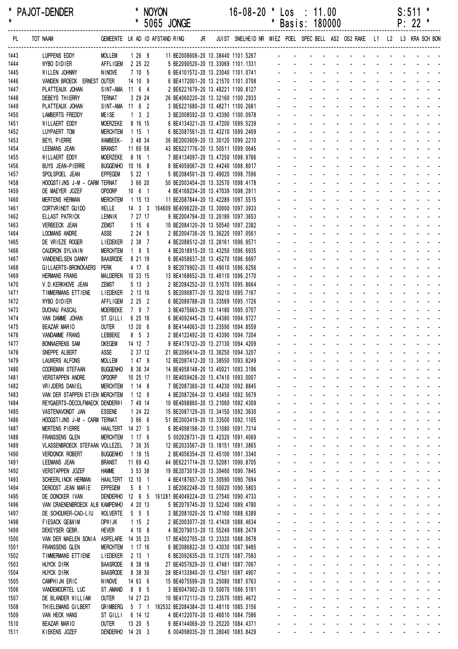| $^{\ast}$    | PAJOT-DENDER                                  |                                      |                                | * NOYON                                                |  | $16-08-20$ * Los : 11.00                                                   |  |                                                                                                                                                                                                                                                                                                                                                                                                                                                                |                                 |                               |  | $S:511$ * |  |
|--------------|-----------------------------------------------|--------------------------------------|--------------------------------|--------------------------------------------------------|--|----------------------------------------------------------------------------|--|----------------------------------------------------------------------------------------------------------------------------------------------------------------------------------------------------------------------------------------------------------------------------------------------------------------------------------------------------------------------------------------------------------------------------------------------------------------|---------------------------------|-------------------------------|--|-----------|--|
| $\star$      |                                               |                                      |                                | * 5065 JONGE                                           |  |                                                                            |  | * Basis: 180000                                                                                                                                                                                                                                                                                                                                                                                                                                                |                                 |                               |  | $P: 22$ * |  |
| PL.          | TOT NAAM                                      |                                      |                                | GEMEENTE LK AD ID AFSTAND RING                         |  | JR JUIST SNELHEID NR MIEZ POEL SPEC BELL AS2 OS2 RAKE L1 L2 L3 KRA SCH BON |  |                                                                                                                                                                                                                                                                                                                                                                                                                                                                |                                 |                               |  |           |  |
| 1443         | LUPPENS EDDY                                  | <b>MOLLEM</b>                        | $1269$                         |                                                        |  | 11 BE2008608-20 13.38440 1101.5267                                         |  | design and a state of the state of the state of the state of the state of the state of the state of the state of the state of the state of the state of the state of the state of the state of the state of the state of the s                                                                                                                                                                                                                                 |                                 |                               |  |           |  |
| 1444         | WYBO DIDIER                                   | AFFLIGEM 2 25 22                     |                                |                                                        |  | 5 BE2090520-20 13.33069 1101.1331<br>6 BE4101572-20 13.23040 1101.0741     |  |                                                                                                                                                                                                                                                                                                                                                                                                                                                                |                                 |                               |  |           |  |
| 1445         | WILLEN JOHNNY                                 | <b>NINOVE</b>                        | 7 10 5                         |                                                        |  |                                                                            |  |                                                                                                                                                                                                                                                                                                                                                                                                                                                                |                                 |                               |  |           |  |
| 1446         | VANDEN BROECK ERNEST OUTER                    |                                      | 14 10 9                        |                                                        |  | 6 BE4172001-20 13.21570 1101.0708                                          |  |                                                                                                                                                                                                                                                                                                                                                                                                                                                                |                                 |                               |  |           |  |
| 1447         | PLATTEAUX JOHAN                               | SINT-AMA 11 6 4                      |                                |                                                        |  | 2 BE6221679-20 13.48221 1100.8127                                          |  | and the state of the state of the state of the state of the state of the state of the state of the state of the                                                                                                                                                                                                                                                                                                                                                |                                 |                               |  |           |  |
| 1448         | <b>DEBEYS THIERRY</b>                         | <b>TERNAT</b>                        | 3 29 24                        | 26 BE4060220-20 13.32160 1100.2933                     |  |                                                                            |  | the contract of the contract of the contract of                                                                                                                                                                                                                                                                                                                                                                                                                |                                 |                               |  |           |  |
| 1449         | PLATTEAUX JOHAN                               | SINT-AMA 11 6 2                      |                                |                                                        |  | 3 BE6221680-20 13.48271 1100.2681                                          |  | and a series of the contract of the series of                                                                                                                                                                                                                                                                                                                                                                                                                  |                                 |                               |  |           |  |
| 1450         | <b>LAMBERTS FREDDY</b>                        | <b>MEISE</b><br><b>MOERZEKE</b>      | $1 \quad 3 \quad 2$<br>8 16 15 |                                                        |  | 3 BE2008592-20 13.43390 1100.0978                                          |  | والمتعاون والمتعاون والمتعاون والمتعاون والمتعاونة<br>والمناور والمناور والوالو الوالو الواليو                                                                                                                                                                                                                                                                                                                                                                 |                                 |                               |  |           |  |
| 1451<br>1452 | WILLAERT EDDY<br>LUYPAERT TOM                 | <b>MERCHTEM</b>                      | 1151                           |                                                        |  | 6 BE4134321-20 13.47200 1099.5239<br>6 BE2087561-20 13.43210 1099.2409     |  | والمتعادل والمتابع المتابع المتابع المتابعة                                                                                                                                                                                                                                                                                                                                                                                                                    |                                 |                               |  |           |  |
| 1453         | BEYL PIERRE                                   | WAMBEEK-                             | 3 48 34                        | 36 BE2003609-20 13.30120 1099.2210                     |  |                                                                            |  | <u>.</u>                                                                                                                                                                                                                                                                                                                                                                                                                                                       |                                 |                               |  |           |  |
| 1454         | LEEMANS JEAN                                  | <b>BRANST</b>                        | 11 69 58                       | 43 BE6221776-20 13.50511 1099.0645                     |  |                                                                            |  | die staat die kanaal van die kanaal die kanaal van die kanaal van die kanaal van die kanaal van die kanaal van                                                                                                                                                                                                                                                                                                                                                 |                                 |                               |  |           |  |
| 1455         | WILLAERT EDDY                                 | <b>MOERZEKE</b>                      | 8 16 1                         |                                                        |  | 7 BE4134097-20 13.47250 1098.9766                                          |  | <u>.</u>                                                                                                                                                                                                                                                                                                                                                                                                                                                       |                                 |                               |  |           |  |
| 1456         | <b>BUYS JEAN-PIERRE</b>                       | <b>BUGGENHO</b>                      | 10 16 8                        |                                                        |  | 8 BE4059067-20 13.44240 1098.8017                                          |  | design and a state of the state of the state of the state of the state of the state of the state of the state of the state of the state of the state of the state of the state of the state of the state of the state of the s                                                                                                                                                                                                                                 |                                 |                               |  |           |  |
| 1457         | SPOLSPOEL JEAN                                | <b>EPPEGEM</b>                       | 5221                           |                                                        |  | 5 BE2084501-20 13.49020 1098.7596                                          |  | and a series of the contract of the series                                                                                                                                                                                                                                                                                                                                                                                                                     |                                 |                               |  |           |  |
| 1458         | HOOGSTIJNS J-M - CARM TERNAT                  |                                      | 3 66 20                        | 50 BE2003454-20 13.32570 1098.4178                     |  |                                                                            |  | والمناور والمناور والمناور والمناور والمناور                                                                                                                                                                                                                                                                                                                                                                                                                   |                                 |                               |  |           |  |
| 1459         | DE MAEYER JOZEF                               | OPDORP                               | $10 \t 6 \t 1$                 |                                                        |  | 4 BE4169234-20 13.47039 1098.2911                                          |  | designed to the control of the control of the control of the control of the control of the control of the control of the control of the control of the control of the control of the control of the control of the control of                                                                                                                                                                                                                                  |                                 |                               |  |           |  |
| 1460         | <b>MERTENS HERMAN</b>                         | <b>MERCHTEM</b>                      | 1 15 13                        | 11 BE2087844-20 13.42289 1097.5515                     |  |                                                                            |  | <u>.</u>                                                                                                                                                                                                                                                                                                                                                                                                                                                       |                                 |                               |  |           |  |
| 1461         | CORTVRINDT GUIDO                              | WELLE                                |                                | 14 3 3 164609 BE4096220-20 13.30000 1097.3933          |  |                                                                            |  | <u>.</u>                                                                                                                                                                                                                                                                                                                                                                                                                                                       |                                 |                               |  |           |  |
| 1462         | ELLAST PATRICK                                | LENNIK                               | 7 27 17                        |                                                        |  | 9 BE2004794-20 13.26189 1097.3653                                          |  | والمتعاون والمتعاون والمتعاون والمتعاون والمتعاونة<br>والمناور والمناور والوالو الوالو الواليو                                                                                                                                                                                                                                                                                                                                                                 |                                 |                               |  |           |  |
| 1463<br>1464 | <b>VERBEECK JEAN</b><br>LOOMANS ANDRE         | <b>ZEMST</b><br>ASSE                 | 5156<br>2 24 5                 | 10 BE2084120-20 13.50540 1097.2382                     |  | 2 BE2004736-20 13.36220 1097.0561                                          |  | والمناول والمناول والمناول والمناول والمناول                                                                                                                                                                                                                                                                                                                                                                                                                   |                                 |                               |  |           |  |
| 1465         | DE VRIEZE ROGER                               | <b>LIEDEKER</b>                      | 2 38 7                         |                                                        |  | 4 BE2088512-20 13.28161 1096.9571                                          |  | <u>.</u>                                                                                                                                                                                                                                                                                                                                                                                                                                                       |                                 |                               |  |           |  |
| 1466         | CAUDRON SYLVAIN                               | <b>MERCHTEM</b>                      | $195$                          |                                                        |  | 4 BE2018915-20 13.43250 1096.6935                                          |  | and a straightful and a straight and                                                                                                                                                                                                                                                                                                                                                                                                                           |                                 |                               |  |           |  |
| 1467         | VANDENELSEN DANNY                             | <b>BAASRODE</b>                      | 8 21 19                        |                                                        |  | 6 BE4058637-20 13.45270 1096.6697                                          |  | .                                                                                                                                                                                                                                                                                                                                                                                                                                                              |                                 |                               |  |           |  |
| 1468         | GILLAERTS-BRONCKAERS                          | <b>PERK</b>                          | 4 17 6                         |                                                        |  | 9 BE2079902-20 13.49010 1096.6256                                          |  | and the state of the state                                                                                                                                                                                                                                                                                                                                                                                                                                     |                                 | and a series of the series of |  |           |  |
| 1469         | <b>HERMANS FRANS</b>                          | MALDEREN 10 33 15                    |                                | 13 BE4168652-20 13.46110 1096.2170                     |  |                                                                            |  | والمناور والوالد المناور والمناور والمناور                                                                                                                                                                                                                                                                                                                                                                                                                     |                                 |                               |  |           |  |
| 1470         | V.D.KERKHOVE JEAN                             | <b>ZEMST</b>                         | 5 13 3                         |                                                        |  | 2 BE2084252-20 13.51070 1095.8664                                          |  | والمناور والمناور والمناور والمناور والمناور                                                                                                                                                                                                                                                                                                                                                                                                                   |                                 |                               |  |           |  |
| 1471         | TIMMERMANS ETTIENE                            | <b>LIEDEKER</b>                      | 2 13 10                        |                                                        |  | 5 BE2090877-20 13.30210 1095.7167                                          |  | and a straightful and a straight and                                                                                                                                                                                                                                                                                                                                                                                                                           |                                 |                               |  |           |  |
| 1472         | WYBO DIDIER                                   | AFFLIGEM                             | 2252                           |                                                        |  | 6 BE2089788-20 13.33569 1095.1726                                          |  |                                                                                                                                                                                                                                                                                                                                                                                                                                                                | and a strain and a strain and a |                               |  |           |  |
| 1473         | <b>DUCHAU PASCAL</b>                          | <b>MOERBEKE</b>                      | 7 9 7                          |                                                        |  | 3 BE4075663-20 13.14180 1095.0707                                          |  | design and a state of the state of the                                                                                                                                                                                                                                                                                                                                                                                                                         |                                 |                               |  |           |  |
| 1474         | VAN DAMME JOHAN                               | ST.GILLI                             | 6 25 18                        |                                                        |  | 6 BE4092445-20 13.44380 1094.9727                                          |  | a construction of the construction of the construction of the construction of the construction of the construction of the construction of the construction of the construction of the construction of the construction of the<br>a construction of the construction of the construction of the construction of the construction of the construction of the construction of the construction of the construction of the construction of the construction of the |                                 |                               |  |           |  |
| 1475<br>1476 | BEAZAR MARIO<br>VANDAMME FRANS                | outer<br>LEBBEKE                     | 13 20 6<br>$8\quad 5\quad 3$   |                                                        |  | 8 BE4144063-20 13.23590 1094.8559<br>2 BE4122492-20 13.43390 1094.7204     |  |                                                                                                                                                                                                                                                                                                                                                                                                                                                                |                                 |                               |  |           |  |
| 1477         | <b>BONNAERENS SAM</b>                         | <b>OKEGEM</b>                        | 14 12 7                        |                                                        |  | 9 BE4179123-20 13.27130 1094.4209                                          |  |                                                                                                                                                                                                                                                                                                                                                                                                                                                                |                                 |                               |  |           |  |
| 1478         | SNEPPE ALBERT                                 | ASSE                                 | 2 37 12                        | 21 BE2090414-20 13.36250 1094.3207                     |  |                                                                            |  |                                                                                                                                                                                                                                                                                                                                                                                                                                                                |                                 |                               |  |           |  |
| 1479         | LAUWERS ALFONS                                | MOLLEM                               | 1 47 9                         | 12 BE2087412-20 13.38550 1093.8249                     |  |                                                                            |  | a construction of the construction of the construction of the construction of the construction of the construction of the construction of the construction of the construction of the construction of the construction of the                                                                                                                                                                                                                                  |                                 |                               |  |           |  |
| 1480         | COOREMAN STEFAAN                              | <b>BUGGENHO</b>                      | 8 36 34                        | 14 BE4058148-20 13.45021 1093.3196                     |  |                                                                            |  | and a series of the series of the series of the series of                                                                                                                                                                                                                                                                                                                                                                                                      |                                 |                               |  |           |  |
| 1481         | <b>VERSTAPPEN ANDRE</b>                       | OPDORP                               | 10 25 17                       | 11 BE4059428-20 13.47410 1093.0007                     |  |                                                                            |  | والمناور والوالد المناور والمناور والمناور المناور                                                                                                                                                                                                                                                                                                                                                                                                             |                                 |                               |  |           |  |
| 1482         | VRIJDERS DANIEL                               | <b>MERCHTEM</b>                      | 1148                           |                                                        |  | 7 BE2087360-20 13.44230 1092.8845                                          |  | المنافذ والمنافر والمنافر والمنافر والمنافر والمنافر                                                                                                                                                                                                                                                                                                                                                                                                           |                                 |                               |  |           |  |
| 1483         | VAN DER STAPPEN ETIEN MERCHTEM                |                                      | 1129                           |                                                        |  | 4 BE2087264-20 13.43450 1092.5679                                          |  | .                                                                                                                                                                                                                                                                                                                                                                                                                                                              |                                 |                               |  |           |  |
| 1484         | REYGAERTS-DECOLFMAECK DENDERWI                |                                      | 7 49 14                        | 10 BE4098860-20 13.21060 1092.4309                     |  |                                                                            |  | <u>.</u>                                                                                                                                                                                                                                                                                                                                                                                                                                                       |                                 |                               |  |           |  |
| 1485         | VASTENAVONDT JAN                              | <b>ESSENE</b>                        | 1 24 22                        | 15 BE2087129-20 13.34150 1092.3630                     |  |                                                                            |  | and a series of the contract of the series of                                                                                                                                                                                                                                                                                                                                                                                                                  |                                 |                               |  |           |  |
| 1486         | HOOGSTIJNS J-M - CARM TERNAT                  | HAALTERT 14 27 5                     | 3 66 6                         | 51 BE2003419-20 13.33500 1092.1105                     |  | 6 BE4098198-20 13.31080 1091.7314                                          |  | and the contract of the contract of the contract of<br>and a series of the contract of the series of                                                                                                                                                                                                                                                                                                                                                           |                                 |                               |  |           |  |
| 1487<br>1488 | <b>MERTENS PIERRE</b><br>FRANSSENS GLEN       | <b>MERCHTEM</b>                      | 1176                           |                                                        |  | 5 002028731-20 13.42320 1091.4069                                          |  | <u>.</u>                                                                                                                                                                                                                                                                                                                                                                                                                                                       |                                 |                               |  |           |  |
| 1489         | VLASSENBROECK STEFAAN VOLLEZEL                |                                      | 7 36 35                        | 12 BE2033567-20 13.18151 1091.3865                     |  |                                                                            |  | <u>.</u>                                                                                                                                                                                                                                                                                                                                                                                                                                                       |                                 |                               |  |           |  |
| 1490         | <b>VERDONCK ROBERT</b>                        | <b>BUGGENHO</b>                      | 1 18 15                        |                                                        |  | 2 BE4056354-20 13.45100 1091.3340                                          |  | <u>.</u>                                                                                                                                                                                                                                                                                                                                                                                                                                                       |                                 |                               |  |           |  |
| 1491         | <b>LEEMANS JEAN</b>                           | <b>BRANST</b>                        | 11 69 43                       | 44 BE6221714-20 13.52081 1090.8705                     |  |                                                                            |  | a construction of the construction of the construction of the construction of the construction of the construction of the construction of the construction of the construction of the construction of the construction of the                                                                                                                                                                                                                                  |                                 |                               |  |           |  |
| 1492         | <b>VERSTAPPEN JOZEF</b>                       | <b>HAMME</b>                         | 3 53 38                        | 19 BE2073019-20 13.39460 1090.7845                     |  |                                                                            |  | المنافذ والمستنقذ والمستنقذ والمستنقذ والمستنقذ والمستنقذ والمنافذ                                                                                                                                                                                                                                                                                                                                                                                             |                                 |                               |  |           |  |
| 1493         | SCHEERL INCK HERMAN                           | HAALTERT 12 10 1                     |                                |                                                        |  | 4 BE4187657-20 13.30590 1090.7694                                          |  | والمناور والوالد والمناور والمناور والمناور                                                                                                                                                                                                                                                                                                                                                                                                                    |                                 |                               |  |           |  |
| 1494         | DEROOST JEAN MARIE                            | <b>EPPEGEM</b>                       | 561                            |                                                        |  | 3 BE2082248-20 13.50020 1090.5803                                          |  | المنافذ والمنافر والمنافر والمنافر والمنافر والمنافر                                                                                                                                                                                                                                                                                                                                                                                                           |                                 |                               |  |           |  |
| 1495         | DE DONCKER IVAN                               |                                      |                                | DENDERHO 12 6 5 161281 BE4049224-20 13.27540 1090.4733 |  |                                                                            |  | <u>.</u>                                                                                                                                                                                                                                                                                                                                                                                                                                                       |                                 |                               |  |           |  |
| 1496         | VAN CRAENENBROECK ALB KAMPENHO                |                                      | 4 20 13                        |                                                        |  | 5 BE2079745-20 13.52240 1089.4780                                          |  | a construction of the construction of the construction of the construction of the construction of the construction of the construction of the construction of the construction of the construction of the construction of the                                                                                                                                                                                                                                  |                                 |                               |  |           |  |
| 1497         | DE SCHOUWER-CAO-LIU                           | <b>WOLVERTE</b>                      | $5\quad 5\quad 5$              |                                                        |  | 3 BE2081020-20 13.47160 1088.6389                                          |  | a construction of the construction of the construction of the construction of the construction of the construction of the construction of the construction of the construction of the construction of the construction of the                                                                                                                                                                                                                                  |                                 |                               |  |           |  |
| 1498         | FIESACK GE&WIM                                | OPW I JK                             | 1152                           |                                                        |  | 2 BE2003077-20 13.41439 1088.4634                                          |  | المناصب والمستحيل والمستحيل والمستحيل والمستحيل والمستحيل                                                                                                                                                                                                                                                                                                                                                                                                      |                                 |                               |  |           |  |
| 1499         | DEKEYSER GEBR.                                | <b>HEVER</b>                         | 4 10 8                         |                                                        |  | 4 BE2079013-20 13.55249 1088.2479                                          |  | والمناور والمناور والمناور والمناور والمناور والمناور<br>المنافذ والمستنقذ والمستنقذ والمستنقذ والمستنقذ والمستنقذ والمنافذ                                                                                                                                                                                                                                                                                                                                    |                                 |                               |  |           |  |
| 1500<br>1501 | VAN DER MAELEN SONIA<br><b>FRANSSENS GLEN</b> | ASPELARE 14 35 23<br><b>MERCHTEM</b> | 1 17 16                        | 17 BE4002705-20 13.23320 1088.0678                     |  | 6 BE2086822-20 13.43030 1087.9485                                          |  | <u>.</u>                                                                                                                                                                                                                                                                                                                                                                                                                                                       |                                 |                               |  |           |  |
| 1502         | TIMMERMANS ETTIENE                            | <b>LIEDEKER</b>                      | $2 \t13 \t1$                   |                                                        |  | 6 BE2092635-20 13.31270 1087.7583                                          |  | a construction of the construction of the construction of the construction of the construction of the construction of the construction of the construction of the construction of the construction of the construction of the                                                                                                                                                                                                                                  |                                 |                               |  |           |  |
| 1503         | <b>HUYCK DIRK</b>                             | <b>BAASRODE</b>                      | 8 38 18                        | 27 BE4057629-20 13.47481 1087.7067                     |  |                                                                            |  | a construction of the construction of the construction of the construction of the construction of the construction of the construction of the construction of the construction of the construction of the construction of the                                                                                                                                                                                                                                  |                                 |                               |  |           |  |
| 1504         | HUYCK DIRK                                    | <b>BAASRODE</b>                      | 8 38 30                        | 28 BE4133940-20 13.47501 1087.4907                     |  |                                                                            |  | المناصب والمستحيل والمستحيل والمستحيل والمستحيل والمستحيل                                                                                                                                                                                                                                                                                                                                                                                                      |                                 |                               |  |           |  |
| 1505         | CAMPHIJN ERIC                                 | <b>NINOVE</b>                        | 14636                          | 15 BE4075599-20 13.25080 1087.0763                     |  |                                                                            |  | فالقاط القارف القاربة القاربة القاربة القاربة                                                                                                                                                                                                                                                                                                                                                                                                                  |                                 |                               |  |           |  |
| 1506         | VANDEMOORTEL LUC                              | ST. AMAND                            | 8 8 5                          |                                                        |  | 3 BE6047002-20 13.50070 1086.5191                                          |  | a construction of the construction of the construction of the construction of the construction of the construction of the construction of the construction of the construction of the construction of the construction of the                                                                                                                                                                                                                                  |                                 |                               |  |           |  |
| 1507         | DE BLANDER WILLIAM                            | <b>OUTER</b>                         | 14 27 23                       | 10 BE4172113-20 13.23570 1085.4672                     |  |                                                                            |  | <u>.</u>                                                                                                                                                                                                                                                                                                                                                                                                                                                       |                                 |                               |  |           |  |
| 1508         | THIELEMANS GILBERT                            | <b>GRIMBERG</b>                      |                                | 5 7 1 182532 BE2084384-20 13.48110 1085.3156           |  |                                                                            |  | a construction of the construction of the construction of the construction of the construction of the construction of the construction of the construction of the construction of the construction of the construction of the                                                                                                                                                                                                                                  |                                 |                               |  |           |  |
| 1509         | VAN HECK HANS                                 | ST GILLI                             | 6 14 12                        |                                                        |  | 4 BE4122070-20 13.46010 1084.7586                                          |  | <u>.</u>                                                                                                                                                                                                                                                                                                                                                                                                                                                       |                                 |                               |  |           |  |
| 1510         | BEAZAR MARIO                                  | <b>OUTER</b>                         | 13 20 5                        |                                                        |  | 9 BE4144069-20 13.25220 1084.4371                                          |  | فالمنافذ والمنافر والمنافر والمنافر والمنافر والمنافر                                                                                                                                                                                                                                                                                                                                                                                                          |                                 |                               |  |           |  |
| 1511         | KIEKENS JOZEF                                 | DENDERHO 14 20 3                     |                                |                                                        |  | 6 004098035-20 13.28040 1083.8429                                          |  | the contract of the contract of the contract of                                                                                                                                                                                                                                                                                                                                                                                                                |                                 |                               |  |           |  |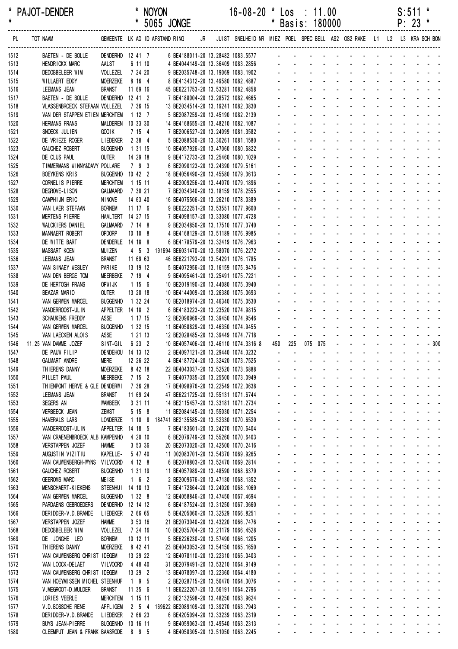| $\star$      | * PAJOT-DENDER                                        |                                      |                     | <b>NOYON</b><br>* 5065 JONGE                                                       |    | $16 - 08 - 20$                                                          |        |                             | * Los : 11.00<br>* Basis: 180000 |                   |  |  |  | S:511<br>$P: 23$ * |                                                                                                                                                                                                                                                                               |  |
|--------------|-------------------------------------------------------|--------------------------------------|---------------------|------------------------------------------------------------------------------------|----|-------------------------------------------------------------------------|--------|-----------------------------|----------------------------------|-------------------|--|--|--|--------------------|-------------------------------------------------------------------------------------------------------------------------------------------------------------------------------------------------------------------------------------------------------------------------------|--|
| . PL         | TOT NAAM                                              |                                      |                     | GEMEENTE LK AD ID AFSTAND RING                                                     | JR | JUIST SNELHEID NR MIEZ POEL SPEC BELL AS2 OS2 RAKE L1 L2 L3 KRA SCH BON |        |                             |                                  |                   |  |  |  |                    |                                                                                                                                                                                                                                                                               |  |
| 1512         | BAETEN - DE BOLLE                                     | DENDERHO 12 41 7                     |                     | 6 BE4188011-20 13.28482 1083.5577                                                  |    |                                                                         |        |                             |                                  |                   |  |  |  |                    | <u> 1990 - Johann Stoff, martin son besteht fan de Fryske keamste fan de Fryske keamste fan de Fryske keamste fan </u>                                                                                                                                                        |  |
| 1513         | HENDRICKX MARC                                        | AALST                                | 6 11 10             |                                                                                    |    |                                                                         |        |                             |                                  |                   |  |  |  |                    |                                                                                                                                                                                                                                                                               |  |
| 1514         | DEDOBBELEER WIM                                       | VOLLEZEL 7 24 20                     |                     |                                                                                    |    |                                                                         |        |                             |                                  |                   |  |  |  |                    | and the contract of the contract of the con-                                                                                                                                                                                                                                  |  |
| 1515         | WILLAERT EDDY                                         | <b>MOERZEKE</b>                      | 8 16 4              | 8 BE4134312-20 13.49580 1082.4887                                                  |    |                                                                         |        |                             |                                  |                   |  |  |  |                    | and the contract of the contract of the                                                                                                                                                                                                                                       |  |
| 1516<br>1517 | LEEMANS JEAN<br>BAETEN - DE BOLLE                     | <b>BRANST</b><br>DENDERHO 12 41 2    | 11 69 16            | 45 BE6221753-20 13.53281 1082.4858<br>7 BE4188004-20 13.28572 1082.4665            |    |                                                                         |        |                             |                                  |                   |  |  |  |                    |                                                                                                                                                                                                                                                                               |  |
| 1518         | VLASSENBROECK STEFAAN VOLLEZEL                        |                                      | 7 36 15             | 13 BE2034514-20 13.19241 1082.3830                                                 |    |                                                                         |        |                             |                                  |                   |  |  |  |                    |                                                                                                                                                                                                                                                                               |  |
| 1519         | VAN DER STAPPEN ETIEN MERCHTEM                        |                                      | 1127                | 5 BE2087259-20 13.45190 1082.2139                                                  |    |                                                                         |        |                             |                                  |                   |  |  |  |                    |                                                                                                                                                                                                                                                                               |  |
| 1520         | <b>HERMANS FRANS</b>                                  | MALDEREN 10 33 30                    |                     | 14 BE4168655-20 13.48210 1082.1087                                                 |    |                                                                         |        |                             |                                  |                   |  |  |  |                    | والمتعاط والمتعاط والمتعاط والمتالين                                                                                                                                                                                                                                          |  |
| 1521         | SNOECK JULIEN                                         | GOO1K                                | 7 15 4              | 7 BE2006527-20 13.24099 1081.3582                                                  |    |                                                                         |        |                             |                                  |                   |  |  |  |                    | and the second contract of the second second                                                                                                                                                                                                                                  |  |
| 1522         | DE VRIEZE ROGER                                       | <b>LIEDEKER</b>                      | 2 38 4              | 5 BE2088530-20 13.30261 1081.1580                                                  |    |                                                                         |        |                             |                                  |                   |  |  |  |                    | and the contract of the contract of the con-                                                                                                                                                                                                                                  |  |
| 1523         | <b>GAUCHEZ ROBERT</b>                                 | <b>BUGGENHO</b>                      | 1 31 15             | 10 BE4057926-20 13.47060 1080.6822                                                 |    |                                                                         |        |                             |                                  |                   |  |  |  |                    | والمتعاط والمتعاط والمتعاط والمتعاط والمتعاط                                                                                                                                                                                                                                  |  |
| 1524         | DE CLUS PAUL                                          | <b>OUTER</b>                         | 14 29 18            | 9 BE4172733-20 13.25460 1080.1029                                                  |    |                                                                         |        |                             |                                  |                   |  |  |  |                    | والمتعاط والمتعاط والمتعاط والمتعاط والمتعارف<br>and the contract of the contract of the                                                                                                                                                                                      |  |
| 1525<br>1526 | TIMMERMANS WINNY&DAVY POLLARE<br><b>BOEYKENS KRIS</b> | BUGGENHO 10 42 2                     | 7 9 3               | 6 BE2090123-20 13.24390 1079.5161<br>18 BE4056490-20 13.45580 1079.3613            |    |                                                                         |        |                             |                                  |                   |  |  |  |                    | and the contract of the contract of the con-                                                                                                                                                                                                                                  |  |
| 1527         | CORNEL IS PIERRE                                      | <b>MERCHTEM</b>                      | 1 15 11             | 4 BE2009256-20 13.44070 1079.1896                                                  |    |                                                                         |        |                             |                                  |                   |  |  |  |                    | and the contract of the contract of the                                                                                                                                                                                                                                       |  |
| 1528         | DEGROVE-LISON                                         | GALMAARD                             | 7 30 21             | 7 BE2034340-20 13.18159 1078.2555                                                  |    |                                                                         |        |                             |                                  |                   |  |  |  |                    | and the contract of the contract of the contract of                                                                                                                                                                                                                           |  |
| 1529         | CAMPHIJN ERIC                                         | <b>NINOVE</b>                        | 14 63 40            | 16 BE4075506-20 13.26210 1078.0389                                                 |    |                                                                         |        |                             |                                  |                   |  |  |  |                    |                                                                                                                                                                                                                                                                               |  |
| 1530         | VAN LAER STEFAAN                                      | <b>BORNEM</b>                        | 11 17 6             | 9 BE6222251-20 13.53551 1077.9600                                                  |    |                                                                         |        |                             |                                  |                   |  |  |  |                    |                                                                                                                                                                                                                                                                               |  |
| 1531         | <b>MERTENS PIERRE</b>                                 | HAALTERT 14 27 15                    |                     | 7 BE4098157-20 13.33080 1077.4728                                                  |    |                                                                         |        |                             |                                  |                   |  |  |  |                    |                                                                                                                                                                                                                                                                               |  |
| 1532         | WALCKIERS DANIEL                                      | GALMAARD                             | 7 14 8              | 9 BE2034850-20 13.17510 1077.3740                                                  |    |                                                                         |        |                             |                                  |                   |  |  |  |                    | and the state of the state of the state of                                                                                                                                                                                                                                    |  |
| 1533         | <b>MANNAERT ROBERT</b>                                | OPDORP                               | 10108               | 4 BE4168129-20 13.51189 1076.9985                                                  |    |                                                                         |        |                             |                                  |                   |  |  |  |                    | and the state of the state of the state of the                                                                                                                                                                                                                                |  |
| 1534         | DE WITTE BART                                         | DENDERLE 14 18 8                     |                     | 6 BE4178579-20 13.32419 1076.7963                                                  |    |                                                                         |        |                             |                                  |                   |  |  |  |                    | المتعاطف والمتعاط والمتعاط والمتعاط والمتعاطف<br>والمتعاط المتنقي والمتناول والمتناول والمتناول                                                                                                                                                                               |  |
| 1535<br>1536 | MASSART KOEN<br>LEEMANS JEAN                          | <b>MUIZEN</b><br><b>BRANST</b>       | 11 69 63            | 4 5 3 191694 BE6031470-20 13.58070 1076.2272<br>46 BE6221793-20 13.54291 1076.1785 |    |                                                                         |        |                             |                                  |                   |  |  |  |                    | والمتعاط والمتعاط والمتعاط والمتعاطي                                                                                                                                                                                                                                          |  |
| 1537         | VAN SINAEY WESLEY                                     | PARIKE                               | 13 19 12            | 5 BE4072956-20 13.16159 1075.9476                                                  |    |                                                                         |        |                             |                                  |                   |  |  |  |                    | فالمنافذ والمنافر والمنافر والمنافر والمنافر                                                                                                                                                                                                                                  |  |
| 1538         | VAN DEN BERGE TOM                                     | MEERBEKE                             | 7 19 4              | 9 BE4095461-20 13.25491 1075.7221                                                  |    |                                                                         |        |                             |                                  |                   |  |  |  |                    | and the state of the state of the state of                                                                                                                                                                                                                                    |  |
| 1539         | DE HERTOGH FRANS                                      | OPW I JK                             | 1156                | 10 BE2019190-20 13.44080 1075.3940                                                 |    |                                                                         |        |                             |                                  |                   |  |  |  |                    | and the state of the state of the state                                                                                                                                                                                                                                       |  |
| 1540         | <b>BEAZAR MARIO</b>                                   | <b>OUTER</b>                         | 13 20 18            | 10 BE4144009-20 13.26380 1075.0693                                                 |    |                                                                         |        |                             |                                  |                   |  |  |  |                    | and the contract of the contract of the contract of                                                                                                                                                                                                                           |  |
| 1541         | <b>VAN GERWEN MARCEL</b>                              | <b>BUGGENHO</b>                      | 1 32 24             | 10 BE2018974-20 13.46340 1075.0530                                                 |    |                                                                         |        |                             |                                  |                   |  |  |  |                    |                                                                                                                                                                                                                                                                               |  |
| 1542         | VANDERROOST-UL IN                                     | APPELTER 14 18 2                     |                     | 6 BE4183223-20 13.23520 1074.9815                                                  |    |                                                                         |        |                             |                                  |                   |  |  |  |                    | and the contract of the contract of the                                                                                                                                                                                                                                       |  |
| 1543         | <b>SCHAUKENS FREDDY</b>                               | ASSE<br><b>BUGGENHO</b>              | 1 17 15<br>1 32 15  | 12 BE2090969-20 13.39450 1074.9546                                                 |    |                                                                         |        |                             |                                  |                   |  |  |  |                    | and the second contract of the second second                                                                                                                                                                                                                                  |  |
| 1544<br>1545 | VAN GERWEN MARCEL<br>VAN LAECKEN ALOIS                | ASSE                                 | 1 21 13             | 11 BE4058829-20 13.46350 1074.9455<br>12 BE2028485-20 13.39449 1074.7718           |    |                                                                         | $\sim$ |                             |                                  |                   |  |  |  |                    | and the second contract of the second contract of                                                                                                                                                                                                                             |  |
| 1546         | 11.25 VAN DAMME JOZEF                                 | SINT-GIL                             | 6 23 2              | 10 BE4057406-20 13.46110 1074.3316 8                                               |    |                                                                         |        | 450 225                     | 075 075                          |                   |  |  |  |                    |                                                                                                                                                                                                                                                                               |  |
| 1547         | DE PAUW FILIP                                         | DENDEHOU 14 13 12                    |                     | 2 BE4097121-20 13.29440 1074.3232                                                  |    |                                                                         |        |                             |                                  |                   |  |  |  |                    | and a state of the state of the state                                                                                                                                                                                                                                         |  |
| 1548         | <b>GALMART ANDRE</b>                                  | <b>MERE</b>                          | 12 26 22            | 4 BE4187724-20 13.32420 1073.7525                                                  |    |                                                                         |        |                             |                                  |                   |  |  |  |                    | والمستحقق والمستنقش والمستنقص والمستنقص والمستنق                                                                                                                                                                                                                              |  |
| 1549         | THIERENS DANNY                                        | <b>MOERZEKE</b>                      | 8 42 18             | 22 BE4043037-20 13.52520 1073.6888                                                 |    |                                                                         |        |                             |                                  |                   |  |  |  |                    | <u>.</u>                                                                                                                                                                                                                                                                      |  |
| 1550         | PILLET PAUL                                           | <b>MEERBEKE</b>                      | 7152                | 7 BE4077035-20 13.25500 1073.0949                                                  |    |                                                                         |        |                             |                                  |                   |  |  |  |                    | للمستحدث والمستنقذ والمستحدث والمستحدث                                                                                                                                                                                                                                        |  |
| 1551         | THIENPONT HERVE & GLE DENDERWI                        |                                      | 7 36 28             | 17 BE4098976-20 13.22549 1072.0638                                                 |    |                                                                         |        |                             |                                  |                   |  |  |  |                    | and a state of the state of the state of                                                                                                                                                                                                                                      |  |
| 1552         | LEEMANS JEAN                                          | <b>BRANST</b><br><b>WAMBEEK</b>      | 11 69 24<br>3 31 11 | 47 BE6221725-20 13.55131 1071.6744<br>14 BE2115457-20 13.33181 1071.2734           |    |                                                                         | $\sim$ |                             | $\Delta \sim 100$                |                   |  |  |  |                    | فالمستحيل والمستحيل والمستحيل والمستحدث<br>a construction of the construction of the construction of the construction of the construction of the construction of the construction of the construction of the construction of the construction of the construction of the      |  |
| 1553<br>1554 | SEGERS AN<br><b>VERBEECK JEAN</b>                     | <b>ZEMST</b>                         | 5158                | 11 BE2084145-20 13.55030 1071.2254                                                 |    |                                                                         |        |                             |                                  |                   |  |  |  |                    | a construction of the construction of the construction of the construction of the construction of the construction of the construction of the construction of the construction of the construction of the construction of the                                                 |  |
| 1555         | <b>HAVERALS LARS</b>                                  | <b>LONDERZE</b>                      | 1108                | 184741 BE2135585-20 13.52330 1070.6520                                             |    |                                                                         |        |                             |                                  |                   |  |  |  |                    | a construction of the construction of the construction of the construction of the construction of the construction of the construction of the construction of the construction of the construction of the construction of the                                                 |  |
| 1556         | VANDERROOST-UL IN                                     | APPELTER                             | 14 18 5             | 7 BE4183601-20 13.24270 1070.6404                                                  |    |                                                                         |        |                             | $\Delta \sim 100$                |                   |  |  |  |                    | a construction of the construction of the construction of the construction of the construction of the construction of the construction of the construction of the construction of the construction of the construction of the                                                 |  |
| 1557         | VAN CRAENENBROECK ALB KAMPENHO                        |                                      | 4 20 10             | 6 BE2079749-20 13.55260 1070.6403                                                  |    |                                                                         |        | $\mathbf{L}^{\text{max}}$   |                                  |                   |  |  |  |                    | and a series of the series of the series of                                                                                                                                                                                                                                   |  |
| 1558         | <b>VERSTAPPEN JOZEF</b>                               | <b>HAMME</b>                         | 3 53 36             | 20 BE2073020-20 13.42500 1070.2416                                                 |    |                                                                         |        | $\Delta \sim 100$           | $\Delta \sim 100$                |                   |  |  |  |                    | فالمستحيل والمستحيل والمستحيل والمستحدث                                                                                                                                                                                                                                       |  |
| 1559         | AUGUSTIN VIZITIU                                      | KAPELLE-                             | 5 47 40             | 11 002083701-20 13.54370 1069.9265                                                 |    |                                                                         |        | $\sim$                      |                                  |                   |  |  |  |                    | والمستحيل والمستحيل والمستحيل والمستحدث والمستحدث                                                                                                                                                                                                                             |  |
| 1560         | VAN CAUWENBERGH-WYNS                                  | VILVOORD                             | 4 12 8              | 6 BE2078803-20 13.52470 1069.2814                                                  |    |                                                                         |        |                             |                                  |                   |  |  |  |                    | والمناور والمناور والمناور والمناور والمناور<br>a construction of the construction of the construction of the construction of the construction of the construction of the construction of the construction of the construction of the construction of the construction of the |  |
| 1561<br>1562 | <b>GAUCHEZ ROBERT</b><br><b>GEEROMS MARC</b>          | <b>BUGGENHO</b><br><b>MEISE</b>      | 1 31 19<br>162      | 11 BE4057989-20 13.48590 1068.6379<br>2 BE2009676-20 13.47130 1068.1352            |    |                                                                         |        |                             | $\Delta \sim 100$                |                   |  |  |  |                    | and a series of the series of the series                                                                                                                                                                                                                                      |  |
| 1563         | <b>MENSCHAERT-KIEKENS</b>                             | <b>STEENHUI</b>                      | 14 18 13            | 7 BE4172864-20 13.24020 1068.1069                                                  |    |                                                                         |        |                             |                                  |                   |  |  |  |                    | <u>.</u>                                                                                                                                                                                                                                                                      |  |
| 1564         | VAN GERWEN MARCEL                                     | <b>BUGGENHO</b>                      | 1328                | 12 BE4058846-20 13.47450 1067.4694                                                 |    |                                                                         | $\sim$ |                             |                                  | and a straight of |  |  |  |                    | and a straightful contract and a                                                                                                                                                                                                                                              |  |
| 1565         | PARDAENS GEBROEDERS                                   | DENDERHO                             | 12 14 12            | 6 BE4187524-20 13.31250 1067.3660                                                  |    |                                                                         |        |                             |                                  | and a straight of |  |  |  |                    | and a series of the contract and                                                                                                                                                                                                                                              |  |
| 1566         | DER I DDER-V.D. BRANDE                                | <b>LIEDEKER</b>                      | 2 66 65             | 5 BE4205060-20 13.32529 1066.8251                                                  |    |                                                                         |        |                             |                                  |                   |  |  |  |                    | والمناور والمناور والمناور والمناور والمناور                                                                                                                                                                                                                                  |  |
| 1567         | <b>VERSTAPPEN JOZEF</b>                               | <b>HAMME</b>                         | 3 53 16             | 21 BE2073040-20 13.43220 1066.7476                                                 |    |                                                                         |        |                             |                                  |                   |  |  |  |                    | a construction of the construction of the construction of the construction of the construction of the construction of the construction of the construction of the construction of the construction of the construction of the                                                 |  |
| 1568         | DEDOBBELEER WIM                                       | VOLLEZEL                             | 7 24 16             | 10 BE2035704-20 13.21179 1066.4528                                                 |    |                                                                         |        |                             | $\sim 100$                       |                   |  |  |  |                    | a construction of the construction of the construction of the construction of the construction of the construction of the construction of the construction of the construction of the construction of the construction of the                                                 |  |
| 1569         | DE JONGHE LEO                                         | <b>BORNEM</b>                        | 10 12 11            | 5 BE6226230-20 13.57490 1066.1205                                                  |    |                                                                         |        | $\omega_{\rm{max}}$         |                                  |                   |  |  |  |                    | a construction of the construction of the construction of the construction of the construction of the construction of the construction of the construction of the construction of the construction of the construction of the                                                 |  |
| 1570<br>1571 | THIERENS DANNY<br>VAN CAUWENBERG CHRIST IDEGEM        | MOERZEKE                             | 8 42 41<br>13 29 22 | 23 BE4043053-20 13.54150 1065.1650<br>12 BE4078110-20 13.22310 1065.0403           |    |                                                                         |        | $\Delta \sim 100$<br>$\sim$ | $\Delta \sim 100$                |                   |  |  |  |                    | فالمستحيل والمستحيل والمستحيل والمستحدث<br>والمناور والمناور والمناور والمناور والمناور                                                                                                                                                                                       |  |
| 1572         | VAN LOOCK-DELAET                                      | VILVOORD                             | 4 48 40             | 31 BE2079491-20 13.53210 1064.9149                                                 |    |                                                                         |        |                             |                                  |                   |  |  |  |                    | والمناوب والمناوب والمتناوب والمناوب والمناوب                                                                                                                                                                                                                                 |  |
| 1573         | VAN CAUWENBERG CHRIST IDEGEM                          |                                      | 13 29 2             | 13 BE4078097-20 13.22360 1064.4180                                                 |    |                                                                         |        |                             |                                  |                   |  |  |  |                    | a construction of the construction of the construction of the construction of the construction of the construction of the construction of the construction of the construction of the construction of the construction of the                                                 |  |
| 1574         | VAN HOEYMISSEN MICHEL STEENHUF                        |                                      | 1 9 5               | 2 BE2028715-20 13.50470 1064.3076                                                  |    |                                                                         |        |                             |                                  |                   |  |  |  |                    | and a series of the series of the series                                                                                                                                                                                                                                      |  |
| 1575         | V. MEGROOT-D. MULDER                                  | <b>BRANST</b>                        | 11 35 6             | 11 BE6222267-20 13.56191 1064.2796                                                 |    |                                                                         |        |                             |                                  |                   |  |  |  |                    | <u>.</u>                                                                                                                                                                                                                                                                      |  |
| 1576         | LORIES VEERLE                                         | <b>MERCHTEM</b>                      | 1 15 11             | 2 BE2132598-20 13.48250 1063.9624                                                  |    |                                                                         | $\sim$ |                             |                                  |                   |  |  |  |                    | والمناور والمناور والمناور والمناور والمناور                                                                                                                                                                                                                                  |  |
| 1577         | V.D.BOSSCHE RENE                                      | <b>AFFLIGEM</b>                      | $2\quad 5\quad 4$   | 169622 BE2089109-20 13.39270 1063.7943                                             |    |                                                                         |        | $\sim$                      |                                  |                   |  |  |  |                    | والمستحيل والمستحيل والمستحيل والمستحدث والمستحدث                                                                                                                                                                                                                             |  |
| 1578<br>1579 | DERIDDER-V.D. BRANDE<br>BUYS JEAN-PIERRE              | <b>LIEDEKER</b><br>BUGGENHO 10 16 11 | 2 66 23             | 6 BE4205094-20 13.33239 1063.2319<br>9 BE4059063-20 13.49540 1063.2313             |    |                                                                         |        |                             |                                  |                   |  |  |  |                    | and a series of the series of the series of<br>والمناور والمناور والمناور والمناور والمناور                                                                                                                                                                                   |  |
| 1580         | CLEEMPUT JEAN & FRANK BAASRODE 8 9 5                  |                                      |                     | 4 BE4058305-20 13.51050 1063.2245                                                  |    |                                                                         |        |                             |                                  |                   |  |  |  |                    | فالقائم والمنافر والمنافر والمراقب فالمراقب والمنافر                                                                                                                                                                                                                          |  |
|              |                                                       |                                      |                     |                                                                                    |    |                                                                         |        |                             |                                  |                   |  |  |  |                    |                                                                                                                                                                                                                                                                               |  |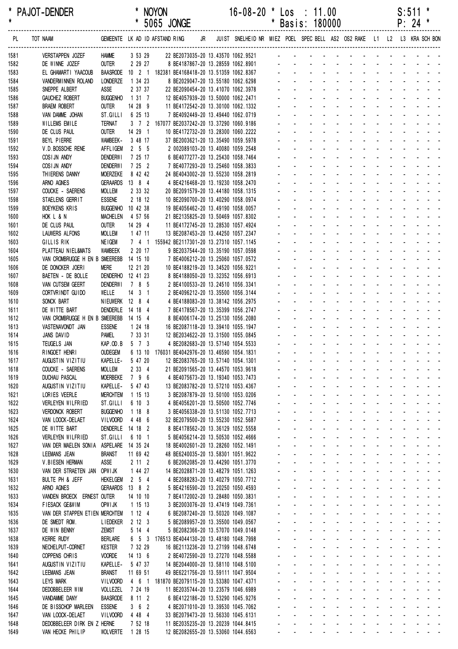\* PAJOT-DENDER \* NOYON 16-08-20 \* Los : 11.00 S:511 \* \* \* 5065 JONGE \* \* Basis: 180000 ------------------------------------------------------------------------------------------------------------------------------------------------------------------ PL TOT NAAM GEMEENTE LK AD ID AFSTAND RING JR JUIST SNELHEID NR MIEZ POEL SPEC BELL AS2 OS2 RAKE L1 L2 L3 KRA SCH BON ------------------------------------------------------------------------------------------------------------------------------------------------------------------ 1581 VERSTAPPEN JOZEF HAMME 3 53 29 22 BE2073035-20 13.43570 1062.9521 - - - - - - - - - - - - - 1582 DE WINNE JOZEF OUTER 2 29 27 8 BE4187867-20 13.28559 1062.8901 - - - - - - - - - - - - - 1583 EL GHAMARTI YAACOUB BAASRODE 10 2 1 182381 BE4168418-20 13.51359 1062.8367 1584 VANDERMINNEN ROLAND LONDERZE 1 34 23 8 BE2029047-20 13.55180 1062.6298 1585 SNEPPE ALBERT 4SSE 2 37 37 22 BE2090454-20 13.41070 1062.3978 1586 GAUCHEZ ROBERT BUGGENHO 1 31 7 12 BE4057939-20 13.50000 1062.2471 1587 BRAEM ROBERT OUTER 14 28 9 11 BE4172542-20 13.30100 1062.1332 1588 VAN DAMME JOHAN ST.GILLI 6 25 13 7 BE4092449-20 13.49440 1062.0719 1589 WILLEMS EMILE TERNAT 3 7 2 167077 BE2037242-20 13 37290 1060 9186 1590 DE CLUS PAUL 60UTER 14 29 1 10 BE4172732-20 13.28300 1060.2222 1591 BEYL PIERRE WAMBEEK- 3 48 17 37 BE2003621-20 13.35490 1059.5978 1592 V.D.BOSSCHE RENE AFFLIGEM 2 5 5 2 002089103-20 13.40080 1059.2548 1593 COSIJN ANDY DENDERWI 7 25 17 6 BE4077277-20 13.25430 1058.7464 1594 COSIJN ANDY DENDERWI 7 25 2 7 BE4077293-20 13.25460 1058.3833 1595 THIERENS DANNY MOERZEKE 8 42 42 24 BE4043002-20 13.55230 1058.2819 1596 ARNO AGNES GERAARDS 13 8 4 4 BE4216468-20 13.19230 1058.2470 1597 COUCKE - SAERENS MOLLEM 2 33 32 20 BE2091579-20 13.44180 1058.1315 1598 STAELENS GERRIT ESSENE 2 18 12 10 BE2090700-20 13.40290 1058.0974 1599 BOEYKENS KRIS BUGGENHO 10 42 38 19 BE4056462-20 13.49190 1058.0057 1600 HOK L & N MACHELEN 4 57 56 21 BE2135825-20 13.50469 1057.8302 1601 DE CLUS PAUL OUTER 14 29 4 11 BE4172745-20 13.28530 1057.4924 1602 LAUWERS ALFONS MOLLEM 1 47 11 13 BE2087453-20 13.44250 1057.2347 1603 GILLIS RIK NEIGEM 7 4 1 155942 BE2117301-20 13.27310 1057.1145 1604 PLATTEAU NIEL&MATS WAMBEEK 2 20 17 9 BE2037544-20 13.35190 1057.0598 1605 VAN CROMBRUGGE H EN B SMEEREBB 14 15 10 7 BE4006212-20 13.25060 1057.0572 1606 DE DONCKER JOERI MERE 12 21 20 10 BE4188219-20 13.34520 1056.9221 1607 BAETEN - DE BOLLE DENDERHO 12 41 23 8 BE4188050-20 13 32352 1056 6913 1608 VAN CUTSEM GEERT DENDERWI 7 8 5 2 BE4100533-20 13.24510 1056.3341 1609 CORTVRINDT GUIDO WELLE 14 3 1 2 BE4096212-20 13.35500 1056.3144 1610 SONCK BART NIFUWERK 12 8 4 4 BE4188083-20 13 38142 1056 2975 1611 DE WITTE BART DENDERLE 14 18 4 7 BE4178567-20 13.35399 1056.2747 1612 VAN CROMBRUGGE H EN B SMEEREBB 14 15 4 8 BE4006174-20 13.25130 1056.2080 1613 VASTENAVONDT JAN ESSENE 1 24 18 16 BE2087118-20 13.39410 1055.1947 - - - - - - - - - - - - - 1614 JANS DAVID PAMEL 7 33 31 12 BE2034622-20 13.31500 1055.0845 1615 TEUGELS JAN KAP.OD.B 5 7 3 4 BE2082683-20 13.57140 1054.5533 1616 RINGOET HENRI OUDEGEM 6 13 10 176031 BE4042976-20 13.46590 1054.1831 1617 AUGUSTIN VIZITIU KAPELLE- 5 47 20 12 BE2083765-20 13.57140 1054.1301 1618 COUCKE - SAERENS MOLLEM 2 33 4 21 BE2091565-20 13.44570 1053.9618 1619 DUCHAU PASCAL MOERBEKE 7 9 6 4 BE4075673-20 13.19340 1053.7473 1620 AUGUSTIN VIZITIU KAPELLE- 5 47 43 13 BE2083782-20 13.57210 1053.4367 1621 LORIES VEERLE MERCHTEM 1 15 13 3 BE2087879-20 13.50100 1053.0206 1622 VERLEYEN WILFRIED ST.GILLI 6 10 3 4 BE4056201-20 13.50500 1052.7746 - - - - - - - - - - - - - 1623 VERDONCK ROBERT BUGGENHO 1 18 8 3 BE4056338-20 13.51130 1052.7713 1624 VAN LOOCK-DELAET VILVOORD 4 48 6 32 BE2079500-20 13.55230 1052.5687 1625 DE WITTE BART DENDERLE 14 18 2 8 BE4178562-20 13.36129 1052.5558 1626 VERLEYEN WILFRIED ST.GILLI 6 10 1 5 BE4056214-20 13.50530 1052.4666 - - - - - - - - - - - - - 1627 VAN DER MAELEN SONIA ASPELARE 14 35 24 18 BE4002601-20 13.28260 1052.1491 1628 LEEMANS JEAN BRANST 11 69 42 48 BE6240035-20 13.58301 1051.9622 1629 V.BIESEN HERMAN ASSE 2 11 2 6 BE2062085-20 13.44290 1051.3770 1630 VAN DER STRAETEN JAN OPWIJK 1 44 27 14 BE2028871-20 13.48279 1051.1263 1631 BULTE PH & JEFF HEKELGEM 2 5 4 4 BE2088283-20 13.40279 1050.7712 1632 ARNO AGNES GERAARDS 13 8 2 5 BE4216590-20 13.20250 1050 4593 1633 VANDEN BROECK ERNEST OUTER 14 10 10 7 BE4172002-20 13.28480 1050.3831 - - - - - - - - - - - - - 1634 FIESACK GE&WIM OPWIJK 1 15 13 3 BE2003076-20 13 47419 1049 7361 1635 VAN DER STAPPEN ETIEN MERCHTEM 1 12 4 6 BE2087240-20 13 50320 1049 1087 1636 DE SMEDT ROM. LIEDEKER 2 12 3 5 BE2089957-20 13 35500 1049 0567 1637 DE WIN BENNY ZEMST 5 14 4 5 BE2082366-20 13.57070 1049.0148 1638 KERRE RUDY BERLARE 6 5 3 176513 BE4044130-20 13.48180 1048.7998 1639 NECHELPUT-CORNET KESTER 7 32 29 16 BE2113236-20 13 27199 1048 6748 1640 COPPENS CHRIS - VOORDE 14 13 6 2 BE4072590-20 13 27270 1048 5588 1641 AUGUSTIN VIZITIU KAPELLE- 5 47 37 14 BE2044000-20 13.58110 1048.5100 1642 LEEMANS JEAN BRANST 11 69 51 49 BE6221756-20 13.59111 1047.9504 1643 LEYS MARK VILVOORD 4 6 1 181870 BE2079115-20 13.53380 1047.4371 1644 DEDOBBELEER WIM VOLLEZEL 7 24 19 11 BE2035744-20 13.23579 1046.6989 1645 VANDAMME DANY BAASRODE 8 11 2 6 BE4122186-20 13.53290 1045.9276 - - - - - - - - - - - - - 1646 DE BISSCHOP MARLEEN ESSENE 3 6 2 4 BE2071010-20 13.39530 1045.7062 1647 VAN LOOCK-DELAET VILVOORD 4 48 4 33 BE2079473-20 13.56330 1045.6131 1648 DEDOBBELEER DIRK EN Z HERNE 7 52 18 11 BE2035235-20 13.20239 1044.8415 1649 VAN HECKE PHILIP WOLVERTE 1 28 15 12 BE2082655-20 13.53060 1044.6563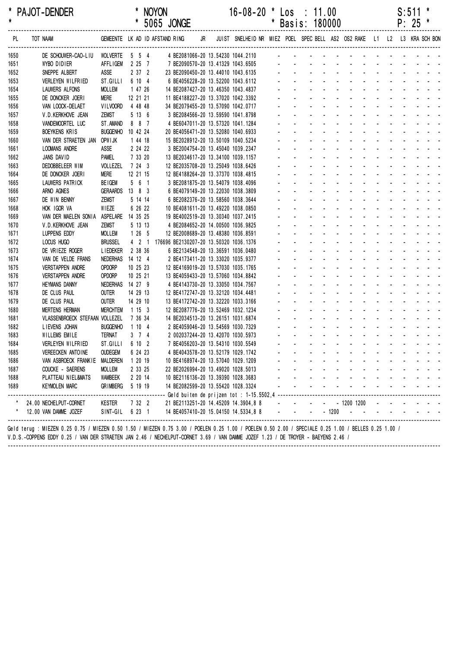| $\star$ | * PAJOT-DENDER                                                                                                                                                                                                                                                                          |                   |                      |       | * NOYON<br>* 5065 JONGE                |    | $16-08-20$ * Los : 11.00                                                | * Basis: 180000 |  |                                                                                                                                                                                                                               |  | S:511<br>$P: 25$ * |                                          |
|---------|-----------------------------------------------------------------------------------------------------------------------------------------------------------------------------------------------------------------------------------------------------------------------------------------|-------------------|----------------------|-------|----------------------------------------|----|-------------------------------------------------------------------------|-----------------|--|-------------------------------------------------------------------------------------------------------------------------------------------------------------------------------------------------------------------------------|--|--------------------|------------------------------------------|
| PL      | TOT NAAM                                                                                                                                                                                                                                                                                |                   |                      |       | GEMEENTE LK AD ID AFSTAND RING         | JR | JUIST SNELHEID NR MIEZ POEL SPEC BELL AS2 OS2 RAKE L1 L2 L3 KRA SCH BON |                 |  |                                                                                                                                                                                                                               |  |                    |                                          |
| 1650    | DE SCHOUWER-CAO-LIU                                                                                                                                                                                                                                                                     | <b>WOLVERTE</b>   | 5 5 4                |       | 4 BE2081066-20 13.54230 1044.2110      |    |                                                                         |                 |  |                                                                                                                                                                                                                               |  |                    |                                          |
| 1651    | <b>WYBO DIDIER</b>                                                                                                                                                                                                                                                                      | <b>AFFLIGEM</b>   | 2 25 7               |       | 7 BE2090570-20 13.41329 1043.6505      |    |                                                                         |                 |  |                                                                                                                                                                                                                               |  |                    |                                          |
| 1652    | SNEPPE ALBERT                                                                                                                                                                                                                                                                           | ASSE              | 2372                 |       | 23 BE2090450-20 13.44010 1043.6135     |    |                                                                         |                 |  |                                                                                                                                                                                                                               |  |                    |                                          |
| 1653    | VERLEYEN WILFRIED                                                                                                                                                                                                                                                                       | ST.GILLI          | 6 10 4               |       | 6 BE4056228-20 13.52200 1043.6112      |    |                                                                         |                 |  |                                                                                                                                                                                                                               |  |                    |                                          |
| 1654    | LAUWERS ALFONS                                                                                                                                                                                                                                                                          | <b>MOLLEM</b>     | 1 47 26              |       | 14 BE2087427-20 13.46350 1043.4837     |    |                                                                         |                 |  |                                                                                                                                                                                                                               |  |                    |                                          |
| 1655    | DE DONCKER JOERI                                                                                                                                                                                                                                                                        | MERE              | 12 21 21             |       | 11 BE4188227-20 13.37020 1042.3392     |    |                                                                         |                 |  |                                                                                                                                                                                                                               |  |                    |                                          |
| 1656    | VAN LOOCK-DELAET                                                                                                                                                                                                                                                                        | <b>VILVOORD</b>   | 4 48 48              |       | 34 BE2079455-20 13.57090 1042.0717     |    |                                                                         |                 |  |                                                                                                                                                                                                                               |  |                    |                                          |
| 1657    | V.D. KERKHOVE JEAN                                                                                                                                                                                                                                                                      | <b>ZEMST</b>      | 5 13 6               |       | 3 BE2084566-20 13.59590 1041.8798      |    |                                                                         |                 |  |                                                                                                                                                                                                                               |  |                    |                                          |
| 1658    | VANDEMOORTEL LUC                                                                                                                                                                                                                                                                        | ST. AMAND         | 8 8 7                |       | 4 BE6047011-20 13.57320 1041.1284      |    |                                                                         |                 |  |                                                                                                                                                                                                                               |  |                    |                                          |
| 1659    | <b>BOEYKENS KRIS</b>                                                                                                                                                                                                                                                                    | <b>BUGGENHO</b>   | 10 42 24             |       | 20 BE4056471-20 13.52080 1040.6933     |    |                                                                         |                 |  |                                                                                                                                                                                                                               |  |                    |                                          |
| 1660    | VAN DER STRAETEN JAN                                                                                                                                                                                                                                                                    | OPW I JK          | 1 44 18              |       | 15 BE2028912-20 13.50109 1040.5234     |    |                                                                         |                 |  |                                                                                                                                                                                                                               |  |                    |                                          |
| 1661    | <b>LOOMANS ANDRE</b>                                                                                                                                                                                                                                                                    | ASSE              | 2 24 22              |       | 3 BE2004754-20 13.45040 1039.2347      |    |                                                                         |                 |  |                                                                                                                                                                                                                               |  |                    |                                          |
| 1662    | JANS DAVID                                                                                                                                                                                                                                                                              | <b>PAMEL</b>      | 7 33 20              |       | 13 BE2034617-20 13.34100 1039.1157     |    |                                                                         |                 |  |                                                                                                                                                                                                                               |  |                    |                                          |
| 1663    | DEDOBBELEER WIM                                                                                                                                                                                                                                                                         | VOLLEZEL          | 7243                 |       | 12 BE2035708-20 13.25049 1038.6426     |    |                                                                         |                 |  |                                                                                                                                                                                                                               |  |                    |                                          |
| 1664    | DE DONCKER JOERI                                                                                                                                                                                                                                                                        | MERE              | 12 21 15             |       | 12 BE4188264-20 13.37370 1038.4815     |    |                                                                         |                 |  |                                                                                                                                                                                                                               |  |                    |                                          |
| 1665    | LAUWERS PATRICK                                                                                                                                                                                                                                                                         | <b>BEIGEM</b>     | 561                  |       | 3 BE2081875-20 13.54079 1038.4096      |    |                                                                         |                 |  |                                                                                                                                                                                                                               |  |                    |                                          |
| 1666    | ARNO AGNES                                                                                                                                                                                                                                                                              | <b>GERAARDS</b>   | $13 \quad 8 \quad 3$ |       | 6 BE4079149-20 13.22030 1038.3809      |    |                                                                         |                 |  |                                                                                                                                                                                                                               |  |                    |                                          |
| 1667    | DE WIN BENNY                                                                                                                                                                                                                                                                            | <b>ZEMST</b>      | 5 14 14              |       | 6 BE2082376-20 13.58560 1038.3644      |    |                                                                         |                 |  |                                                                                                                                                                                                                               |  |                    |                                          |
| 1668    | HOK IGOR VA                                                                                                                                                                                                                                                                             | WIEZE             | 6 26 22              |       | 10 BE4081611-20 13.49220 1038.0850     |    |                                                                         |                 |  |                                                                                                                                                                                                                               |  |                    |                                          |
| 1669    | VAN DER MAELEN SONIA                                                                                                                                                                                                                                                                    | ASPELARE 14 35 25 |                      |       | 19 BE4002519-20 13.30340 1037.2415     |    |                                                                         |                 |  |                                                                                                                                                                                                                               |  |                    |                                          |
| 1670    | V.D. KERKHOVE JEAN                                                                                                                                                                                                                                                                      | <b>ZEMST</b>      | 5 13 13              |       | 4 BE2084652-20 14.00500 1036.9825      |    |                                                                         |                 |  |                                                                                                                                                                                                                               |  |                    |                                          |
| 1671    | LUPPENS EDDY                                                                                                                                                                                                                                                                            | <b>MOLLEM</b>     | 1265                 |       | 12 BE2008689-20 13.48380 1036.8591     |    |                                                                         |                 |  |                                                                                                                                                                                                                               |  |                    |                                          |
| 1672    | LOCUS HUGO                                                                                                                                                                                                                                                                              | <b>BRUSSEL</b>    |                      | 4 2 1 | 176696 BE2130207-20 13.50320 1036.1376 |    |                                                                         |                 |  |                                                                                                                                                                                                                               |  |                    |                                          |
| 1673    | DE VRIEZE ROGER                                                                                                                                                                                                                                                                         | <b>LIEDEKER</b>   | 2 38 36              |       | 6 BE2134548-20 13.36591 1036.0480      |    |                                                                         |                 |  |                                                                                                                                                                                                                               |  |                    |                                          |
| 1674    | VAN DE VELDE FRANS                                                                                                                                                                                                                                                                      | <b>NEDERHAS</b>   | 14 12 4              |       | 2 BE4173411-20 13.33020 1035.9377      |    |                                                                         |                 |  |                                                                                                                                                                                                                               |  |                    |                                          |
| 1675    | <b>VERSTAPPEN ANDRE</b>                                                                                                                                                                                                                                                                 | <b>OPDORP</b>     | 10 25 23             |       | 12 BE4169019-20 13.57030 1035.1765     |    |                                                                         |                 |  |                                                                                                                                                                                                                               |  |                    |                                          |
| 1676    | <b>VERSTAPPEN ANDRE</b>                                                                                                                                                                                                                                                                 | <b>OPDORP</b>     | 10 25 21             |       | 13 BE4059433-20 13.57060 1034.8842     |    |                                                                         |                 |  |                                                                                                                                                                                                                               |  |                    |                                          |
| 1677    | <b>HEYMANS DANNY</b>                                                                                                                                                                                                                                                                    | NEDERHAS          | 14 27 9              |       | 4 BE4143730-20 13.33050 1034.7567      |    |                                                                         |                 |  |                                                                                                                                                                                                                               |  |                    |                                          |
| 1678    | DE CLUS PAUL                                                                                                                                                                                                                                                                            | <b>OUTER</b>      | 14 29 13             |       | 12 BE4172747-20 13.32120 1034.4481     |    |                                                                         |                 |  |                                                                                                                                                                                                                               |  |                    |                                          |
| 1679    | DE CLUS PAUL                                                                                                                                                                                                                                                                            | <b>OUTER</b>      | 14 29 10             |       | 13 BE4172742-20 13.32220 1033.3166     |    |                                                                         |                 |  |                                                                                                                                                                                                                               |  |                    |                                          |
| 1680    | <b>MERTENS HERMAN</b>                                                                                                                                                                                                                                                                   | <b>MERCHTEM</b>   | 1153                 |       | 12 BE2087776-20 13.52469 1032.1234     |    |                                                                         |                 |  |                                                                                                                                                                                                                               |  |                    |                                          |
| 1681    | VLASSENBROECK STEFAAN VOLLEZEL                                                                                                                                                                                                                                                          |                   | 7 36 34              |       | 14 BE2034513-20 13.26151 1031.6874     |    |                                                                         |                 |  |                                                                                                                                                                                                                               |  |                    |                                          |
| 1682    | LIEVENS JOHAN                                                                                                                                                                                                                                                                           | <b>BUGGENHO</b>   | 1104                 |       | 2 BE4059046-20 13.54569 1030.7329      |    |                                                                         |                 |  |                                                                                                                                                                                                                               |  |                    |                                          |
| 1683    | WILLEMS EMILE                                                                                                                                                                                                                                                                           | TERNAT            | $3 \quad 7 \quad 4$  |       | 2 002037244-20 13.42070 1030.5973      |    |                                                                         |                 |  |                                                                                                                                                                                                                               |  |                    |                                          |
| 1684    | VERLEYEN WILFRIED                                                                                                                                                                                                                                                                       | ST.GILLI          | 6 10 2               |       | 7 BE4056203-20 13.54310 1030.5549      |    |                                                                         |                 |  |                                                                                                                                                                                                                               |  |                    |                                          |
| 1685    | VEREECKEN ANTOINE                                                                                                                                                                                                                                                                       | <b>OUDEGEM</b>    | 6 24 23              |       | 4 BE4043578-20 13.52179 1029.1742      |    |                                                                         |                 |  |                                                                                                                                                                                                                               |  |                    |                                          |
| 1686    | VAN ASBROECK FRANKIE                                                                                                                                                                                                                                                                    | MALDEREN          | 1 20 19              |       | 10 BE4168974-20 13.57040 1029.1209     |    |                                                                         |                 |  |                                                                                                                                                                                                                               |  |                    |                                          |
| 1687    | COUCKE - SAERENS                                                                                                                                                                                                                                                                        | <b>MOLLEM</b>     | 2 33 25              |       | 22 BE2026994-20 13.49020 1028.5013     |    |                                                                         |                 |  |                                                                                                                                                                                                                               |  |                    |                                          |
| 1688    | PLATTEAU NIEL&MATS                                                                                                                                                                                                                                                                      | WAMBEEK           | 2 20 14              |       | 10 BE2116136-20 13.39390 1028.3683     |    |                                                                         |                 |  |                                                                                                                                                                                                                               |  |                    |                                          |
| 1689    | KEYMOLEN MARC                                                                                                                                                                                                                                                                           | GRIMBERG 5 19 19  |                      |       | 14 BE2082599-20 13.55420 1028.3324     |    |                                                                         |                 |  | a construction of the construction of the construction of the construction of the construction of the construction of the construction of the construction of the construction of the construction of the construction of the |  |                    |                                          |
|         |                                                                                                                                                                                                                                                                                         |                   |                      |       |                                        |    |                                                                         |                 |  |                                                                                                                                                                                                                               |  |                    |                                          |
|         | 24.00 NECHELPUT-CORNET                                                                                                                                                                                                                                                                  | Kester            | 7 32 2               |       | 21 BE2113251-20 14.45209 14.3904,8 8   |    |                                                                         |                 |  | - - - - -1200 1200 - - - - - -                                                                                                                                                                                                |  |                    |                                          |
|         | * 12.00 VAN DAMME JOZEF                                                                                                                                                                                                                                                                 | SINT-GIL 6 23 1   |                      |       | 14 BE4057410-20 15.04150 14.5334.8 8   |    |                                                                         | $   -$ 1200     |  |                                                                                                                                                                                                                               |  |                    | and the company of the second company of |
|         | Geld terug : MIEZEN 0.25 0.75 / MIEZEN 0.50 1.50 / MIEZEN 0.75 3.00 / POELEN 0.25 1.00 / POELEN 0.50 2.00 / SPECIALE 0.25 1.00 / BELLES 0.25 1.00 /<br>V.D.S.-COPPENS EDDY 0.25 / VAN DER STRAETEN JAN 2.46 / NECHELPUT-CORNET 3.69 / VAN DAMME JOZEF 1.23 / DE TROYER - BAEYENS 2.46 / |                   |                      |       |                                        |    |                                                                         |                 |  |                                                                                                                                                                                                                               |  |                    |                                          |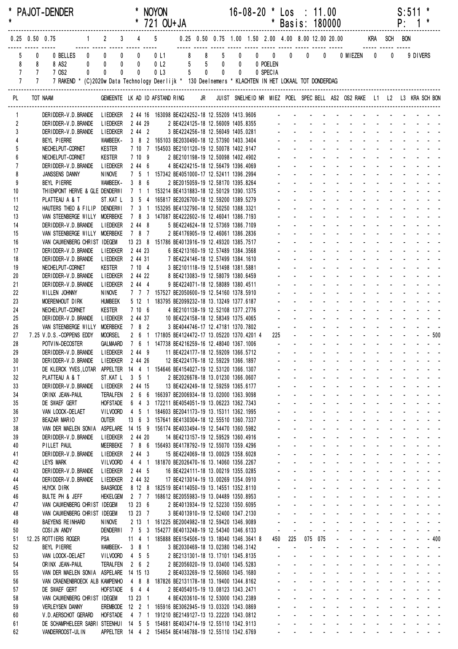| $\star$             |                                  |                            | * PAJOT-DENDER                                                                                                     |                                                               |                    |                         | <b>NOYON</b><br>* 721 OU+JA                                                                  |                                                                               |                                  |                                  |                             |                     | $16-08-20$ * Los : 11.00<br>* Basis: 180000        |                                                |                                         |                                                                                                               |                                            |                     | S:511              | P: 1                                                                             |                                            |
|---------------------|----------------------------------|----------------------------|--------------------------------------------------------------------------------------------------------------------|---------------------------------------------------------------|--------------------|-------------------------|----------------------------------------------------------------------------------------------|-------------------------------------------------------------------------------|----------------------------------|----------------------------------|-----------------------------|---------------------|----------------------------------------------------|------------------------------------------------|-----------------------------------------|---------------------------------------------------------------------------------------------------------------|--------------------------------------------|---------------------|--------------------|----------------------------------------------------------------------------------|--------------------------------------------|
|                     | $0.25$ 0.50 0.75                 |                            |                                                                                                                    | $1 \quad 2 \quad 3$                                           |                    |                         | $4\qquad 5$                                                                                  | 0.25 0.50 0.75 1.00 1.50 2.00 4.00 8.00 12.00 20.00                           |                                  |                                  |                             |                     |                                                    |                                                |                                         | KRA SCH BON                                                                                                   |                                            |                     |                    |                                                                                  |                                            |
|                     | 5<br>8                           | 0<br>8                     | $\mathbf{0}$<br>0 BELLES<br>$\pmb{0}$<br>8 AS2                                                                     | $\mathbf 0$<br>$\pmb{0}$<br>$\mathbf 0$<br>0                  |                    | $\mathbf 0$<br>0        | 0L1<br>0 <sub>l</sub> 2                                                                      | 8                                                                             | 8 <sup>1</sup><br>5 <sub>5</sub> | $5\overline{)}$<br>$5 \t 0$      | $\mathbf 0$<br>$\mathbf{0}$ | 0 POELEN            | $\begin{matrix} 0 & 0 & 0 & 0 \end{matrix}$        |                                                | $\mathbf 0$                             | 0 MIEZEN                                                                                                      | $\bm{0}$                                   | 0                   |                    | 9 DIVERS                                                                         |                                            |
|                     | $\overline{7}$<br>$\overline{7}$ | $7^{\circ}$<br>$7^{\circ}$ | 7 OS2<br>0<br>7 RAKEND * (C)2020w Data Technology Deerlijk * 130 Deelnemers * KLACHTEN IN HET LOKAAL TOT DONDERDAG | $\pmb{0}$<br>$\mathbf{0}$                                     |                    | $\mathbf{0}$            | 0 <sub>l</sub>                                                                               |                                                                               | 5 <sub>5</sub>                   | $\overline{0}$<br>$\overline{0}$ | $\mathbf 0$                 | 0 SPECIA            |                                                    |                                                |                                         |                                                                                                               |                                            |                     |                    |                                                                                  |                                            |
| PL                  |                                  |                            | TOT NAAM                                                                                                           | GEMEENTE LK AD ID AFSTAND RING                                |                    |                         |                                                                                              |                                                                               |                                  |                                  |                             |                     |                                                    |                                                |                                         | JR JUIST SNELHEID NR MIEZ POEL SPEC BELL AS2 OS2 RAKE L1 L2 L3 KRA SCH BON                                    |                                            |                     |                    |                                                                                  |                                            |
| 1                   |                                  |                            | DERIDDER-V.D.BRANDE                                                                                                | <b>LIEDEKER</b>                                               |                    |                         | 2 44 16 163098 BE4224252-18 12.55209 1413.9606                                               |                                                                               |                                  |                                  |                             |                     |                                                    |                                                |                                         |                                                                                                               |                                            |                     |                    |                                                                                  |                                            |
| $\overline{2}$<br>3 |                                  |                            | DERIDDER-V.D. BRANDE<br>DERIDDER-V.D. BRANDE                                                                       | <b>LIEDEKER</b><br>L I EDEKER                                 |                    | 2 44 29<br>$2442$       |                                                                                              | 2 BE4224125-18 12.56009 1405.8355<br>3 BE4224256-18 12.56049 1405.0281        |                                  |                                  |                             |                     |                                                    |                                                |                                         |                                                                                                               |                                            |                     |                    |                                                                                  |                                            |
|                     |                                  |                            | BEYL PIERRE                                                                                                        | WAMBEEK-                                                      |                    |                         | 3 8 2 165103 BE2030490-18 12.57390 1403.3404                                                 |                                                                               |                                  |                                  |                             |                     |                                                    |                                                |                                         |                                                                                                               |                                            |                     |                    |                                                                                  |                                            |
| 5                   |                                  |                            | NECHELPUT-CORNET                                                                                                   | <b>KESTER</b>                                                 |                    |                         | 7 10 7 154503 BE2101120-19 12.50078 1402.9147                                                |                                                                               |                                  |                                  |                             |                     |                                                    |                                                |                                         |                                                                                                               |                                            |                     |                    |                                                                                  |                                            |
| 6<br>$\overline{1}$ |                                  |                            | NECHELPUT-CORNET<br>DERIDDER-V.D. BRANDE                                                                           | <b>KESTER</b><br>LIEDEKER 2 44 6                              |                    | 7109                    |                                                                                              | 2 BE2101198-19 12.50098 1402.4902<br>4 BE4224215-18 12.56479 1396.4069        |                                  |                                  |                             |                     |                                                    |                                                |                                         |                                                                                                               |                                            |                     |                    |                                                                                  |                                            |
| 8                   |                                  |                            | JANSSENS DANNY                                                                                                     | NINOVE                                                        |                    |                         | 7 5 1 157342 BE4051000-17 12.52411 1396.2994                                                 |                                                                               |                                  |                                  |                             |                     |                                                    |                                                |                                         |                                                                                                               |                                            |                     |                    |                                                                                  |                                            |
| 9                   |                                  |                            | BEYL PIERRE                                                                                                        | WAMBEEK-                                                      |                    | 386                     |                                                                                              | 2 BE2015059-19 12.58170 1395.8264                                             |                                  |                                  |                             |                     |                                                    |                                                |                                         |                                                                                                               |                                            |                     |                    |                                                                                  |                                            |
| 10<br>11            |                                  |                            | THIENPONT HERVE & GLE DENDERWI<br>PLATTEAU A & T                                                                   | ST.KAT L                                                      |                    |                         | 7 1 1 153214 BE4131883-18 12.50129 1390.1375<br>3 5 4 165817 BE2026700-18 12.59200 1389.5279 |                                                                               |                                  |                                  |                             |                     |                                                    |                                                |                                         |                                                                                                               |                                            |                     |                    |                                                                                  |                                            |
| 12                  |                                  |                            | HAUTERS THEO & FILIP DENDERWI                                                                                      |                                                               |                    | 7 3 1                   |                                                                                              | 153295 BE4132790-18 12.50250 1388.3321                                        |                                  |                                  |                             |                     |                                                    |                                                |                                         |                                                                                                               |                                            |                     |                    |                                                                                  |                                            |
| 13                  |                                  |                            | VAN STEENBERGE WILLY MOERBEKE                                                                                      |                                                               |                    |                         | 7 8 3 147087 BE4222602-16 12.46041 1386.7193                                                 |                                                                               |                                  |                                  |                             |                     |                                                    |                                                |                                         |                                                                                                               |                                            |                     |                    |                                                                                  |                                            |
| 14<br>15            |                                  |                            | DERIDDER-V.D. BRANDE<br>VAN STEENBERGE WILLY MOERBEKE                                                              | <b>LIEDEKER</b>                                               | 7 8 7              | 2 44 8                  |                                                                                              | 5 BE4224624-18 12.57369 1386.7109<br>2 BE4176905-19 12.46061 1386.2836        |                                  |                                  |                             |                     |                                                    |                                                |                                         |                                                                                                               |                                            |                     |                    |                                                                                  |                                            |
| 16                  |                                  |                            | VAN CAUWENBERG CHRIST IDEGEM                                                                                       |                                                               |                    |                         | 13 23 8 151786 BE4013916-19 12.49320 1385.7517                                               |                                                                               |                                  |                                  |                             |                     |                                                    |                                                |                                         |                                                                                                               |                                            |                     |                    |                                                                                  |                                            |
| 17                  |                                  |                            | DERIDDER-V.D.BRANDE                                                                                                | <b>LIEDEKER</b>                                               |                    | 2 44 23                 |                                                                                              | 6 BE4213160-19 12.57489 1384.3568                                             |                                  |                                  |                             |                     |                                                    |                                                |                                         |                                                                                                               |                                            |                     |                    |                                                                                  |                                            |
| 18                  |                                  |                            | DER I DDER-V.D. BRANDE                                                                                             | <b>LIEDEKER</b>                                               |                    | 2 44 31                 |                                                                                              | 7 BE4224146-18 12.57499 1384.1610                                             |                                  |                                  |                             |                     |                                                    |                                                |                                         |                                                                                                               |                                            |                     |                    |                                                                                  |                                            |
| 19<br>20            |                                  |                            | NECHELPUT-CORNET<br>DER I DDER-V.D. BRANDE                                                                         | <b>KESTER</b><br><b>LIEDEKER</b>                              |                    | 7104<br>2 44 22         |                                                                                              | 3 BE2101118-19 12.51498 1381.5881<br>8 BE4213083-19 12.58079 1380.6459        |                                  |                                  |                             |                     |                                                    |                                                |                                         |                                                                                                               |                                            |                     |                    |                                                                                  |                                            |
| 21                  |                                  |                            | DER I DDER-V.D. BRANDE                                                                                             | <b>LIEDEKER</b>                                               |                    | 2444                    |                                                                                              | 9 BE4224071-18 12.58089 1380.4511                                             |                                  |                                  |                             |                     |                                                    |                                                |                                         |                                                                                                               |                                            |                     |                    |                                                                                  |                                            |
| 22                  |                                  |                            | WILLEN JOHNNY                                                                                                      | NINOVE                                                        |                    |                         | 7 7 7 157527 BE2050600-19 12.54160 1378.5910                                                 |                                                                               |                                  |                                  |                             |                     |                                                    |                                                |                                         |                                                                                                               |                                            |                     |                    |                                                                                  |                                            |
| 23                  |                                  |                            | MOERENHOUT DIRK                                                                                                    | <b>HUMBEEK</b>                                                |                    | 5 12 1                  |                                                                                              | 183795 BE2099232-18 13.13249 1377.6187                                        |                                  |                                  |                             |                     |                                                    |                                                |                                         |                                                                                                               |                                            |                     |                    |                                                                                  |                                            |
| 24<br>25            |                                  |                            | NECHELPUT-CORNET<br>DERIDDER-V.D. BRANDE                                                                           | <b>KESTER</b><br><b>LIEDEKER</b>                              |                    | 7106<br>2 44 37         |                                                                                              | 4 BE2101138-19 12.52108 1377.2776<br>10 BE4224158-18 12.58349 1375.4065       |                                  |                                  |                             |                     |                                                    |                                                |                                         |                                                                                                               |                                            |                     |                    |                                                                                  |                                            |
| 26                  |                                  |                            | VAN STEENBERGE WILLY                                                                                               | <b>MOERBEKE</b>                                               | 7 8 2              |                         |                                                                                              | 3 BE4044746-17 12.47181 1370.7802                                             |                                  |                                  |                             |                     | $\sim$                                             |                                                |                                         | $\Delta \sim 10^4$                                                                                            |                                            |                     |                    |                                                                                  |                                            |
| 27                  |                                  |                            | 7.25 V.D.S.-COPPENS EDDY                                                                                           | <b>MOORSEL</b>                                                |                    |                         | 2 6 1 171805 BE4124472-17 13.05220 1370.4201 4                                               |                                                                               |                                  |                                  |                             | 225                 |                                                    |                                                |                                         |                                                                                                               |                                            |                     |                    |                                                                                  | $-500$                                     |
| 28<br>29            |                                  |                            | POTVIN-DECOSTER<br>DERIDDER-V.D.BRANDE LIEDEKER                                                                    | <b>GALMAARD</b>                                               |                    | 2 44 9                  | 7 6 1 147738 BE4216259-16 12.48040 1367.1006                                                 | 11 BE4224177-18 12.59209 1366.5712                                            |                                  |                                  |                             |                     |                                                    |                                                |                                         |                                                                                                               |                                            |                     |                    |                                                                                  |                                            |
| 30                  |                                  |                            | DERIDDER-V.D. BRANDE                                                                                               | <b>LIEDEKER</b>                                               |                    | 2 44 26                 |                                                                                              | 12 BE4224176-18 12.59229 1366.1897                                            |                                  |                                  |                             |                     |                                                    |                                                |                                         | and a series of the series of the series of                                                                   |                                            |                     |                    |                                                                                  |                                            |
| 31                  |                                  |                            | DE KLERCK YVES.LOTAR APPELTER 14 4 1 154646 BE4154027-19 12.53120 1366.1307                                        |                                                               |                    |                         |                                                                                              |                                                                               |                                  |                                  |                             |                     |                                                    |                                                |                                         | and a straight and a straight                                                                                 |                                            |                     |                    | an na man an a                                                                   |                                            |
| 32                  |                                  |                            | PLATTEAU A & T                                                                                                     | ST.KATL 3 5 1                                                 |                    |                         |                                                                                              | 2 BE2026678-18 13.01230 1366.0607                                             |                                  |                                  |                             |                     |                                                    | $\omega_{\rm{max}}$                            | $\mathbf{L}^{\text{max}}$               | and a straightful and state                                                                                   |                                            |                     |                    |                                                                                  |                                            |
| 33<br>34            |                                  |                            | DERIDDER-V.D. BRANDE<br>ORINX JEAN-PAUL                                                                            | <b>LIEDEKER</b><br>TERALFEN                                   | 2 44 15            |                         | 2 6 6 166397 BE2006934-18 13.02000 1363.9098                                                 | 13 BE4224249-18 12.59259 1365.6177                                            |                                  |                                  |                             |                     | $\sim$                                             |                                                | $\mathcal{L}_{\rm{max}}$                | and a straight and<br>and a straight and                                                                      |                                            |                     |                    |                                                                                  |                                            |
| 35                  |                                  |                            | DE SWAEF GERT                                                                                                      | <b>HOFSTADE</b>                                               |                    |                         | 6 4 3 172211 BE4054051-19 13.06223 1362.7343                                                 |                                                                               |                                  |                                  |                             |                     |                                                    |                                                |                                         | and the company                                                                                               |                                            |                     |                    | <b>Service Control</b>                                                           |                                            |
| 36                  |                                  |                            | VAN LOOCK-DELAET                                                                                                   | VILVOORD                                                      |                    |                         | 4 5 1 184603 BE2041173-19 13.15311 1362.1995                                                 |                                                                               |                                  |                                  |                             |                     | $\mathbf{r}$                                       |                                                | $\Delta \sim 100$                       | and a straight and a straight                                                                                 |                                            |                     |                    | and a strain and a                                                               |                                            |
| 37<br>38            |                                  |                            | <b>BEAZAR MARIO</b><br>VAN DER MAELEN SONIA ASPELARE 14 15 9 156174 BE4033494-19 12.54470 1360.5982                | OUTER                                                         |                    |                         | 13 6 3 157641 BE4130304-18 12.55510 1360.7337                                                |                                                                               |                                  |                                  |                             |                     | ÷.<br>$\mathbf{L}^{\text{max}}$                    | $\omega_{\rm{max}}$                            | $\Delta \sim 10^4$<br>$\Delta \sim 100$ | and a straight and a straight<br>and a straight                                                               | $\Delta \sim 100$<br>$\Delta \sim 10^{-1}$ |                     |                    | and a straight and<br>الداريد الداريد                                            |                                            |
| 39                  |                                  |                            | DERIDDER-V.D. BRANDE                                                                                               | <b>LIEDEKER</b>                                               |                    | 2 44 20                 |                                                                                              | 14 BE4213157-19 12.59529 1360.4916                                            |                                  |                                  |                             |                     | $\mathbf{r}$                                       |                                                | $\sim 100$                              | and the company of the                                                                                        |                                            |                     |                    | and the state of the state of the                                                |                                            |
| 40                  |                                  |                            | PILLET PAUL                                                                                                        | <b>MEERBEKE</b>                                               |                    | 7 8 6                   |                                                                                              | 156493 BE4178792-19 12.55070 1359.4296                                        |                                  |                                  |                             |                     |                                                    |                                                |                                         | and a straight and a                                                                                          |                                            |                     |                    | and the state of the                                                             |                                            |
| 41                  |                                  |                            | DERIDDER-V.D. BRANDE                                                                                               | <b>LIEDEKER</b>                                               |                    | 2, 44, 3                |                                                                                              | 15 BE4224069-18 13.00029 1358.6028                                            |                                  |                                  |                             |                     |                                                    |                                                |                                         | and the company                                                                                               |                                            |                     |                    | $\mathbf{u} = \mathbf{u} + \mathbf{u} + \mathbf{u}$ .                            |                                            |
| 42<br>43            |                                  |                            | <b>LEYS MARK</b><br>DERIDDER-V.D. BRANDE                                                                           | VILVOORD<br><b>LIEDEKER</b>                                   |                    | 2 44 5                  | 4 4 1 181870 BE2026470-16 13.14060 1356.2267                                                 | 16 BE4224111-18 13.00219 1355.0285                                            |                                  |                                  |                             |                     | $\mathbf{r}$<br>÷.<br>$\Delta \sim 100$            |                                                | $\Delta \sim 100$<br>$\Delta \sim 10^4$ | and a straight and a straight<br>and a straight and a straight                                                |                                            |                     |                    | and a straight and a<br>and the state of the state of                            |                                            |
| 44                  |                                  |                            | DERIDDER-V.D. BRANDE                                                                                               | <b>LIEDEKER</b>                                               |                    | 2 44 32                 |                                                                                              | 17 BE4213014-19 13.00269 1354.0910                                            |                                  |                                  |                             |                     | $\omega_{\rm{max}}$                                | $\Delta \sim 100$                              |                                         | and a straight and start                                                                                      | $\Delta \sim 10^4$                         | $\omega_{\rm{max}}$ |                    | $\mathcal{L}^{\mathcal{A}}$ . The set of $\mathcal{A}$ is a set of $\mathcal{A}$ |                                            |
| 45                  |                                  |                            | HUYCK DIRK                                                                                                         | <b>BAASRODE</b>                                               |                    |                         | 8 12 8 182519 BE4114050-19 13.14551 1352.8110                                                |                                                                               |                                  |                                  |                             |                     | $\mathbf{z} = \mathbf{z}$                          | $\Delta \sim 100$                              |                                         | and a straightful and state                                                                                   |                                            |                     |                    |                                                                                  |                                            |
| 46                  |                                  |                            | BULTE PH & JEFF                                                                                                    | <b>HEKELGEM</b>                                               |                    |                         | 2 7 7 168612 BE2055983-19 13.04489 1350.8953                                                 |                                                                               |                                  |                                  |                             |                     |                                                    |                                                |                                         | and a straight and a<br>and a straightful and a straight                                                      |                                            |                     |                    | and the state of the<br>and a strain and a                                       |                                            |
| 47<br>48            |                                  |                            | VAN CAUWENBERG CHRIST IDEGEM<br>VAN CAUWENBERG CHRIST IDEGEM                                                       |                                                               | 13 23 6<br>13 23 7 |                         |                                                                                              | 2 BE4013934-19 12.52230 1350.6095<br>3 BE4013910-19 12.52400 1347.2130        |                                  |                                  |                             |                     |                                                    | $\Delta \sim 100$                              |                                         | and a state of the state of the state of                                                                      |                                            |                     |                    |                                                                                  |                                            |
| 49                  |                                  |                            | <b>BAEYENS REINHARD</b>                                                                                            | <b>NINOVE</b>                                                 |                    |                         | 2 13 1 161225 BE2004982-18 12.59420 1346.9089                                                |                                                                               |                                  |                                  |                             | $\mathbf{r}$        | ÷.                                                 |                                                |                                         | and a state of the state of the state of the state of the state of the state of the state of the state of the |                                            |                     |                    |                                                                                  |                                            |
| 50                  |                                  |                            | COSIJN ANDY                                                                                                        | <b>DENDERWI</b>                                               |                    |                         | 7 5 3 154277 BE4013248-19 12.54340 1346.6133                                                 |                                                                               |                                  |                                  |                             | $\blacksquare$      | $\omega$                                           | $\omega$                                       |                                         | and a straight and a straight                                                                                 |                                            |                     | and a state        |                                                                                  | $\Delta \phi = \Delta \phi = -\Delta \phi$ |
| 51<br>52            |                                  |                            | 12.25 ROTTIERS ROGER<br>BEYL PIERRE                                                                                | <b>PSA</b><br>WAMBEEK-                                        |                    | $11 \t 4 \t 1$<br>3 8 1 |                                                                                              | 185888 BE6154506-19 13.18040 1346.3641 8<br>3 BE2030469-18 13.02380 1346.3142 |                                  |                                  |                             | 450<br>$\mathbf{r}$ | 225<br>$\blacksquare$                              |                                                | 075 075<br>$\mathbf{r}$                 | the contract of the con-                                                                                      | $\sim$                                     |                     | <b>All Service</b> | بالمستنقذ والمستنقذ                                                              | $- - 400$                                  |
| 53                  |                                  |                            | VAN LOOCK-DELAET                                                                                                   | VILVOORD                                                      |                    | $4\quad 5\quad 5$       |                                                                                              | 2 BE2131301-18 13.17101 1345.8135                                             |                                  |                                  |                             |                     |                                                    |                                                |                                         | and a straight and a straight                                                                                 |                                            |                     |                    | and the state of the state of                                                    |                                            |
| 54                  |                                  |                            | ORINX JEAN-PAUL                                                                                                    | <b>TERALFEN</b>                                               |                    | $2\quad 6\quad 2$       |                                                                                              | 2 BE2056020-19 13.03400 1345.5283                                             |                                  |                                  |                             |                     |                                                    | $\Delta \sim 100$                              | $\Delta \sim 100$                       | and a straight and a straight                                                                                 |                                            |                     |                    | and a strain and a                                                               |                                            |
| 55                  |                                  |                            | VAN DER MAELEN SONIA ASPELARE 14 15 13                                                                             |                                                               |                    |                         |                                                                                              | 2 BE4033269-19 12.56060 1345.1680                                             |                                  |                                  |                             |                     | $\mathcal{L}^{\mathcal{A}}$<br>$\omega_{\rm{max}}$ |                                                | $\Delta \sim 10^4$                      | and a straight and a straight                                                                                 |                                            |                     |                    | and the state of the state of                                                    |                                            |
| 56<br>57            |                                  |                            | VAN CRAENENBROECK ALB KAMPENHO<br>DE SWAEF GERT                                                                    | <b>HOFSTADE</b>                                               | 6 4 4              |                         | 4 8 8 187826 BE2131178-18 13.19400 1344.8162                                                 | 2 BE4054015-19 13.08123 1343.2471                                             |                                  |                                  |                             |                     | $\omega_{\rm{max}}$<br>$\mathbf{z} = \mathbf{z}$   | $\Delta \sim 100$<br>$\Delta \sim 100$         |                                         | and a straight and a straight<br>and a straight and                                                           | $\Delta \sim 10^{-11}$                     |                     |                    | and a straight and a                                                             |                                            |
| 58                  |                                  |                            | VAN CAUWENBERG CHRIST IDEGEM                                                                                       |                                                               | 13 23 1            |                         |                                                                                              | 4 BE4203610-16 12.53000 1343.2389                                             |                                  |                                  |                             |                     |                                                    |                                                |                                         | and a straight and a                                                                                          |                                            |                     |                    | and the state of the                                                             |                                            |
| 59                  |                                  |                            | <b>VERLEYSEN DANNY</b>                                                                                             | EREMBODE 12 2 1 165916 BE3062945-19 13.03320 1343.0869        |                    |                         |                                                                                              |                                                                               |                                  |                                  |                             |                     |                                                    | $\Delta \sim 100$                              |                                         | and a straight and straight                                                                                   |                                            |                     |                    | and a state of the state of the state of                                         |                                            |
| 60<br>61            |                                  |                            | V.D. AERSCHOT GERARD<br>DE SCHAMPHELEER SABRI STEENHUI 14 5 5 154681 BE4034714-19 12.55110 1342.9113               | HOFSTADE 4 7 1 191210 BE2149127-13 13.22220 1343.0812         |                    |                         |                                                                                              |                                                                               |                                  |                                  |                             |                     | $\Delta \sim 100$<br>$\Delta \sim 100$             | $\mathbf{L}^{\text{max}}$<br>$\Delta \sim 100$ | $\Delta \sim 100$                       | <u>.</u><br>and the state of the state of the state of                                                        |                                            |                     |                    |                                                                                  |                                            |
| 62                  |                                  |                            | VANDERROOST-ULIN                                                                                                   | APPELTER  14  4  2  154654  BE4146788-19  12.55110  1342.6769 |                    |                         |                                                                                              |                                                                               |                                  |                                  |                             |                     | $\omega_{\rm{max}}$                                |                                                |                                         | and a series of the contract of the series of                                                                 |                                            |                     |                    |                                                                                  |                                            |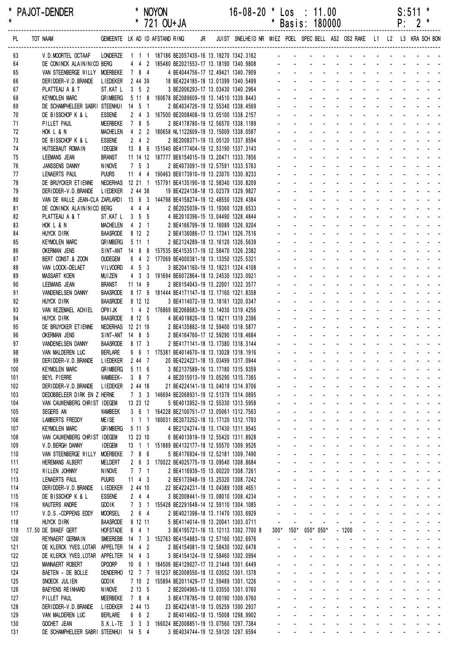| $\star$ |            | PAJOT-DENDER                                                                                                          |                                    |         |                     | * NOYON | * 721 OU+JA                                                                                                                                                              |  | $16-08-20$ * Los : 11.00 |                                            | * Basis: 180000                               |                   |                                             |                     |                                                                                                                                                                                                                                |                    |                   |  | S:511<br>$P: 2$ * | $\ast$                                             |  |
|---------|------------|-----------------------------------------------------------------------------------------------------------------------|------------------------------------|---------|---------------------|---------|--------------------------------------------------------------------------------------------------------------------------------------------------------------------------|--|--------------------------|--------------------------------------------|-----------------------------------------------|-------------------|---------------------------------------------|---------------------|--------------------------------------------------------------------------------------------------------------------------------------------------------------------------------------------------------------------------------|--------------------|-------------------|--|-------------------|----------------------------------------------------|--|
|         | PL         | GEMEENTE LK AD ID AFSTAND RING JR JUIST SNELHEID NR MIEZ POEL SPEC BELL AS2 OS2 RAKE L1 L2 L3 KRA SCH BON<br>TOT NAAM |                                    |         |                     |         |                                                                                                                                                                          |  |                          |                                            |                                               |                   |                                             |                     |                                                                                                                                                                                                                                |                    |                   |  |                   |                                                    |  |
|         | 63         | V.D.MOORTEL OCTAAF LONDERZE 1 1 1 187186 BE2057435-16 13.19270 1342.3162 - - - - - - - - - - - - - - - - -            |                                    |         |                     |         |                                                                                                                                                                          |  |                          |                                            |                                               |                   |                                             |                     |                                                                                                                                                                                                                                |                    |                   |  |                   |                                                    |  |
|         | 64<br>65   | DE CONINCK ALAIN/NICO BERG<br>VAN STEENBERGE WILLY MOERBEKE 7 8 4                                                     |                                    |         |                     |         |                                                                                                                                                                          |  |                          |                                            |                                               |                   |                                             |                     |                                                                                                                                                                                                                                |                    |                   |  |                   |                                                    |  |
|         | 66         | DERIDDER-V.D.BRANDE LIEDEKER 2 44 39                                                                                  |                                    |         |                     |         | 4   4   2   185480   BE2021553-17   13.18190   1340.9808<br>7   8   4   4   BE4044756-17   12.49421   1340.7909<br>2   44   39   18   BE4224185-18   13.01399  1340.5499 |  |                          |                                            |                                               |                   |                                             |                     |                                                                                                                                                                                                                                |                    |                   |  |                   |                                                    |  |
|         | 67         | PLATTEAU A & T                                                                                                        | ST.KAT L 3 5 2                     |         |                     |         | 3 BE2006293-17 13.03430 1340.2964                                                                                                                                        |  |                          | $\Delta \sim 10^4$                         |                                               |                   |                                             |                     |                                                                                                                                                                                                                                |                    |                   |  |                   | and a straight and a                               |  |
|         | 68         | <b>KEYMOLEN MARC</b>                                                                                                  | <b>GRIMBERG</b>                    |         |                     |         | 5 11 8 180678 BE2089609-19 13.14510 1339.8443                                                                                                                            |  |                          |                                            |                                               |                   |                                             |                     |                                                                                                                                                                                                                                |                    |                   |  |                   | and a straight and a                               |  |
|         | 69         | DE SCHAMPHELEER SABRI STEENHUI 14 5 1                                                                                 |                                    |         |                     |         | 2 BE4034726-19 12.55340 1338.4569                                                                                                                                        |  |                          |                                            |                                               |                   |                                             |                     |                                                                                                                                                                                                                                |                    |                   |  |                   | and the state of the state of the state of the     |  |
|         | 70         | DE BISSCHOP K & L                                                                                                     | <b>ESSENE</b>                      |         |                     |         | 2 4 3 167500 BE2008408-19 13.05100 1338.2157                                                                                                                             |  |                          |                                            |                                               |                   |                                             |                     |                                                                                                                                                                                                                                |                    |                   |  |                   |                                                    |  |
|         | 71         | PILLET PAUL                                                                                                           | MEERBEKE                           | 785     |                     |         | 2 BE4178780-19 12.56570 1338.1189                                                                                                                                        |  |                          |                                            | والمناور والمناور والمناور والمناور والمناور  |                   |                                             |                     |                                                                                                                                                                                                                                |                    |                   |  |                   |                                                    |  |
|         | 72         | HOK L & N                                                                                                             |                                    |         |                     |         | MACHELEN  4  2  2  180658 NL1122609-19  13.15009  1338.0587                                                                                                              |  |                          | $\omega_{\rm{max}}$                        |                                               |                   |                                             |                     | <u>.</u><br>design and the state of the state of the                                                                                                                                                                           |                    |                   |  |                   |                                                    |  |
|         | 73<br>74   | DE BISSCHOP K & L<br>HUTSEBAUT ROMAIN                                                                                 | <b>ESSENE</b><br><b>IDEGEM</b>     |         | $2 \quad 4 \quad 2$ |         | 2 BE2008371-19 13.05120 1337.8594<br>13 8 6 151540 BE4177404-19 12.53190 1337.3143                                                                                       |  |                          |                                            |                                               |                   |                                             |                     |                                                                                                                                                                                                                                |                    |                   |  |                   | and a straight and a                               |  |
|         | 75         | <b>LEEMANS JEAN</b>                                                                                                   | <b>BRANST</b>                      |         |                     |         | 11 14 12 187777 BE6154015-19 13.20471 1333.7856                                                                                                                          |  |                          |                                            |                                               |                   |                                             |                     |                                                                                                                                                                                                                                |                    |                   |  |                   | and a strain and a strain and                      |  |
|         | 76         | JANSSENS DANNY                                                                                                        | <b>NINOVE</b>                      |         | 7 5 3               |         | 2 BE4073091-19 12.57591 1333.5763                                                                                                                                        |  |                          |                                            |                                               |                   |                                             |                     |                                                                                                                                                                                                                                |                    |                   |  |                   | and the state of the state of the                  |  |
|         | 77         | LENAERTS PAUL                                                                                                         | <b>PUURS</b>                       |         |                     |         | 11 4 4 190463 BE6173910-19 13.23070 1330.8233                                                                                                                            |  |                          |                                            |                                               |                   |                                             |                     | and a state of the state of the state                                                                                                                                                                                          |                    |                   |  |                   |                                                    |  |
|         | 78         | DE BRUYCKER ETIENNE NEDERHAS 12 21 1 157791 BE4135190-18 12.58340 1330.8209                                           |                                    |         |                     |         |                                                                                                                                                                          |  |                          |                                            |                                               |                   |                                             |                     | de la provincia de la provincia de                                                                                                                                                                                             |                    |                   |  |                   |                                                    |  |
|         | 79         | DERIDDER-V.D.BRANDE LIEDEKER                                                                                          |                                    | 2 44 38 |                     |         | 19 BE4224138-18 13.02379 1329.9827                                                                                                                                       |  |                          |                                            |                                               |                   |                                             |                     | design and a state of the state of the state of the state of the state of the state of the state of the state of the state of the state of the state of the state of the state of the state of the state of the state of the s |                    |                   |  |                   |                                                    |  |
|         | 80         | VAN DE WALLE JEAN-CLA ZARLARDI 13 6 3 144798 BE4158274-19 12.48550 1329.4384                                          |                                    |         |                     |         |                                                                                                                                                                          |  |                          |                                            |                                               |                   |                                             |                     | and a straight                                                                                                                                                                                                                 |                    |                   |  |                   | and a straight and a                               |  |
|         | 81         | DE CONINCK ALAIN/NICO BERG                                                                                            |                                    |         |                     | $4$ 4 4 | 2 BE2025039-19 13.19360 1328.6533                                                                                                                                        |  |                          |                                            |                                               |                   |                                             |                     | and a series of the series of the series of                                                                                                                                                                                    |                    |                   |  |                   |                                                    |  |
|         | 82         | PLATTEAU A & T                                                                                                        |                                    |         |                     |         | ST.KAT L 3 5 5 4 BE2010396-15 13.04490 1328.4844                                                                                                                         |  |                          |                                            | and a construction of the construction of     |                   |                                             |                     | design and a state of the state of the                                                                                                                                                                                         |                    |                   |  |                   |                                                    |  |
|         | 83<br>84   | HOK L & N<br>HUYCK DIRK                                                                                               | BAASRODE 8 12 2                    |         |                     |         | MACHELEN 4 2 1 2 BE4166799-18 13.16089 1326.9204<br>2 BE4136086-17 13.17341 1326.7516                                                                                    |  |                          |                                            |                                               |                   |                                             |                     | <u>.</u>                                                                                                                                                                                                                       |                    |                   |  |                   |                                                    |  |
|         | 85         | <b>KEYMOLEN MARC</b>                                                                                                  | <b>GRIMBERG</b>                    |         | $5 \; 11 \; 1$      |         | 2 BE2124289-18 13.16120 1326.5639                                                                                                                                        |  |                          |                                            | and a series and a series and a series        |                   |                                             |                     |                                                                                                                                                                                                                                |                    |                   |  |                   |                                                    |  |
|         | 86         | <b>OKERMAN JENS</b>                                                                                                   |                                    |         |                     |         | SINT-ANT 14 8 8 157535 BE4153517-19 12.58470 1326.2382                                                                                                                   |  |                          |                                            |                                               |                   |                                             |                     | and a state of the state of the state of                                                                                                                                                                                       |                    |                   |  |                   |                                                    |  |
|         | 87         | BERT CONST.& ZOON                                                                                                     | <b>OUDEGEM</b>                     |         |                     |         | 6 4 2 177069 BE4000381-18 13.13350 1325.5321                                                                                                                             |  |                          |                                            |                                               |                   |                                             |                     |                                                                                                                                                                                                                                |                    |                   |  |                   | and a straight and a straight                      |  |
|         | 88         | VAN LOOCK-DELAET                                                                                                      | VILVOORD                           |         | $4\;\;5\;\;3$       |         | 3 BE2041160-19 13.19231 1324.4108                                                                                                                                        |  |                          |                                            |                                               |                   |                                             |                     | and a state of the state of the state                                                                                                                                                                                          |                    |                   |  |                   |                                                    |  |
|         | 89         | <b>MASSART KOEN</b>                                                                                                   | <b>MUIZEN</b>                      |         |                     |         | 4 3 3 191694 BE6072864-18 13.24530 1323.0921                                                                                                                             |  |                          |                                            |                                               |                   |                                             |                     | and a state of the state of the state                                                                                                                                                                                          |                    |                   |  |                   |                                                    |  |
|         | 90         | <b>LEEMANS JEAN</b>                                                                                                   | <b>BRANST</b>                      |         | 11 14 9             |         | 2 BE6154043-19 13.22001 1322.3577                                                                                                                                        |  |                          |                                            |                                               |                   |                                             |                     | de la participat de la participat de                                                                                                                                                                                           |                    |                   |  |                   |                                                    |  |
|         | 91         | <b>VANDENELSEN DANNY</b>                                                                                              | <b>BAASRODE</b>                    |         |                     |         | 8 17 9 181444 BE4171147-18 13.17160 1321.8358                                                                                                                            |  |                          |                                            |                                               |                   |                                             |                     | design and a state of the state of the state of the state of the state of the state of the state of the state of the state of the state of the state of the state of the state of the state of the state of the state of the s |                    |                   |  |                   |                                                    |  |
|         | 92<br>93   | HUYCK DIRK<br>VAN WEZEMAEL ACHIEL                                                                                     | BAASRODE 8 12 12<br>OPW I JK       |         |                     |         | 3 BE4114072-19 13.18161 1320.0347<br>1 4 2 176869 BE2068683-18 13.14030 1319.4256                                                                                        |  |                          |                                            |                                               |                   |                                             |                     | and a state of the state of the state of<br>design and a state of the state of the                                                                                                                                             |                    |                   |  |                   |                                                    |  |
|         | 94         | HUYCK DIRK                                                                                                            | <b>BAASRODE</b>                    | 8 12 5  |                     |         | 4 BE4019820-18 13.18211 1319.2396                                                                                                                                        |  |                          |                                            |                                               |                   |                                             |                     | and a series of the contract of the series of                                                                                                                                                                                  |                    |                   |  |                   |                                                    |  |
|         | 95         | DE BRUYCKER ETIENNE                                                                                                   | NEDERHAS 12 21 19                  |         |                     |         | 2 BE4135882-18 12.59400 1318.5877                                                                                                                                        |  |                          |                                            | and a series of the contract of the series of |                   |                                             |                     |                                                                                                                                                                                                                                |                    |                   |  |                   |                                                    |  |
|         | 96         | <b>OKERMAN JENS</b>                                                                                                   | SINT-ANT 14 8 5                    |         |                     |         | 2 BE4164760-17 12.59290 1318.4684                                                                                                                                        |  |                          |                                            | and a straightful and a straight and a        |                   |                                             |                     |                                                                                                                                                                                                                                |                    |                   |  |                   |                                                    |  |
|         | 97         | VANDENELSEN DANNY                                                                                                     | BAASRODE 8 17 3                    |         |                     |         | 2 BE4171141-18 13.17380 1318.3144                                                                                                                                        |  |                          |                                            | <u>.</u>                                      |                   |                                             |                     |                                                                                                                                                                                                                                |                    |                   |  |                   |                                                    |  |
|         | 98         | VAN MALDEREN LUC                                                                                                      | <b>BERLARE</b>                     |         |                     |         | 6   6   1   175381 BE4014670-18   13.13028   1318.1916                                                                                                                   |  |                          |                                            |                                               |                   |                                             |                     |                                                                                                                                                                                                                                |                    |                   |  |                   |                                                    |  |
|         | 99         | DERIDDER-V.D. BRANDE                                                                                                  | LIEDEKER 2 44 7                    |         |                     |         | 20 BE4224221-18 13.03499 1317.0944                                                                                                                                       |  |                          |                                            |                                               |                   |                                             |                     |                                                                                                                                                                                                                                |                    |                   |  |                   |                                                    |  |
|         | 100        | <b>KEYMOLEN MARC</b>                                                                                                  | <b>GRIMBERG</b>                    |         | 5116                |         | 3 BE2137589-16 13.17180 1315.9359                                                                                                                                        |  |                          |                                            |                                               |                   |                                             |                     |                                                                                                                                                                                                                                |                    |                   |  |                   |                                                    |  |
|         | 101        | BEYL PIERRE                                                                                                           | WAMBEEK-                           |         | $387$               |         | 4 BE2015013-19 13.05290 1315.7365                                                                                                                                        |  |                          | $\omega_{\rm{max}}$                        | $\Delta \sim 100$<br>$\Delta \sim 100$        |                   |                                             |                     | and a state of the state of the state of<br>design and a state of the state of the                                                                                                                                             |                    |                   |  |                   |                                                    |  |
|         | 102<br>103 | DERIDDER-V.D.BRANDE<br>DEDOBBELEER DIRK EN Z HERNE                                                                    | l i edeker                         |         | 2 44 18             |         | 21 BE4224141-18 13.04019 1314.9706<br>7 3 3 146694 BE2068931-19 12.51379 1314.0895                                                                                       |  |                          | $\omega_{\rm{max}}$                        | $\Delta \sim 100$                             |                   |                                             |                     | <u>.</u>                                                                                                                                                                                                                       |                    |                   |  |                   |                                                    |  |
|         | 104        | VAN CAUWENBERG CHRIST IDEGEM                                                                                          |                                    |         | 13 23 12            |         | 5 BE4013952-19 12.55330 1313.5958                                                                                                                                        |  |                          | $\omega_{\rm{max}}$                        | $\Delta \sim 100$                             |                   |                                             |                     | and a state of the state of the state of the state of the state of the state of the state of the state of the                                                                                                                  |                    |                   |  |                   |                                                    |  |
|         | 105        | SEGERS AN                                                                                                             | <b>WAMBEEK</b>                     |         | 361                 |         | 164228 BE2100751-17 13.05061 1312.7563                                                                                                                                   |  |                          | $\omega_{\rm{max}}$                        | $\Delta \sim 100$                             |                   |                                             |                     | and a straight and a straight                                                                                                                                                                                                  |                    |                   |  |                   | and a straight and a straight                      |  |
|         | 106        | <b>LAMBERTS FREDDY</b>                                                                                                | <b>MEISE</b>                       |         | $1 \t1 \t1$         |         | 180031 BE2073252-18 13.17120 1312.1793                                                                                                                                   |  |                          |                                            |                                               |                   |                                             |                     | and a straightful and a straight and                                                                                                                                                                                           |                    |                   |  |                   |                                                    |  |
|         | 107        | <b>KEYMOLEN MARC</b>                                                                                                  | <b>GRIMBERG</b>                    |         | 5 11 5              |         | 4 BE2124274-18 13.17430 1311.9545                                                                                                                                        |  |                          | $\omega_{\rm{max}}$                        | $\Delta \sim 100$                             |                   |                                             |                     | and a state of the state of the state of the state of the state of the state of the state of the state of the                                                                                                                  |                    |                   |  |                   |                                                    |  |
|         | 108        | VAN CAUWENBERG CHRIST IDEGEM                                                                                          |                                    |         | 13 23 10            |         | 6 BE4013919-19 12.55420 1311.8928                                                                                                                                        |  |                          | $\omega_{\rm{max}}$                        | $\Delta \sim 100$                             |                   |                                             |                     | and a series and a series and                                                                                                                                                                                                  |                    |                   |  |                   |                                                    |  |
|         | 109        | V.D. BERGH DANNY                                                                                                      | <b>IDEGEM</b>                      |         |                     |         | 13 1 1 151889 BE4132177-18 12.55570 1309.9526                                                                                                                            |  |                          | $\Delta \sim 100$                          | $\Delta \sim 100$                             |                   |                                             |                     | and a state of the state of the state of the state of the state of the state of the state of the state of the                                                                                                                  |                    |                   |  |                   |                                                    |  |
| 110     |            | VAN STEENBERGE WILLY MOERBEKE                                                                                         |                                    |         | 7 8 6               |         | 5 BE4176934-19 12.52181 1309.7490                                                                                                                                        |  |                          | $\omega_{\rm{max}}$<br>$\omega_{\rm{max}}$ | $\Delta \sim 100$                             |                   |                                             |                     | and a series of the series of the series of                                                                                                                                                                                    |                    |                   |  |                   |                                                    |  |
| 111     | 112        | <b>HEREMANS ALBERT</b><br>WILLEN JOHNNY                                                                               | <b>MELDERT</b><br><b>NINOVE</b>    |         | 7 7 1               |         | 2 6 3 170022 BE4025775-19 13.09540 1308.8684<br>2 BE4116939-15 13.00220 1308.7261                                                                                        |  |                          |                                            | $\Delta \sim 100$<br>$\omega_{\rm{max}}$      |                   |                                             |                     | المنابعة والمستنقذ والمستنقذ والمستنقذ والمستنقذ والمستنقذ<br>فالمستحيل والمستحيل والمستحدث والمستحدث                                                                                                                          |                    |                   |  |                   |                                                    |  |
| 113     |            | LENAERTS PAUL                                                                                                         | <b>PUURS</b>                       |         | 11 4 3              |         | 2 BE6173948-19 13.25320 1308.7242                                                                                                                                        |  |                          | $\omega_{\rm{max}}$                        | $\Delta \sim 10^4$                            |                   |                                             |                     | and a state of the state of the state of                                                                                                                                                                                       |                    |                   |  |                   |                                                    |  |
| 114     |            | DERIDDER-V.D. BRANDE                                                                                                  | <b>LIEDEKER</b>                    |         | 2 44 10             |         | 22 BE4224231-18 13.04389 1308.4651                                                                                                                                       |  |                          | $\omega_{\rm{max}}$                        | $\Delta \sim 100$                             |                   |                                             |                     | and a state of the state of the state of the state of the state of the state of the state of the state of the                                                                                                                  |                    |                   |  |                   |                                                    |  |
|         | 115        | DE BISSCHOP K & L                                                                                                     | <b>ESSENE</b>                      |         | $2 \quad 4 \quad 4$ |         | 3 BE2008441-19 13.08010 1308.4234                                                                                                                                        |  |                          | $\omega_{\rm{max}}$                        | $\Delta \sim 100$                             |                   |                                             |                     | and a state of the state of the state of the state of the state of the state of the state of the state of the                                                                                                                  |                    |                   |  |                   |                                                    |  |
| 116     |            | <b>WAUTERS ANDRE</b>                                                                                                  | GOO IK                             |         |                     |         | 7 3 1 155428 BE2291648-14 12.59110 1304.1085                                                                                                                             |  |                          | $\omega_{\rm{max}}$                        | $\Delta \sim 100$                             |                   |                                             |                     | and a state of the state of the state of                                                                                                                                                                                       |                    |                   |  |                   |                                                    |  |
| 117     |            | V.D.S.-COPPENS EDDY                                                                                                   | <b>MOORSEL</b>                     |         | $2\quad 6\quad 4$   |         | 2 BE4021398-18 13.11470 1303.6929                                                                                                                                        |  |                          | $\blacksquare$                             | $\omega$                                      |                   | and a state                                 |                     | المنابذ المنابذ المنابذ المنابذ المنابذ                                                                                                                                                                                        |                    |                   |  |                   |                                                    |  |
|         | 118        | HUYCK DIRK                                                                                                            | <b>BAASRODE</b>                    |         | 8 12 11             |         | 5 BE4114014-19 13.20041 1303.0711                                                                                                                                        |  |                          | $\overline{\phantom{a}}$                   | $\blacksquare$                                | $\blacksquare$    | $\blacksquare$                              | $\omega_{\rm{max}}$ |                                                                                                                                                                                                                                |                    |                   |  |                   | and a straight and a                               |  |
| 119     |            | 17.50 DE SWAEF GERT                                                                                                   | <b>HOFSTADE</b>                    |         | $6 \quad 4 \quad 1$ |         | 3 BE4195721-16 13.12113 1302.7700 8                                                                                                                                      |  |                          | $300*$                                     | $150*$                                        |                   | $050*050*$                                  |                     | $-1200$                                                                                                                                                                                                                        | $\sim 10^{-1}$     |                   |  |                   | and a strain and a                                 |  |
| 120     |            | REYNAERT GERMAIN                                                                                                      |                                    |         |                     |         | SMEEREBB 14 7 3 152763 BE4154883-19 12.57160 1302.6976                                                                                                                   |  |                          | $\mathbf{r}$<br>$\omega$ .                 | $\sim$<br>$\sim$                              |                   |                                             | $\sim$ 10 $\pm$     | $\mathbf{r}$<br>$\omega_{\rm{max}}=0.1$                                                                                                                                                                                        |                    |                   |  |                   | an na man na man a<br>and a strain and a           |  |
| 122     | 121        | DE KLERCK YVES, LOTAR<br>DE KLERCK YVES, LOTAR                                                                        | APPELTER 14 4 2<br>APPELTER 14 4 3 |         |                     |         | 2 BE4154081-19 12.58430 1302.6478<br>3 BE4154124-19 12.58460 1302.0994                                                                                                   |  |                          | $\omega_{\rm{max}}$                        | $\Delta \sim 100$                             |                   |                                             |                     | and a straight and start                                                                                                                                                                                                       |                    |                   |  |                   | and a straight and a straight                      |  |
|         | 123        | MANNAERT ROBERT                                                                                                       | <b>OPDORP</b>                      |         |                     |         | 10 6 1 184506 BE4129027-17 13.21449 1301.6449                                                                                                                            |  |                          | $\omega_{\rm{max}}$                        | $\Delta \sim 100$                             |                   |                                             |                     | and a straightful and state                                                                                                                                                                                                    |                    | $\Delta \sim 100$ |  |                   |                                                    |  |
|         | 124        | BAETEN - DE BOLLE                                                                                                     | <b>DENDERHO</b>                    |         |                     |         | 12 7 7 161237 BE2008550-18 13.03552 1301.1378                                                                                                                            |  |                          | $\omega_{\rm{max}}$                        | $\Delta \sim 100$                             |                   | and a straight                              |                     |                                                                                                                                                                                                                                |                    |                   |  |                   | and a straight and a                               |  |
|         | 125        | SNOECK JULIEN                                                                                                         | GOO IK                             |         |                     |         | 7 10 2 155894 BE2011429-17 12.59489 1301.1226                                                                                                                            |  |                          |                                            | $\mathcal{L}^{\text{max}}$                    | $\Delta \sim 100$ |                                             | $\Delta \sim 100$   | $\mathcal{L}_{\mathcal{A}}$                                                                                                                                                                                                    |                    |                   |  |                   | and a strain and a                                 |  |
|         | 126        | <b>BAEYENS REINHARD</b>                                                                                               | <b>NINOVE</b>                      |         | $2 \t13 \t5$        |         | 2 BE2004965-18 13.03550 1301.0760                                                                                                                                        |  |                          | a.                                         | $\Delta \sim 100$                             |                   | $\Delta \phi = \Delta \phi = 0.01$          |                     | and a state                                                                                                                                                                                                                    | $\Delta \sim 100$  |                   |  |                   | and a strain and a strain                          |  |
|         | 127        | PILLET PAUL                                                                                                           | <b>MEERBEKE</b>                    |         | 7 8 4               |         | 3 BE4178785-19 13.00190 1300.6760                                                                                                                                        |  |                          | $\omega_{\rm{max}}$                        | $\Delta \sim 100$                             |                   | and a state                                 |                     | $\Delta \phi = \Delta \phi = 0.01$                                                                                                                                                                                             | $\Delta \sim 10^4$ |                   |  |                   | and a strain and a                                 |  |
| 128     |            | DER I DDER-V.D. BRANDE                                                                                                | <b>LIEDEKER</b>                    |         | 2 44 13             |         | 23 BE4224181-18 13.05259 1300.2937                                                                                                                                       |  |                          | $\omega_{\rm{max}}$                        | $\mathcal{L}^{\text{max}}$                    |                   | and a state                                 | $\Delta \sim 100$   | $\omega_{\rm{max}}$<br>$\Delta \sim 10^4$                                                                                                                                                                                      | $\Delta \sim 100$  |                   |  |                   | and a strain and a                                 |  |
| 129     | 130        | VAN MALDEREN LUC<br><b>GOCHET JEAN</b>                                                                                | <b>BERLARE</b>                     |         | 6 6 2               |         | 2 BE4014662-18 13.15008 1298.9902<br>S.K.L-TE 3 3 3 166024 BE2008851-19 13.07560 1297.7384                                                                               |  |                          | $\omega_{\rm{max}}$                        | $\mathcal{L}^{\text{max}}$                    |                   | $\omega_{\rm{max}}$ and $\omega_{\rm{max}}$ | $\omega_{\rm{max}}$ |                                                                                                                                                                                                                                | $\Delta \sim 100$  |                   |  |                   | and a straight and a<br>فالقارب والقاربة والمحاربة |  |
|         | 131        | DE SCHAMPHELEER SABRI STEENHUI 14 5 4                                                                                 |                                    |         |                     |         | 3 BE4034744-19 12.59120 1297.6594                                                                                                                                        |  |                          |                                            |                                               |                   |                                             |                     | and a series of the contract of the                                                                                                                                                                                            |                    |                   |  |                   |                                                    |  |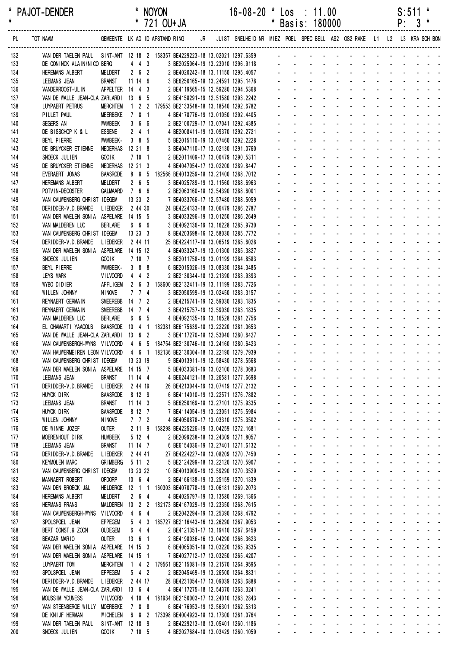| *<br>$\star$ |    | <b>PAJOT-DENDER</b>                                                                                                 |                                     |                    |                     | * NOYON<br>* 721 OU+JA                                        |  | $16-08-20$ * Los : 11.00                                                |                                            | * Basis: 180000                                |  |                                                                                                                                                                                                                                |             |            |                 | $S:511$ *<br>$P: 3*$               |                                                                               |  |
|--------------|----|---------------------------------------------------------------------------------------------------------------------|-------------------------------------|--------------------|---------------------|---------------------------------------------------------------|--|-------------------------------------------------------------------------|--------------------------------------------|------------------------------------------------|--|--------------------------------------------------------------------------------------------------------------------------------------------------------------------------------------------------------------------------------|-------------|------------|-----------------|------------------------------------|-------------------------------------------------------------------------------|--|
|              | PL |                                                                                                                     |                                     |                    |                     |                                                               |  |                                                                         |                                            |                                                |  |                                                                                                                                                                                                                                |             |            |                 |                                    |                                                                               |  |
| 132          |    | VAN DER TAELEN PAUL SINT-ANT 12 18 2 158357 BE4229223-18 13.02021 1297.6359                                         |                                     |                    |                     |                                                               |  |                                                                         |                                            |                                                |  |                                                                                                                                                                                                                                |             |            |                 |                                    |                                                                               |  |
| 133          |    | DE CONINCK ALAIN/NICO BERG                                                                                          |                                     |                    | $4\quad 4\quad 3$   |                                                               |  | 3 BE2025064-19 13.23010 1296.9118                                       |                                            |                                                |  |                                                                                                                                                                                                                                |             |            |                 |                                    |                                                                               |  |
| 134<br>135   |    | <b>HEREMANS ALBERT</b><br>LEEMANS JEAN                                                                              | MELDERT<br>BRANST                   | 11 14 6            |                     | $2\quad 6\quad 2$                                             |  | 2 BE4020242-18 13.11150 1295.4057<br>3 BE6250165-18 13.24591 1295.1478  |                                            |                                                |  |                                                                                                                                                                                                                                |             |            |                 |                                    |                                                                               |  |
| 136          |    | VANDERROOST-ULIN                                                                                                    | APPELTER 14 4 3                     |                    |                     |                                                               |  | 2 BE4119565-15 12.59280 1294.5368                                       |                                            |                                                |  | design and a state of the state of the state of the state of the state of the state of the state of the state of the state of the state of the state of the state of the state of the state of the state of the state of the s |             |            |                 |                                    |                                                                               |  |
| 137          |    | VAN DE WALLE JEAN-CLA ZARLARDI 13 6 5                                                                               |                                     |                    |                     |                                                               |  | 2 BE4158291-19 12.51580 1293.2242                                       |                                            |                                                |  | .                                                                                                                                                                                                                              |             |            |                 |                                    |                                                                               |  |
| 138          |    | LUYPAERT PETRUS                                                                                                     | <b>MERCHTEM</b>                     |                    |                     | 1 2 2 179553 BE2133548-18 13.18540 1292.6782                  |  |                                                                         |                                            |                                                |  | and a straight and a straight                                                                                                                                                                                                  |             |            |                 |                                    | and a straight and a straight                                                 |  |
| 139          |    | PILLET PAUL<br>SEGERS AN                                                                                            | <b>MEERBEKE</b><br>WAMBEEK          | 7 8 1              | 366                 |                                                               |  | 4 BE4178776-19 13.01050 1292.4405<br>2 BE2100729-17 13.07041 1292.4385  |                                            |                                                |  |                                                                                                                                                                                                                                |             |            |                 |                                    |                                                                               |  |
| 140<br>141   |    | DE BISSCHOP K & L                                                                                                   | <b>ESSENE</b>                       |                    | $2 \quad 4 \quad 1$ |                                                               |  | 4 BE2008411-19 13.09370 1292.2721                                       |                                            |                                                |  |                                                                                                                                                                                                                                |             |            |                 |                                    |                                                                               |  |
| 142          |    | BEYL PIERRE                                                                                                         | WAMBEEK-                            | 3 8 5              |                     |                                                               |  | 5 BE2015110-19 13.07460 1292.2228                                       |                                            |                                                |  | design and contract and contract of                                                                                                                                                                                            |             |            |                 |                                    |                                                                               |  |
| 143          |    | DE BRUYCKER ETIENNE                                                                                                 | NEDERHAS 12 21 8                    |                    |                     |                                                               |  | 3 BE4047110-17 13.02130 1291.0760                                       |                                            |                                                |  |                                                                                                                                                                                                                                |             |            |                 | and a strain and                   |                                                                               |  |
| 144          |    | SNOECK JULIEN                                                                                                       | GOO IK                              |                    | 7101                |                                                               |  | 2 BE2011409-17 13.00479 1290.5311                                       |                                            |                                                |  |                                                                                                                                                                                                                                |             |            |                 | and a state                        | and a straight and a                                                          |  |
| 145<br>146   |    | DE BRUYCKER ETIENNE<br>EVERAERT JONAS                                                                               | NEDERHAS 12 21 3<br><b>BAASRODE</b> |                    | 885                 | 182566 BE4013259-18 13.21400 1288.7012                        |  | 4 BE4047054-17 13.02200 1289.8447                                       |                                            |                                                |  |                                                                                                                                                                                                                                |             |            |                 |                                    |                                                                               |  |
| 147          |    | HEREMANS ALBERT                                                                                                     | MELDERT                             |                    | $2\quad 6\quad 5$   |                                                               |  | 3 BE4025789-19 13.11560 1288.6963                                       |                                            |                                                |  |                                                                                                                                                                                                                                |             |            |                 |                                    |                                                                               |  |
| 148          |    | POTVIN-DECOSTER                                                                                                     | GALMAARD                            | 7 6 6              |                     |                                                               |  | 2 BE2063160-18 12.54390 1288.6001                                       |                                            |                                                |  | and a straight and a straight                                                                                                                                                                                                  |             |            |                 |                                    | $\mathbf{r} = \mathbf{r} + \mathbf{r} + \mathbf{r} + \mathbf{r} + \mathbf{r}$ |  |
| 149          |    | VAN CAUWENBERG CHRIST IDEGEM                                                                                        |                                     | 13 23 2            |                     |                                                               |  | 7 BE4033766-17 12.57480 1288.5059                                       |                                            |                                                |  |                                                                                                                                                                                                                                |             |            |                 |                                    |                                                                               |  |
| 150<br>151   |    | DERIDDER-V.D. BRANDE<br>VAN DER MAELEN SONIA ASPELARE 14 15 5                                                       | LIEDEKER 2 44 30                    |                    |                     |                                                               |  | 24 BE4224133-18 13.06479 1286.2787<br>3 BE4033296-19 13.01250 1286.2649 |                                            |                                                |  |                                                                                                                                                                                                                                |             |            |                 |                                    |                                                                               |  |
| 152          |    | VAN MALDEREN LUC                                                                                                    | <b>BERLARE</b>                      |                    | 6 6 6               |                                                               |  | 3 BE4092136-19 13.16228 1285.9730                                       |                                            |                                                |  |                                                                                                                                                                                                                                |             |            |                 |                                    |                                                                               |  |
| 153          |    | VAN CAUWENBERG CHRIST IDEGEM                                                                                        |                                     | 13 23 3            |                     |                                                               |  | 8 BE4203698-16 12.58030 1285.7772                                       |                                            |                                                |  |                                                                                                                                                                                                                                |             |            |                 |                                    |                                                                               |  |
| 154          |    | DERIDDER-V.D. BRANDE                                                                                                | l i edeker                          | 2 44 11            |                     |                                                               |  | 25 BE4224117-18 13.06519 1285.6028                                      |                                            |                                                |  | design and a state of the state of the state of the state of the state of the state of the state of the state of the state of the state of the state of the state of the state of the state of the state of the state of the s |             |            |                 |                                    |                                                                               |  |
| 155<br>156   |    | VAN DER MAELEN SONIA ASPELARE 14 15 12<br>SNOECK JULIEN                                                             | <b>GOOIK</b>                        |                    | 7107                |                                                               |  | 4 BE4033247-19 13.01300 1285.3827<br>3 BE2011758-19 13.01199 1284.8583  |                                            |                                                |  |                                                                                                                                                                                                                                |             |            | and a state and | and a state                        |                                                                               |  |
| 157          |    | BEYL PIERRE                                                                                                         | WAMBEEK-                            | 3 8 8              |                     |                                                               |  | 6 BE2015026-19 13.08330 1284.3485                                       |                                            |                                                |  |                                                                                                                                                                                                                                |             |            |                 | $\Delta \phi = \Delta \phi = 0.01$ |                                                                               |  |
| 158          |    | LEYS MARK                                                                                                           | <b>VILVOORD</b>                     |                    | $4$ $4$ $2$         |                                                               |  | 2 BE2130344-18 13.21390 1283.9393                                       |                                            |                                                |  |                                                                                                                                                                                                                                |             |            |                 |                                    |                                                                               |  |
| 159          |    | WYBO DIDIER                                                                                                         | AFFLIGEM                            |                    | $2\quad 6\quad 3$   | 168600 BE2132411-19 13.11199 1283.7726                        |  |                                                                         |                                            |                                                |  | and a strain and a strain and a                                                                                                                                                                                                |             |            |                 |                                    |                                                                               |  |
| 160<br>161   |    | WILLEN JOHNNY<br>REYNAERT GERMAIN                                                                                   | NINOVE<br>SMEEREBB 14 7 2           |                    | $7$ $7$ $4$         |                                                               |  | 3 BE2050599-19 13.02450 1283.3157<br>2 BE4215741-19 12.59030 1283.1835  |                                            |                                                |  | $\Delta \phi = \Delta \phi$ and $\Delta \phi = 0$                                                                                                                                                                              | $\sim$      |            |                 |                                    | $\mathbf{r} = \mathbf{r} + \mathbf{r} + \mathbf{r} + \mathbf{r} + \mathbf{r}$ |  |
| 161          |    | REYNAERT GERMAIN                                                                                                    | SMEEREBB 14 7 4                     |                    |                     |                                                               |  | 3 BE4215757-19 12.59030 1283.1835                                       |                                            |                                                |  |                                                                                                                                                                                                                                | and a state | $\sim 100$ |                 | and a straight                     |                                                                               |  |
| 163          |    | VAN MALDEREN LUC                                                                                                    | <b>BERLARE</b>                      |                    | 6 6 5               |                                                               |  | 4 BE4092135-19 13.16528 1281.2756                                       |                                            |                                                |  | and a straight                                                                                                                                                                                                                 |             | $\sim 100$ |                 |                                    |                                                                               |  |
| 164          |    | EL GHAMARTI YAACOUB                                                                                                 |                                     |                    |                     | BAASRODE 10 4 1 182381 BE6175639-18 13.22220 1281.0653        |  |                                                                         |                                            |                                                |  | and a series of the series of the series                                                                                                                                                                                       |             |            |                 |                                    |                                                                               |  |
| 165<br>166   |    | VAN DE WALLE JEAN-CLA ZARLARDI 13 6 2<br>VAN CAUWENBERGH-WYNS VILVOORD 4 6 5 184754 BE2130746-18 13.24160 1280.6423 |                                     |                    |                     |                                                               |  | 3 BE4117270-18 12.53040 1280.6427                                       |                                            |                                                |  | design and a state of the state of the                                                                                                                                                                                         |             |            |                 |                                    | and a straight and a                                                          |  |
| 167          |    | VAN HAUWERMEIREN LEON VILVOORD 4 6 1 182136 BE2130304-18 13.22190 1279.7939                                         |                                     |                    |                     |                                                               |  |                                                                         |                                            |                                                |  |                                                                                                                                                                                                                                |             |            |                 |                                    |                                                                               |  |
| 168          |    | VAN CAUWENBERG CHRIST IDEGEM                                                                                        |                                     | 13 23 19           |                     |                                                               |  | 9 BE4013911-19 12.58430 1278.5568                                       |                                            |                                                |  | a construction of the contract of the contract of the contract of the contract of the contract of the contract of the contract of the contract of the contract of the contract of the contract of the contract of the contract |             |            |                 |                                    |                                                                               |  |
| 169          |    | VAN DER MAELEN SONIA ASPELARE 14 15 7                                                                               |                                     |                    |                     |                                                               |  | 5 BE4033381-19 13.02100 1278.3683                                       |                                            |                                                |  | and a series of the series of the series of                                                                                                                                                                                    |             |            |                 |                                    |                                                                               |  |
| 170<br>171   |    | <b>LEEMANS JEAN</b><br>DERIDDER-V.D.BRANDE                                                                          | <b>BRANST</b><br><b>LIEDEKER</b>    | 11 14 4<br>2 44 19 |                     |                                                               |  | 4 BE6244121-18 13.26581 1277.6698<br>26 BE4213044-19 13.07419 1277.2132 |                                            |                                                |  | والمناور والمناور والمناور والوالو الواليون<br>المنافذ والمستنقل والمستنقل والمستنقل والمستنقل والمستنقل                                                                                                                       |             |            |                 |                                    |                                                                               |  |
| 172          |    | HUYCK DIRK                                                                                                          | <b>BAASRODE</b>                     | 8 12 9             |                     |                                                               |  | 6 BE4114010-19 13.22571 1276.7882                                       | $\omega_{\rm{max}}$                        | $\Delta \sim 100$                              |  | design and a state of the state of the                                                                                                                                                                                         |             |            |                 |                                    |                                                                               |  |
| 173          |    | LEEMANS JEAN                                                                                                        | <b>BRANST</b>                       | 11143              |                     |                                                               |  | 5 BE6250169-18 13.27101 1275.9335                                       | $\omega_{\rm{max}}$                        | $\mathcal{L}^{\text{max}}$                     |  | design and a state of the state of the state of the state of the state of the state of the state of the state of the state of the state of the state of the state of the state of the state of the state of the state of the s |             |            |                 |                                    |                                                                               |  |
| 174          |    | HUYCK DIRK                                                                                                          | <b>BAASRODE</b>                     | 8 12 7             |                     |                                                               |  | 7 BE4114054-19 13.23051 1275.5984                                       | and a state                                |                                                |  | and a state of the state of the state of                                                                                                                                                                                       |             |            |                 |                                    |                                                                               |  |
| 175<br>176   |    | WILLEN JOHNNY<br>DE WINNE JOZEF                                                                                     | <b>NINOVE</b><br>OUTER              |                    | $7$ $7$ $2$<br>2119 | 158298 BE4225226-19 13.04259 1272.1681                        |  | 4 BE4050878-17 13.03310 1275.3502                                       | $\omega_{\rm{max}}$<br>$\omega_{\rm{max}}$ | $\Delta \sim 100$<br>$\mathbf{a} = \mathbf{a}$ |  | and a series of the series of the series of<br>فالمنافذ والمستنقذ والمستنقذ والمستنقذ والمستنقذ                                                                                                                                |             |            |                 |                                    |                                                                               |  |
| 177          |    | MOERENHOUT DIRK                                                                                                     | <b>HUMBEEK</b>                      |                    | 5 12 4              |                                                               |  | 2 BE2099238-18 13.24309 1271.8057                                       | $\omega_{\rm{max}}$                        | $\Delta \sim 100$                              |  | and a series of the contract of the                                                                                                                                                                                            |             |            |                 |                                    |                                                                               |  |
| 178          |    | <b>LEEMANS JEAN</b>                                                                                                 | <b>BRANST</b>                       | 11 14 7            |                     |                                                               |  | 6 BE6154036-19 13.27401 1271.6132                                       | $\Delta \sim 10^{-1}$                      | $\Delta \sim 100$                              |  | design and a state of the state of the state of the state of the state of the state of the state of the state of the state of the state of the state of the state of the state of the state of the state of the state of the s |             |            |                 |                                    |                                                                               |  |
| 179          |    | DER I DDER-V.D. BRANDE                                                                                              | <b>LIEDEKER</b>                     |                    | 2 44 41             |                                                               |  | 27 BE4224227-18 13.08209 1270.7450                                      |                                            |                                                |  | and a series of the contract of the series of                                                                                                                                                                                  |             |            |                 |                                    |                                                                               |  |
| 180<br>181   |    | <b>KEYMOLEN MARC</b><br>VAN CAUWENBERG CHRIST IDEGEM                                                                | <b>GRIMBERG</b>                     | 13 23 22           | 5 11 2              |                                                               |  | 5 BE2124299-18 13.22120 1270.5907<br>10 BE4013909-19 12.59290 1270.3529 |                                            |                                                |  | and a series of the series of the series of<br>and the contract of the contract of the contract of the                                                                                                                         |             |            |                 |                                    |                                                                               |  |
| 182          |    | MANNAERT ROBERT                                                                                                     | <b>OPDORP</b>                       |                    | $10 \t 6 \t 4$      |                                                               |  | 2 BE4166138-19 13.25159 1270.1339                                       |                                            |                                                |  | فالقاط القارف القارف القارف القارف القاربية                                                                                                                                                                                    |             |            |                 |                                    |                                                                               |  |
| 183          |    | VAN DEN BROECK J&L                                                                                                  |                                     |                    |                     | HELDERGE  12  1  1  160303 BE4070778-19  13.06181  1269.2073  |  |                                                                         |                                            |                                                |  | والمتعاون والمتعاون والمتعاون والمتعاون والمتعاونة                                                                                                                                                                             |             |            |                 |                                    |                                                                               |  |
| 184          |    | <b>HEREMANS ALBERT</b>                                                                                              | <b>MELDERT</b>                      |                    | $2\quad 6\quad 4$   |                                                               |  | 4 BE4025797-19 13.13580 1269.1366                                       |                                            |                                                |  | and a series of the contract of the series of<br>and a series of the contract of the series of                                                                                                                                 |             |            |                 |                                    |                                                                               |  |
| 185<br>186   |    | <b>HERMANS FRANS</b><br>VAN CAUWENBERGH-WYNS                                                                        | VILVOORD                            |                    | $4\quad 6\quad 4$   | MALDEREN  10  2  2  182173  BE4167029-19  13.23350  1268.7615 |  | 2 BE2042294-19 13.25390 1268.4792                                       |                                            |                                                |  | and a series and a series and a series of                                                                                                                                                                                      |             |            |                 |                                    |                                                                               |  |
| 187          |    | SPOLSPOEL JEAN                                                                                                      | <b>EPPEGEM</b>                      |                    |                     | 5 4 3 185727 BE2116443-16 13.26290 1267.9053                  |  |                                                                         | and a state                                |                                                |  | and a state of the state of the state of                                                                                                                                                                                       |             |            |                 |                                    |                                                                               |  |
| 188          |    | BERT CONST.& ZOON                                                                                                   | <b>OUDEGEM</b>                      |                    | 6 4 4               |                                                               |  | 2 BE4121351-17 13.19410 1267.6459                                       | $\omega_{\rm{max}}$                        |                                                |  | and a series of the contract of the series of                                                                                                                                                                                  |             |            |                 |                                    |                                                                               |  |
| 189          |    | BEAZAR MARIO                                                                                                        | OUTER                               | 1361               |                     |                                                               |  | 2 BE4198036-16 13.04290 1266.3623                                       |                                            |                                                |  | and a series of the contract of the series of<br><u>.</u>                                                                                                                                                                      |             |            |                 |                                    |                                                                               |  |
| 190<br>191   |    | VAN DER MAELEN SONIA ASPELARE 14 15 3<br>VAN DER MAELEN SONIA ASPELARE 14 15 1                                      |                                     |                    |                     |                                                               |  | 6 BE4065051-18 13.03220 1265.9335<br>7 BE4027712-17 13.03250 1265.4207  |                                            |                                                |  | and a series of the contract of the series of                                                                                                                                                                                  |             |            |                 |                                    |                                                                               |  |
| 192          |    | LUYPAERT TOM                                                                                                        | <b>MERCHTEM</b>                     |                    |                     | 1 4 2 179561 BE2115081-19 13.21570 1264.9595                  |  |                                                                         |                                            |                                                |  | and a series of the series of the series of                                                                                                                                                                                    |             |            |                 |                                    |                                                                               |  |
| 193          |    | SPOLSPOEL JEAN                                                                                                      | <b>EPPEGEM</b>                      |                    | $5\quad 4\quad 2$   |                                                               |  | 2 BE2045469-19 13.26500 1264.8831                                       |                                            |                                                |  | and the contract of the contract of the contract of the                                                                                                                                                                        |             |            |                 |                                    |                                                                               |  |
| 194          |    | DERIDDER-V.D.BRANDE<br>VAN DE WALLE JEAN-CLA ZARLARDI 13 6 4                                                        | LIEDEKER 2 44 17                    |                    |                     |                                                               |  | 28 BE4231054-17 13.09039 1263.6888<br>4 BE4117275-18 12.54370 1263.3241 |                                            |                                                |  | والمتعاط المتناول والمتناول والمتناول والمتناول<br>والمتعاون والمتعاون والمتعاون والمتعاون والمتعاونة                                                                                                                          |             |            |                 |                                    |                                                                               |  |
| 195<br>196   |    | MOUSSIM YOUNESS                                                                                                     | VILVOORD                            |                    |                     | 4 10 4 181934 BE2150003-17 13.24010 1263.2843                 |  |                                                                         |                                            |                                                |  | and a series of the contract of the series of                                                                                                                                                                                  |             |            |                 |                                    |                                                                               |  |
| 197          |    | VAN STEENBERGE WILLY MOERBEKE                                                                                       |                                     | 7 8 8              |                     |                                                               |  | 6 BE4176953-19 12.56301 1262.5313                                       |                                            |                                                |  |                                                                                                                                                                                                                                |             |            |                 |                                    |                                                                               |  |
| 198          |    | DE KNIJF HERMAN                                                                                                     | <b>WICHELEN</b>                     |                    |                     | 6 8 2 173398 BE4004923-18 13.17300 1261.0764                  |  |                                                                         |                                            |                                                |  | and a series of the series of the series of                                                                                                                                                                                    |             |            |                 |                                    |                                                                               |  |
| 199<br>200   |    | VAN DER TAELEN PAUL<br>SNOECK JULIEN                                                                                | SINT-ANT 12 18 9<br>GOOIK 7 10 5    |                    |                     |                                                               |  | 2 BE4229213-18 13.05401 1260.1186<br>4 BE2027684-18 13.03429 1260.1059  |                                            |                                                |  | فالمنافذ والمنافر والمنافر والمنافر والمنافر والمنافر<br>and the contract of the contract of the contract of                                                                                                                   |             |            |                 |                                    |                                                                               |  |